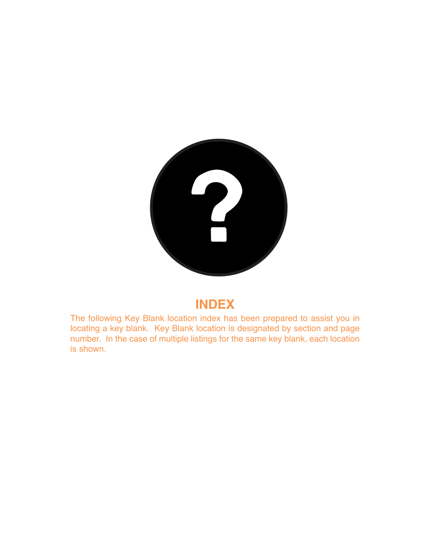

The following Key Blank location index has been prepared to assist you in locating a key blank. Key Blank location is designated by section and page number. In the case of multiple listings for the same key blank, each location is shown.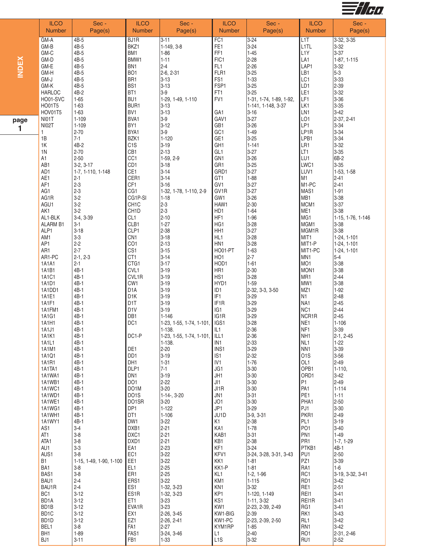

|              | <b>ILCO</b><br><b>Number</b> | Sec -<br>Page(s)                   | <b>ILCO</b><br><b>Number</b>         | Sec -<br>Page(s)                        | <b>ILCO</b><br><b>Number</b>       | Sec -<br>Page(s)             | <b>ILCO</b><br><b>Number</b>        | Sec -<br>Page(s)              |
|--------------|------------------------------|------------------------------------|--------------------------------------|-----------------------------------------|------------------------------------|------------------------------|-------------------------------------|-------------------------------|
|              | GM-A                         | 4B-5                               | BJ1R                                 | $3 - 11$                                | FC1                                | $3 - 24$                     | L <sub>1</sub> T                    | 3-32, 3-35                    |
|              | GM-B                         | 4B-5<br>4B-5                       | BKZ1                                 | 1-149, 3-8                              | FE <sub>1</sub><br>FF1             | $3 - 24$                     | L1TL<br>L <sub>1</sub> Y            | $3 - 32$<br>$3 - 37$          |
|              | GM-C<br>GM-D                 | 4B-5                               | BM1<br>BMW1                          | $1 - 86$<br>$1 - 11$                    | FIC1                               | $1 - 45$<br>$2 - 28$         | LA1                                 | 1-87, 1-115                   |
| <b>INDEX</b> | GM-E                         | 4B-5                               | BN <sub>1</sub>                      | $2 - 4$                                 | FL <sub>1</sub>                    | $2 - 26$                     | LAP1                                | $3 - 32$                      |
|              | GM-H                         | 4B-5<br>4B-5                       | BO <sub>1</sub>                      | 2-6, 2-31                               | FLR1<br>FS1                        | $3 - 25$                     | LB1                                 | $5-3$<br>$3 - 33$             |
|              | GM-J<br>GM-K                 | 4B-5                               | BR <sub>1</sub><br>BS1               | $3 - 13$<br>$3 - 13$                    | FSP1                               | $1 - 33$<br>$3 - 25$         | LC1<br>LD1                          | 2-39                          |
|              | <b>HARLOC</b>                | 4B-2                               | BT <sub>1</sub>                      | $3-9$                                   | FT1                                | $3 - 25$                     | LE1                                 | $3 - 32$                      |
|              | HO01-SVC<br>HO01T5           | $1 - 65$<br>$1 - 63$               | BU <sub>1</sub><br>BUR1              | 1-29, 1-49, 1-110<br>$3 - 13$           | FV1                                | 1-31, 1-74, 1-89, 1-92,      | LF1<br>LK1                          | $3 - 36$<br>$3 - 35$          |
|              | HOV01T5                      | $1 - 63$                           | BV1                                  | $3 - 13$                                | GA <sub>1</sub>                    | 1-141, 1-148, 3-37<br>$3-16$ | LN1                                 | $3-42$                        |
| page         | NI01T                        | $1 - 109$                          | BVA1                                 | $3-9$                                   | GAV1                               | $3 - 27$                     | LO <sub>1</sub>                     | 2-37, 2-41                    |
| 1            | <b>NI02T</b>                 | $1 - 109$                          | BY1                                  | $3 - 12$                                | GB1                                | $3 - 26$                     | LP1                                 | $3 - 34$                      |
|              | 1<br>1B                      | $2 - 70$<br>$7 - 1$                | BYA1<br>BZK1                         | $3-9$<br>$1 - 120$                      | GC1<br>GE1                         | $1 - 49$<br>$3 - 25$         | LP1R<br>LPB1                        | $3 - 34$<br>$3 - 34$          |
|              | 1K                           | 4B-2                               | C <sub>1</sub> S                     | $3 - 19$                                | GH <sub>1</sub>                    | $1 - 141$                    | LR1                                 | $3 - 32$                      |
|              | 1 <sup>N</sup>               | $2 - 70$                           | CB1                                  | $2 - 13$                                | GL <sub>1</sub>                    | $3 - 27$                     | LT1                                 | $3 - 35$                      |
|              | A1<br>AB1                    | $2 - 50$<br>$3-2, 3-17$            | CC <sub>1</sub><br>CD <sub>1</sub>   | 1-59, 2-9<br>$3 - 18$                   | GN <sub>1</sub><br>GR1             | $3 - 26$<br>$3 - 25$         | LU1<br>LWC1                         | 6B-2<br>$3 - 35$              |
|              | AD1                          | 1-7, 1-110, 1-148                  | CE1                                  | $3 - 14$                                | GRD1                               | $3 - 27$                     | LUV1                                | $1-53, 1-58$                  |
|              | AE1                          | $2 - 1$                            | CER1                                 | $3 - 14$                                | GT1                                | $1 - 88$                     | M <sub>1</sub>                      | $2 - 41$                      |
|              | AF1<br>AG1                   | $2 - 3$<br>$2 - 3$                 | CF1<br>CG1                           | $3 - 16$<br>1-32, 1-78, 1-110, 2-9      | GV1<br>GV <sub>1</sub> R           | $3 - 27$<br>$3 - 27$         | M1-PC<br>MAS1                       | $2 - 41$<br>$1 - 91$          |
|              | AG1R                         | $3-2$                              | CG1P-SI                              | $1 - 18$                                | GW1                                | $3 - 26$                     | MB1                                 | $3 - 38$                      |
|              | AGU1                         | $3-2$                              | CH <sub>1</sub> C                    | $2-3$                                   | HAW1                               | $2 - 30$                     | MCM1                                | $3-37$                        |
|              | AK1<br>AL1-BLK               | $3-2$<br>3-4, 3-39                 | CH <sub>1</sub> D<br>CL <sub>1</sub> | $2-3$<br>$2 - 10$                       | HD1<br>HF1                         | $1 - 64$<br>$ 1 - 96$        | ME1<br>MG1                          | $3-38$                        |
|              | <b>ALARM B1</b>              | $3 - 1$                            | CLB1                                 | $1 - 27$                                | HG1                                | $3 - 28$                     | MGM1                                | 1-15, 1-76, 1-146<br>$3 - 38$ |
|              | ALP1                         | $3 - 18$                           | CLP1                                 | 2-38                                    | HH <sub>1</sub>                    | $3 - 27$                     | MGM1R                               | $3 - 38$                      |
|              | AM1                          | $3-3$                              | CN <sub>1</sub>                      | $3 - 18$                                | HL1                                | $3 - 28$                     | MIT1                                | 1-24, 1-101                   |
|              | AP1<br>AR1                   | $2 - 2$<br>$2 - 7$                 | CO <sub>1</sub><br>CS <sub>1</sub>   | $2 - 13$<br>$3 - 15$                    | HN1<br><b>HO01-PT</b>              | $3 - 28$<br>$1-63$           | MIT1-P<br>MIT1-PC                   | 1-24, 1-101<br>1-24, 1-101    |
|              | AR1-PC                       | $2-1, 2-3$                         | CT1                                  | $3 - 14$                                | HO <sub>1</sub>                    | $2 - 7$                      | MN1                                 | $5 - 4$                       |
|              | 1A1A1                        | $2 - 1$                            | CTG1                                 | $3 - 17$                                | HOD1                               | $1-61$                       | MO <sub>1</sub>                     | $3 - 38$                      |
|              | 1A1B1<br>1A1C1               | 4B-1<br>4B-1                       | CVL1<br>CVL1R                        | $3 - 19$<br>$3 - 19$                    | HR1<br>HS1                         | $2 - 30$<br>$3 - 28$         | MON1<br>MR1                         | $3 - 38$<br>$2 - 44$          |
|              | 1A1D1                        | 4B-1                               | CW1                                  | $3 - 19$                                | HYD1                               | $1-59$                       | MW1                                 | $3 - 38$                      |
|              | 1A1DD1                       | $4B-1$                             | D <sub>1</sub> A                     | $3 - 19$                                | ID1                                | 2-32, 3-3, 3-50              | MZ1                                 | $1 - 92$                      |
|              | 1A1E1                        | $4B-1$                             | D <sub>1</sub> K                     | $3 - 19$                                | IF1<br>IF <sub>1</sub> R           | $3 - 29$                     | N1                                  | $2 - 48$                      |
|              | 1A1F1<br>1A1FM1              | 4B-1<br>4B-1                       | D <sub>1</sub> T<br>D <sub>1</sub> V | $3 - 19$<br>$3-19$                      | IG <sub>1</sub>                    | $3 - 29$<br>$3 - 29$         | NA1<br>NC <sub>1</sub>              | $2 - 45$<br>$2-44$            |
|              | 1A1G1                        | 4B-1                               | DB1                                  | $1 - 146$                               | IG1R                               | $3 - 29$                     | NCR1R                               | $2 - 45$                      |
|              | 1A1H1                        | 4B-1                               | DC <sub>1</sub>                      | 1-23, 1-55, 1-74, 1-101,                | IGS1                               | $3 - 28$                     | NE <sub>1</sub>                     | $1 - 106$                     |
|              | 1A1J1<br>1A1K1               | 4B-1<br>$4B-1$                     | DC1-P                                | 1-138.<br>1-23, 1-55, 1-74, 1-101, ILL1 | IL1                                | $2 - 36$<br>$2 - 36$         | NF <sub>1</sub><br>NH <sub>1</sub>  | $3 - 39$<br>2-1, 2-45         |
|              | 1A1L1                        | 4B-1                               |                                      | 1-138.                                  | IN <sub>1</sub>                    | 2-33                         | NL1                                 | $1 - 22$                      |
|              | 1A1M1                        | $4B-1$                             | DE1                                  | $2 - 20$                                | INS1                               | 3-29                         | NN <sub>1</sub>                     | $3 - 39$                      |
|              | 1A1Q1<br>1A1R1               | $4B-1$<br>4B-1                     | DD <sub>1</sub><br>DH <sub>1</sub>   | $3 - 19$<br>$1 - 31$                    | IS <sub>1</sub><br>IV <sub>1</sub> | $2 - 32$<br>$1 - 76$         | O <sub>1</sub> S<br>OL <sub>1</sub> | $3 - 56$<br>$2 - 49$          |
|              | 1A1TA1                       | 4B-1                               | DLP1                                 | $7 - 1$                                 | JG1                                | $3 - 30$                     | OPB1                                | $1 - 110$                     |
|              | 1A1WA1                       | $4B-1$                             | DN <sub>1</sub>                      | $3 - 19$                                | JH1                                | $3 - 30$                     | ORD1                                | $3-42$                        |
|              | 1A1WB1<br>1A1WC1             | 4B-1<br>$4B-1$                     | DO <sub>1</sub><br>DO <sub>1</sub> M | 2-22<br>$3 - 20$                        | JI1<br>$J$ 1R                      | $3 - 30$<br>$3 - 30$         | P1<br>PA <sub>1</sub>               | $2 - 49$<br>$1 - 114$         |
|              | 1A1WD1                       | $4B-1$                             | DO1S                                 | $1-14-$ , $3-20$                        | JN1                                | $3 - 31$                     | PE <sub>1</sub>                     | $1 - 11$                      |
|              | 1A1WE1                       | 4B-1                               | DO1SR                                | $3 - 20$                                | JO1                                | 3-30                         | PHA1                                | $2 - 50$                      |
|              | 1A1WG1<br>1A1WH1             | 4B-1<br>$4B-1$                     | DP <sub>1</sub><br>DT <sub>1</sub>   | $1 - 122$<br>$1 - 106$                  | JP1<br>JU1D                        | $3 - 29$<br>$3-9, 3-31$      | PJ1<br>PKR1                         | $3 - 30$<br>$2 - 49$          |
|              | 1A1WY1                       | $4B-1$                             | DW1                                  | $3-22$                                  | K1                                 | $2 - 38$                     | PL <sub>1</sub>                     | $3 - 19$                      |
|              | AS1                          | $3 - 4$                            | DXB1                                 | $2 - 21$                                | KA1                                | $1 - 78$                     | PO <sub>1</sub>                     | $3 - 40$                      |
|              | AT <sub>1</sub><br>ATA1      | $3-8$<br>$3-8$                     | DXC1<br>DXD1                         | $2 - 21$<br>$2 - 21$                    | KAB1<br>KB1                        | $3 - 31$<br>$2 - 38$         | PN1<br>PR <sub>1</sub>              | $1 - 49$<br>$1-7, 1-29$       |
|              | AU1                          | $3-3$                              | EA1                                  | 2-23                                    | KF1                                | $3 - 24$                     | PTKB1                               | 4B-1                          |
|              | AUS1                         | $3 - 8$                            | EC1                                  | $3-22$                                  | KFV1                               | 3-24, 3-28, 3-31, 3-43       | PU <sub>1</sub>                     | $2 - 50$                      |
|              | <b>B1</b><br>BA1             | 1-15, 1-49, 1-90, 1-100<br>$3 - 8$ | EE1<br>EL <sub>1</sub>               | $3-22$<br>$2 - 25$                      | KK1<br>KK1-P                       | 1-81<br>$1-81$               | PZ1<br>RA1                          | $3 - 39$<br>1-6               |
|              | BAS1                         | $3 - 8$                            | ER1                                  | $2 - 25$                                | KL1                                | $1-2, 1-96$                  | RC1                                 | 3-19, 3-32, 3-41              |
|              | BAU1                         | $2 - 4$                            | ERS1                                 | $3 - 22$                                | KM1                                | $1 - 115$                    | RD1                                 | $3-42$                        |
|              | BAU1R                        | $2 - 4$<br>$3 - 12$                | ES1                                  | 1-32, 3-23                              | KN <sub>1</sub><br>KP1             | $3 - 32$                     | RE1<br>REI1                         | $2 - 51$<br>$3 - 41$          |
|              | BC <sub>1</sub><br>BD1A      | $3 - 12$                           | ES1R<br>ET1                          | 1-32, 3-23<br>$3 - 23$                  | KS1                                | 1-120, 1-149<br>1-11, 3-32   | REI1R                               | $3 - 41$                      |
|              | BD1B                         | $3 - 12$                           | EVA1R                                | $3 - 23$                                | KW1                                | 2-23, 2-39, 2-49             | RG1                                 | $3 - 41$                      |
|              | BD1C                         | $3 - 12$                           | EX1                                  | 2-26, 3-45                              | KW1-BIG                            | $2 - 39$                     | RK1                                 | $3 - 43$                      |
|              | BD <sub>1</sub> D<br>BEL1    | $3 - 12$<br>$3-8$                  | EZ1<br>FA <sub>1</sub>               | 2-26, 2-41<br>$2 - 27$                  | KW1-PC<br>KYM1RP                   | 2-23, 2-39, 2-50<br>$1-85$   | RL1<br>RN <sub>1</sub>              | $3 - 42$<br>$3-42$            |
|              | BH <sub>1</sub>              | $1 - 89$                           | FAS1                                 | $3-24, 3-46$                            | L1                                 | $2 - 40$                     | RO1                                 | 2-31, 2-46                    |
|              | BJ1                          | $3 - 11$                           | FB1                                  | $1 - 33$                                | L <sub>1</sub> S                   | 3-32                         | RU1                                 | $2 - 52$                      |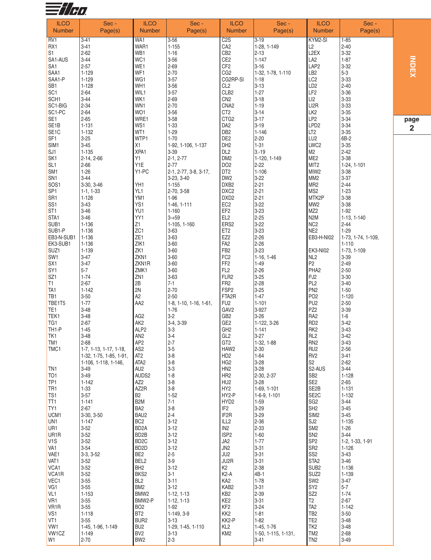

| <b>ILCO</b>                          | Sec -                                           | <b>ILCO</b>                          | Sec -                              | <b>ILCO</b>                          | Sec -                         | <b>ILCO</b>                         | Sec -                  |    |
|--------------------------------------|-------------------------------------------------|--------------------------------------|------------------------------------|--------------------------------------|-------------------------------|-------------------------------------|------------------------|----|
| <b>Number</b>                        | Page(s)                                         | <b>Number</b>                        | Page(s)                            | <b>Number</b>                        | Page(s)                       | <b>Number</b>                       | Page(s)                |    |
| RV <sub>1</sub>                      | $3 - 41$                                        | WA1                                  | $3 - 56$                           | C2S                                  | $3 - 19$                      | KYM2-SI                             | $1 - 85$               |    |
| RX1                                  | $3 - 41$<br>$2 - 62$                            | WAR1                                 | $1 - 155$                          | CA <sub>2</sub>                      | 1-28, 1-149                   | L2<br>L <sub>2</sub> EX             | $2 - 40$               |    |
| S <sub>1</sub><br>SA1-AUS            | $3 - 44$                                        | WB1<br>WC1                           | $1 - 16$<br>$3 - 56$               | CB <sub>2</sub><br>CE <sub>2</sub>   | 2-13<br>$1 - 147$             | LA <sub>2</sub>                     | $3 - 32$<br>$1 - 87$   |    |
| SA <sub>1</sub>                      | $2 - 57$                                        | WE1                                  | $2 - 69$                           | CF <sub>2</sub>                      | $3 - 16$                      | LAP <sub>2</sub>                    | $3 - 32$               |    |
| SAA1                                 | $1 - 129$                                       | WF1                                  | $2 - 70$                           | CG <sub>2</sub>                      | 1-32, 1-78, 1-110             | LB <sub>2</sub>                     | $5-3$                  |    |
| SAA1-P                               | $1 - 129$                                       | WG1                                  | $3 - 57$                           | CG2RP-SI                             | $1 - 18$                      | LC <sub>2</sub>                     | $3 - 33$               |    |
| SB <sub>1</sub><br>SC <sub>1</sub>   | $1 - 128$<br>$2 - 64$                           | WH1<br>WIL1                          | $3 - 56$<br>$3 - 57$               | CL <sub>2</sub><br>CLB <sub>2</sub>  | $3 - 13$<br>$1 - 27$          | LD <sub>2</sub><br>LF <sub>2</sub>  | $2 - 40$<br>$3 - 36$   |    |
| SCH <sub>1</sub>                     | $3 - 44$                                        | WK1                                  | $2 - 69$                           | CN <sub>2</sub>                      | $3 - 18$                      | LI2                                 | $3 - 33$               |    |
| SC1-BIG                              | $2 - 34$                                        | WN1                                  | $2 - 70$                           | CNA <sub>2</sub>                     | $1 - 19$                      | LI <sub>2</sub> R                   | $3 - 33$               |    |
| SC1-PC                               | $2 - 64$                                        | WO1                                  | $3 - 56$                           | CT <sub>2</sub>                      | $3 - 14$                      | LK <sub>2</sub>                     | $3 - 35$               |    |
| SE <sub>1</sub><br>SE <sub>1</sub> B | $2 - 65$<br>$1 - 131$                           | WRE1<br>WS1                          | $3 - 58$<br>$1 - 33$               | CTG <sub>2</sub><br>DA <sub>2</sub>  | $3 - 17$<br>$3 - 19$          | LP <sub>2</sub><br>LPD <sub>2</sub> | $3 - 34$<br>$3 - 34$   | pa |
| SE <sub>1</sub> C                    | $1 - 132$                                       | WT1                                  | $1 - 29$                           | DB <sub>2</sub>                      | $1 - 146$                     | LT <sub>2</sub>                     | $3 - 35$               |    |
| SF <sub>1</sub>                      | $3 - 25$                                        | WTP1                                 | $1 - 70$                           | DE <sub>2</sub>                      | $2 - 20$                      | LU <sub>2</sub>                     | 6B-2                   |    |
| SIM1                                 | $3 - 45$                                        | X <sub>1</sub>                       | 1-92, 1-106, 1-137                 | DH <sub>2</sub>                      | $1 - 31$                      | LWC <sub>2</sub>                    | $3 - 35$               |    |
| SJ1<br>SK <sub>1</sub>               | $1 - 135$<br>$2-14, 2-66$                       | XPA1<br>Y1                           | $3 - 39$<br>$2-1, 2-77$            | DL <sub>2</sub><br>DM <sub>2</sub>   | $3 - 19$<br>1-120, 1-149      | M <sub>2</sub><br>ME <sub>2</sub>   | $2 - 42$<br>$3 - 38$   |    |
| SL <sub>1</sub>                      | $2 - 66$                                        | Y1E                                  | $2 - 77$                           | DO <sub>2</sub>                      | $2 - 22$                      | MIT <sub>2</sub>                    | 1-24, 1-101            |    |
| SM <sub>1</sub>                      | $1 - 26$                                        | Y1-PC                                | 2-1, 2-77, 3-8, 3-17,              | DT <sub>2</sub>                      | $1 - 106$                     | MIW <sub>2</sub>                    | $3 - 38$               |    |
| SN <sub>1</sub>                      | $3 - 44$                                        |                                      | 3-23, 3-40                         | DW <sub>2</sub>                      | $3 - 22$                      | MM <sub>2</sub>                     | $3 - 37$               |    |
| SOS <sub>1</sub><br>SP <sub>1</sub>  | 3-30, 3-46<br>$1-1, 1-33$                       | YH1<br>YL1                           | $1 - 155$<br>2-70, 3-58            | DXB <sub>2</sub><br>DXC <sub>2</sub> | $2 - 21$<br>$2 - 21$          | MR <sub>2</sub><br>MS <sub>2</sub>  | $2 - 44$<br>$1 - 23$   |    |
| SR1                                  | $1 - 126$                                       | YM1                                  | 1-96                               | DXD <sub>2</sub>                     | $2 - 21$                      | MTK2P                               | $3 - 38$               |    |
| SS <sub>1</sub>                      | $3 - 43$                                        | YS1                                  | 1-46, 1-111                        | EC <sub>2</sub>                      | $3 - 22$                      | MW <sub>2</sub>                     | $3 - 38$               |    |
| ST <sub>1</sub>                      | $3 - 46$                                        | YU1                                  | $1 - 160$                          | EF <sub>2</sub>                      | $3 - 23$                      | MZ <sub>2</sub>                     | $1-92$                 |    |
| STA1                                 | $3 - 46$                                        | YY1                                  | $3 - 59$                           | EL <sub>2</sub>                      | $2 - 25$                      | N <sub>2</sub> M                    | 1-13, 1-140            |    |
| SUB1<br>SUB1-P                       | 1-136<br>$1 - 136$                              | Z1<br>ZC1                            | 1-105, 1-160<br>$3 - 63$           | ERS <sub>2</sub><br>ET <sub>2</sub>  | $3 - 22$<br>$3 - 23$          | NC <sub>2</sub><br>NE <sub>2</sub>  | $2 - 44$<br>$1 - 29$   |    |
| EB3-N-SUB1                           | $1 - 136$                                       | ZE1                                  | $3 - 63$                           | EZ <sub>2</sub>                      | $2 - 26$                      | EB3-H-NI02                          | 1-73, 1-74, 1-109,     |    |
| EK3-SUB1                             | 1-136                                           | ZIK1                                 | $3 - 60$                           | FA <sub>2</sub>                      | $2 - 26$                      |                                     | $1 - 110$              |    |
| SUZ1                                 | 1-139                                           | ZK1                                  | $3 - 60$                           | FB <sub>2</sub>                      | $3 - 23$                      | <b>EK3-NI02</b>                     | 1-73, 1-109            |    |
| SW <sub>1</sub><br>SX <sub>1</sub>   | $3 - 47$<br>$3 - 47$                            | ZKN1<br>ZKN1R                        | $3 - 60$<br>$3 - 60$               | FC <sub>2</sub><br>FF <sub>2</sub>   | $1-16, 1-46$<br>$1 - 49$      | NL <sub>2</sub><br>P <sub>2</sub>   | $3 - 39$<br>$2 - 49$   |    |
| SY <sub>1</sub>                      | $5 - 7$                                         | ZMK1                                 | $3 - 60$                           | FL <sub>2</sub>                      | $2 - 26$                      | PHA <sub>2</sub>                    | $2 - 50$               |    |
| SZ <sub>1</sub>                      | $1 - 74$                                        | ZN <sub>1</sub>                      | $3 - 63$                           | FLR <sub>2</sub>                     | $3 - 25$                      | PJ <sub>2</sub>                     | $3 - 30$               |    |
| T1                                   | $2 - 67$<br>$1 - 142$                           | 2B<br>2N                             | $7 - 1$<br>$2 - 70$                | FR <sub>2</sub><br>FSP <sub>2</sub>  | $2 - 28$                      | PL <sub>2</sub><br>PN <sub>2</sub>  | $3 - 40$               |    |
| TA <sub>1</sub><br>TB1               | $3 - 50$                                        | A <sub>2</sub>                       | $2 - 50$                           | FTA2R                                | $3 - 25$<br>$1 - 47$          | PO <sub>2</sub>                     | $1 - 50$<br>$1 - 120$  |    |
| TBE1T5                               | $1 - 77$                                        | AA <sub>2</sub>                      | $1-8$ , $1-10$ , $1-16$ , $1-61$ , | FU <sub>2</sub>                      | $1 - 101$                     | PU <sub>2</sub>                     | $2 - 50$               |    |
| TE <sub>1</sub>                      | $3 - 48$                                        |                                      | $1 - 76$                           | GAV <sub>2</sub>                     | 3-927                         | PZ <sub>2</sub>                     | $3 - 39$               |    |
| TEK1                                 | $3 - 48$                                        | AG <sub>2</sub>                      | $3-2$                              | GB <sub>2</sub><br>GE <sub>2</sub>   | $3 - 26$                      | RA <sub>2</sub><br>RD <sub>2</sub>  | $1-6$<br>$3 - 42$      |    |
| TG <sub>1</sub><br>TH <sub>1-P</sub> | $2 - 67$<br>$1 - 45$                            | AK <sub>2</sub><br>ALP <sub>2</sub>  | 3-4, 3-39<br>$3-3$                 | GH <sub>2</sub>                      | 1-122, 3-26<br>$1 - 141$      | RK <sub>2</sub>                     | $3 - 43$               |    |
| TK <sub>1</sub>                      | $3 - 48$                                        | AN <sub>2</sub>                      | $3-4$                              | GL <sub>2</sub>                      | $3-27$                        | RL <sub>2</sub>                     | $3-42$                 |    |
| TM1                                  | 2-68                                            | AP2                                  | 2-7                                | GT <sub>2</sub>                      | 1-32, 1-88                    | RN <sub>2</sub>                     | 3-43                   |    |
| TMC1                                 | 1-7, 1-13, 1-17, 1-18,                          | AS <sub>2</sub>                      | $3-5$<br>$3-8$                     | HAW2                                 | 2-30<br>$1-64$                | RU <sub>2</sub>                     | $2 - 56$               |    |
|                                      | 1-32, 1-75, 1-85, 1-91,<br>1-106, 1-118, 1-146, | AT <sub>2</sub><br>ATA <sub>2</sub>  | $3-8$                              | HD <sub>2</sub><br>HG <sub>2</sub>   | $3 - 28$                      | RV <sub>2</sub><br>S <sub>2</sub>   | $3 - 41$<br>$2 - 62$   |    |
| TN <sub>1</sub>                      | $3 - 49$                                        | AU <sub>2</sub>                      | $3-3$                              | HN <sub>2</sub>                      | $3 - 28$                      | S <sub>2</sub> -AUS                 | $3-44$                 |    |
| TO <sub>1</sub>                      | $3 - 49$                                        | AUDS2                                | $1 - 8$                            | HR <sub>2</sub>                      | 2-30, 2-37                    | SB <sub>2</sub>                     | $1 - 128$              |    |
| TP <sub>1</sub>                      | $1 - 142$                                       | AZ <sub>2</sub>                      | $3-8$                              | HU <sub>2</sub>                      | $3 - 28$                      | SE <sub>2</sub>                     | $2 - 65$               |    |
| TR <sub>1</sub><br>TS <sub>1</sub>   | $1 - 33$<br>$3 - 57$                            | AZ2R<br><b>B2</b>                    | $3-8$<br>$1 - 52$                  | HY <sub>2</sub><br>HY2-P             | 1-69, 1-101<br>$1-6-9, 1-101$ | SE2B<br>SE <sub>2</sub> C           | $1 - 131$<br>$1 - 132$ |    |
| TT <sub>1</sub>                      | $1 - 141$                                       | B <sub>2</sub> M                     | $7 - 1$                            | HYD <sub>2</sub>                     | $1-59$                        | SG <sub>2</sub>                     | $3 - 44$               |    |
| TY <sub>1</sub>                      | $2 - 67$                                        | BA <sub>2</sub>                      | $3-8$                              | IF <sub>2</sub>                      | $3-29$                        | SH <sub>2</sub>                     | $3 - 45$               |    |
| UCM <sub>1</sub>                     | 3-30, 3-50                                      | BAU2                                 | $2 - 4$                            | IF <sub>2</sub> R                    | $3 - 29$                      | SIM <sub>2</sub>                    | $3 - 45$               |    |
| UN <sub>1</sub><br>UR <sub>1</sub>   | $1 - 147$<br>$3 - 52$                           | BC <sub>2</sub><br>BD <sub>2</sub> A | $3 - 12$<br>$3 - 12$               | ILL2<br>IN <sub>2</sub>              | $2 - 36$<br>$2 - 33$          | SJ <sub>2</sub><br>SM <sub>2</sub>  | $1 - 135$<br>$1 - 26$  |    |
| UR <sub>1</sub> R                    | $3 - 52$                                        | BD <sub>2</sub> B                    | $3 - 12$                           | ISP <sub>2</sub>                     | $1 - 60$                      | SN <sub>2</sub>                     | $3-44$                 |    |
| V <sub>1</sub> S                     | $3 - 52$                                        | BD <sub>2</sub> C                    | $3 - 12$                           | JA2                                  | $1 - 77$                      | SP <sub>2</sub>                     | 1-2, 1-33, 1-91        |    |
| VA <sub>1</sub>                      | $3 - 54$                                        | BD <sub>2</sub> D                    | $3 - 12$                           | JN <sub>2</sub>                      | $3 - 31$                      | SR <sub>2</sub>                     | $1 - 126$              |    |
| VAE1<br>VAT1                         | $3-3, 3-52$<br>$3 - 52$                         | BE <sub>2</sub><br>BEL <sub>2</sub>  | $2 - 5$<br>$3-9$                   | JU2<br>JU2R                          | $3 - 31$<br>$3 - 31$          | SS <sub>2</sub><br>STA <sub>2</sub> | $3 - 43$<br>$3 - 46$   |    |
| VCA <sub>1</sub>                     | $3 - 52$                                        | BH <sub>2</sub>                      | $3 - 12$                           | K <sub>2</sub>                       | $2 - 38$                      | SUB <sub>2</sub>                    | 1-136                  |    |
| VCA <sub>1</sub> R                   | $3 - 52$                                        | BKS2                                 | $3 - 1$                            | $K2-A$                               | 4B-1                          | SUZ <sub>2</sub>                    | 1-139                  |    |
| VEC1                                 | $3 - 55$                                        | BL <sub>2</sub>                      | $3 - 11$                           | KA <sub>2</sub>                      | $1 - 78$                      | SW <sub>2</sub>                     | $3-47$                 |    |
| VG1<br>VL <sub>1</sub>               | $3 - 55$<br>$1 - 153$                           | BM <sub>2</sub><br>BMW <sub>2</sub>  | $3 - 12$<br>$1-12, 1-13$           | KAB2<br>KB <sub>2</sub>              | $3 - 31$<br>$2 - 39$          | SY <sub>2</sub><br>SZ <sub>2</sub>  | $5 - 7$<br>$1 - 74$    |    |
| VR <sub>1</sub>                      | $3 - 55$                                        | BMW2-P                               | $1-12, 1-13$                       | KE <sub>2</sub>                      | $3 - 31$                      | T <sub>2</sub>                      | $2 - 67$               |    |
| VR <sub>1</sub> R                    | $3 - 55$                                        | BO <sub>2</sub>                      | $1-92$                             | KF <sub>2</sub>                      | $3 - 24$                      | TA <sub>2</sub>                     | $1 - 142$              |    |
| VS <sub>1</sub>                      | $1 - 118$                                       | BT <sub>2</sub>                      | 1-149, 3-9                         | KK <sub>2</sub>                      | $1-81$                        | TB <sub>2</sub>                     | $3 - 50$               |    |
| VT <sub>1</sub><br>VW <sub>1</sub>   | $3 - 55$<br>1-45, 1-96, 1-149                   | BUR <sub>2</sub><br>BU <sub>2</sub>  | $3 - 13$<br>1-29, 1-45, 1-110      | KK2-P<br>KL <sub>2</sub>             | $1-82$<br>$1-45, 1-76$        | TE <sub>2</sub><br>TK <sub>2</sub>  | $3 - 48$<br>$3 - 48$   |    |
| VW1CZ                                | $1 - 149$                                       | BV <sub>2</sub>                      | $3 - 13$                           | KM <sub>2</sub>                      | 1-50, 1-115, 1-131,           | TM <sub>2</sub>                     | $2 - 68$               |    |
| W <sub>1</sub>                       | $2 - 70$                                        | BW <sub>2</sub>                      | $2 - 3$                            |                                      | $3 - 41$                      | TN <sub>2</sub>                     | $3 - 49$               |    |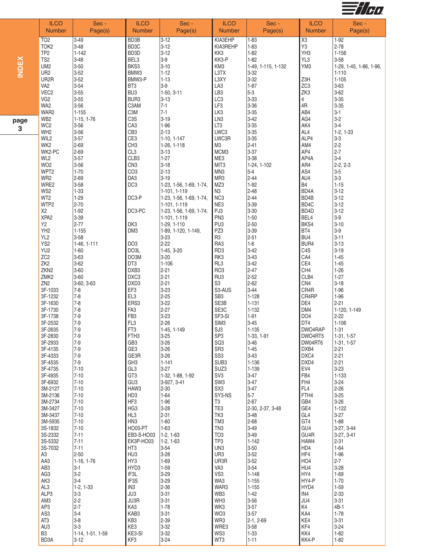

|              | <b>ILCO</b>                                                                                                                                             | Sec -                                                                                         | <b>ILCO</b>                                                                                | Sec -                                                                                                                                     | <b>ILCO</b>                                                                                  | Sec -                                                                                                  | <b>ILCO</b>                                                                     | Sec -                                                                                                      |
|--------------|---------------------------------------------------------------------------------------------------------------------------------------------------------|-----------------------------------------------------------------------------------------------|--------------------------------------------------------------------------------------------|-------------------------------------------------------------------------------------------------------------------------------------------|----------------------------------------------------------------------------------------------|--------------------------------------------------------------------------------------------------------|---------------------------------------------------------------------------------|------------------------------------------------------------------------------------------------------------|
|              | <b>Number</b>                                                                                                                                           | Page(s)                                                                                       | Number                                                                                     | Page(s)                                                                                                                                   | Number                                                                                       | Page(s)                                                                                                | Number                                                                          | Page(s)                                                                                                    |
| <b>INDEX</b> | TO <sub>2</sub><br>TOK <sub>2</sub><br>TP <sub>2</sub><br>TS <sub>2</sub><br>UM <sub>2</sub><br>UR <sub>2</sub><br>UR <sub>2</sub> R<br>VA <sub>2</sub> | $3 - 49$<br>$3 - 48$<br>$1 - 142$<br>$3 - 48$<br>$3 - 50$<br>$3 - 52$<br>$3 - 52$<br>$3 - 54$ | BD3B<br>BD <sub>3</sub> C<br>BD <sub>3</sub> D<br>BEL3<br>BKS3<br>BMW3<br>BMW3-P<br>BT3    | $3 - 12$<br>$3 - 12$<br>$3 - 12$<br>$3-9$<br>$3 - 10$<br>$1 - 12$<br>$1 - 13$<br>$3-9$                                                    | KIA3EHP<br>KIA3REHP<br>KK3<br>KK3-P<br>KM3<br>L3TX<br>L3XY<br>LA3                            | $1 - 83$<br>$1 - 83$<br>$1 - 82$<br>$1 - 82$<br>1-49, 1-115, 1-132<br>$3 - 32$<br>$3 - 32$<br>$1 - 87$ | X3<br>Y3<br>YH <sub>3</sub><br>YL3<br>YM <sub>3</sub><br>Z3H<br>ZC <sub>3</sub> | 1-92<br>$2 - 78$<br>$1 - 156$<br>$3 - 58$<br>1-29, 1-45, 1-86, 1-96,<br>$1 - 110$<br>$1 - 105$<br>$3 - 63$ |
| page<br>3    | VEC <sub>2</sub><br>VG <sub>2</sub><br>WA2<br>WAR2<br>WB <sub>2</sub><br>WC <sub>2</sub>                                                                | $3 - 55$<br>$3 - 55$<br>$3 - 56$<br>$1 - 155$<br>1-15, 1-76<br>$3 - 56$                       | BU <sub>3</sub><br>BUR3<br>C3AM<br>C <sub>3</sub> M<br>C <sub>3</sub> S<br>CA <sub>3</sub> | 1-50, 3-11<br>$3 - 13$<br>$7-1$<br>$7 - 1$<br>$3 - 19$<br>$1 - 96$                                                                        | LB <sub>3</sub><br>LC <sub>3</sub><br>LF3<br>LK3<br>LN <sub>3</sub><br>LT3                   | $5-3$<br>$3 - 33$<br>$3 - 36$<br>$3 - 35$<br>$3 - 42$<br>$3 - 35$                                      | ZK3<br>$\overline{4}$<br>4R<br>AB4<br>AG4<br>AK4                                | $3 - 62$<br>$3 - 35$<br>$3 - 35$<br>$3-1$<br>$3-2$<br>$3-4$                                                |
|              | WH <sub>2</sub>                                                                                                                                         | $3 - 56$                                                                                      | CB <sub>3</sub>                                                                            | $2 - 13$                                                                                                                                  | LWC3                                                                                         | $3 - 35$                                                                                               | AL4                                                                             | $1-2, 1-33$                                                                                                |
|              | WIL2                                                                                                                                                    | $3 - 57$                                                                                      | CE3                                                                                        | 1-10, 1-147                                                                                                                               | LWC3R                                                                                        | $3 - 35$                                                                                               | ALP4                                                                            | $3-3$                                                                                                      |
|              | WK <sub>2</sub>                                                                                                                                         | $2 - 69$                                                                                      | CH <sub>3</sub>                                                                            | 1-26, 1-118                                                                                                                               | M3                                                                                           | $2 - 41$                                                                                               | AM4                                                                             | $2 - 2$                                                                                                    |
|              | WK2-PC                                                                                                                                                  | $2 - 69$                                                                                      | CL <sub>3</sub>                                                                            | $3 - 13$                                                                                                                                  | MCM3                                                                                         | $3 - 37$                                                                                               | AP4                                                                             | $2 - 7$                                                                                                    |
|              | WL <sub>2</sub>                                                                                                                                         | $3 - 57$                                                                                      | CLB3                                                                                       | $1 - 27$                                                                                                                                  | ME3                                                                                          | $3 - 38$                                                                                               | AP4A                                                                            | $3 - 4$                                                                                                    |
|              | WO <sub>2</sub>                                                                                                                                         | $3 - 56$                                                                                      | CN <sub>3</sub>                                                                            | $3 - 18$                                                                                                                                  | MIT3                                                                                         | 1-24, 1-102                                                                                            | AR4                                                                             | $2-2, 2-3$                                                                                                 |
|              | WPT2                                                                                                                                                    | $1 - 70$                                                                                      | CO <sub>3</sub>                                                                            | $2 - 13$                                                                                                                                  | MN3                                                                                          | $5-4$                                                                                                  | AS4                                                                             | $3-5$                                                                                                      |
|              | WR2<br>WRE2<br>WS2<br>WT2<br>WTP2<br>X2<br>XPA <sub>2</sub>                                                                                             | $2 - 69$<br>$3 - 58$<br>$1 - 33$<br>$1 - 29$<br>$2 - 70$<br>$1 - 92$<br>$3 - 39$              | DA3<br>DC <sub>3</sub><br>DC3-P<br>DC3-PC                                                  | $3 - 19$<br>1-23, 1-56, 1-69, 1-74,<br>1-101, 1-119<br>1-23, 1-56, 1-69, 1-74,<br>1-101, 1-119<br>1-23, 1-56, 1-69, 1-74,<br>1-101, 1-119 | MR <sub>3</sub><br>MZ3<br>N <sub>3</sub><br>NC <sub>3</sub><br>NE3<br>PJ3<br>PN <sub>3</sub> | $2 - 44$<br>$1 - 92$<br>$2 - 48$<br>$2 - 44$<br>$3 - 39$<br>$3 - 30$<br>$1 - 50$                       | AU4<br><b>B4</b><br>BD <sub>4</sub> A<br>BD4B<br>BD4C<br>BD4D<br>BEL4           | $3-3$<br>$1 - 15$<br>$3 - 12$<br>$3 - 12$<br>$3 - 12$<br>$3 - 12$<br>$3-9$                                 |
|              | Y2<br>YH <sub>2</sub><br>YL <sub>2</sub><br>YS <sub>2</sub><br>YU <sub>2</sub><br>ZC <sub>2</sub>                                                       | $2 - 77$<br>$1 - 155$<br>$3 - 58$<br>1-46, 1-111<br>$1 - 60$<br>$3-63$                        | DK3<br>DM3<br>DO <sub>3</sub><br>DO3L<br>DO3M                                              | 1-29, 1-110<br>1-89, 1-120, 1-149,<br>$3 - 23$<br>$2 - 22$<br>1-45, 3-20<br>$3 - 20$                                                      | PU <sub>3</sub><br>PZ3<br>R <sub>3</sub><br>RA3<br>RD <sub>3</sub><br>RK3                    | $2 - 50$<br>$3 - 39$<br>$2 - 51$<br>$1 - 6$<br>$3 - 42$<br>$3 - 43$                                    | BKS4<br>BT4<br>BU4<br>BUR4<br>C <sub>4</sub> S<br>CA4                           | $3 - 10$<br>$3-9$<br>$3 - 11$<br>$3 - 13$<br>$3 - 19$<br>$1 - 45$                                          |
|              | ZK <sub>2</sub>                                                                                                                                         | $3-62$                                                                                        | DT3                                                                                        | $1 - 106$                                                                                                                                 | RL3                                                                                          | $3 - 42$                                                                                               | CE4                                                                             | $1 - 45$                                                                                                   |
|              | ZKN <sub>2</sub>                                                                                                                                        | $3 - 60$                                                                                      | DXB3                                                                                       | $2 - 21$                                                                                                                                  | RO <sub>3</sub>                                                                              | $2 - 47$                                                                                               | CH <sub>4</sub>                                                                 | $1 - 26$                                                                                                   |
|              | ZMK2                                                                                                                                                    | $3 - 60$                                                                                      | DXC3                                                                                       | $2 - 21$                                                                                                                                  | RU <sub>3</sub>                                                                              | $2 - 52$                                                                                               | CLB4                                                                            | $1 - 27$                                                                                                   |
|              | ZN <sub>2</sub>                                                                                                                                         | 3-60, 3-63                                                                                    | DXD3                                                                                       | $2 - 21$                                                                                                                                  | S <sub>3</sub>                                                                               | $2 - 62$                                                                                               | CN4                                                                             | $3 - 18$                                                                                                   |
|              | 3F-1033                                                                                                                                                 | $7-8$                                                                                         | EF3                                                                                        | $3 - 23$                                                                                                                                  | S3-AUS                                                                                       | $3 - 44$                                                                                               | CR4R                                                                            | $1 - 96$                                                                                                   |
|              | 3F-1232                                                                                                                                                 | $ 7-8 $                                                                                       | EL <sub>3</sub>                                                                            | $2 - 25$                                                                                                                                  | SB <sub>3</sub>                                                                              | $1 - 128$                                                                                              | CR4RP                                                                           | $1 - 96$                                                                                                   |
|              | 3F-1630                                                                                                                                                 | $7-8$                                                                                         | ERS3                                                                                       | $3 - 22$                                                                                                                                  | SE3B                                                                                         | $1 - 131$                                                                                              | DE4                                                                             | $2 - 21$                                                                                                   |
|              | 3F-1730                                                                                                                                                 | $7-8$                                                                                         | FA3                                                                                        | $2 - 27$                                                                                                                                  | SE3C                                                                                         | $1 - 132$                                                                                              | DM4                                                                             | 1-120, 1-149                                                                                               |
|              | 3F-1738                                                                                                                                                 | $7-9$                                                                                         | FB <sub>3</sub>                                                                            | $3 - 23$                                                                                                                                  | SF3-SI                                                                                       | $1 - 91$                                                                                               | DO <sub>4</sub>                                                                 | $2 - 22$                                                                                                   |
|              | 3F-2532                                                                                                                                                 | $7-9$                                                                                         | FL <sub>3</sub>                                                                            | $2 - 26$                                                                                                                                  | SIM <sub>3</sub>                                                                             | $3 - 45$                                                                                               | DT4                                                                             | $1 - 106$                                                                                                  |
|              | 3F-2635                                                                                                                                                 | $7-9$                                                                                         | FT <sub>3</sub>                                                                            | 1-45, 1-149                                                                                                                               | SJ3                                                                                          | $1 - 135$                                                                                              | DWO4RAP                                                                         | $1 - 31$                                                                                                   |
|              | 3F-2830                                                                                                                                                 | 7-9                                                                                           | FTH <sub>3</sub>                                                                           | $3 - 25$                                                                                                                                  | SP <sub>3</sub>                                                                              | $1-33, 1-91$                                                                                           | DWO4RT5                                                                         | $1-31, 1-57$                                                                                               |
|              | 3F-2933                                                                                                                                                 | $7-9$                                                                                         | GB <sub>3</sub>                                                                            | $3 - 26$                                                                                                                                  | SQ <sub>3</sub>                                                                              | $3 - 46$                                                                                               | DW04RT6                                                                         | $1-31, 1-57$                                                                                               |
|              | 3F-4135                                                                                                                                                 | $ 7-9 $                                                                                       | GE3                                                                                        | $3 - 26$                                                                                                                                  | SR <sub>3</sub>                                                                              | $1 - 45$                                                                                               | DXB4                                                                            | $2 - 21$                                                                                                   |
|              | 3F-4333                                                                                                                                                 | $7-9$                                                                                         | GE3R                                                                                       | $3 - 26$                                                                                                                                  | SS <sub>3</sub>                                                                              | $3 - 43$                                                                                               | DXC4                                                                            | $2 - 21$                                                                                                   |
|              | 3F-4535                                                                                                                                                 | $7-9$                                                                                         | GH <sub>3</sub>                                                                            | $1 - 141$                                                                                                                                 | SUB <sub>3</sub>                                                                             | $1 - 136$                                                                                              | DXD4                                                                            | $2 - 21$                                                                                                   |
|              | 3F-4735                                                                                                                                                 | $7 - 10$                                                                                      | GL3                                                                                        | $3 - 27$                                                                                                                                  | SUZ3                                                                                         | 1-139                                                                                                  | EV4                                                                             | $3 - 23$                                                                                                   |
|              | 3F-4935                                                                                                                                                 | $7 - 10$                                                                                      | GT <sub>3</sub>                                                                            | 1-32, 1-88, 1-92                                                                                                                          | SV <sub>3</sub>                                                                              | $3 - 47$                                                                                               | FB4                                                                             | $1 - 133$                                                                                                  |
|              | 3F-6932                                                                                                                                                 | $7 - 10$                                                                                      | GU <sub>3</sub>                                                                            | 3-927, 3-41                                                                                                                               | SW <sub>3</sub>                                                                              | $3 - 47$                                                                                               | FH4                                                                             | $3 - 24$                                                                                                   |
|              | 3M-2127                                                                                                                                                 | $7 - 10$                                                                                      | HAW3                                                                                       | $2 - 30$                                                                                                                                  | SX3                                                                                          | $3 - 47$                                                                                               | FL4                                                                             | $2 - 26$                                                                                                   |
|              | 3M-2136                                                                                                                                                 | $7 - 10$                                                                                      | HD <sub>3</sub>                                                                            | $1 - 64$                                                                                                                                  | SY3-NS                                                                                       | $5-7$                                                                                                  | FTH4                                                                            | $3 - 25$                                                                                                   |
|              | 3M-2734                                                                                                                                                 | $7 - 10$                                                                                      | HF3                                                                                        | $1 - 96$                                                                                                                                  | T <sub>3</sub>                                                                               | $2 - 67$                                                                                               | GB4                                                                             | $3 - 26$                                                                                                   |
|              | 3M-3427                                                                                                                                                 | $7 - 10$                                                                                      | HG <sub>3</sub>                                                                            | $3 - 28$                                                                                                                                  | TE3                                                                                          | 2-30, 2-37, 3-48                                                                                       | GE4                                                                             | $1 - 122$                                                                                                  |
|              | 3M-3437                                                                                                                                                 | $7 - 10$                                                                                      | HL3                                                                                        | $2 - 31$                                                                                                                                  | TK3                                                                                          | $3 - 48$                                                                                               | GL <sub>4</sub>                                                                 | $3 - 27$                                                                                                   |
|              | 3M-5935                                                                                                                                                 | $7 - 10$                                                                                      | HN <sub>3</sub>                                                                            | $1 - 60$                                                                                                                                  | TM <sub>3</sub>                                                                              | $2 - 68$                                                                                               | GT4                                                                             | $1 - 88$                                                                                                   |
|              | 3S-1832                                                                                                                                                 | $7 - 10$                                                                                      | HO03-PT                                                                                    | $1 - 63$                                                                                                                                  | TN <sub>3</sub>                                                                              | $3 - 49$                                                                                               | GU4                                                                             | 3-27, 3-44                                                                                                 |
|              | 3S-2332                                                                                                                                                 | $7 - 11$                                                                                      | EB3-S-HO03                                                                                 | $1-2, 1-63$                                                                                                                               | TO <sub>3</sub>                                                                              | $3 - 49$                                                                                               | GU4R                                                                            | 3-27, 3-41                                                                                                 |
|              | 3S-5332                                                                                                                                                 | $7 - 11$                                                                                      | EK3P-HO03                                                                                  | $1-2, 1-63$                                                                                                                               | TP3                                                                                          | 1-142                                                                                                  | HAW4                                                                            | $2 - 31$                                                                                                   |
|              | 3S-7032                                                                                                                                                 | $7 - 11$                                                                                      | HT <sub>3</sub>                                                                            | $3 - 54$                                                                                                                                  | UN3                                                                                          | $3 - 50$                                                                                               | HD4                                                                             | $1 - 64$                                                                                                   |
|              | A3                                                                                                                                                      | $2 - 50$                                                                                      | HU <sub>3</sub>                                                                            | $3 - 28$                                                                                                                                  | UR3                                                                                          | $3 - 52$                                                                                               | HF4                                                                             | $1 - 96$                                                                                                   |
|              | AA3                                                                                                                                                     | 1-16, 1-76                                                                                    | HY3                                                                                        | $1 - 69$                                                                                                                                  | UR3R                                                                                         | $3 - 52$                                                                                               | HO <sub>4</sub>                                                                 | $2 - 7$                                                                                                    |
|              | AB <sub>3</sub>                                                                                                                                         | $3-1$                                                                                         | HYD3                                                                                       | $1 - 59$                                                                                                                                  | VA3                                                                                          | $3 - 54$                                                                                               | HU4                                                                             | $3 - 28$                                                                                                   |
|              | AG3                                                                                                                                                     | $3-2$                                                                                         | IF3L                                                                                       | $3 - 29$                                                                                                                                  | VS3                                                                                          | $1 - 148$                                                                                              | HY4                                                                             | $1 - 69$                                                                                                   |
|              | AK3                                                                                                                                                     | $3-4$                                                                                         | IF3S                                                                                       | $3 - 29$                                                                                                                                  | WA3                                                                                          | $1 - 155$                                                                                              | HY4-P                                                                           | $1 - 70$                                                                                                   |
|              | AL <sub>3</sub>                                                                                                                                         | $1-2, 1-33$                                                                                   | IN <sub>3</sub>                                                                            | $2 - 36$                                                                                                                                  | WAR3                                                                                         | $1 - 155$                                                                                              | HYD4                                                                            | $1 - 59$                                                                                                   |
|              | ALP3                                                                                                                                                    | $3-3$                                                                                         | JU3                                                                                        | $3 - 31$                                                                                                                                  | WB3                                                                                          | $1 - 42$                                                                                               | IN4                                                                             | $2 - 33$                                                                                                   |
|              | AM3                                                                                                                                                     | $2 - 2$                                                                                       | JU3R                                                                                       | $3-31$                                                                                                                                    | WH3                                                                                          | $3 - 56$                                                                                               | JU4                                                                             | $3 - 31$                                                                                                   |
|              | AP3                                                                                                                                                     | $2 - 7$                                                                                       | KA3                                                                                        | $1 - 78$                                                                                                                                  | WK3                                                                                          | $3 - 57$                                                                                               | K4                                                                              | 4B-1                                                                                                       |
|              | AS3                                                                                                                                                     | $3-4$                                                                                         | KAB3                                                                                       | $3 - 31$                                                                                                                                  | WO <sub>3</sub>                                                                              | $3 - 57$                                                                                               | KA4                                                                             | $1 - 78$                                                                                                   |
|              | AT <sub>3</sub>                                                                                                                                         | $3-8$                                                                                         | KB3                                                                                        | $2 - 39$                                                                                                                                  | WR3                                                                                          | 2-1, 2-69                                                                                              | KE4                                                                             | $3 - 31$                                                                                                   |
|              | AU3                                                                                                                                                     | $3-3$                                                                                         | KE3                                                                                        | $3 - 32$                                                                                                                                  | WRE3                                                                                         | $3 - 58$                                                                                               | KF4                                                                             | $3 - 24$                                                                                                   |
|              | B <sub>3</sub>                                                                                                                                          | 1-14, 1-51, 1-59                                                                              | KE3-SI                                                                                     | $3 - 32$                                                                                                                                  | WS3                                                                                          | $1 - 33$                                                                                               | KK4                                                                             | $1 - 82$                                                                                                   |
|              | BD3A                                                                                                                                                    | $3-12$                                                                                        | KF3                                                                                        | $3 - 24$                                                                                                                                  | WT3                                                                                          | $1 - 11$                                                                                               | KK4-P                                                                           | $1 - 82$                                                                                                   |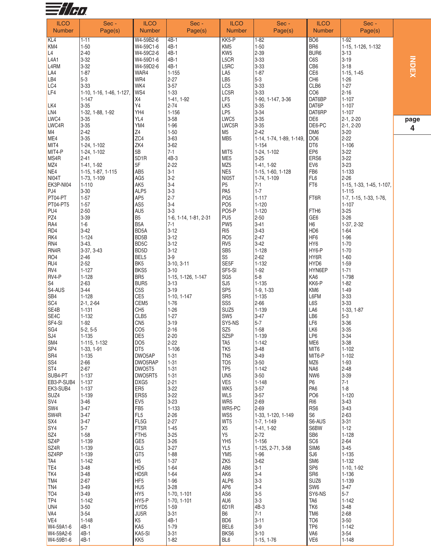

| <b>ILCO</b>                   | Sec -                    | <b>ILCO</b>                       | Sec -                 | <b>ILCO</b>                        | Sec -                    | <b>ILCO</b>            | Sec -                    |    |
|-------------------------------|--------------------------|-----------------------------------|-----------------------|------------------------------------|--------------------------|------------------------|--------------------------|----|
| <b>Number</b>                 | Page(s)                  | <b>Number</b>                     | Page(s)               | <b>Number</b>                      | Page(s)                  | <b>Number</b>          | Page(s)                  |    |
| KL <sub>4</sub>               | 1-11                     | W4-59B2-6                         | 4B-1                  | KK5-P                              | $1 - 82$                 | BO <sub>6</sub>        | $1-92$                   |    |
| KM4                           | $1 - 50$                 | W4-59C1-6                         | 4B-1                  | KM <sub>5</sub>                    | $1 - 50$                 | BR <sub>6</sub>        | 1-15, 1-126, 1-132       |    |
| L4                            | $2 - 40$                 | W4-59C2-6                         | 4B-1                  | KW <sub>5</sub>                    | $2 - 39$                 | BUR <sub>6</sub>       | $3 - 13$                 |    |
| L <sub>4</sub> A <sub>1</sub> | $3 - 32$                 | W4-59D1-6                         | 4B-1                  | L5CR                               | $3 - 33$                 | C6S                    | $3 - 19$                 |    |
| L <sub>4</sub> RM             | $3 - 32$                 | W4-59D2-6                         | 4B-1                  | L5RC                               | $3 - 33$                 | CB <sub>6</sub>        | $3 - 18$                 |    |
| LA4                           | $1 - 87$                 | WAR4                              | $1 - 155$             | LA <sub>5</sub>                    | $1 - 87$                 | CE <sub>6</sub>        | $1-15, 1-45$             |    |
| LB4                           | $5 - 3$                  | WR4                               | $2 - 27$              | LB <sub>5</sub>                    | $5 - 3$                  | CH <sub>6</sub>        | $1 - 26$                 |    |
| LC4                           | $3 - 33$                 | WK4                               | $3 - 57$              | LC5                                | $3 - 33$                 | CLB6                   | $1 - 27$                 |    |
| LF4                           | 1-10, 1-16, 1-46, 1-127, | WS4                               | $1 - 33$              | LC5R                               | $3 - 33$                 | CO <sub>6</sub>        | $2 - 16$                 |    |
|                               | 1-147                    | X4                                | 1-41, 1-92            | LF5                                | 1-90, 1-147, 3-36        | DAT6BP                 | $1 - 107$                |    |
| LK4                           | $3 - 35$                 | Y4                                | $2 - 74$              | LK <sub>5</sub>                    | $3 - 35$                 | DAT6P                  | $1 - 107$                |    |
| LN4                           | 1-32, 1-88, 1-92         | YH4                               | $1 - 156$             | LP <sub>5</sub>                    | $3 - 34$                 | DAT6RP                 | 1-107                    |    |
| LWC4                          | $3 - 35$                 | YL4                               | $3 - 58$              | LWC5                               | $3 - 35$                 | DE6                    | 2-1, 2-20                |    |
| LWC4R                         | $3 - 35$                 | YM4                               | $1 - 96$              | LWC5R                              | $3 - 35$                 | DE6-PC                 | 2-1, 2-20                | pa |
| M4                            | $2 - 42$                 | Z4                                | $1 - 50$              | M5                                 | $2 - 42$                 | DM <sub>6</sub>        | $3 - 20$                 |    |
| ME4                           | $3 - 35$                 | ZC4                               | $3 - 63$              | MB <sub>5</sub>                    | 1-14, 1-74, 1-89, 1-149, | DO <sub>6</sub>        | $2 - 22$                 |    |
| MIT4                          | 1-24, 1-102              | ZK4                               | $3 - 62$              |                                    | $1 - 154$                | DT <sub>6</sub>        | $1 - 106$                |    |
| MIT4-P                        | 1-24, 1-102              | 5B                                | $7 - 1$               | MIT5                               | 1-24, 1-102              | EP <sub>6</sub>        | $3 - 22$                 |    |
| MS4R                          | 2-41                     | 5D1R                              | 4B-3                  | ME <sub>5</sub>                    | $3 - 25$                 | ERS6                   | $3 - 22$                 |    |
| MZ4                           | 1-41, 1-92               | 5F                                | $2 - 22$              | MZ <sub>5</sub>                    | 1-41, 1-92               | EV <sub>6</sub>        | $3 - 23$                 |    |
| NE4                           | 1-15, 1-87, 1-115        | AB <sub>5</sub>                   | $3-1$                 | NE <sub>5</sub>                    | 1-15, 1-60, 1-128        | FB <sub>6</sub>        | 1-133                    |    |
| NI04T                         | 1-73, 1-109              | AG <sub>5</sub>                   | $3-2$                 | NI05T                              | 1-74, 1-109              | FL <sub>6</sub>        | $2 - 26$                 |    |
| EK3P-NI04                     | $1 - 110$                | AK <sub>5</sub>                   | $3 - 4$               | P <sub>5</sub>                     | $7-1$                    | FT6                    | 1-15, 1-33, 1-45, 1-107, |    |
| PJ4                           | $3 - 30$                 | ALP <sub>5</sub>                  | $3-3$                 | PA <sub>5</sub>                    | $1 - 7$                  |                        | $1 - 115$                |    |
| PT04-PT                       | $1 - 57$                 | AP <sub>5</sub>                   | $2 - 7$               | PG <sub>5</sub>                    | $1 - 117$                | FT6R                   | 1-7, 1-15, 1-33, 1-76,   |    |
| PT04-PT5                      | $1 - 57$                 | AS <sub>5</sub>                   | $3 - 4$               | PO <sub>5</sub>                    | $1 - 120$                |                        | $1 - 107$                |    |
| PU <sub>4</sub>               | $2 - 50$                 | AU <sub>5</sub>                   | $3 - 3$               | PO <sub>5-P</sub>                  | $1 - 120$                | FTH <sub>6</sub>       | $3 - 25$                 |    |
| PZ4                           | $3 - 39$                 | B <sub>5</sub>                    | 1-6, 1-14, 1-81, 2-31 | PU <sub>5</sub>                    | $2 - 50$                 | GE <sub>6</sub>        | $3 - 26$                 |    |
| RA4                           | $1 - 6$                  | B <sub>5</sub> A                  | $7 - 1$               | PW <sub>5</sub>                    | $3 - 41$                 | H6                     | 1-37, 2-32               |    |
| RD4                           | $3-42$                   | BD <sub>5</sub> A                 | $3-12$                | RI <sub>5</sub>                    | $3-43$                   | HD <sub>6</sub>        | $1 - 64$                 |    |
| RK4                           | $1 - 124$                | BD <sub>5</sub> B                 | $3 - 12$              | RO <sub>5</sub>                    | $2 - 47$                 | HF <sub>6</sub>        | $1 - 96$                 |    |
| RN4                           | $3-43.$                  | BD <sub>5</sub> C                 | $3 - 12$              | RV <sub>5</sub>                    | $3-42$                   | HY <sub>6</sub>        | $1 - 70$                 |    |
| RN <sub>4</sub> R             | 3-37, 3-43               | BD <sub>5</sub> D                 | $3-12$                | SB <sub>5</sub>                    | $1 - 128$                | HY6-P                  | $1 - 70$                 |    |
| RO <sub>4</sub>               | $2 - 46$                 | BEL5                              | $3-9$                 | S <sub>5</sub>                     | $2 - 62$                 | HY6R                   | $1 - 60$                 |    |
| RU4                           | $2 - 52$                 | BK <sub>5</sub>                   | $3-10, 3-11$          | SE <sub>5F</sub>                   | 1-132                    | HYD6                   | $1 - 59$                 |    |
| RV4                           | $1 - 127$                | BKS5                              | $3 - 10$              | SF5-SI                             | $1-92$                   | HYN6EP                 | $1 - 71$                 |    |
| RV4-P                         | $1 - 128$                | BR <sub>5</sub>                   | 1-15, 1-126, 1-147    | SG <sub>5</sub>                    | $5 - 8$                  | KA6                    | 1-798                    |    |
| S <sub>4</sub>                | $2 - 63$                 | BUR <sub>5</sub>                  | $3 - 13$              | SJ <sub>5</sub>                    | $1 - 135$                | KK6-P                  | $1 - 82$                 |    |
| S4-AUS                        | $3-44$                   | C <sub>5</sub> S                  | $3 - 19$              | SP <sub>5</sub>                    | $1-9, 1-33$              | KM <sub>6</sub>        | $1 - 49$                 |    |
| SB <sub>4</sub>               | $1 - 128$                | CE <sub>5</sub>                   | 1-10, 1-147           | SR <sub>5</sub>                    | $1 - 135$                | L6FM                   | $3 - 33$                 |    |
| SC <sub>4</sub>               | $2-1, 2-64$              | CEM <sub>5</sub>                  | $1 - 76$              | SS <sub>5</sub>                    | $2 - 66$                 | L6S                    | $3 - 33$                 |    |
| SE4B                          | 1-131                    | CH <sub>5</sub>                   | $1 - 26$              | SUZ <sub>5</sub>                   | 1-139                    | LA6                    | 1-33, 1-87               |    |
| SE4C<br>SF4-SI                | $1 - 132$<br>$1-92$      | CLB5<br>CN <sub>5</sub>           | $1 - 27$<br>$3 - 19$  | SW <sub>5</sub><br>SY5-NS          | $3-47$<br>$5 - 7$        | LB6<br>LF6             | $5-3$<br>$3 - 36$        |    |
| SG <sub>4</sub>               | $5-2, 5-5$               | CO <sub>5</sub>                   | $2 - 16$              | SZ <sub>5</sub>                    | $1 - 58$                 | LK6                    | $3 - 35$                 |    |
| SJ <sub>4</sub>               | 1-135                    | DE <sub>5</sub>                   | $2 - 20$              | SZ5P                               | 1-139                    | LP6                    | $3 - 34$                 |    |
| SM4                           | 1-115, 1-132             | DO <sub>5</sub>                   | $2 - 22$              | TA <sub>5</sub>                    | $1 - 142$                | ME6                    | $3 - 38$                 |    |
| SP <sub>4</sub>               | 1-33, 1-91               | DT <sub>5</sub>                   | $1 - 106$             | TK <sub>5</sub>                    | $3 - 48$                 | MIT6                   | $1 - 102$                |    |
| SR <sub>4</sub>               | $1 - 135$                | DWO5AP                            | $1 - 31$              | TN <sub>5</sub>                    | $3 - 49$                 | MIT6-P                 | $1 - 102$                |    |
| SS <sub>4</sub>               | $2 - 66$                 | DWO5RAP                           | $1 - 31$              | TO <sub>5</sub>                    | $3 - 50$                 | MZ6                    | $1-93$                   |    |
| ST <sub>4</sub>               | $2 - 67$                 | DWO5T5                            | $1 - 31$              | TP <sub>5</sub>                    | $1 - 142$                | NA6                    | $2 - 48$                 |    |
| SUB4-PT                       | $1 - 137$                | DWO5RT5                           | $1 - 31$              | UN <sub>5</sub>                    | $3 - 50$                 | NW <sub>6</sub>        | 3-39                     |    |
| EB3-P-SUB4                    | $1 - 137$                | DXG5                              | $2 - 21$              | VE <sub>5</sub>                    | $1 - 148$                | P <sub>6</sub>         | $7-1$                    |    |
| EK3-SUB4                      | $1 - 137$                | ER <sub>5</sub>                   | $3 - 22$              | WK5                                | $3 - 57$                 | PA <sub>6</sub>        | $ 1-8 $                  |    |
| SUZ4                          | 1-139                    | ERS5                              | $3 - 22$              | WL5                                | $3 - 57$                 | PO <sub>6</sub>        | $1 - 120$                |    |
| SV <sub>4</sub>               | $3 - 46$                 | EV <sub>5</sub>                   | $3 - 23$              | WR5                                | $2 - 69$                 | RI <sub>6</sub>        | $3 - 43$                 |    |
| SW <sub>4</sub>               | 3-47                     | FB <sub>5</sub>                   | 1-133                 | WR5-PC                             | $2 - 69$                 | RS <sub>6</sub>        | $3 - 43$                 |    |
| SW <sub>4R</sub>              | $3 - 47$                 | FL <sub>5</sub>                   | $2 - 26$              | WS5                                | 1-33, 1-120, 1-149       | S <sub>6</sub>         | $2 - 63$                 |    |
| SX4                           | 3-47                     | FL <sub>5</sub> G                 | $2 - 27$              | WT5                                | 1-7, 1-149               | S6-AUS                 | $3 - 31$                 |    |
| SY <sub>4</sub>               | $5 - 7$                  | FT5R                              | $1 - 45$              | X <sub>5</sub>                     | 1-41, 1-92               | S6BW                   | $1 - 12$                 |    |
| SZ <sub>4</sub>               | $1 - 58$                 | FTH <sub>5</sub>                  | $3 - 25$              | Y5                                 | $2 - 72$                 | SB <sub>6</sub>        | $1 - 128$                |    |
| SZ <sub>4</sub> P             | 1-139                    | GE <sub>5</sub>                   | $3 - 26$              | YH <sub>5</sub>                    | $1 - 156$                | SC <sub>6</sub>        | $2 - 64$                 |    |
| SZ <sub>4</sub> R             | 1-139                    | GL <sub>5</sub>                   | $3 - 27$              | YL <sub>5</sub>                    | 1-125, 2-71, 3-58        | SIM <sub>6</sub>       | $3 - 45$                 |    |
| SZ <sub>4</sub> RP<br>TA4     | 1-139<br>$1 - 142$       | GT <sub>5</sub><br>H <sub>5</sub> | $1 - 88$<br>$1 - 37$  | YM <sub>5</sub><br>ZK <sub>5</sub> | $1 - 96$<br>$3 - 62$     | SJ6<br>SM <sub>6</sub> | $1 - 135$<br>$1 - 132$   |    |
| TE4                           | $3 - 48$                 | HD <sub>5</sub>                   | $1 - 64$              | AB6                                | $3-1$                    | SP <sub>6</sub>        | 1-10, 1-92               |    |
| TK4                           | $3 - 48$                 | HD5R                              | $1 - 64$              | AK6                                | $3-4$                    | SR <sub>6</sub>        | $1 - 136$                |    |
| TM4                           | $2 - 67$                 | HF <sub>5</sub>                   | $1 - 96$              | ALP6                               | $3-3$                    | SUZ6                   | $1 - 139$                |    |
| TN <sub>4</sub>               | $3 - 49$                 | HU <sub>5</sub>                   | $3 - 28$              | AP6                                | $3-4$                    | SW <sub>6</sub>        | $3-47$                   |    |
| TO4                           | $3 - 49$                 | HY <sub>5</sub>                   | 1-70, 1-101           | AS6                                | $3-5$                    | SY6-NS                 | $5 - 7$                  |    |
| TP4                           | $1 - 142$                | HY5-P                             | 1-70, 1-101           | AU6                                | $3-3$                    | TA <sub>6</sub>        | $1 - 142$                |    |
| UN <sub>4</sub>               | $3 - 50$                 | HYD <sub>5</sub>                  | $1 - 59$              | 6D <sub>1</sub> R                  | 4B-3                     | TK6                    | $3 - 48$                 |    |
| VA4                           | $3 - 54$                 | JU5R                              | $3 - 31$              | B <sub>6</sub>                     | $7 - 1$                  | TM <sub>6</sub>        | $2 - 68$                 |    |
| VE <sub>4</sub>               | $1 - 148$                | K <sub>5</sub>                    | 4B-1                  | BD <sub>6</sub>                    | $3 - 11$                 | TO <sub>6</sub>        | $3-50$                   |    |
| W4-59A1-6                     | 4B-1                     | KA5                               | $1 - 79$              | BEL6                               | $3-9$                    | TP <sub>6</sub>        | $1 - 142$                |    |
| W4-59A2-6                     | 4B-1                     | KA5-SI                            | $3 - 31$              | BKS6                               | $3 - 10$                 | VA <sub>6</sub>        | $3 - 54$                 |    |
| W4-59B1-6                     | 4B-1                     | KK <sub>5</sub>                   | $1 - 82$              | BL <sub>6</sub>                    | $1-15, 1-76$             | VE <sub>6</sub>        | $1 - 148$                |    |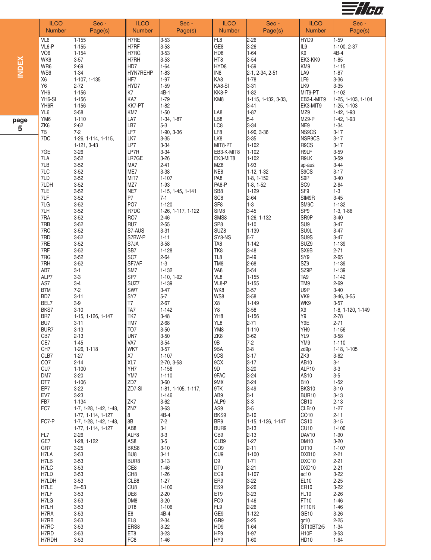

|              | <b>ILCO</b><br><b>Number</b> | Sec -<br>Page(s)               | <b>ILCO</b><br><b>Number</b> | Sec -<br>Page(s)       | <b>ILCO</b><br><b>Number</b>        | Sec -<br>Page(s)                | <b>ILCO</b><br><b>Number</b>          | Sec -<br>Page(s)                |
|--------------|------------------------------|--------------------------------|------------------------------|------------------------|-------------------------------------|---------------------------------|---------------------------------------|---------------------------------|
|              |                              |                                |                              |                        |                                     |                                 |                                       |                                 |
|              | VL6                          | $1 - 155$                      | H7RE<br>H7RF                 | $3 - 53$<br>$3 - 53$   | FL8<br>GE8                          | $2 - 26$                        | HYD9<br>IL9                           | $1 - 59$                        |
|              | VL6-P<br>VO <sub>6</sub>     | $1 - 155$<br>$1 - 154$         | H7RG                         | $3 - 53$               | HD8                                 | $3 - 26$<br>$1 - 64$            | K9                                    | 1-100, 2-37<br>4B-4             |
|              | WK6                          | $3 - 57$                       | H7RH                         | $3 - 53$               | HT8                                 | $3 - 54$                        | EK3-KK9                               | $1 - 85$                        |
| <b>INDEX</b> | WR6                          | $2 - 69$                       | HD7                          | $1 - 64$               | HYD8                                | $1 - 59$                        | KM9                                   | $1 - 115$                       |
|              | WS6                          | $1 - 34$                       | HYN7REHP                     | $1 - 83$               | IN <sub>8</sub>                     | 2-1, 2-34, 2-51                 | LA9                                   | $1 - 87$                        |
|              | X <sub>6</sub>               | 1-107, 1-135                   | HF7                          | $1-97$                 | KA8                                 | $1 - 78$                        | LF9                                   | $3 - 36$                        |
|              | Y6                           | $2 - 72$                       | HYD7                         | $1 - 59$               | KA8-SI                              | $3 - 31$                        | LK9                                   | $3 - 35$                        |
|              | YH <sub>6</sub><br>YH6-SI    | $1 - 156$<br>$1 - 156$         | K7<br>KA7                    | 4B-1<br>$1 - 79$       | KK8-P<br>KM8                        | $1 - 82$<br>1-115, 1-132, 3-33, | MIT9-PT<br>EB3-L-MIT9                 | $1 - 102$<br>1-25, 1-103, 1-104 |
|              | YH6R                         | $1 - 156$                      | KK7-PT                       | $1 - 82$               |                                     | 3-41                            | EK3-MIT9                              | $1-25, 1-103$                   |
|              | YL6                          | $3 - 58$                       | KM7                          | $1 - 50$               | LA8                                 | $1 - 87$                        | MZ9                                   | $1-42, 1-93$                    |
| page         | YM <sub>6</sub>              | $1 - 110$                      | LA7                          | 1-34, 1-87             | LB8                                 | $5-4$                           | MZ9-P                                 | $1-42, 1-93$                    |
| 5            | ZK6                          | $2 - 62$                       | LB7                          | $5-3$                  | LC8                                 | $3 - 34$                        | NE9                                   | $1 - 34$                        |
|              | 7B<br>7DC                    | $7-2$<br>1-26, 1-114, 1-115,   | LF7<br>LK7                   | 1-90, 3-36<br>$3 - 35$ | LF8<br>LK8                          | 1-90, 3-36<br>$3 - 35$          | NS9CS<br>NSR9CS                       | $3 - 17$<br>$3 - 17$            |
|              |                              | 1-121, 3-43                    | LP7                          | $3 - 34$               | MIT8-PT                             | 1-102                           | R9CS                                  | $3 - 17$                        |
|              | 7GE                          | $3 - 26$                       | LP7R                         | $3 - 34$               | EB3-K-MIT8                          | $1 - 102$                       | R9LF                                  | $3 - 59$                        |
|              | 7LA                          | $3 - 52$                       | LR7GE                        | $3 - 26$               | EK3-MIT8                            | $1 - 102$                       | R9LK                                  | $3 - 59$                        |
|              | 7LB                          | $3 - 52$                       | MA7                          | $2 - 41$               | MZ8                                 | 1-93                            | sp-aus                                | $3 - 44$                        |
|              | 7LC                          | $3 - 52$                       | ME7                          | $3 - 38$               | NE8                                 | 1-12, 1-32                      | S9CS                                  | $3 - 17$                        |
|              | 7LD<br>7LDH                  | $3 - 52$<br>$3 - 52$           | MIT7<br>MZ7                  | $1 - 107$<br>$1-93$    | PA <sub>8</sub><br>PA8-P            | $1-8, 1-152$<br>$1-8, 1-52$     | S9P<br>SC <sub>9</sub>                | $3 - 40$<br>$2 - 64$            |
|              | 7LE                          | $3 - 52$                       | NE7                          | 1-15, 1-45, 1-141      | SB <sub>8</sub>                     | $1 - 129$                       | SF9                                   | $1-3$                           |
|              | 7LF                          | $3 - 52$                       | P7                           | $7 - 1$                | SC <sub>8</sub>                     | $2 - 64$                        | SIM9R                                 | $3 - 45$                        |
|              | 7LG                          | $3 - 52$                       | PO <sub>7</sub>              | $1 - 120$              | SF <sub>8</sub>                     | $1-3$                           | SM9C                                  | $1 - 132$                       |
|              | 7LH                          | $3 - 52$                       | R7DC                         | 1-26, 1-117, 1-122     | SIM <sub>8</sub>                    | $3 - 45$                        | SP <sub>9</sub>                       | $1-3, 1-86$                     |
|              | 7RA                          | $3 - 52$                       | RO <sub>7</sub>              | $2 - 46$               | SMS8                                | 1-26, 1-132                     | SR9P                                  | $3 - 40$                        |
|              | 7RB<br>7RC                   | $3 - 52$<br>$3 - 52$           | RU7<br>S7-AUS                | 2-55<br>$3 - 31$       | SP <sub>8</sub><br>SUZ <sub>8</sub> | $1 - 10$<br>$1 - 139$           | SU <sub>9</sub><br>SU <sub>9L</sub>   | $3 - 47$<br>$3 - 47$            |
|              | 7RD                          | $3 - 52$                       | S7BW-P                       | $1 - 11$               | SY8-NS                              | $5-7$                           | SU9S                                  | $3 - 47$                        |
|              | 7RE                          | $3 - 52$                       | S7JA                         | $3 - 58$               | TA <sub>8</sub>                     | $1 - 142$                       | SUZ9                                  | $1 - 139$                       |
|              | 7RF                          | $3 - 52$                       | SB7                          | $1 - 128$              | TK8                                 | $3 - 48$                        | SX9B                                  | $2 - 71$                        |
|              | 7RG                          | $3 - 52$                       | SC7                          | $2 - 64$               | TL8                                 | $3-49$                          | SY9                                   | $2 - 65$                        |
|              | 7RH<br>AB7                   | $3 - 52$<br>$3-1$              | SF7AF<br>SM7                 | $1-3$<br>$1 - 132$     | TM8<br>VA <sub>8</sub>              | $2 - 68$<br>$3 - 54$            | SZ9<br>SZ9P                           | $1 - 139$<br>$1 - 139$          |
|              | ALP7                         | $3-3$                          | SP7                          | 1-10, 1-92             | VL8                                 | $1 - 155$                       | TA <sub>9</sub>                       | $1 - 142$                       |
|              | AS7                          | $3 - 4$                        | SUZ7                         | $1 - 139$              | VL8-P                               | $1 - 155$                       | TM9                                   | $2 - 69$                        |
|              | B7M                          | $7-2$                          | SW7                          | $3 - 47$               | WK8                                 | $3 - 57$                        | U9P                                   | $3 - 40$                        |
|              | BD7                          | $3 - 11$                       | SY7                          | $5-7$                  | WS8                                 | $3 - 58$                        | VK9                                   | $3-46, 3-55$                    |
|              | BEL7                         | $3-9$                          | T7                           | 2-67                   | $\chi_{8}$                          | $1 - 149$                       | WK9                                   | $3 - 57$                        |
|              | BKS7<br>BR7                  | $3 - 10$<br>1-15, 1-126, 1-147 | TA7<br>TK7                   | $1 - 142$<br>$3 - 48$  | Y8<br>YH <sub>8</sub>               | $3 - 58$<br>$1 - 156$           | X9<br>Y9                              | 1-8, 1-120, 1-149<br>$2 - 78$   |
|              | BU7                          | $3 - 11$                       | TM7                          | 2-68                   | YL8                                 | $2 - 71$                        | Y9E                                   | $2 - 71$                        |
|              | BUR7                         | $3 - 13$                       | TO <sub>7</sub>              | $3 - 50$               | YM8                                 | $1 - 110$                       | YH9                                   | $1 - 156$                       |
|              | CB7                          | $2 - 13$                       | UN7                          | $3 - 50$               | ZK8                                 | $3 - 62$                        | YL9                                   | $3 - 58$                        |
|              | CE7                          | $1 - 45$                       | VA7                          | $3 - 54$               | 9Β                                  | $7-2$                           | YM9                                   | $1 - 110$                       |
|              | CH <sub>7</sub><br>CLB7      | 1-26, 1-118<br>$1-27$          | WK7<br>X7                    | $3 - 57$<br>$1 - 107$  | 9BA<br>9CS                          | $3-8$<br>$3 - 17$               | zd9p<br>ZK9                           | 1-18, 1-105<br>$3-62$           |
|              | CO <sub>7</sub>              | $2 - 14$                       | XL7                          | 2-70, 3-58             | 9CX                                 | $3 - 17$                        | AB <sub>10</sub>                      | $3 - 1$                         |
|              | CU7                          | $1 - 100$                      | YH7                          | $1 - 156$              | 9D                                  | $3 - 20$                        | ALP <sub>10</sub>                     | $3-3$                           |
|              | DM7                          | $3 - 20$                       | YM7                          | $1 - 110$              | 9FAC                                | $3 - 24$                        | AS <sub>10</sub>                      | $3-5$                           |
|              | DT7                          | $1 - 106$                      | ZD7                          | $3-60$                 | 9MX                                 | $3 - 24$                        | <b>B10</b>                            | $1 - 52$                        |
|              | EP7                          | $3 - 22$                       | ZD7-SI                       | 1-81, 1-105, 1-117,    | 9TK                                 | $3-49$                          | BKS10                                 | $3 - 10$                        |
|              | EV7<br>FB7                   | $3 - 23$<br>$1 - 134$          | ZK7                          | $1 - 146$<br>$3-62$    | AB9<br>ALP9                         | $3 - 1$<br>$3-3$                | BUR <sub>10</sub><br>CB <sub>10</sub> | $3 - 13$<br>$2 - 13$            |
|              | FC7                          | 1-7, 1-28, 1-42, 1-48,         | ZN7                          | $3-63$                 | AS9                                 | $3-5$                           | CLB10                                 | $1 - 27$                        |
|              |                              | 1-77, 1-114, 1-127             | 8                            | 4B-4                   | BKS9                                | $3 - 10$                        | CO10                                  | $2 - 11$                        |
|              | FC7-P                        | 1-7, 1-28, 1-42, 1-48,         | 8B                           | $7-2$                  | BR9                                 | 1-15, 1-126, 1-147              | <b>CS10</b>                           | $3 - 15$                        |
|              |                              | 1-77, 1-114, 1-127             | AB <sub>8</sub>              | $3-1$                  | BUR9                                | $3 - 13$                        | CU <sub>10</sub>                      | $1 - 100$                       |
|              | FL7<br>GE7                   | $2 - 26$<br>1-28, 1-122        | ALP8<br>AS8                  | 3-3<br>$3-5$           | CB9<br>CLB9                         | $2 - 13$<br>$1 - 27$            | DAV <sub>10</sub><br><b>DM10</b>      | $1-90$<br>$3 - 20$              |
|              | GR7                          | $3 - 25$                       | BKS8                         | $3 - 10$               | CO <sub>9</sub>                     | $2 - 11$                        | DT <sub>10</sub>                      | $1 - 107$                       |
|              | H7LA                         | $3 - 53$                       | BU8                          | $3 - 11$               | CU <sub>9</sub>                     | $1 - 100$                       | DXB <sub>10</sub>                     | $2 - 21$                        |
|              | H7LB                         | $3 - 53$                       | BUR8                         | $3 - 13$               | D <sub>9</sub>                      | $1 - 71$                        | DXC <sub>10</sub>                     | $2 - 21$                        |
|              | H7LC                         | $3 - 53$                       | CE8                          | $1 - 46$               | DT9                                 | $2 - 21$                        | DXD <sub>10</sub>                     | $2 - 21$                        |
|              | H7LD                         | $3 - 53$                       | CH <sub>8</sub>              | $1 - 26$               | EC <sub>9</sub>                     | $1 - 107$                       | ec10                                  | $3 - 22$                        |
|              | H7LDH<br>H7LE                | $3 - 53$<br>$3 + -53$          | CLB8<br>CU <sub>8</sub>      | $1 - 27$<br>$1 - 100$  | ER9<br>ES9                          | $3 - 22$<br>$2 - 26$            | EL <sub>10</sub><br><b>ER10</b>       | $2 - 25$<br>$3 - 22$            |
|              | H7LF                         | $3 - 53$                       | DE8                          | $2 - 20$               | ET9                                 | $3 - 23$                        | FL <sub>10</sub>                      | $2 - 26$                        |
|              | H7LG                         | $3 - 53$                       | DM8                          | $3 - 20$               | FC9                                 | $1 - 46$                        | FT10                                  | $1 - 46$                        |
|              | H7LH                         | $3 - 53$                       | DT8                          | $1 - 106$              | FL9                                 | $2 - 26$                        | FT10R                                 | $1 - 46$                        |
|              | H7RA                         | $3 - 53$                       | E8                           | 4B-4                   | GE9                                 | $1 - 122$                       | GE <sub>10</sub>                      | $3 - 26$                        |
|              | H7RB<br>H7RC                 | $3 - 53$                       | EL8<br>ERS8                  | $2 - 34$               | GR9<br>HD <sub>9</sub>              | $3 - 25$<br>$1-64$              | gr10<br>GT10BT2/5                     | $2 - 25$                        |
|              | H7RD                         | $3 - 53$<br>$3 - 53$           | ET8                          | $3-22$<br>$3 - 23$     | HF9                                 | $1-97$                          | H <sub>10</sub> F                     | $1 - 34$<br>$3 - 53$            |
|              | H7RDH                        | $3 - 53$                       | FC8                          | $1 - 46$               | HY9                                 | $1 - 60$                        | HD <sub>10</sub>                      | $1 - 64$                        |
|              |                              |                                |                              |                        |                                     |                                 |                                       |                                 |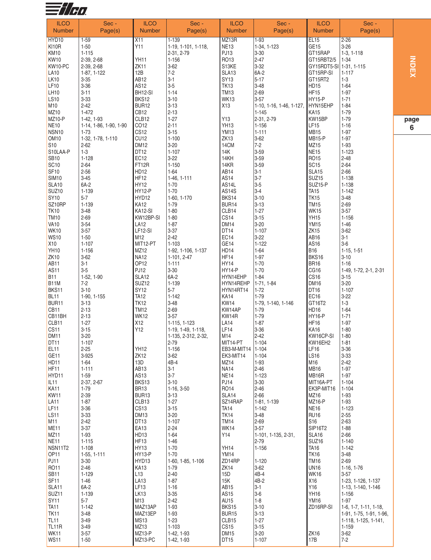

| <b>ILCO</b>                            | Sec -                              | <b>ILCO</b>                  | Sec -                   | <b>ILCO</b>                     | Sec-                     | <b>ILCO</b>                       | Sec -                             |  |
|----------------------------------------|------------------------------------|------------------------------|-------------------------|---------------------------------|--------------------------|-----------------------------------|-----------------------------------|--|
| <b>Number</b>                          | Page(s)                            | <b>Number</b>                | Page(s)                 | <b>Number</b>                   | Page(s)                  | <b>Number</b>                     | Page(s)                           |  |
| HYD10                                  | $1 - 59$                           | X11                          | $1 - 139$               | MZ13R                           | $1 - 93$                 | EL15                              | $2 - 26$                          |  |
| KI10R<br><b>KM10</b>                   | $1 - 50$<br>$1 - 115$              | Y11                          | 1-19, 1-101, 1-118,     | <b>NE13</b><br>PJ13             | 1-34, 1-123<br>$3 - 30$  | GE <sub>15</sub><br>GT15RAP       | $3 - 26$<br>$1-3, 1-118$          |  |
| <b>KW10</b>                            | 2-39, 2-68                         | YH11                         | 2-31, 2-79<br>$1 - 156$ | RO13                            | $2 - 47$                 | GT15RBT2/5                        | 1-34                              |  |
| KW10-PC                                | 2-39, 2-68                         | ZK11                         | $3 - 62$                | S13KE                           | 3-32                     | GY15RDT5-SI 1-31, 1-115           |                                   |  |
| <b>LA10</b>                            | 1-87, 1-122                        | 12B                          | $7 - 2$                 | SLA <sub>13</sub>               | 6A-2                     | GT15RP-SI                         | $1 - 117$                         |  |
| <b>LK10</b>                            | $3 - 35$                           | AB <sub>12</sub>             | $3-1$                   | <b>SY13</b>                     | $5 - 17$                 | GT15RT2                           | $1 - 3$                           |  |
| LF10<br><b>LH10</b>                    | $3 - 36$<br>$3 - 11$               | AS12<br>BH12-SI              | $3-5$<br>$1 - 14$       | <b>TK13</b><br><b>TM13</b>      | $3 - 48$<br>$2 - 69$     | HD15<br>HF15                      | $1 - 64$<br>$1 - 97$              |  |
| <b>LS10</b>                            | $3 - 33$                           | BKS12                        | $3 - 10$                | <b>WK13</b>                     | $3 - 57$                 | HY15-P                            | $1 - 71$                          |  |
| M10                                    | $2 - 42$                           | BUR12                        | $3 - 13$                | X13                             | 1-10, 1-16, 1-46, 1-127, | HYN15EHP                          | $1 - 84$                          |  |
| MZ10                                   | 1-472                              | CB <sub>12</sub>             | $2 - 13$                |                                 | $1 - 145$                | <b>KA15</b>                       | $1 - 79$                          |  |
| <b>MZ10-P</b>                          | 1-42, 1-93                         | CLB12                        | $1 - 27$                | Y13                             | 2-31, 2-79               | KW15BP                            | $1 - 79$                          |  |
| <b>NE10</b><br>NSN <sub>10</sub>       | 1-14, 1-86, 1-90, 1-90<br>$1 - 73$ | CO12<br>CS <sub>12</sub>     | $2 - 11$<br>$3 - 15$    | YH <sub>13</sub><br><b>YM13</b> | $1 - 156$<br>$1 - 111$   | LF <sub>15</sub><br><b>MB15</b>   | $1 - 16$<br>$1 - 97$              |  |
| OM <sub>10</sub>                       | 1-32, 1-78, 1-110                  | CU12                         | $1 - 100$               | ZK <sub>13</sub>                | $3-62$                   | MB <sub>15-P</sub>                | $1-97$                            |  |
| S <sub>10</sub>                        | $2 - 62$                           | <b>DM12</b>                  | $3-20$                  | 14CM                            | $7-2$                    | MZ15                              | 1-93                              |  |
| S10LAA-P                               | $1 - 3$                            | DT <sub>12</sub>             | $1 - 107$               | 14K                             | $3 - 59$                 | <b>NE15</b>                       | $1 - 123$                         |  |
| <b>SB10</b><br>SC <sub>10</sub>        | $1 - 128$<br>$2 - 64$              | EC <sub>12</sub><br>FT12R    | $3 - 22$<br>$1 - 150$   | 14KH<br>14KR                    | $3 - 59$<br>$3 - 59$     | RO15<br><b>SC15</b>               | $2 - 48$<br>$2 - 64$              |  |
| SF <sub>10</sub>                       | $2 - 56$                           | <b>HD12</b>                  | $1 - 64$                | AB14                            | $3-1$                    | SLA15                             | $2 - 66$                          |  |
| <b>SIM10</b>                           | $3 - 45$                           | HF12                         | 1-46, 1-111             | AS14                            | $3 - 7$                  | SUZ <sub>15</sub>                 | 1-138                             |  |
| SLA10                                  | 6A-2                               | <b>HY12</b>                  | $1 - 70$                | AS <sub>14</sub> L              | $3-5$                    | SUZ15-P                           | $1 - 138$                         |  |
| SUZ <sub>10</sub>                      | 1-139                              | <b>HY12-P</b>                | $1 - 70$                | <b>AS14S</b>                    | $3 - 4$                  | <b>TA15</b>                       | $1 - 142$                         |  |
| SY10<br>SZ10RP                         | $5 - 7$<br>1-139                   | HYD12<br><b>KA12</b>         | 1-60, 1-170<br>$1 - 79$ | BKS14<br>BUR14                  | $3 - 10$<br>$3 - 13$     | <b>TK15</b><br><b>TM15</b>        | $3 - 48$<br>$2 - 69$              |  |
| <b>TK10</b>                            | $3 - 48$                           | KA12-SI                      | $1 - 80$                | CLB14                           | $1 - 27$                 | <b>WK15</b>                       | $3 - 57$                          |  |
| <b>TM10</b>                            | $2 - 69$                           | KW12BP-SI                    | $1 - 80$                | CS <sub>14</sub>                | $3 - 15$                 | <b>YH15</b>                       | $1 - 156$                         |  |
| <b>VA10</b>                            | $3 - 54$                           | <b>LA12</b>                  | $1 - 87$                | <b>DM14</b>                     | $3 - 20$                 | <b>YM15</b>                       | $1 - 46$                          |  |
| <b>WK10</b>                            | $3 - 57$                           | LF12-SI                      | $3 - 37$                | DT14                            | $1 - 107$                | <b>ZK15</b>                       | $3 - 62$                          |  |
| <b>WS10</b><br>X <sub>10</sub>         | $1 - 50$<br>$1 - 107$              | M12<br>MIT12-PT              | $2 - 42$<br>1-103       | EC14<br>GE14                    | 3-22<br>$1 - 122$        | AB16<br>AS16                      | $3-1$<br>$3-6$                    |  |
| <b>YH10</b>                            | 1-156                              | MZ12                         | 1-92, 1-106, 1-137      | HD14                            | $1-64$                   | <b>B16</b>                        | $1-15, 1-51$                      |  |
| <b>ZK10</b>                            | $3 - 62$                           | <b>NA12</b>                  | 1-101, 2-47             | HF14                            | $1-97$                   | BKS16                             | $3 - 10$                          |  |
| AB <sub>11</sub>                       | $3 - 1$                            | OP <sub>12</sub>             | $1 - 111$               | <b>HY14</b>                     | $1 - 70$                 | <b>BR16</b>                       | $1 - 16$                          |  |
| <b>AS11</b><br><b>B11</b>              | $3-5$<br>1-52, 1-90                | <b>PJ12</b><br>SLA12         | $3 - 30$<br>6A-2        | HY14-P<br>HYN14EHP              | $1 - 70$<br>$1 - 84$     | CG16<br>CS <sub>16</sub>          | 1-49, 1-72, 2-1, 2-31<br>$3 - 15$ |  |
| B <sub>1</sub> 1M                      | $7 - 2$                            | SUZ <sub>12</sub>            | 1-139                   | HYN14REHP                       | 1-71, 1-84               | <b>DM16</b>                       | $3 - 20$                          |  |
| BKS11                                  | $3 - 10$                           | <b>SY12</b>                  | $5 - 7$                 | HYN14RT14                       | $1 - 72$                 | DT16                              | $1 - 107$                         |  |
| <b>BL11</b>                            | 1-90, 1-155                        | <b>TA12</b>                  | $1 - 142$               | <b>KA14</b>                     | $1 - 79$                 | EC <sub>16</sub>                  | $3-22$                            |  |
| BUR11                                  | $3 - 13$                           | <b>TK12</b>                  | $3 - 48$                | <b>KW14</b>                     | 1-79, 1-140, 1-146       | GT16T2                            | $1 - 3$                           |  |
| CB11<br>CB11BH                         | $2 - 13$<br>$2 - 13$               | <b>TM12</b><br><b>WK12</b>   | $2 - 69$<br>$3 - 57$    | KW14AP<br>KW14R                 | $1 - 79$<br>$1 - 79$     | HD <sub>16</sub><br><b>HY16-P</b> | $1 - 64$<br>$1 - 71$              |  |
| CLB11                                  | $1 - 27$                           | X12                          | 1-115, 1-123            | LA14                            | $1 - 87$                 | <b>HF16</b>                       | $1-97$                            |  |
| <b>CS11</b>                            | $3 - 15$                           | Y12                          | 1-19, 1-49, 1-118,      | LF14                            | $3 - 36$                 | <b>KA16</b>                       | $1 - 80$                          |  |
| DM <sub>11</sub>                       | $3 - 20$                           |                              | 1-135, 2-312, 2-32,     | M14                             | $2 - 42$                 | KW16CP-SI                         | $1 - 80$                          |  |
| DT11<br>EL11                           | 1-107<br>$2 - 25$                  | <b>YH12</b>                  | 2-79<br>$1 - 156$       | MIT14-PT<br>EB3-M-MIT14         | $1 - 104$<br>$1 - 104$   | KW16EH2<br>LF16                   | 1-81<br>$3 - 36$                  |  |
| GE11                                   | 3-925                              | ZK <sub>12</sub>             | $3 - 62$                | EK3-MIT14                       | $1 - 104$                | <b>LS16</b>                       | $3 - 33$                          |  |
| HD <sub>11</sub>                       | $1 - 64$                           | 13D                          | 4B-4                    | MZ14                            | $1-93$                   | M16                               | $2 - 42$                          |  |
| HF <sub>11</sub>                       | $1 - 111$                          | AB <sub>13</sub>             | $3 - 1$                 | <b>NA14</b>                     | $2 - 46$                 | <b>MB16</b>                       | $1-97$                            |  |
| HYD11                                  | $1 - 59$                           | AS13                         | $3 - 7$<br>$3 - 10$     | <b>NE14</b><br><b>PJ14</b>      | $1 - 123$                | MB <sub>16R</sub><br>MIT16A-PT    | $1-97$                            |  |
| IL11<br><b>KA11</b>                    | 2-37, 2-67<br>$1 - 79$             | BKS13<br>BR <sub>13</sub>    | $1-16, 3-50$            | <b>RO14</b>                     | $3 - 30$<br>$2 - 46$     | EK3P-MIT16                        | $1 - 104$<br>$1 - 104$            |  |
| KW11                                   | $2 - 39$                           | BUR13                        | $3 - 13$                | SLA <sub>14</sub>               | $2 - 66$                 | MZ16                              | $1 - 93$                          |  |
| <b>LA11</b>                            | $1 - 87$                           | CLB13                        | $1 - 27$                | SZ14RAP                         | 1-81, 1-139              | MZ <sub>16-P</sub>                | $1 - 93$                          |  |
| LF <sub>11</sub>                       | $3 - 36$                           | CS <sub>13</sub>             | $3 - 15$                | <b>TA14</b>                     | $1 - 142$                | NE <sub>16</sub>                  | $1 - 123$                         |  |
| <b>LS11</b><br>M11                     | $3 - 33$<br>$2 - 42$               | DM13<br>DT <sub>13</sub>     | $3 - 20$<br>$1 - 107$   | <b>TK14</b><br><b>TM14</b>      | $3-48$<br>$2 - 69$       | <b>RU16</b><br>S <sub>16</sub>    | $2 - 55$<br>$2 - 63$              |  |
| <b>ME11</b>                            | $3 - 37$                           | EA13                         | $2 - 24$                | <b>WK14</b>                     | $3 - 57$                 | <b>SIP16T2</b>                    | $1 - 88$                          |  |
| <b>MZ11</b>                            | $1 - 93$                           | HD <sub>13</sub>             | $1 - 64$                | Y14                             | 1-101, 1-135, 2-31,      | <b>SLA16</b>                      | $2 - 66$                          |  |
| <b>NE11</b>                            | $1 - 115$                          | HF13                         | $1 - 46$                |                                 | 2-79                     | SUZ <sub>16</sub>                 | $1 - 140$                         |  |
| NSN11T2<br>OP <sub>11</sub>            | $1 - 108$<br>$1-55, 1-111$         | <b>HY13</b><br><b>HY13-P</b> | $1 - 70$<br>$1 - 70$    | <b>YH14</b><br>YM14             | $1 - 156$                | <b>TA16</b><br><b>TK16</b>        | $1 - 142$<br>$3 - 48$             |  |
| <b>PJ11</b>                            | $3 - 30$                           | HYD13                        | 1-60, 1-85, 1-106       | ZD14RP                          | $1 - 120$                | <b>TM16</b>                       | $2 - 69$                          |  |
| RO11                                   | $2 - 46$                           | KA13                         | $1 - 79$                | <b>ZK14</b>                     | $3-62$                   | <b>UN16</b>                       | $1-16, 1-76$                      |  |
| <b>SB11</b>                            | $1 - 129$                          | L13                          | $2 - 40$                | 15D                             | 4B-4                     | WK16                              | $3 - 57$                          |  |
| SF <sub>11</sub>                       | $1 - 46$                           | <b>LA13</b>                  | $1 - 87$                | 15K                             | 4B-2                     | X16                               | 1-23, 1-126, 1-137                |  |
| SLA11<br>SUZ <sub>11</sub>             | $6A-2$<br>1-139                    | LF13<br>LK <sub>13</sub>     | $1 - 16$<br>$3 - 35$    | AB15<br>AS15                    | $3-1$<br>$3-6$           | Y16<br><b>YH16</b>                | 1-13, 1-140, 1-146<br>$1 - 156$   |  |
| <b>SY11</b>                            | $5 - 7$                            | M13                          | $2 - 42$                | AU15                            | $1-8$                    | <b>YM16</b>                       | $1-97$                            |  |
| <b>TA11</b>                            | $1 - 142$                          | MAZ13AP                      | $1 - 93$                | BKS15                           | $3 - 10$                 | ZD16RP-SI                         | 1-6, 1-7, 1-11, 1-18,             |  |
| TK <sub>11</sub>                       | $3 - 48$                           | MAZ13EP                      | 1-93                    | BUR15                           | $3 - 13$                 |                                   | 1-91, 1-75, 1-91, 1-96,           |  |
| <b>TL11</b>                            | $3 - 49$                           | <b>MS13</b>                  | $1 - 23$                | CLB15                           | $1-27$                   |                                   | 1-118, 1-125, 1-141,              |  |
| TL <sub>11</sub> R<br>WK <sub>11</sub> | $3 - 49$<br>$3 - 57$               | MZ <sub>13</sub><br>MZ13-P   | $1 - 103$<br>1-42, 1-93 | CS <sub>15</sub><br><b>DM15</b> | $3 - 15$<br>$3 - 20$     | ZK <sub>16</sub>                  | $1 - 159$<br>$3 - 62$             |  |
| <b>WS11</b>                            | $1 - 50$                           | MZ13-PC                      | 1-42, 1-93              | DT <sub>15</sub>                | $1 - 107$                | 17B                               | $7 - 2$                           |  |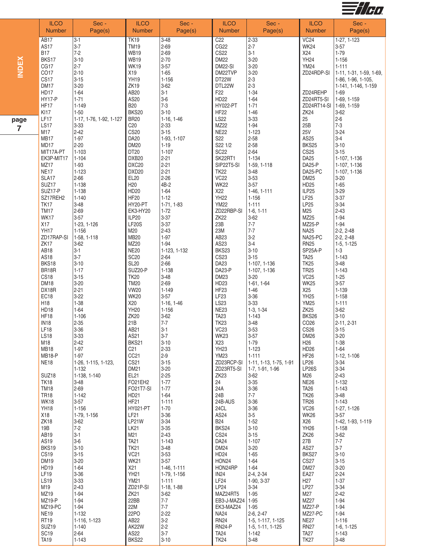

|                        | <b>ILCO</b>                                                         | Sec -                                                                 | <b>ILCO</b>                                                                     | Sec -                                                          | <b>ILCO</b>                                                                         | Sec -                                                                           | <b>ILCO</b>                                                                 | Sec -                                                                                     |
|------------------------|---------------------------------------------------------------------|-----------------------------------------------------------------------|---------------------------------------------------------------------------------|----------------------------------------------------------------|-------------------------------------------------------------------------------------|---------------------------------------------------------------------------------|-----------------------------------------------------------------------------|-------------------------------------------------------------------------------------------|
|                        | <b>Number</b>                                                       | Page(s)                                                               | <b>Number</b>                                                                   | Page(s)                                                        | <b>Number</b>                                                                       | Page(s)                                                                         | <b>Number</b>                                                               | Page(s)                                                                                   |
| <b>INDEX</b>           | AB17                                                                | $3-1$                                                                 | <b>TK19</b>                                                                     | $3 - 48$                                                       | C <sub>22</sub>                                                                     | $2 - 33$                                                                        | VC24                                                                        | 1-27, 1-123                                                                               |
|                        | <b>AS17</b>                                                         | $3-7$                                                                 | <b>TM19</b>                                                                     | $2 - 69$                                                       | CG <sub>22</sub>                                                                    | $2 - 7$                                                                         | <b>WK24</b>                                                                 | $3 - 57$                                                                                  |
|                        | <b>B17</b>                                                          | $7-2$                                                                 | <b>WB19</b>                                                                     | $2 - 69$                                                       | <b>CS22</b>                                                                         | $3 - 1$                                                                         | X24                                                                         | $1 - 79$                                                                                  |
|                        | BKS17                                                               | $3 - 10$                                                              | <b>WB19</b>                                                                     | $2 - 70$                                                       | <b>DM22</b>                                                                         | $3 - 20$                                                                        | <b>YH24</b>                                                                 | $1 - 156$                                                                                 |
|                        | CG17                                                                | $2 - 7$                                                               | <b>WK19</b>                                                                     | $3 - 57$                                                       | <b>DM22-SI</b>                                                                      | $3 - 20$                                                                        | <b>YM24</b>                                                                 | $1 - 111$                                                                                 |
|                        | CO17                                                                | $2 - 10$                                                              | X19                                                                             | $1 - 65$                                                       | DM22TVP                                                                             | $3 - 20$                                                                        | ZD24RDP-SI                                                                  | 1-11, 1-31, 1-59, 1-69,                                                                   |
|                        | CS17<br><b>DM17</b><br>HD17<br><b>HY17-P</b><br>HF17<br><b>KI17</b> | $3 - 15$<br>$3 - 20$<br>$1 - 64$<br>$1 - 71$<br>$1 - 149$<br>$1 - 50$ | <b>YH19</b><br><b>ZK19</b><br>AB20<br>AS20<br><b>B20</b><br><b>BKS20</b>        | $1 - 156$<br>$3 - 62$<br>$3-1$<br>$3-6$<br>$7 - 3$<br>$3 - 10$ | DT22W<br>DTL22W<br>F <sub>22</sub><br><b>HD22</b><br><b>HY022-PT</b><br><b>HF22</b> | $2 - 3$<br>$2 - 3$<br>$1 - 34$<br>$1 - 64$<br>$1 - 71$<br>$1 - 46$              | ZD24REHP<br>ZD24RT5-SI<br>ZD24RT14-SI<br><b>ZK24</b>                        | 1-86, 1-96, 1-105,<br>1-141, 1-146, 1-159<br>1-69<br>1-69, 1-159<br>1-69, 1-159<br>$3-62$ |
| page<br>$\overline{7}$ | LF17<br><b>LS17</b><br>M17<br>MB17                                  | 1-17, 1-76, 1-92, 1-127<br>3-33<br>$2 - 42$<br>$1 - 97$               | <b>BR20</b><br>C20<br><b>CS20</b><br>DA <sub>20</sub>                           | $1-16, 1-46$<br>$2 - 33$<br>$3 - 15$<br>1-93, 1-107            | <b>LS22</b><br>MZ22<br><b>NE22</b><br>S22                                           | $3 - 33$<br>$1 - 94$<br>$1 - 123$<br>$2 - 58$                                   | 25<br>25B<br><b>25V</b><br>AS25                                             | $2 - 6$<br>$7-3$<br>$3 - 24$<br>$3-4$                                                     |
|                        | MD17                                                                | $2 - 20$                                                              | <b>DM20</b>                                                                     | $1 - 19$                                                       | S22 1/2                                                                             | $2 - 58$                                                                        | BKS25                                                                       | $3 - 10$                                                                                  |
|                        | MIT17A-PT                                                           | $1 - 103$                                                             | DT <sub>20</sub>                                                                | $1 - 107$                                                      | <b>SC22</b>                                                                         | $2 - 64$                                                                        | CS <sub>25</sub>                                                            | $3 - 15$                                                                                  |
|                        | EK3P-MIT17                                                          | $1 - 104$                                                             | DXB <sub>20</sub>                                                               | $2 - 21$                                                       | SK22RT1                                                                             | 1-134                                                                           | DA <sub>25</sub>                                                            | 1-107, 1-136                                                                              |
|                        | MZ17                                                                | $1 - 93$                                                              | DXC20                                                                           | $2 - 21$                                                       | SIP22T5-SI                                                                          | 1-59, 1-118                                                                     | <b>DA25-P</b>                                                               | 1-107, 1-136                                                                              |
|                        | <b>NE17</b><br>SLA17<br>SUZ17<br>SUZ17-P                            | $1 - 123$<br>$2 - 66$<br>1-138<br>$1 - 138$<br>$1 - 140$              | DXD <sub>20</sub><br>EL20<br>H <sub>20</sub><br>HD20                            | $2 - 21$<br>$2 - 26$<br>4B-2<br>$1 - 64$<br>$1 - 12$           | <b>TK22</b><br><b>VC22</b><br><b>WK22</b><br>X22                                    | $3 - 48$<br>$3 - 53$<br>$3 - 57$<br>1-46, 1-111                                 | DA25-PC<br><b>DM25</b><br>HD25<br>ILP25<br>LF <sub>25</sub>                 | 1-107, 1-136<br>$3 - 20$<br>$1 - 65$<br>$3 - 29$                                          |
|                        | SZ17REH2<br>TK <sub>17</sub><br><b>TM17</b><br>WK17<br>X17          | $3 - 48$<br>$2 - 69$<br>$3 - 57$<br>1-23, 1-126                       | HF <sub>20</sub><br>HY20-PT<br><b>EK3-HY20</b><br>ILP20<br><b>LF20S</b>         | $1-71, 1-83$<br>$1 - 72$<br>$3 - 37$<br>$3 - 37$               | <b>YH22</b><br><b>YM22</b><br>ZD22RBP-SI<br><b>ZK22</b><br>23B                      | $1 - 156$<br>$1 - 111$<br>$1-6, 1-11$<br>$3 - 62$<br>$7 - 7$                    | LP25<br>M25<br>MZ25<br><b>MZ25-P</b>                                        | $3 - 37$<br>$3 - 34$<br>$2 - 43$<br>$1 - 94$<br>$1 - 94$                                  |
|                        | <b>YH17</b>                                                         | $1 - 156$                                                             | M20                                                                             | $2 - 43$                                                       | 23M                                                                                 | $7 - 7$                                                                         | <b>NA25</b>                                                                 | 2-2, 2-48                                                                                 |
|                        | ZD17RAP-SI                                                          | 1-58, 1-118                                                           | <b>MB20</b>                                                                     | $1 - 97$                                                       | AB <sub>23</sub>                                                                    | $3-2$                                                                           | NA25-PC                                                                     | $2-2, 2-48$                                                                               |
|                        | ZK17                                                                | $3 - 62$                                                              | MZ20                                                                            | $1 - 94$                                                       | AS23                                                                                | $3 - 4$                                                                         | <b>RN25</b>                                                                 | $1-5, 1-125$                                                                              |
|                        | AB <sub>18</sub>                                                    | $3 - 1$                                                               | <b>NE20</b>                                                                     | 1-123, 1-132                                                   | BKS23                                                                               | $3 - 10$                                                                        | SP25A-P                                                                     | $1 - 3$                                                                                   |
|                        | AS18                                                                | $3-7$                                                                 | <b>SC20</b>                                                                     | $2 - 64$                                                       | <b>CS23</b>                                                                         | $3 - 15$                                                                        | <b>TA25</b>                                                                 | $1 - 143$                                                                                 |
|                        | BKS18                                                               | $3 - 10$                                                              | <b>SL20</b>                                                                     | 2-66                                                           | DA23                                                                                | 1-107, 1-136                                                                    | <b>TK25</b>                                                                 | $3 - 48$                                                                                  |
|                        | BR18R                                                               | $1 - 17$                                                              | SUZ20-P                                                                         | $1 - 138$                                                      | DA23-P                                                                              | 1-107, 1-136                                                                    | <b>TR25</b>                                                                 | $1 - 143$                                                                                 |
|                        | CS18                                                                | $3 - 15$                                                              | <b>TK20</b>                                                                     | $3 - 48$                                                       | <b>DM23</b>                                                                         | $3 - 20$                                                                        | <b>VC25</b>                                                                 | $1 - 25$                                                                                  |
|                        | <b>DM18</b>                                                         | $3 - 20$                                                              | <b>TM20</b>                                                                     | $2 - 69$                                                       | HD23                                                                                | $1-61, 1-64$                                                                    | <b>WK25</b>                                                                 | $3 - 57$                                                                                  |
|                        | DX18R                                                               | $2 - 21$                                                              | <b>VW20</b>                                                                     | $1 - 149$                                                      | HF <sub>23</sub>                                                                    | $1 - 46$                                                                        | X25                                                                         | $1 - 139$                                                                                 |
|                        | EC18                                                                | $3 - 22$                                                              | <b>WK20</b>                                                                     | $3 - 57$                                                       | LF <sub>23</sub>                                                                    | $3 - 36$                                                                        | YH <sub>25</sub>                                                            | $1 - 158$                                                                                 |
|                        | H18                                                                 | $1 - 38$                                                              | X20                                                                             | $1-16, 1-46$                                                   | LS23                                                                                | $3 - 33$                                                                        | <b>YM25</b>                                                                 | $1 - 111$                                                                                 |
|                        | <b>HD18</b>                                                         | $1 - 64$                                                              | <b>YH20</b>                                                                     | $1 - 156$                                                      | <b>NE23</b>                                                                         | $1-3, 1-34$                                                                     | <b>ZK25</b>                                                                 | $3 - 62$                                                                                  |
|                        | HF18                                                                | $1 - 106$                                                             | <b>ZK20</b>                                                                     | $3 - 62$                                                       | <b>TA23</b>                                                                         | $1 - 143$                                                                       | BKS26                                                                       | $3 - 10$                                                                                  |
|                        | IN <sub>18</sub>                                                    | $2 - 35$                                                              | 21B                                                                             | $7 - 7$                                                        | <b>TK23</b>                                                                         | $3 - 48$                                                                        | CO <sub>26</sub>                                                            | $2-11, 2-31$                                                                              |
|                        | LF18                                                                | 3-36                                                                  | AB21                                                                            | $3-1$                                                          | VC23                                                                                | $3 - 53$                                                                        | CS <sub>26</sub>                                                            | $3 - 15$                                                                                  |
|                        | <b>LS18</b>                                                         | 3-33                                                                  | AS21                                                                            | $3 - 7$                                                        | <b>WK23</b>                                                                         | $3 - 57$                                                                        | <b>DM26</b>                                                                 | $3 - 20$                                                                                  |
|                        | M18<br><b>MB18</b><br><b>MB18-P</b><br><b>NE18</b>                  | $2 - 42$<br>$1-97$<br>$1-97$<br>1-26, 1-115, 1-123,<br>$1 - 132$      | BKS21<br>C <sub>21</sub><br>CC <sub>21</sub><br>CS <sub>21</sub><br><b>DM21</b> | $3 - 10$<br>$2 - 33$<br>$2 - 9$<br>$3 - 15$<br>$3 - 20$        | X23<br>YH <sub>23</sub><br><b>YM23</b><br>ZD23RCP-SI<br>ZD23RT5-SI                  | $1 - 79$<br>$1 - 123$<br>$1 - 111$<br>1-11, 1-13, 1-75, 1-91<br>1-7, 1-91, 1-96 | H <sub>26</sub><br><b>HD26</b><br><b>HF26</b><br>LP26<br>LP <sub>26</sub> S | $1 - 38$<br>$1 - 64$<br>1-12, 1-106<br>$3 - 34$<br>$3 - 34$                               |
|                        | SUZ <sub>18</sub>                                                   | 1-138, 1-140                                                          | EL21                                                                            | $2 - 25$                                                       | ZK <sub>23</sub>                                                                    | $3 - 62$                                                                        | M26                                                                         | $2 - 43$                                                                                  |
|                        | <b>TK18</b>                                                         | $3 - 48$                                                              | FO21EH2                                                                         | $1 - 77$                                                       | 24                                                                                  | $3 - 35$                                                                        | <b>NE26</b>                                                                 | $1 - 132$                                                                                 |
|                        | <b>TM18</b>                                                         | $2 - 69$                                                              | FO21T7-SI                                                                       | $1 - 77$                                                       | 24A                                                                                 | $3 - 36$                                                                        | <b>TA26</b>                                                                 | $1 - 143$                                                                                 |
|                        | <b>TR18</b>                                                         | $1 - 142$                                                             | HD21                                                                            | $1 - 64$                                                       | 24B                                                                                 | $7 - 7$                                                                         | <b>TK26</b>                                                                 | $3 - 48$                                                                                  |
|                        | <b>WK18</b>                                                         | $3 - 57$                                                              | <b>HF21</b>                                                                     | $1 - 111$                                                      | 24B-AUS                                                                             | $3 - 36$                                                                        | <b>TR26</b>                                                                 | $1 - 143$                                                                                 |
|                        | <b>YH18</b>                                                         | $1 - 156$                                                             | <b>HY021-PT</b>                                                                 | $1 - 70$                                                       | 24CL                                                                                | $3 - 36$                                                                        | <b>VC26</b>                                                                 | 1-27, 1-126                                                                               |
|                        | X18                                                                 | 1-79, 1-156                                                           | LF21                                                                            | $3 - 36$                                                       | AS24                                                                                | $3-5$                                                                           | <b>WK26</b>                                                                 | $3-57$                                                                                    |
|                        | ZK <sub>18</sub>                                                    | $3-62$                                                                | <b>LP21W</b>                                                                    | $3 - 34$                                                       | <b>B24</b>                                                                          | $1 - 52$                                                                        | X26                                                                         | 1-42, 1-93, 1-119                                                                         |
|                        | 19B                                                                 | $7 - 2$                                                               | <b>LK21</b>                                                                     | $3 - 35$                                                       | BKS24                                                                               | $3 - 10$                                                                        | <b>YH26</b>                                                                 | $1 - 158$                                                                                 |
|                        | AB <sub>19</sub>                                                    | $3 - 1$                                                               | M21                                                                             | $2 - 43$                                                       | CS <sub>24</sub>                                                                    | $3 - 15$                                                                        | <b>ZK26</b>                                                                 | $3 - 62$                                                                                  |
|                        | AS19                                                                | $3-6$                                                                 | <b>TA21</b>                                                                     | $1 - 143$                                                      | DA24                                                                                | $1 - 107$                                                                       | 27B                                                                         | $7 - 7$                                                                                   |
|                        | BKS19                                                               | $3 - 10$                                                              | <b>TK21</b>                                                                     | $3 - 48$                                                       | <b>DM24</b>                                                                         | $3 - 20$                                                                        | <b>AS27</b>                                                                 | $3 - 7$                                                                                   |
|                        | CS <sub>19</sub>                                                    | $3 - 15$                                                              | VC21                                                                            | $3 - 53$                                                       | HD <sub>24</sub>                                                                    | $1 - 65$                                                                        | BKS27                                                                       | $3 - 10$                                                                                  |
|                        | <b>DM19</b>                                                         | $3 - 20$                                                              | <b>WK21</b>                                                                     | $3 - 57$                                                       | HON24                                                                               | $1 - 64$                                                                        | <b>CS27</b>                                                                 | $3 - 15$                                                                                  |
|                        | HD19                                                                | $1 - 64$                                                              | X21                                                                             | 1-46, 1-111                                                    | HON24RP                                                                             | $1 - 64$                                                                        | <b>DM27</b>                                                                 | $3 - 20$                                                                                  |
|                        | LF19                                                                | $3 - 36$                                                              | <b>YH21</b>                                                                     | 1-79, 1-156                                                    | <b>IN24</b>                                                                         | 2-4, 2-34                                                                       | <b>EA27</b>                                                                 | $2 - 24$                                                                                  |
|                        | <b>LS19</b>                                                         | $3 - 33$                                                              | <b>YM21</b>                                                                     | $1 - 111$                                                      | LF24                                                                                | 1-90, 3-37                                                                      | H <sub>27</sub>                                                             | $1 - 37$                                                                                  |
|                        | M19                                                                 | $2 - 43$                                                              | ZD21P-SI                                                                        | 1-18, 1-88                                                     | LP24                                                                                | $3 - 34$                                                                        | <b>LP27</b>                                                                 | $3 - 34$                                                                                  |
|                        | MZ19                                                                | $1 - 94$                                                              | <b>ZK21</b>                                                                     | $3 - 62$                                                       | MAZ24RT5                                                                            | $1 - 95$                                                                        | M27                                                                         | $2 - 42$                                                                                  |
|                        | MZ19-P                                                              | $1 - 94$                                                              | 22BB                                                                            | $7 - 7$                                                        | EB3-J-MAZ24                                                                         | $1 - 95$                                                                        | MZ27                                                                        | $1 - 94$                                                                                  |
|                        | MZ19-PC                                                             | $1 - 94$                                                              | 22M                                                                             | $7 - 7$                                                        | EK3-MAZ24                                                                           | $1 - 95$                                                                        | <b>MZ27-P</b>                                                               | $1 - 94$                                                                                  |
|                        | <b>NE19</b>                                                         | 1-132                                                                 | 22PO                                                                            | $2 - 22$                                                       | <b>NA24</b>                                                                         | $2-6, 2-47$                                                                     | MZ27-PC                                                                     | $1 - 94$                                                                                  |
|                        | <b>RT19</b>                                                         | 1-116, 1-123                                                          | AB22                                                                            | $3-2$                                                          | <b>RN24</b>                                                                         | 1-5, 1-117, 1-125                                                               | <b>NE27</b>                                                                 | $1 - 116$                                                                                 |
|                        | SUZ <sub>19</sub>                                                   | $1 - 140$                                                             | AK22W                                                                           | $2 - 2$                                                        | <b>RN24-P</b>                                                                       | 1-5, 1-11, 1-125                                                                | <b>RN27</b>                                                                 | $1-6, 1-125$                                                                              |
|                        | SC <sub>19</sub>                                                    | $2 - 64$                                                              | AS22                                                                            | $3 - 7$                                                        | <b>TA24</b>                                                                         | $1 - 142$                                                                       | <b>TA27</b>                                                                 | $1 - 143$                                                                                 |
|                        | <b>TA19</b>                                                         | $1 - 143$                                                             | BKS22                                                                           | $3 - 10$                                                       | <b>TK24</b>                                                                         | $3 - 48$                                                                        | <b>TK27</b>                                                                 | $3 - 48$                                                                                  |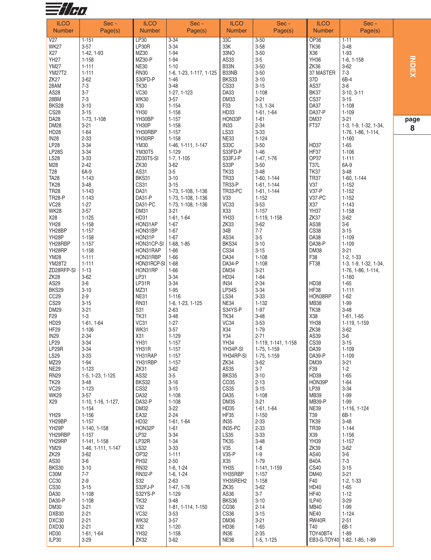

| <b>ILCO</b>                    | Sec -                   | <b>ILCO</b>          | Sec -                                    | <b>ILCO</b>             | Sec -                      | <b>ILCO</b>                   | Sec -                                       |   |
|--------------------------------|-------------------------|----------------------|------------------------------------------|-------------------------|----------------------------|-------------------------------|---------------------------------------------|---|
| <b>Number</b>                  | Page(s)                 | <b>Number</b>        | Page(s)                                  | <b>Number</b>           | Page(s)                    | <b>Number</b>                 | Page(s)                                     |   |
| V <sub>27</sub><br><b>WK27</b> | $1 - 151$<br>$3 - 57$   | LP30<br>LP30R        | $3 - 34$<br>$3 - 34$                     | 33C<br>33K              | $3 - 50$<br>$3 - 58$       | <b>OP36</b><br><b>TK36</b>    | $1 - 11$<br>$3 - 48$                        |   |
| X27                            | 1-42, 1-93              | MZ30                 | $1 - 94$                                 | 33NO                    | $3 - 50$                   | X36                           | $1 - 93$                                    |   |
| <b>YH27</b>                    | 1-158                   | MZ30-P               | $1 - 94$                                 | AS33                    | $3-5$                      | YH36                          | $1-6, 1-158$                                |   |
| <b>YM27</b>                    | $1 - 111$               | <b>NE30</b>          | $1 - 10$                                 | B33N                    | $3 - 50$                   | ZK36                          | $3 - 62$                                    |   |
| <b>YM27T2</b>                  | $1 - 111$               | <b>RN30</b>          | 1-6, 1-23, 1-117, 1-125                  | B33NB                   | $3 - 50$                   | 37 MASTER                     | $7 - 3$                                     |   |
| ZK <sub>27</sub>               | $3 - 62$                | S30FD-P              | $1 - 46$                                 | BKS33                   | $3 - 10$                   | 37D                           | 6B-4                                        |   |
| 28AM<br>AS28                   | $7 - 3$<br>$3 - 7$      | <b>TK30</b><br>VC30  | $3 - 48$<br>1-27, 1-123                  | <b>CS33</b><br>DA33     | $3 - 15$<br>$1 - 108$      | AS37<br>BK37                  | $3-6$<br>$3-10, 3-11$                       |   |
| 28BM                           | $7 - 3$                 | <b>WK30</b>          | $3 - 57$                                 | DM33                    | $3 - 21$                   | <b>CS37</b>                   | $3 - 15$                                    |   |
| BKS28                          | $3 - 10$                | X30                  | $1 - 154$                                | F33                     | $1-3, 1-34$                | DA37                          | $1 - 108$                                   |   |
| <b>CS28</b>                    | $3 - 15$                | <b>YH30</b>          | $1 - 158$                                | HD33                    | $1-61, 1-64$               | DA37-P                        | $1 - 109$                                   |   |
| DA28<br><b>DM28</b>            | 1-73, 1-108<br>$3 - 21$ | YH30BP<br>YH30P      | $1 - 157$<br>$1 - 158$                   | HON33P<br><b>IN33</b>   | $1 - 61$<br>$2 - 34$       | <b>DM37</b><br>FT37           | $3 - 21$                                    | p |
| <b>HD28</b>                    | $1 - 64$                | YH30RBP              | $1 - 157$                                | LS33                    | $3 - 33$                   |                               | 1-3, 1-9, 1-32, 1-34,<br>1-76, 1-86, 1-114, |   |
| IN <sub>28</sub>               | $2 - 33$                | YH30RP               | $1 - 158$                                | <b>NE33</b>             | $1 - 124$                  |                               | $1 - 160$                                   |   |
| <b>LP28</b>                    | $3 - 34$                | <b>YM30</b>          | 1-46, 1-111, 1-147                       | S33C                    | $3 - 50$                   | HD37                          | $1 - 65$                                    |   |
| <b>LP28S</b>                   | $3 - 34$                | <b>YM30T5</b>        | $1 - 129$                                | S33FD-P                 | $1 - 46$                   | HF37                          | $1 - 106$                                   |   |
| <b>LS28</b><br>M28             | $3 - 33$<br>$2 - 42$    | ZD30T5-SI<br>ZK30    | $1-7, 1-105$<br>$3 - 62$                 | S33FJ-P<br>S33P         | 1-47, 1-76<br>$3 - 50$     | OP37<br><b>T37L</b>           | $1 - 111$<br>6A-9                           |   |
| T <sub>28</sub>                | 6A-9                    | AS31                 | $3-5$                                    | <b>TK33</b>             | $3 - 48$                   | <b>TK37</b>                   | $3 - 48$                                    |   |
| <b>TA28</b>                    | $1 - 143$               | BKS31                | $3 - 10$                                 | <b>TR33</b>             | 1-60, 1-144                | <b>TR37</b>                   | $1-60, 1-144$                               |   |
| <b>TK28</b>                    | $3 - 48$                | CS31                 | $3 - 15$                                 | <b>TR33-P</b>           | 1-61, 1-144                | <b>V37</b>                    | $1 - 152$                                   |   |
| <b>TR28</b>                    | $1 - 143$               | DA31                 | 1-73, 1-108, 1-136                       | TR33-PC                 | 1-61, 1-144                | <b>V37-P</b><br><b>V37-PC</b> | $1 - 152$                                   |   |
| <b>TR28-P</b><br><b>VC28</b>   | $1 - 143$<br>$1 - 27$   | DA31-P<br>DA31-PC    | 1-73, 1-108, 1-136<br>1-73, 1-108, 1-136 | V33<br>VC33             | $1 - 152$<br>$3 - 53$      | X37                           | $1 - 152$<br>$1 - 143$                      |   |
| <b>WK28</b>                    | $3 - 57$                | <b>DM31</b>          | $3 - 21$                                 | X33                     | $1 - 157$                  | <b>YH37</b>                   | $1 - 158$                                   |   |
| X28                            | $1 - 125$               | HD31                 | 1-61, 1-64                               | <b>YH33</b>             | 1-119, 1-158               | ZK37                          | $3 - 62$                                    |   |
| <b>YH28</b>                    | 1-158                   | HON31AP              | $1 - 67$                                 | <b>ZK33</b>             | $3 - 62$                   | AS38                          | $3-6$                                       |   |
| YH28BP                         | $1 - 157$               | HON31BP              | $1 - 67$                                 | 34B                     | $7 - 7$                    | <b>CS38</b>                   | $3 - 15$                                    |   |
| YH <sub>28</sub> P<br>YH28RBP  | $1 - 158$<br>$1 - 157$  | HON31P<br>HON31CP-SI | $1 - 67$<br>$1-68, 1-85$                 | AS34<br>BKS34           | $3-5$<br>$3 - 10$          | <b>DA38</b><br>DA38-P         | $1 - 109$<br>$1 - 109$                      |   |
| YH28RP                         | $1 - 158$               | HON31RAP             | $1 - 66$                                 | CS34                    | $3 - 15$                   | <b>DM38</b>                   | $3 - 21$                                    |   |
| <b>YM28</b>                    | $1 - 111$               | HON31RBP             | $1 - 66$                                 | DA34                    | $1 - 108$                  | F38                           | $1-2, 1-33$                                 |   |
| YM28T2                         | $1 - 111$               | HON31RCP-SI          | $1 - 68$                                 | DA34-P                  | $1 - 108$                  | FT38                          | 1-3, 1-9, 1-32, 1-34,                       |   |
| ZD28RFP-SI<br>ZK <sub>28</sub> | $1 - 13$<br>$3 - 62$    | HON31RP<br>LP31      | $1 - 66$<br>$3 - 34$                     | <b>DM34</b><br>HD34     | $3 - 21$<br>$1 - 64$       |                               | 1-76, 1-86, 1-114,<br>$1 - 160$             |   |
| AS29                           | $3-6$                   | LP31R                | $3 - 34$                                 | IN <sub>34</sub>        | $2 - 34$                   | HD38                          | $1 - 65$                                    |   |
| BKS29                          | $3 - 10$                | MZ31                 | $1 - 95$                                 | <b>LP34S</b>            | $3 - 34$                   | <b>HF38</b>                   | $1 - 111$                                   |   |
| CC <sub>29</sub>               | $2 - 9$                 | <b>NE31</b>          | $1 - 116$                                | LS34                    | $3 - 33$                   | HON38RP                       | $1 - 62$                                    |   |
| <b>CS29</b>                    | $3 - 15$                | <b>RN31</b>          | 1-6, 1-23, 1-125                         | NE34                    | $1 - 132$                  | <b>MB38</b>                   | 1-99                                        |   |
| <b>DM29</b><br>F <sub>29</sub> | $3 - 21$<br>$1 - 3$     | S31<br><b>TK31</b>   | $2 - 63$<br>$3 - 48$                     | S34YS-P<br><b>TK34</b>  | $1 - 97$<br>$3 - 48$       | <b>TK38</b><br>X38            | $3 - 48$<br>$1-61, 1-65$                    |   |
| HD29                           | $1-61, 1-64$            | VC31                 | $1 - 27$                                 | VC34                    | $3 - 53$                   | <b>YH38</b>                   | 1-119, 1-159                                |   |
| HF <sub>29</sub>               | $1 - 106$               | <b>WK31</b>          | $3 - 57$                                 | X34                     | $1 - 79$                   | ZK38                          | $3 - 62$                                    |   |
| <b>IN29</b>                    | $2 - 34$                | X31                  | $1 - 129$                                | Y34                     | $2 - 71$                   | AS39                          | $3-6$                                       |   |
| LP29<br>LP29R                  | $3 - 34$                | <b>YH31</b>          | 1-157                                    | <b>YH34</b><br>YH34P-SI | 1-119, 1-141, 1-158        | <b>CS39</b><br>DA39           | $3 - 15$<br>$1 - 109$                       |   |
| <b>LS29</b>                    | $3 - 34$<br>$3 - 33$    | YH31R<br>YH31RAP     | $1 - 157$<br>$1 - 157$                   | YH34RP-SI               | 1-75, 1-159<br>1-75, 1-159 | DA39-P                        | $1 - 109$                                   |   |
| MZ29                           | $1 - 94$                | YH31RBP              | $1 - 157$                                | ZK34                    | $3 - 62$                   | <b>DM39</b>                   | $3 - 21$                                    |   |
| <b>NE29</b>                    | 1-123                   | ZK31                 | $3 - 62$                                 | AS35                    | $3 - 7$                    | F39                           | $1-2$                                       |   |
| <b>RN29</b>                    | 1-5, 1-23, 1-125        | AS32                 | $3-5$                                    | <b>BKS35</b>            | $3 - 10$                   | HD39                          | $1 - 65$                                    |   |
| <b>TK29</b><br><b>VC29</b>     | $3-48$<br>$1 - 123$     | BKS32<br><b>CS32</b> | $3 - 16$<br>$3 - 15$                     | CO35<br><b>CS35</b>     | $2 - 13$<br>$3 - 15$       | HON39P<br>LP39                | $1 - 64$<br>$3 - 34$                        |   |
| <b>WK29</b>                    | $3 - 57$                | DA32                 | $1 - 108$                                | DA35                    | $1 - 108$                  | MB39                          | 1-99                                        |   |
| X29                            | 1-10, 1-16, 1-127,      | DA32-P               | $1 - 108$                                | <b>DM35</b>             | $3 - 21$                   | <b>MB39-P</b>                 | 1-99                                        |   |
|                                | 1-154                   | <b>DM32</b>          | $3 - 22$                                 | HD35                    | 1-61, 1-64                 | <b>NE39</b>                   | 1-116, 1-124                                |   |
| YH29<br>YH29BP                 | 1-156<br>$1 - 157$      | EA32<br>HD32         | $2 - 24$<br>$1-61, 1-64$                 | <b>HF35</b><br>IN35     | $1 - 150$<br>$2 - 33$      | T39<br><b>TK39</b>            | 6B-1<br>$3 - 48$                            |   |
| YH <sub>29</sub> P             | 1-140, 1-158            | HON32P               | $1 - 61$                                 | IN35-PC                 | $2 - 33$                   | <b>TR39</b>                   | $1 - 144$                                   |   |
| YH29RBP                        | $1 - 157$               | LP32                 | $3 - 34$                                 | LS35                    | $3 - 33$                   | X39                           | $1 - 156$                                   |   |
| YH29RP                         | 1-141, 1-158            | LP32R                | $1 - 34$                                 | <b>TK35</b>             | $3 - 48$                   | <b>YH39</b>                   | $1 - 157$                                   |   |
| <b>YM29</b>                    | 1-46, 1-111, 1-147      | LS32                 | $3 - 33$                                 | V35                     | $1 - 8$                    | ZK39                          | $3 - 62$                                    |   |
| ZK <sub>29</sub><br>AS30       | $3 - 62$<br>$3-6$       | OP32<br><b>PH32</b>  | $1 - 111$<br>$2 - 50$                    | $V35-P$<br>X35          | $1-9$<br>$1 - 79$          | AS40<br><b>B40A</b>           | $3-6$<br>$7 - 3$                            |   |
| BKS30                          | $3 - 10$                | <b>RN32</b>          | $1-6, 1-24$                              | <b>YH35</b>             | 1-141, 1-159               | <b>CS40</b>                   | $3 - 15$                                    |   |
| C30M                           | $7 - 7$                 | <b>RN32-P</b>        | $1-6, 1-24$                              | YH35RBP                 | $1 - 157$                  | <b>DM40</b>                   | $3 - 21$                                    |   |
| CC <sub>30</sub>               | $2 - 9$                 | S32                  | $2 - 63$                                 | YH35REH2                | $1 - 158$                  | F40                           | $1-2, 1-33$                                 |   |
| <b>CS30</b><br>DA30            | $3 - 15$<br>$1 - 108$   | S32FJ-P<br>S32YS-P   | 1-47, 1-76<br>$1 - 129$                  | ZK35<br>AS36            | $3 - 62$<br>$3 - 7$        | HD40<br><b>HF40</b>           | $1 - 65$<br>$1 - 12$                        |   |
| DA30-P                         | $1 - 108$               | <b>TK32</b>          | $3 - 48$                                 | BKS36                   | $3 - 10$                   | ILP40                         | $3 - 29$                                    |   |
| <b>DM30</b>                    | $3 - 21$                | V32                  | 1-81, 1-114, 1-150                       | CO36                    | $2 - 14$                   | MB40                          | 1-99                                        |   |
| DXB30                          | $2 - 21$                | VC32                 | $3 - 53$                                 | <b>CS36</b>             | $3 - 15$                   | <b>NE40</b>                   | $1 - 124$                                   |   |
| DXC30                          | $2 - 21$                | <b>WK32</b>          | $3 - 57$                                 | <b>DM36</b>             | $3 - 21$                   | <b>RW40R</b>                  | $2 - 51$                                    |   |
| DXD30<br>HD30                  | $2 - 21$<br>1-61, 1-64  | X32<br><b>YH32</b>   | $1 - 120$<br>$1 - 158$                   | HD36<br>IN36            | $1 - 65$<br>$2 - 35$       | T40<br>TOY40BT4               | 6B-1<br>$1 - 89$                            |   |
| ILP30                          | $3 - 29$                | ZK32                 | $3 - 62$                                 | <b>NE36</b>             | $1-5, 1-125$               |                               | EB3-G-TOY40 1-82, 1-85, 1-89                |   |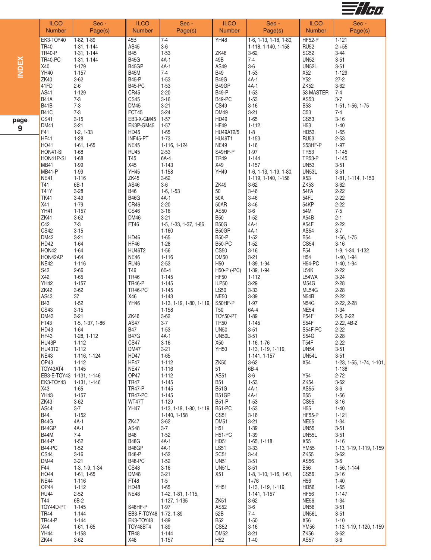

|     | <b>ILCO</b><br><b>Number</b>           | Sec -<br>Page(s)               | <b>ILCO</b><br><b>Number</b> | Sec -<br>Page(s)                      | <b>ILCO</b><br><b>Number</b>    | Sec -<br>Page(s)                    | <b>ILCO</b><br><b>Number</b>    | Sec -<br>Page(s)         |
|-----|----------------------------------------|--------------------------------|------------------------------|---------------------------------------|---------------------------------|-------------------------------------|---------------------------------|--------------------------|
|     | EK3-TOY40                              | 1-82, 1-89                     | 45B                          | $7 - 4$                               | <b>YH48</b>                     | 1-6, 1-13, 1-18, 1-80,              | <b>HF52-P</b>                   | $1 - 121$                |
|     | <b>TR40</b>                            | 1-31, 1-144                    | AS45                         | $3-6$                                 |                                 | 1-118, 1-140, 1-158                 | <b>RU52</b>                     | $2 - +55$                |
|     | <b>TR40-P</b><br>TR40-PC               | 1-31, 1-144<br>1-31, 1-144     | <b>B45</b><br><b>B45G</b>    | $1 - 53$<br>$4A-1$                    | <b>ZK48</b><br>49B              | $3-62$<br>$7 - 4$                   | SC <sub>52</sub><br><b>UN52</b> | $3 - 44$<br>$3 - 51$     |
|     | X40                                    | 1-179                          | B45GP                        | $4A-1$                                | AS49                            | $3-6$                               | <b>UN52L</b>                    | $3 - 51$                 |
|     | YH40                                   | $1 - 157$                      | <b>B45M</b>                  | $7 - 4$                               | <b>B49</b>                      | $1 - 53$                            | X52                             | $1 - 129$                |
|     | <b>ZK40</b>                            | $3 - 62$                       | <b>B45-P</b>                 | $1 - 53$                              | <b>B49G</b>                     | $4A-1$                              | Y52                             | $27 - 2$                 |
|     | 41FD                                   | $2-6$                          | <b>B45-PC</b>                | $1 - 53$                              | B49GP                           | $4A-1$                              | ZK <sub>52</sub>                | $3 - 62$                 |
|     | AS41<br><b>B41A</b>                    | $1 - 129$<br>$7-3$             | CR45<br><b>CS45</b>          | $2 - 20$<br>$3 - 16$                  | B49-P<br><b>B49-PC</b>          | $1 - 53$<br>$1 - 53$                | 53 MASTER<br>AS53               | $7 - 4$<br>$3 - 7$       |
|     | <b>B41B</b>                            | $7-3$                          | <b>DM45</b>                  | $3 - 21$                              | <b>CS49</b>                     | $3 - 16$                            | <b>B53</b>                      | 1-51, 1-56, 1-75         |
|     | <b>B41C</b>                            | $7-3$                          | FCT45                        | $3 - 24$                              | <b>DM49</b>                     | $3 - 21$                            | C53                             | $7 - 4$                  |
| age | CS41                                   | $3 - 15$                       | EB3-X-GM45                   | $1 - 57$                              | HD49                            | $1 - 65$                            | <b>CS53</b>                     | $3 - 16$                 |
| 9   | <b>DM41</b><br>F41                     | $3 - 21$<br>$1-2, 1-33$        | EK3P-GM45<br><b>HD45</b>     | $1 - 57$<br>$1 - 65$                  | <b>HF49</b><br><b>HU49AT2/5</b> | $1 - 112$<br>$1 - 8$                | H <sub>53</sub><br>HD53         | $1 - 40$<br>$1 - 65$     |
|     | <b>HF41</b>                            | $1 - 28$                       | INF45-PT                     | $1 - 73$                              | <b>HU49T1</b>                   | $1 - 153$                           | <b>RU53</b>                     | $2 - 53$                 |
|     | HO41                                   | $1-61, 1-65$                   | <b>NE45</b>                  | 1-116, 1-124                          | <b>NE49</b>                     | $1 - 16$                            | S53HF-P                         | $1 - 97$                 |
|     | HON41-SI                               | $1 - 68$                       | <b>RU45</b>                  | $2 - 53$                              | S49HF-P                         | $1 - 97$                            | <b>TR53</b>                     | $1 - 145$                |
|     | HON41P-SI                              | $1 - 68$                       | T45                          | 6A-4                                  | <b>TR49</b>                     | $1 - 144$                           | <b>TR53-P</b>                   | $1 - 145$                |
|     | <b>MB41</b><br><b>MB41-P</b>           | 1-99<br>1-99                   | X45<br>YH45                  | $1 - 143$<br>$1 - 158$                | X49<br><b>YH49</b>              | $1 - 157$<br>1-6, 1-13, 1-19, 1-80, | <b>UN53</b><br>UN53L            | $3 - 51$<br>$3 - 51$     |
|     | NE41                                   | $1 - 116$                      | ZK45                         | $3 - 62$                              |                                 | 1-119, 1-140, 1-158                 | X53                             | 1-81, 1-114, 1-150       |
|     | T41                                    | 6B-1                           | AS46                         | $3-6$                                 | <b>ZK49</b>                     | $3 - 62$                            | ZK53                            | $3 - 62$                 |
|     | <b>T41Y</b>                            | $3 - 28$                       | <b>B46</b>                   | $1-6, 1-53$                           | 50                              | $3 - 46$                            | 54FA                            | $2 - 22$                 |
|     | <b>TK41</b><br>X41                     | $3-49$<br>$1 - 79$             | <b>B46G</b><br>CR46          | $4A-1$<br>$2 - 20$                    | 50A<br>50AR                     | $3 - 46$<br>$3 - 46$                | 54FL<br>54KP                    | $2 - 22$<br>$2 - 22$     |
|     | <b>YH41</b>                            | $1 - 157$                      | CS46                         | $3 - 16$                              | AS50                            | $3-6$                               | 54M                             | $7-5$                    |
|     | ZK41                                   | $3 - 62$                       | <b>DM46</b>                  | $3 - 21$                              | <b>B50</b>                      | $1 - 52$                            | A54B                            | $2 - 1$                  |
|     | C42                                    | $7-3$                          | FT46                         | 1-5, 1-33, 1-37, 1-86                 | <b>B50G</b>                     | $4A-1$                              | A54F                            | $2 - 22$                 |
|     | <b>CS42</b><br><b>DM42</b>             | $3 - 15$<br>$3 - 21$           | <b>HD46</b>                  | $1 - 160$<br>$1 - 65$                 | B50GP<br><b>B50-P</b>           | $4A-1$<br>$1 - 52$                  | AS54<br><b>B54</b>              | $3-7$<br>1-56, 1-75      |
|     | <b>HD42</b>                            | $1 - 64$                       | <b>HF46</b>                  | $1 - 28$                              | <b>B50-PC</b>                   | $1 - 52$                            | <b>CS54</b>                     | $3 - 16$                 |
|     | HON42                                  | $1 - 64$                       | <b>HU46T2</b>                | $1 - 56$                              | CS50                            | $3 - 16$                            | F54                             | 1-9, 1-34, 1-132         |
|     | HON42AP                                | $1 - 64$                       | <b>NE46</b>                  | $1 - 116$                             | <b>DM50</b>                     | $3 - 21$                            | H <sub>54</sub>                 | 1-40, 1-94               |
|     | <b>NE42</b><br>S42                     | $1 - 116$<br>$2 - 66$          | <b>RU46</b><br>T46           | $2 - 53$<br>6B-4                      | H <sub>50</sub><br>H50-P (-PC)  | 1-39, 1-94<br>1-39, 1-94            | <b>H54-PC</b><br>L54K           | 1-40, 1-94<br>$2 - 22$   |
|     | X42                                    | $1 - 65$                       | <b>TR46</b>                  | $1 - 145$                             | <b>HF50</b>                     | $1 - 112$                           | L54WA                           | $3 - 24$                 |
|     | <b>YH42</b>                            | $1 - 157$                      | <b>TR46-P</b>                | $1 - 145$                             | ILP50                           | $3 - 29$                            | M54G                            | $2 - 28$                 |
|     | <b>ZK42</b>                            | $3 - 62$                       | TR46-PC                      | $1 - 145$                             | <b>LS50</b>                     | $3 - 33$                            | ML54G                           | $2 - 28$                 |
|     | AS43                                   | 37                             | X46                          | $1 - 143$                             | <b>NE50</b>                     | $3 - 39$                            | N54B                            | $2 - 22$                 |
|     | <b>B43</b><br><b>CS43</b>              | $1 - 52$<br>$3 - 15$           | <b>YH46</b>                  | 1-13, 1-19, 1-80, 1-119,<br>$1 - 158$ | S50HF-P<br><b>T50</b>           | $1 - 97$<br>6A-4                    | <b>N54G</b><br><b>NE54</b>      | 2-22, 2-28<br>$1 - 34$   |
|     | <b>DM43</b>                            | $3 - 21$                       | <b>ZK46</b>                  | $3 - 62$                              | TOY50-PT                        | $1 - 89$                            | P <sub>54</sub> F               | $2-6, 2-22$              |
|     | FT43                                   | 1-5, 1-37, 1-86                | AS47                         | $3 - 7$                               | <b>TR50</b>                     | $1 - 145$                           | S54F                            | 2-22, 4B-2               |
|     | HD43                                   | 1-64                           | <b>B47</b>                   | $1 - 53$                              | <b>UN50</b>                     | $3 - 51$                            | S54F-PC                         | $2 - 22$                 |
|     | HF43<br>HU43P                          | 1-28, 1-112<br>$1 - 112$       | <b>B47G</b><br><b>CS47</b>   | $4A-1$<br>$3 - 16$                    | UN50L<br>X50                    | $3 - 51$<br>1-16, 1-76              | <b>S54G</b><br><b>T54F</b>      | $2 - 28$<br>$2 - 22$     |
|     | <b>HU43T2</b>                          | $1 - 112$                      | <b>DM47</b>                  | $3 - 21$                              | <b>YH50</b>                     | 1-13, 1-19, 1-119,                  | <b>UN54</b>                     | $3 - 51$                 |
|     | <b>NE43</b>                            | 1-116, 1-124                   | HD47                         | $1 - 65$                              |                                 | 1-141, 1-157                        | UN54L                           | $3 - 51$                 |
|     | OP43                                   | $1 - 112$                      | <b>HF47</b>                  | $1 - 112$                             | <b>ZK50</b>                     | $3 - 62$                            | X54                             | 1-23, 1-55, 1-74, 1-101, |
|     | TOY43AT4<br>EB3-E-TOY43   1-131, 1-146 | $1 - 145$                      | <b>NE47</b><br>OP47          | $1 - 116$<br>$1 - 112$                | 51<br>AS51                      | 6B-4<br>$3-6$                       | Y54                             | 1-138<br>$2 - 72$        |
|     | EK3-TOY43                              | 1-131, 1-146                   | <b>TR47</b>                  | $1 - 145$                             | <b>B51</b>                      | $1 - 53$                            | ZK54                            | $3 - 62$                 |
|     | X43                                    | 1-65                           | <b>TR47-P</b>                | $1 - 145$                             | <b>B51G</b>                     | 4A-1                                | AS55                            | $3-6$                    |
|     | <b>YH43</b>                            | $1 - 157$                      | TR47-PC                      | $1 - 145$                             | B51GP                           | $4A-1$                              | <b>B55</b>                      | $1 - 56$                 |
|     | <b>ZK43</b><br>AS44                    | $3 - 62$<br>$3-7$              | WT47T<br><b>YH47</b>         | $1 - 129$<br>1-13, 1-19, 1-80, 1-119, | <b>B51-P</b><br><b>B51-PC</b>   | $1 - 53$<br>$1 - 53$                | <b>CS55</b><br>H <sub>55</sub>  | $3 - 16$<br>$1 - 40$     |
|     | <b>B44</b>                             | $1 - 152$                      |                              | 1-140, 1-158                          | <b>CS51</b>                     | $3 - 16$                            | HF55-P                          | $1 - 121$                |
|     | <b>B44G</b>                            | $4A-1$                         | ZK47                         | $3 - 62$                              | <b>DM51</b>                     | $3 - 21$                            | <b>NE55</b>                     | $1 - 34$                 |
|     | B44GP                                  | $4A-1$                         | AS48                         | $3 - 7$                               | H <sub>51</sub>                 | $1 - 39$                            | <b>UN55</b>                     | $3 - 51$                 |
|     | <b>B44M</b><br><b>B44-P</b>            | $7 - 4$<br>$1 - 52$            | <b>B48</b><br><b>B48G</b>    | $1 - 52$<br>$4A-1$                    | <b>H51-PC</b><br><b>HD51</b>    | $1 - 39$<br>1-65, 1-118             | <b>UN55L</b><br>X55             | $3 - 51$<br>$1 - 16$     |
|     | <b>B44-PC</b>                          | $1 - 52$                       | B48GP                        | $4A-1$                                | <b>LS51</b>                     | $3 - 33$                            | <b>YM55</b>                     | 1-13, 1-19, 1-119, 1-159 |
|     | <b>CS44</b>                            | $3 - 16$                       | <b>B48-P</b>                 | $1 - 52$                              | <b>SC51</b>                     | $3 - 44$                            | ZK55                            | $3 - 62$                 |
|     | DM44                                   | $3 - 21$                       | <b>B48-PC</b>                | $1 - 52$                              | <b>UN51</b>                     | $3 - 51$                            | AS56                            | $3-6$                    |
|     | F44<br>HO44                            | 1-3, 1-9, 1-34<br>$1-61, 1-65$ | <b>CS48</b><br><b>DM48</b>   | $3 - 16$<br>$3 - 21$                  | UN51L<br>X51                    | $3 - 51$<br>1-8, 1-10, 1-16, 1-61,  | <b>B56</b><br>CS56              | 1-56, 1-144<br>$3 - 16$  |
|     | <b>NE44</b>                            | $1 - 116$                      | FT48                         | $1 - 5$                               |                                 | $1 + 76$                            | H <sub>56</sub>                 | $1 - 40$                 |
|     | <b>OP44</b>                            | $1 - 112$                      | <b>HD48</b>                  | $1 - 65$                              | <b>YH51</b>                     | 1-13, 1-19, 1-119,                  | HD <sub>56</sub>                | $1 - 65$                 |
|     | <b>RU44</b>                            | $2 - 52$                       | <b>NE48</b>                  | 1-42, 1-81, 1-115,                    |                                 | 1-141, 1-157                        | <b>HF56</b>                     | $1 - 147$                |
|     | T44<br>TOY44D-PT                       | 6B-2<br>$1 - 145$              | S48HF-P                      | 1-127, 1-135<br>$1 - 97$              | <b>ZK51</b><br>AS52             | $3-62$<br>$3-6$                     | <b>NE56</b><br><b>UN56</b>      | $1 - 34$<br>$3 - 51$     |
|     | <b>TR44</b>                            | $1 - 144$                      | EB3-F-TOY48   1-72, 1-89     |                                       | 52B                             | $7 - 4$                             | <b>UN56L</b>                    | $3 - 51$                 |
|     | <b>TR44-P</b>                          | $1 - 144$                      | EK3-TOY48                    | $1 - 89$                              | <b>B52</b>                      | $1 - 50$                            | X56                             | $1 - 10$                 |
|     | X44                                    | $1-61, 1-65$                   | TOY48BT4                     | $1 - 89$                              | <b>CS52</b>                     | $3 - 16$                            | <b>YM56</b>                     | 1-13, 1-19, 1-120, 1-159 |
|     | <b>YH44</b><br><b>ZK44</b>             | $1 - 158$<br>$3 - 62$          | <b>TR48</b><br>X48           | $1 - 144$<br>$1 - 157$                | <b>DM52</b><br>H <sub>52</sub>  | $3 - 21$<br>$1 - 40$                | <b>ZK56</b><br>AS57             | $3 - 62$<br>$3-6$        |
|     |                                        |                                |                              |                                       |                                 |                                     |                                 |                          |

**IN D**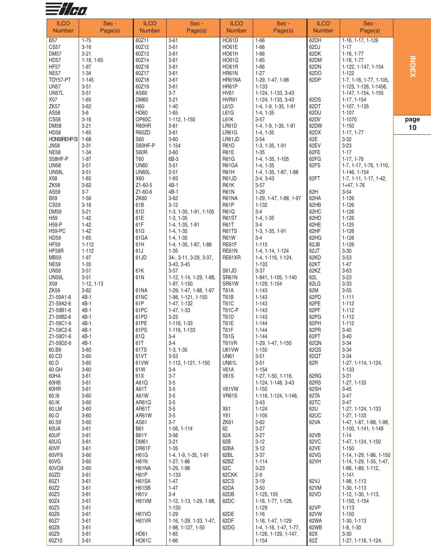

| <b>ILCO</b>      | Sec -        | <b>ILCO</b>       | Sec -                   | <b>ILCO</b>       | Sec -                    | <b>ILCO</b>   | Sec -                   |  |
|------------------|--------------|-------------------|-------------------------|-------------------|--------------------------|---------------|-------------------------|--|
| <b>Number</b>    | Page(s)      | <b>Number</b>     | Page(s)                 | <b>Number</b>     | Page(s)                  | <b>Number</b> | Page(s)                 |  |
|                  |              |                   |                         |                   |                          |               |                         |  |
| <b>B57</b>       | $1 - 75$     | 60Z11             | $3 - 61$                | <b>HO61D</b>      | $1 - 66$                 | 62DH          | 1-16, 1-17, 1-126       |  |
| CS57             | $3 - 16$     | 60Z12             | $3 - 61$                | HO61E             | $1 - 66$                 | 62DJ          | $1 - 17$                |  |
| <b>DM57</b>      | $3 - 21$     | 60Z13             | $3 - 61$                | HO61H             | $1 - 66$                 | 62DK          | $1-16, 1-77$            |  |
| <b>HD57</b>      | $1-18, 1-65$ | 60Z14             | $3 - 61$                | <b>HO61Q</b>      | $1 - 65$                 | 62DM          | $1-16, 1-77$            |  |
| HF <sub>57</sub> | $1 - 97$     | 60Z16             | $3 - 61$                | <b>HO61R</b>      | $1 - 66$                 | 62DN          | 1-122, 1-147, 1-154     |  |
| <b>NE57</b>      | $1 - 34$     | 60Z17             | $3 - 61$                | HR61N             | $1 - 27$                 | 62DO          | $1 - 122$               |  |
| TOY57-PT         | 1-145        | 60Z18             | $3 - 61$                | HR61NA            | 1-29, 1-47, 1-98         | 62DP          | 1-7, 1-16, 1-77, 1-105, |  |
| <b>UN57</b>      | $3 - 51$     | 60Z19             | $3 - 61$                | HR61P             | 1-133                    |               | 1-125, 1-126, 1-1456,   |  |
| <b>UN57L</b>     | $3 - 51$     | AS60              | $3 - 7$                 | <b>HV61</b>       | 1-124, 1-133, 3-43       |               | 1-147, 1-154, 1-155     |  |
| X57              | $1 - 65$     | <b>DM60</b>       | $3 - 21$                | HVR61             | 1-124, 1-133, 3-43       | 62DS          | 1-17, 1-154             |  |
| ZK <sub>57</sub> | $3 - 62$     | H60               | $1 - 40$                | L61D              |                          | 62DT          | 1-107, 1-135            |  |
|                  |              |                   |                         |                   | 1-4, 1-9, 1-35, 1-91     |               |                         |  |
| AS58             | $3-6$        | HD60              | $1 - 65$                | L61G              | $1-4, 1-35$              | 62DU          | $1 - 107$               |  |
| <b>CS58</b>      | $3 - 16$     | OP60C             | 1-112, 1-150            | L61K              | $3 - 57$                 | 62DV          | 1-1070                  |  |
| <b>DM58</b>      | $3 - 21$     | R60HR             | $3 - 61$                | LR61D             | 1-4, 1-9, 1-35, 1-91     | 62DW          | $1 - 150$               |  |
| HD58             | $1 - 65$     | R60ZD             | $3 - 61$                | <b>LR61G</b>      | $1-4, 1-35$              | 62DX          | $1-17, 1-77$            |  |
| HON58REHP-SI     | $1 - 68$     | S60               | $3 - 60$                | LR61JD            | $3 - 54$                 | 62E           | $3 - 32$                |  |
| <b>JN58</b>      | $3 - 31$     | S60HF-P           | $1 - 154$               | <b>R61D</b>       | 1-3, 1-35, 1-91          | 62EV          | $3 - 23$                |  |
| <b>NE58</b>      | $1 - 34$     | <b>S60R</b>       | $3 - 60$                | <b>R61E</b>       | $1 - 35$                 | 62FE          | $1 - 17$                |  |
| S58HF-P          | $1-97$       | T60               | 6B-3                    | <b>R61G</b>       | 1-4, 1-35, 1-105         | 62FG          | $1-17, 1-76$            |  |
| <b>UN58</b>      | $3 - 51$     | <b>UN60</b>       | $3 - 51$                | R61GA             | $1-4, 1-35$              | 62FS          | 1-7, 1-17, 1-76, 1-110, |  |
| <b>UN58L</b>     | $3 - 51$     | UN60L             | $3 - 51$                | R61H              | 1-4, 1-35, 1-87, 1-88    |               | 1-146, 1-154            |  |
| X58              | $1 - 65$     | X60               | $1-93$                  | R61JD             | $3-4, 3-43$              | 62FT          | 1-7, 1-11, 1-17, 1-42,  |  |
| <b>ZK58</b>      | $3 - 62$     | Z1-60-5           | 4B-1                    | <b>R61K</b>       | $3-57$                   |               | $1+47, 1-76$            |  |
| AS59             | $3 - 7$      | Z1-60-6           | 4B-1                    | <b>R61N</b>       | $1 - 29$                 | 62H           | $3 - 54$                |  |
| <b>B59</b>       | $1 - 56$     | <b>ZK60</b>       |                         |                   |                          | 62HA          | $1 - 126$               |  |
|                  |              |                   | $3 - 62$                | R61NA             | 1-29, 1-47, 1-88, 1-97   |               |                         |  |
| <b>CS59</b>      | $3 - 16$     | 61B               | $3 - 12$                | R <sub>61</sub> P | $1 - 132$                | 62HB          | $1 - 126$               |  |
| <b>DM59</b>      | $3 - 21$     | 61D               | 1-3, 1-35, 1-91, 1-105  | R61Q              | $3-4$                    | 62HC          | $1 - 126$               |  |
| H <sub>59</sub>  | $1 - 42$     | 61E               | $1-3, 1-35$             | <b>R61ST</b>      | $1-4, 1-35$              | 62HD          | $1 - 126$               |  |
| H59-P            | $1 - 42$     | 61F               | 1-4, 1-35, 1-91         | <b>R61T</b>       | $3-4$                    | 62HE          | $1 - 125$               |  |
| H59-PC           | $1-42$       | 61G               | $1-4, 1-35$             | <b>R61TS</b>      | 1-3, 1-35, 1-91          | 62HF          | $1 - 126$               |  |
| HD59             | $1 - 65$     | 61GA              | $1-4, 1-35$             | <b>R61W</b>       | $3 - 4$                  | 62HG          | $1 - 126$               |  |
| <b>HF59</b>      | $1 - 112$    | 61H               | 1-4, 1-35, 1-87, 1-88   | RE61F             | $1 - 115$                | 62JB          | $1 - 126$               |  |
| HF59R            | $1 - 112$    | 61J               | $1 - 35$                | RE61N             | 1-4, 1-14, 1-124         | 62JT          | $3 - 30$                |  |
| <b>MB59</b>      | $1-97$       | 61JD              | 34-, 3-11, 3-29, 3-37,  | RE61XR            | 1-4, 1-116, 1-124,       | 62KD          | $3 - 53$                |  |
| <b>NE59</b>      | $1 - 35$     |                   | 3-43, 3-45              |                   | $1 - 133$                | 62KT          | $1 - 47$                |  |
| <b>UN59</b>      | $3 - 51$     | 61K               | $3 - 57$                | S61JD             | $3 - 37$                 | 62KZ          | $3 - 63$                |  |
| <b>UN59L</b>     | $3 - 51$     | 61N               | 1-12, 1-14, 1-29, 1-88, | SR61N             | 1-841, 1-105, 1-140      | 62L           | $3-23$                  |  |
| X59              | $1-12, 1-13$ |                   | 1-97, 1-150             | SR61W             | 1-129, 1-154             | 62LG          | $3 - 33$                |  |
| <b>ZK59</b>      | $3 - 62$     | 61NA              | 1-29, 1-47, 1-88, 1-97  | <b>T61A</b>       | $1 - 143$                | 62M           | $3 - 55$                |  |
| Z1-59A1-6        | 4B-1         | 61NC              | 1-98, 1-121, 1-150      | T61B              | 1-143                    | 62PD          | $1 - 111$               |  |
| Z1-59A2-6        | 4B-1         | 61P               |                         | <b>T61C</b>       | $1 - 143$                | 62PE          | $1 - 112$               |  |
|                  |              |                   | 1-47, 1-132             |                   |                          |               |                         |  |
| Z1-59B1-6        | 4B-1         | 61PC              | 1-47, 1-33              | <b>T61C-P</b>     | $1 - 143$                | 62PF          | $1 - 112$               |  |
| Z1-59B2-6        | 4B-1         | 61PD              | $3 - 23$                | <b>T61D</b>       | $1 - 143$                | 62PG          | $1 - 112$               |  |
| Z1-59C1-6        | 4B-1         | 61PE              | 1-116, 1-33             | <b>T61E</b>       | $1 - 144$                | 62PH          | $1 - 112$               |  |
| Z1-59C2-6        | 4B-1         | 61PS              | 1-116, 1-133            | T61F              | $1 - 144$                | 62PR          | $3 - 40$                |  |
| Z1-59D1-6        | 4B-1         | 61Q               | $3 - 4$                 | T61G              | 1-144                    | 62PT          | $3 - 40$                |  |
| Z1-59D2-6        | 4B-1         | 61T               | $3-4$                   | <b>T61VR</b>      | 1-29, 1-47, 1-150        | 62QN          | $3 - 34$                |  |
| 60.B9            | $3 - 60$     | 61TS              | $1-3, 1-35$             | U61VW             | $1 - 150$                | 62QS          | $3 - 34$                |  |
| 60.CD            | $3 - 60$     | 61VT              | $3 - 53$                | <b>UN61</b>       | $3 - 51$                 | 62QT          | $3 - 34$                |  |
| 60.D             | $3 - 60$     | 61VW              | 1-112, 1-121, 1-150     | UN61L             | $3 - 51$                 | 62R           | 1-27, 1-114, 1-124,     |  |
| 60.GH            | $3 - 60$     | 61W               | $3-4$                   | <b>V61A</b>       | $1 - 154$                |               | $1 - 133$               |  |
| 60HA             | $3 - 61$     | 61X               | $3 - 7$                 | <b>V61S</b>       | 1-27, 1-50, 1-116,       | 62RG          | $3 - 31$                |  |
| 60HB             | $3 - 61$     | A61Q              | $3-5$                   |                   | 1-124, 1-148, 3-43       | 62RS          | 1-27, 1-133             |  |
| 60HR             | $3 - 61$     | A61T              | $3-5$                   | V61VW             | $1 - 150$                | 62SH          | 3-45                    |  |
| 60.19            | $3 - 60$     | A61W              | $3-5$                   | <b>VR61S</b>      | 1-116, 1-124, 1-148,     | 62TA          | 3-47                    |  |
| 60.IK            | $3 - 60$     | AR61Q             | $3-5$                   |                   | $3 - 43$                 | 62TC          | 3-47                    |  |
| 60.LM            | $3 - 60$     | AR61T             | $3-5$                   | X61               | $1 - 124$                | 62U           | 1-27, 1-124, 1-133      |  |
| 60.O             | $3 - 60$     | AR61W             | $3-5$                   | Y61               | $1 - 105$                | 62UC          | 1-27, 1-133             |  |
|                  |              |                   |                         |                   |                          |               |                         |  |
| 60.S9            | $3 - 60$     | AS61              | $3 - 7$                 | ZK61              | $3 - 62$                 | 62VA          | 1-47, 1-87, 1-88, 1-98, |  |
| 60UA             | $3 - 61$     | <b>B61</b>        | 1-56, 1-114             | 62                | $3 - 27$                 |               | 1-100, 1-141, 1-148     |  |
| 60UF             | $3 - 61$     | <b>B61Y</b>       | $3 - 56$                | 62A               | $3 - 27$                 | 62VB          | 1-14                    |  |
| 60UG             | $3 - 61$     | <b>DM61</b>       | $3 - 21$                | 62B               | $3 - 12$                 | 62VC          | 1-47, 1-124, 1-150      |  |
| 60VF             | $3 - 61$     | DR61F             | $1 - 35$                | 62BA              | $3-12$                   | 62VE          | $1 - 150$               |  |
| 60VF9            | $3 - 60$     | <b>H61G</b>       | 1-4, 1-9, 1-35, 1-91    | 62BL              | $3 - 37$                 | 62VG          | 1-14, 1-29, 1-86, 1-150 |  |
| 60VG             | $3 - 60$     | <b>H61N</b>       | 1-27, 1-86              | 62BZ              | $1 - 114$                | 62VH          | 1-14, 1-29, 1-35, 1-47, |  |
| 60VG9            | $3 - 60$     | H61NA             | 1-29, 1-98              | 62C               | $3 - 23$                 |               | 1-86, 1-89, 1-112,      |  |
| 60ZD             | $3 - 61$     | H <sub>6</sub> 1P | $1 - 133$               | 62CKK             | $2 - 9$                  |               | $1 - 141$               |  |
| 60Z1             | $3 - 61$     | H61SA             | 1-47                    | 62CS              | $3-19$                   | 62VJ          | 1-98, 1-113             |  |
| 60Z2             | $3 - 61$     | H61SB             | $1 - 47$                | 62DA              | $3 - 50$                 | 62VM          | 1-30, 1-113             |  |
| 60Z3             | $3 - 61$     | <b>H61V</b>       | $3-4$                   | 62DB              | 1-125, 155               | 62VO          | 1-12, 1-30, 1-113,      |  |
| 60Z4             | $3 - 61$     | H61VM             | 1-12, 1-13, 1-29, 1-98, | 62DC              | 1-16, 1-77, 1-126,       |               | 1-150, 1-154            |  |
| 60Z5             | $3 - 61$     |                   | 1-150                   |                   | $1 - 129$                | 62VP          | 1-113                   |  |
| 60Z6             | $3 - 61$     | <b>H61VO</b>      | $1 - 29$                | 62DE              | $1 - 16$                 | 62VW          | $1 - 150$               |  |
|                  | $3 - 61$     | H61VR             |                         | 62DF              |                          | 62WA          | 1-30, 1-113             |  |
| 60Z7             |              |                   | 1-16, 1-29, 1-33, 1-47, |                   | 1-16, 1-47, 1-129        |               |                         |  |
| 60Z8             | $3 - 61$     |                   | 1-98, 1-127, 1-50       | 62DG              | $1-4, 1-16, 1-47, 1-77,$ | 62WB          | $1-8, 1-30$             |  |
| 60Z9             | $3 - 61$     | <b>HD61</b>       | $1 - 65$                |                   | 1-126, 1-129, 1-147,     | 62X           | $3 - 30$                |  |
| 60Z10            | $3 - 61$     | <b>HO61C</b>      | $1 - 66$                |                   | $1 - 154$                | 62Z           | 1-27, 1-116, 1-124,     |  |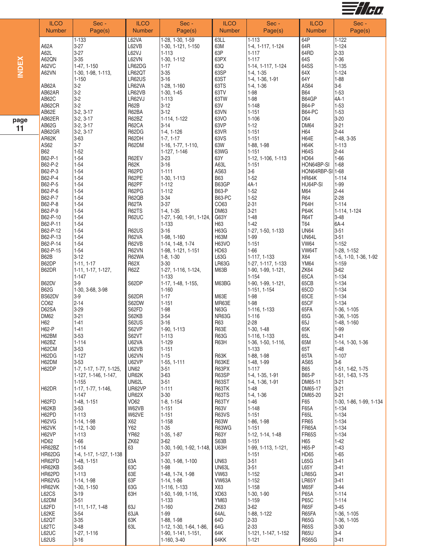

| L62VA<br>63LL<br>1-133<br>1-28, 1-30, 1-59<br>$1 - 113$<br>64P<br>1-122<br>64R<br>A62A<br>$3 - 27$<br>L62VB<br>63M<br>$1 - 124$<br>1-30, 1-121, 1-150<br>1-4, 1-117, 1-124<br>63P<br>64RD<br>$2 - 33$<br>A62L<br>$3 - 27$<br>L62VJ<br>$1 - 117$<br>1-113<br><b>INDEX</b><br>A62QN<br>$3 - 35$<br>L62VN<br>63PX<br>64S<br>$1 - 36$<br>1-30, 1-112<br>$1 - 117$<br>A62VC<br>63Q<br>64SS<br>$1 - 135$<br>1-47, 1-150<br>LR62DG<br>$1 - 17$<br>1-14, 1-117, 1-124<br>A62VN<br>LR62QT<br>$3 - 35$<br>63SP<br>64X<br>$1 - 124$<br>1-30, 1-98, 1-113,<br>$1-4, 1-35$<br>63ST<br>64Y<br>$1 - 88$<br>LR62US<br>$3 - 16$<br>$1 - 150$<br>1-4, 1-36, 1-91<br>AS64<br>$3-6$<br>$3-2$<br>63TS<br>AB62A<br>LR62VA<br>1-28, 1-160<br>$1-4, 1-36$<br>$3-2$<br>63TV<br><b>B64</b><br>$1 - 53$<br>AB62AR<br>LR62VB<br>1-98<br>$1-30, 1-45$<br>$3-2$<br>AB62C<br>63TW<br>$1 - 98$<br>B64GP<br>4A-1<br>LR62VJ<br>$1 - 113$<br>$3-2$<br><b>R62B</b><br>$1 - 148$<br><b>B64-P</b><br>$1 - 53$<br>AB62CR<br>$3-12$<br>63V<br>AB62E<br>$3-2, 3-17$<br>R62BA<br>$3 - 12$<br>63VN<br>$1 - 151$<br><b>B64-PC</b><br>$1 - 53$<br>$3 - 20$<br>AB62ER<br>$3-2, 3-17$<br>R62BZ<br>1-114, 1-122<br>63VO<br>$1 - 106$<br>D64<br><b>DM64</b><br>R62CA<br>63VP<br>$3 - 21$<br>AB62G<br>$3-2, 3-17$<br>$1 - 12$<br>3-14<br>11<br>63VR<br>H64<br>$2 - 44$<br>AB62GR<br>$3-2, 3-17$<br>R62DG<br>$1 - 151$<br>$1-4, 1-126$<br>H64E<br>AR62K<br>$3 - 63$<br>R62DH<br>63VS<br>$1 - 48, 3 - 35$<br>$1-7, 1-17$<br>$1 - 151$<br>$3 - 7$<br>63W<br>H64K<br>AS62<br>R62DM<br>1-16, 1-77, 1-110,<br>1-88, 1-98<br>$1 - 113$<br>63WG<br><b>B62</b><br>$1 - 52$<br><b>H64S</b><br>$2 - 44$<br>1-127, 1-146<br>1-151<br>B62-P-1<br>$1 - 54$<br>63Y<br>HD64<br>$1 - 66$<br>R62EV<br>$3 - 23$<br>1-12, 1-106, 1-113<br>A63L<br>B62-P-2<br>$1 - 54$<br><b>R62K</b><br>$3 - 16$<br>$1 - 151$<br>HON64BP-SI<br>$1 - 68$<br>B62-P-3<br>$1 - 54$<br>R62PD<br>$1 - 111$<br>AS63<br>$3-6$<br>HON64RBP-SI 1-68<br>B62-P-4<br><b>B63</b><br>$1 - 52$<br>$1 - 54$<br>R62PE<br>HR64K<br>$1 - 114$<br>1-30, 1-113<br>B62-P-5<br>R62PF<br>B63GP<br>$4A-1$<br>1-99<br>$1 - 54$<br>$1 - 112$<br>HU64P-SI<br><b>B63-P</b><br>$2 - 44$<br>$1 - 52$<br>B62-P-6<br>$1 - 54$<br>R62PG<br>$1 - 112$<br>M64<br>$1 - 52$<br><b>R64</b><br>$2 - 28$<br>$1 - 54$<br>R62QB<br>$3 - 34$<br><b>B63-PC</b><br>B62-P-7<br>CO63<br>2-31<br>P64H<br>B62-P-8<br>$1 - 54$<br>R62TA<br>$3-37$<br>$1 - 114$<br>P64K<br>B62-P-9<br>$1 - 54$<br>DM63<br>$3 - 21$<br><b>R62TS</b><br>$1-4, 1-35$<br>1-114, 1-124<br>G63Y<br>$1 - 48$<br><b>R64T</b><br>$3 - 48$<br>B62-P-10<br>$1 - 54$<br><b>R62UC</b><br>1-27, 1-90, 1-91, 1-124,<br>B62-P-11<br>T64<br>6A-4<br>$1 - 54$<br>$1 - 133$<br>H63<br>$1-42$<br><b>R62US</b><br>H63G<br><b>UN64</b><br>$3 - 51$<br>B62-P-12<br>$1 - 54$<br>$3 - 16$<br>1-27, 1-50, 1-133<br>UN64L<br>$3 - 51$<br>B62-P-13<br>$1 - 54$<br><b>R62VA</b><br>1-98, 1-160<br><b>H63M</b><br>1-99<br><b>H63VO</b><br><b>VW64</b><br>$1 - 152$<br>B62-P-14<br>$1 - 54$<br>R62VB<br>$1 - 151$<br>1-14, 1-48, 1-74<br>B62-P-15<br>$1 - 54$<br><b>R62VN</b><br>HD63<br>$1 - 66$<br>VW64T<br>1-28, 1-152<br>1-98, 1-121, 1-151<br>B62B<br>L63G<br>X64<br>$3 - 12$<br>R62WA<br>$1-8, 1-30$<br>1-117, 1-133<br>1-5, 1-10, 1-36, 1-92<br>B62DP<br><b>YM64</b><br>$1-11, 1-17$<br><b>R62X</b><br>$3 - 30$<br><b>LR63G</b><br>$1 - 159$<br>1-27, 1-117, 1-133<br>B62DR<br>R62Z<br>M63B<br>ZK64<br>$3 - 62$<br>1-11, 1-17, 1-127,<br>1-27, 1-116, 1-124,<br>1-90, 1-99, 1-121,<br>65CA<br>$1 - 147$<br>$1 - 133$<br>$1 - 154$<br>$1 - 134$<br>65CB<br>$1 - 134$<br>B62DV<br>$3-9$<br>S62DP<br>M63BG<br>1-17, 1-48, 1-155,<br>1-90, 1-99, 1-121,<br>65CD<br>$1 - 134$<br><b>B62G</b><br>1-30, 3-68, 3-98<br>1-160<br>1-151, 1-154<br>65CE<br>BS62DV<br>$1 - 17$<br>$1 - 134$<br>$3-9$<br>S62DR<br>M63E<br>1-98<br>CO62<br>$2 - 14$<br>65CF<br>S62DW<br>$1 - 151$<br>MR63E<br>$1 - 98$<br>$1 - 134$<br>D62SA<br>$3 - 29$<br>S62FD<br>$1 - 98$<br><b>N63G</b><br>65FA<br>1-116, 1-133<br>1-36, 1-105<br>DM62<br>$3 - 21$<br>$3 - 54$<br>NR63G<br>65G<br>S62KB<br>$1 - 116$<br>1-36, 1-105<br>65J<br>H62<br>$1 - 41$<br><b>S62US</b><br>$3 - 16$<br>R63<br>$2 - 28$<br>1-48, 1-160<br>H62-P<br>S62VP<br>R63E<br>65K<br>$1 - 41$<br>1-90, 1-113<br>1-30, 1-48<br>1-99<br>H62BM<br>$3 - 53$<br>S62VT<br><b>R63G</b><br>65L<br>$3 - 41$<br>$1 - 113$<br>$ 1 - 116, 1 - 133$<br>$1 - 114$<br><b>U62VA</b><br>R63H<br>65M<br>H62BZ<br>$1 - 129$<br>1-36, 1-50, 1-116,<br>1-14, 1-30, 1-36<br>65T<br>H62CM<br>$3 - 53$<br>U62VB<br>$1 - 151$<br>1-133<br>$1 - 48$<br>H62DG<br>$1 - 127$<br><b>U62VN</b><br>$1 - 15$<br>R63K<br>1-88, 1-98<br>65TA<br>$1 - 107$<br>H62DM<br>$3 - 53$<br>U62VP<br>R63KE<br>AS65<br>$3-6$<br>1-55, 1-111<br>1-48, 1-99<br>H62DP<br><b>UN62</b><br>R63PX<br><b>B65</b><br>$3 - 51$<br>$1 - 117$<br>1-7, 1-17, 1-77, 1-125,<br>1-51, 1-62, 1-75<br>R63SP<br><b>B65-P</b><br>UR62K<br>$3 - 63$<br>1-127, 1-146, 1-147,<br>1-4, 1-35, 1-91<br>1-51, 1-63, 1-75<br>R63ST<br>UN62L<br>$3 - 51$<br>1-4, 1-36, 1-91<br>DM65-11<br>$3 - 21$<br>1-155<br>R63TK<br>$3 - 21$<br>H62DR<br>1-17, 1-77, 1-146,<br>UR62VP<br>$1 - 111$<br>DM65-17<br>$1 - 48$<br><b>UR62X</b><br>$3 - 30$<br>R63TS<br>DM65-20<br>$3 - 21$<br>$1 - 147$<br>$1-4, 1-36$<br><b>VO62</b><br>F65<br>H62FD<br>1-48, 1-151<br>$1-8, 1-154$<br>R63TY<br>$1 - 46$<br>1-30, 1-86, 1-99, 1-134<br>H62KB<br>W62VB<br><b>R63V</b><br>$1 - 148$<br>F65A<br>$3 - 53$<br>$1 - 151$<br>$1 - 134$<br>H62PD<br>$1 - 113$<br>W62VE<br><b>R63VS</b><br>F65L<br>$1 - 134$<br>$1 - 151$<br>$1 - 151$<br><b>FR65</b><br>H62VG<br>X62<br>R63W<br>$1 - 158$<br>1-86, 1-98<br>$1 - 134$<br>$1-14, 1-98$<br>Y62<br>R63WG<br>FR65A<br>H62VK<br>$1 - 35$<br>$1 - 151$<br>$1 - 134$<br>1-12, 1-30<br><b>YR62</b><br><b>FR65S</b><br>H62VP<br>$1-35, 1-87$<br>R63Y<br>$1 - 134$<br>$1 - 113$<br>1-12, 1-14, 1-48<br>HD62<br><b>ZK62</b><br>S63B<br>H65<br>$1 - 66$<br>$3-62$<br>$1 - 151$<br>$1 - 42$<br>63<br>H65-P<br>HR62BZ<br>$1 - 114$<br>U63H<br>1-99, 1-113, 1-121,<br>$1 - 43$<br>1-30, 1-90, 1-92, 1-148,<br>HR62DG<br><b>HD65</b><br>$1 - 65$<br>1-4, 1-17, 1-127, 1-138<br>$3-37$<br>$1 - 151$<br>$3 - 51$<br>L65G<br>$3 - 41$<br>HR62FD<br>63A<br>1-30, 1-98, 1-100<br><b>UN63</b><br>1-48, 1-151<br>$3 - 51$<br>L65Y<br>$3 - 41$<br>HR62KB<br>63C<br>UN63L<br>$3 - 53$<br>1-98<br>HR62PD<br>63E<br><b>VW63</b><br><b>LR65G</b><br>$3 - 41$<br>$1 - 113$<br>1-48, 1-74, 1-98<br>$1 - 152$<br>$3 - 41$<br>HR62VG<br>63F<br>VW63A<br>$1 - 152$<br>LR65Y<br>1-14, 1-98<br>1-14, 1-86<br>$3 - 44$<br>HR62VK<br>63G<br>X63<br>1-158<br>M65F<br>1-30, 1-150<br>1-116, 1-133<br><b>P65A</b><br>L62CS<br>63H<br>$1 - 114$<br>$3 - 19$<br>1-50, 1-99, 1-116,<br>XD63<br>1-30, 1-90<br><b>P65C</b><br>L62DM<br>$3 - 51$<br>1-133<br><b>YM63</b><br>1-159<br>$1 - 114$<br>R65F<br>L62FD<br>63J<br>$1 - 160$<br>ZK63<br>$3 - 62$<br>$3 - 45$<br>1-11, 1-17, 1-48<br>L62KE<br>64AL<br>R65FA<br>$3 - 54$<br>63JA<br>1-99<br>1-88, 1-122<br>1-36, 1-105<br>L62QT<br>$3 - 35$<br>63K<br><b>R65G</b><br>1-88, 1-98<br>64D<br>$2 - 33$<br>1-36, 1-105<br>L62TC<br>$3 - 48$<br>2-33<br><b>R65S</b><br>63L<br>64G<br>$3 - 30$<br>1-12, 1-30, 1-64, 1-86,<br><b>R65U</b><br>L62UC<br>1-27, 1-116<br>64K<br>1-121, 1-147, 1-152<br>$3-4$<br>1-90, 1-141, 1-151,<br>L62US<br><b>RS65G</b><br>$3 - 41$<br>$3 - 16$<br>1-160, 3-40<br>64KK<br>$1 - 121$ |      | <b>ILCO</b><br><b>Number</b> | Sec -<br>Page(s) | <b>ILCO</b><br>Number | Sec -<br>Page(s) | <b>ILCO</b><br><b>Number</b> | Sec -<br>Page(s) | <b>ILCO</b><br><b>Number</b> | Sec -<br>Page(s) |
|----------------------------------------------------------------------------------------------------------------------------------------------------------------------------------------------------------------------------------------------------------------------------------------------------------------------------------------------------------------------------------------------------------------------------------------------------------------------------------------------------------------------------------------------------------------------------------------------------------------------------------------------------------------------------------------------------------------------------------------------------------------------------------------------------------------------------------------------------------------------------------------------------------------------------------------------------------------------------------------------------------------------------------------------------------------------------------------------------------------------------------------------------------------------------------------------------------------------------------------------------------------------------------------------------------------------------------------------------------------------------------------------------------------------------------------------------------------------------------------------------------------------------------------------------------------------------------------------------------------------------------------------------------------------------------------------------------------------------------------------------------------------------------------------------------------------------------------------------------------------------------------------------------------------------------------------------------------------------------------------------------------------------------------------------------------------------------------------------------------------------------------------------------------------------------------------------------------------------------------------------------------------------------------------------------------------------------------------------------------------------------------------------------------------------------------------------------------------------------------------------------------------------------------------------------------------------------------------------------------------------------------------------------------------------------------------------------------------------------------------------------------------------------------------------------------------------------------------------------------------------------------------------------------------------------------------------------------------------------------------------------------------------------------------------------------------------------------------------------------------------------------------------------------------------------------------------------------------------------------------------------------------------------------------------------------------------------------------------------------------------------------------------------------------------------------------------------------------------------------------------------------------------------------------------------------------------------------------------------------------------------------------------------------------------------------------------------------------------------------------------------------------------------------------------------------------------------------------------------------------------------------------------------------------------------------------------------------------------------------------------------------------------------------------------------------------------------------------------------------------------------------------------------------------------------------------------------------------------------------------------------------------------------------------------------------------------------------------------------------------------------------------------------------------------------------------------------------------------------------------------------------------------------------------------------------------------------------------------------------------------------------------------------------------------------------------------------------------------------------------------------------------------------------------------------------------------------------------------------------------------------------------------------------------------------------------------------------------------------------------------------------------------------------------------------------------------------------------------------------------------------------------------------------------------------------------------------------------------------------------------------------------------------------------------------------------------------------------------------------------------------------------------------------------------------------------------------------------------------------------------------------------------------------------------------------------------------------------------------------------------------------------------------------------------------------------------------------------------------------------------------------------------------------------------------------------------------------------------------------------------------------------------------------------------------------------------------------------------------------------------------------------------------------------------------------------------------------------------------------------------------------------------------------------------------------------------------------------------------------------------------------------------------------------------------------------------------------------------------------------------------------------------------------------------------------------------------------------------------------------------------------------------------------------------------------------------------------------------------------------------------------------------------------------------------------------------------------------------------------------------------------------------------------------------------------------------------------------------------------------------------------------------------------------------------------------------------------------------------------------------------------------------------------------------------------------------------------------------------------------------------------------------------------------------------------------------------------------------------------------------------------------------------------------------------------------------------------------------------------------------------------------------------------|------|------------------------------|------------------|-----------------------|------------------|------------------------------|------------------|------------------------------|------------------|
|                                                                                                                                                                                                                                                                                                                                                                                                                                                                                                                                                                                                                                                                                                                                                                                                                                                                                                                                                                                                                                                                                                                                                                                                                                                                                                                                                                                                                                                                                                                                                                                                                                                                                                                                                                                                                                                                                                                                                                                                                                                                                                                                                                                                                                                                                                                                                                                                                                                                                                                                                                                                                                                                                                                                                                                                                                                                                                                                                                                                                                                                                                                                                                                                                                                                                                                                                                                                                                                                                                                                                                                                                                                                                                                                                                                                                                                                                                                                                                                                                                                                                                                                                                                                                                                                                                                                                                                                                                                                                                                                                                                                                                                                                                                                                                                                                                                                                                                                                                                                                                                                                                                                                                                                                                                                                                                                                                                                                                                                                                                                                                                                                                                                                                                                                                                                                                                                                                                                                                                                                                                                                                                                                                                                                                                                                                                                                                                                                                                                                                                                                                                                                                                                                                                                                                                                                                                                                                                                                                                                                                                                                                                                                                                                                                                                                                                                                                                                                |      |                              |                  |                       |                  |                              |                  |                              |                  |
|                                                                                                                                                                                                                                                                                                                                                                                                                                                                                                                                                                                                                                                                                                                                                                                                                                                                                                                                                                                                                                                                                                                                                                                                                                                                                                                                                                                                                                                                                                                                                                                                                                                                                                                                                                                                                                                                                                                                                                                                                                                                                                                                                                                                                                                                                                                                                                                                                                                                                                                                                                                                                                                                                                                                                                                                                                                                                                                                                                                                                                                                                                                                                                                                                                                                                                                                                                                                                                                                                                                                                                                                                                                                                                                                                                                                                                                                                                                                                                                                                                                                                                                                                                                                                                                                                                                                                                                                                                                                                                                                                                                                                                                                                                                                                                                                                                                                                                                                                                                                                                                                                                                                                                                                                                                                                                                                                                                                                                                                                                                                                                                                                                                                                                                                                                                                                                                                                                                                                                                                                                                                                                                                                                                                                                                                                                                                                                                                                                                                                                                                                                                                                                                                                                                                                                                                                                                                                                                                                                                                                                                                                                                                                                                                                                                                                                                                                                                                                |      |                              |                  |                       |                  |                              |                  |                              |                  |
|                                                                                                                                                                                                                                                                                                                                                                                                                                                                                                                                                                                                                                                                                                                                                                                                                                                                                                                                                                                                                                                                                                                                                                                                                                                                                                                                                                                                                                                                                                                                                                                                                                                                                                                                                                                                                                                                                                                                                                                                                                                                                                                                                                                                                                                                                                                                                                                                                                                                                                                                                                                                                                                                                                                                                                                                                                                                                                                                                                                                                                                                                                                                                                                                                                                                                                                                                                                                                                                                                                                                                                                                                                                                                                                                                                                                                                                                                                                                                                                                                                                                                                                                                                                                                                                                                                                                                                                                                                                                                                                                                                                                                                                                                                                                                                                                                                                                                                                                                                                                                                                                                                                                                                                                                                                                                                                                                                                                                                                                                                                                                                                                                                                                                                                                                                                                                                                                                                                                                                                                                                                                                                                                                                                                                                                                                                                                                                                                                                                                                                                                                                                                                                                                                                                                                                                                                                                                                                                                                                                                                                                                                                                                                                                                                                                                                                                                                                                                                |      |                              |                  |                       |                  |                              |                  |                              |                  |
|                                                                                                                                                                                                                                                                                                                                                                                                                                                                                                                                                                                                                                                                                                                                                                                                                                                                                                                                                                                                                                                                                                                                                                                                                                                                                                                                                                                                                                                                                                                                                                                                                                                                                                                                                                                                                                                                                                                                                                                                                                                                                                                                                                                                                                                                                                                                                                                                                                                                                                                                                                                                                                                                                                                                                                                                                                                                                                                                                                                                                                                                                                                                                                                                                                                                                                                                                                                                                                                                                                                                                                                                                                                                                                                                                                                                                                                                                                                                                                                                                                                                                                                                                                                                                                                                                                                                                                                                                                                                                                                                                                                                                                                                                                                                                                                                                                                                                                                                                                                                                                                                                                                                                                                                                                                                                                                                                                                                                                                                                                                                                                                                                                                                                                                                                                                                                                                                                                                                                                                                                                                                                                                                                                                                                                                                                                                                                                                                                                                                                                                                                                                                                                                                                                                                                                                                                                                                                                                                                                                                                                                                                                                                                                                                                                                                                                                                                                                                                |      |                              |                  |                       |                  |                              |                  |                              |                  |
|                                                                                                                                                                                                                                                                                                                                                                                                                                                                                                                                                                                                                                                                                                                                                                                                                                                                                                                                                                                                                                                                                                                                                                                                                                                                                                                                                                                                                                                                                                                                                                                                                                                                                                                                                                                                                                                                                                                                                                                                                                                                                                                                                                                                                                                                                                                                                                                                                                                                                                                                                                                                                                                                                                                                                                                                                                                                                                                                                                                                                                                                                                                                                                                                                                                                                                                                                                                                                                                                                                                                                                                                                                                                                                                                                                                                                                                                                                                                                                                                                                                                                                                                                                                                                                                                                                                                                                                                                                                                                                                                                                                                                                                                                                                                                                                                                                                                                                                                                                                                                                                                                                                                                                                                                                                                                                                                                                                                                                                                                                                                                                                                                                                                                                                                                                                                                                                                                                                                                                                                                                                                                                                                                                                                                                                                                                                                                                                                                                                                                                                                                                                                                                                                                                                                                                                                                                                                                                                                                                                                                                                                                                                                                                                                                                                                                                                                                                                                                |      |                              |                  |                       |                  |                              |                  |                              |                  |
|                                                                                                                                                                                                                                                                                                                                                                                                                                                                                                                                                                                                                                                                                                                                                                                                                                                                                                                                                                                                                                                                                                                                                                                                                                                                                                                                                                                                                                                                                                                                                                                                                                                                                                                                                                                                                                                                                                                                                                                                                                                                                                                                                                                                                                                                                                                                                                                                                                                                                                                                                                                                                                                                                                                                                                                                                                                                                                                                                                                                                                                                                                                                                                                                                                                                                                                                                                                                                                                                                                                                                                                                                                                                                                                                                                                                                                                                                                                                                                                                                                                                                                                                                                                                                                                                                                                                                                                                                                                                                                                                                                                                                                                                                                                                                                                                                                                                                                                                                                                                                                                                                                                                                                                                                                                                                                                                                                                                                                                                                                                                                                                                                                                                                                                                                                                                                                                                                                                                                                                                                                                                                                                                                                                                                                                                                                                                                                                                                                                                                                                                                                                                                                                                                                                                                                                                                                                                                                                                                                                                                                                                                                                                                                                                                                                                                                                                                                                                                |      |                              |                  |                       |                  |                              |                  |                              |                  |
|                                                                                                                                                                                                                                                                                                                                                                                                                                                                                                                                                                                                                                                                                                                                                                                                                                                                                                                                                                                                                                                                                                                                                                                                                                                                                                                                                                                                                                                                                                                                                                                                                                                                                                                                                                                                                                                                                                                                                                                                                                                                                                                                                                                                                                                                                                                                                                                                                                                                                                                                                                                                                                                                                                                                                                                                                                                                                                                                                                                                                                                                                                                                                                                                                                                                                                                                                                                                                                                                                                                                                                                                                                                                                                                                                                                                                                                                                                                                                                                                                                                                                                                                                                                                                                                                                                                                                                                                                                                                                                                                                                                                                                                                                                                                                                                                                                                                                                                                                                                                                                                                                                                                                                                                                                                                                                                                                                                                                                                                                                                                                                                                                                                                                                                                                                                                                                                                                                                                                                                                                                                                                                                                                                                                                                                                                                                                                                                                                                                                                                                                                                                                                                                                                                                                                                                                                                                                                                                                                                                                                                                                                                                                                                                                                                                                                                                                                                                                                |      |                              |                  |                       |                  |                              |                  |                              |                  |
|                                                                                                                                                                                                                                                                                                                                                                                                                                                                                                                                                                                                                                                                                                                                                                                                                                                                                                                                                                                                                                                                                                                                                                                                                                                                                                                                                                                                                                                                                                                                                                                                                                                                                                                                                                                                                                                                                                                                                                                                                                                                                                                                                                                                                                                                                                                                                                                                                                                                                                                                                                                                                                                                                                                                                                                                                                                                                                                                                                                                                                                                                                                                                                                                                                                                                                                                                                                                                                                                                                                                                                                                                                                                                                                                                                                                                                                                                                                                                                                                                                                                                                                                                                                                                                                                                                                                                                                                                                                                                                                                                                                                                                                                                                                                                                                                                                                                                                                                                                                                                                                                                                                                                                                                                                                                                                                                                                                                                                                                                                                                                                                                                                                                                                                                                                                                                                                                                                                                                                                                                                                                                                                                                                                                                                                                                                                                                                                                                                                                                                                                                                                                                                                                                                                                                                                                                                                                                                                                                                                                                                                                                                                                                                                                                                                                                                                                                                                                                |      |                              |                  |                       |                  |                              |                  |                              |                  |
|                                                                                                                                                                                                                                                                                                                                                                                                                                                                                                                                                                                                                                                                                                                                                                                                                                                                                                                                                                                                                                                                                                                                                                                                                                                                                                                                                                                                                                                                                                                                                                                                                                                                                                                                                                                                                                                                                                                                                                                                                                                                                                                                                                                                                                                                                                                                                                                                                                                                                                                                                                                                                                                                                                                                                                                                                                                                                                                                                                                                                                                                                                                                                                                                                                                                                                                                                                                                                                                                                                                                                                                                                                                                                                                                                                                                                                                                                                                                                                                                                                                                                                                                                                                                                                                                                                                                                                                                                                                                                                                                                                                                                                                                                                                                                                                                                                                                                                                                                                                                                                                                                                                                                                                                                                                                                                                                                                                                                                                                                                                                                                                                                                                                                                                                                                                                                                                                                                                                                                                                                                                                                                                                                                                                                                                                                                                                                                                                                                                                                                                                                                                                                                                                                                                                                                                                                                                                                                                                                                                                                                                                                                                                                                                                                                                                                                                                                                                                                |      |                              |                  |                       |                  |                              |                  |                              |                  |
|                                                                                                                                                                                                                                                                                                                                                                                                                                                                                                                                                                                                                                                                                                                                                                                                                                                                                                                                                                                                                                                                                                                                                                                                                                                                                                                                                                                                                                                                                                                                                                                                                                                                                                                                                                                                                                                                                                                                                                                                                                                                                                                                                                                                                                                                                                                                                                                                                                                                                                                                                                                                                                                                                                                                                                                                                                                                                                                                                                                                                                                                                                                                                                                                                                                                                                                                                                                                                                                                                                                                                                                                                                                                                                                                                                                                                                                                                                                                                                                                                                                                                                                                                                                                                                                                                                                                                                                                                                                                                                                                                                                                                                                                                                                                                                                                                                                                                                                                                                                                                                                                                                                                                                                                                                                                                                                                                                                                                                                                                                                                                                                                                                                                                                                                                                                                                                                                                                                                                                                                                                                                                                                                                                                                                                                                                                                                                                                                                                                                                                                                                                                                                                                                                                                                                                                                                                                                                                                                                                                                                                                                                                                                                                                                                                                                                                                                                                                                                | page |                              |                  |                       |                  |                              |                  |                              |                  |
|                                                                                                                                                                                                                                                                                                                                                                                                                                                                                                                                                                                                                                                                                                                                                                                                                                                                                                                                                                                                                                                                                                                                                                                                                                                                                                                                                                                                                                                                                                                                                                                                                                                                                                                                                                                                                                                                                                                                                                                                                                                                                                                                                                                                                                                                                                                                                                                                                                                                                                                                                                                                                                                                                                                                                                                                                                                                                                                                                                                                                                                                                                                                                                                                                                                                                                                                                                                                                                                                                                                                                                                                                                                                                                                                                                                                                                                                                                                                                                                                                                                                                                                                                                                                                                                                                                                                                                                                                                                                                                                                                                                                                                                                                                                                                                                                                                                                                                                                                                                                                                                                                                                                                                                                                                                                                                                                                                                                                                                                                                                                                                                                                                                                                                                                                                                                                                                                                                                                                                                                                                                                                                                                                                                                                                                                                                                                                                                                                                                                                                                                                                                                                                                                                                                                                                                                                                                                                                                                                                                                                                                                                                                                                                                                                                                                                                                                                                                                                |      |                              |                  |                       |                  |                              |                  |                              |                  |
|                                                                                                                                                                                                                                                                                                                                                                                                                                                                                                                                                                                                                                                                                                                                                                                                                                                                                                                                                                                                                                                                                                                                                                                                                                                                                                                                                                                                                                                                                                                                                                                                                                                                                                                                                                                                                                                                                                                                                                                                                                                                                                                                                                                                                                                                                                                                                                                                                                                                                                                                                                                                                                                                                                                                                                                                                                                                                                                                                                                                                                                                                                                                                                                                                                                                                                                                                                                                                                                                                                                                                                                                                                                                                                                                                                                                                                                                                                                                                                                                                                                                                                                                                                                                                                                                                                                                                                                                                                                                                                                                                                                                                                                                                                                                                                                                                                                                                                                                                                                                                                                                                                                                                                                                                                                                                                                                                                                                                                                                                                                                                                                                                                                                                                                                                                                                                                                                                                                                                                                                                                                                                                                                                                                                                                                                                                                                                                                                                                                                                                                                                                                                                                                                                                                                                                                                                                                                                                                                                                                                                                                                                                                                                                                                                                                                                                                                                                                                                |      |                              |                  |                       |                  |                              |                  |                              |                  |
|                                                                                                                                                                                                                                                                                                                                                                                                                                                                                                                                                                                                                                                                                                                                                                                                                                                                                                                                                                                                                                                                                                                                                                                                                                                                                                                                                                                                                                                                                                                                                                                                                                                                                                                                                                                                                                                                                                                                                                                                                                                                                                                                                                                                                                                                                                                                                                                                                                                                                                                                                                                                                                                                                                                                                                                                                                                                                                                                                                                                                                                                                                                                                                                                                                                                                                                                                                                                                                                                                                                                                                                                                                                                                                                                                                                                                                                                                                                                                                                                                                                                                                                                                                                                                                                                                                                                                                                                                                                                                                                                                                                                                                                                                                                                                                                                                                                                                                                                                                                                                                                                                                                                                                                                                                                                                                                                                                                                                                                                                                                                                                                                                                                                                                                                                                                                                                                                                                                                                                                                                                                                                                                                                                                                                                                                                                                                                                                                                                                                                                                                                                                                                                                                                                                                                                                                                                                                                                                                                                                                                                                                                                                                                                                                                                                                                                                                                                                                                |      |                              |                  |                       |                  |                              |                  |                              |                  |
|                                                                                                                                                                                                                                                                                                                                                                                                                                                                                                                                                                                                                                                                                                                                                                                                                                                                                                                                                                                                                                                                                                                                                                                                                                                                                                                                                                                                                                                                                                                                                                                                                                                                                                                                                                                                                                                                                                                                                                                                                                                                                                                                                                                                                                                                                                                                                                                                                                                                                                                                                                                                                                                                                                                                                                                                                                                                                                                                                                                                                                                                                                                                                                                                                                                                                                                                                                                                                                                                                                                                                                                                                                                                                                                                                                                                                                                                                                                                                                                                                                                                                                                                                                                                                                                                                                                                                                                                                                                                                                                                                                                                                                                                                                                                                                                                                                                                                                                                                                                                                                                                                                                                                                                                                                                                                                                                                                                                                                                                                                                                                                                                                                                                                                                                                                                                                                                                                                                                                                                                                                                                                                                                                                                                                                                                                                                                                                                                                                                                                                                                                                                                                                                                                                                                                                                                                                                                                                                                                                                                                                                                                                                                                                                                                                                                                                                                                                                                                |      |                              |                  |                       |                  |                              |                  |                              |                  |
|                                                                                                                                                                                                                                                                                                                                                                                                                                                                                                                                                                                                                                                                                                                                                                                                                                                                                                                                                                                                                                                                                                                                                                                                                                                                                                                                                                                                                                                                                                                                                                                                                                                                                                                                                                                                                                                                                                                                                                                                                                                                                                                                                                                                                                                                                                                                                                                                                                                                                                                                                                                                                                                                                                                                                                                                                                                                                                                                                                                                                                                                                                                                                                                                                                                                                                                                                                                                                                                                                                                                                                                                                                                                                                                                                                                                                                                                                                                                                                                                                                                                                                                                                                                                                                                                                                                                                                                                                                                                                                                                                                                                                                                                                                                                                                                                                                                                                                                                                                                                                                                                                                                                                                                                                                                                                                                                                                                                                                                                                                                                                                                                                                                                                                                                                                                                                                                                                                                                                                                                                                                                                                                                                                                                                                                                                                                                                                                                                                                                                                                                                                                                                                                                                                                                                                                                                                                                                                                                                                                                                                                                                                                                                                                                                                                                                                                                                                                                                |      |                              |                  |                       |                  |                              |                  |                              |                  |
|                                                                                                                                                                                                                                                                                                                                                                                                                                                                                                                                                                                                                                                                                                                                                                                                                                                                                                                                                                                                                                                                                                                                                                                                                                                                                                                                                                                                                                                                                                                                                                                                                                                                                                                                                                                                                                                                                                                                                                                                                                                                                                                                                                                                                                                                                                                                                                                                                                                                                                                                                                                                                                                                                                                                                                                                                                                                                                                                                                                                                                                                                                                                                                                                                                                                                                                                                                                                                                                                                                                                                                                                                                                                                                                                                                                                                                                                                                                                                                                                                                                                                                                                                                                                                                                                                                                                                                                                                                                                                                                                                                                                                                                                                                                                                                                                                                                                                                                                                                                                                                                                                                                                                                                                                                                                                                                                                                                                                                                                                                                                                                                                                                                                                                                                                                                                                                                                                                                                                                                                                                                                                                                                                                                                                                                                                                                                                                                                                                                                                                                                                                                                                                                                                                                                                                                                                                                                                                                                                                                                                                                                                                                                                                                                                                                                                                                                                                                                                |      |                              |                  |                       |                  |                              |                  |                              |                  |
|                                                                                                                                                                                                                                                                                                                                                                                                                                                                                                                                                                                                                                                                                                                                                                                                                                                                                                                                                                                                                                                                                                                                                                                                                                                                                                                                                                                                                                                                                                                                                                                                                                                                                                                                                                                                                                                                                                                                                                                                                                                                                                                                                                                                                                                                                                                                                                                                                                                                                                                                                                                                                                                                                                                                                                                                                                                                                                                                                                                                                                                                                                                                                                                                                                                                                                                                                                                                                                                                                                                                                                                                                                                                                                                                                                                                                                                                                                                                                                                                                                                                                                                                                                                                                                                                                                                                                                                                                                                                                                                                                                                                                                                                                                                                                                                                                                                                                                                                                                                                                                                                                                                                                                                                                                                                                                                                                                                                                                                                                                                                                                                                                                                                                                                                                                                                                                                                                                                                                                                                                                                                                                                                                                                                                                                                                                                                                                                                                                                                                                                                                                                                                                                                                                                                                                                                                                                                                                                                                                                                                                                                                                                                                                                                                                                                                                                                                                                                                |      |                              |                  |                       |                  |                              |                  |                              |                  |
|                                                                                                                                                                                                                                                                                                                                                                                                                                                                                                                                                                                                                                                                                                                                                                                                                                                                                                                                                                                                                                                                                                                                                                                                                                                                                                                                                                                                                                                                                                                                                                                                                                                                                                                                                                                                                                                                                                                                                                                                                                                                                                                                                                                                                                                                                                                                                                                                                                                                                                                                                                                                                                                                                                                                                                                                                                                                                                                                                                                                                                                                                                                                                                                                                                                                                                                                                                                                                                                                                                                                                                                                                                                                                                                                                                                                                                                                                                                                                                                                                                                                                                                                                                                                                                                                                                                                                                                                                                                                                                                                                                                                                                                                                                                                                                                                                                                                                                                                                                                                                                                                                                                                                                                                                                                                                                                                                                                                                                                                                                                                                                                                                                                                                                                                                                                                                                                                                                                                                                                                                                                                                                                                                                                                                                                                                                                                                                                                                                                                                                                                                                                                                                                                                                                                                                                                                                                                                                                                                                                                                                                                                                                                                                                                                                                                                                                                                                                                                |      |                              |                  |                       |                  |                              |                  |                              |                  |
|                                                                                                                                                                                                                                                                                                                                                                                                                                                                                                                                                                                                                                                                                                                                                                                                                                                                                                                                                                                                                                                                                                                                                                                                                                                                                                                                                                                                                                                                                                                                                                                                                                                                                                                                                                                                                                                                                                                                                                                                                                                                                                                                                                                                                                                                                                                                                                                                                                                                                                                                                                                                                                                                                                                                                                                                                                                                                                                                                                                                                                                                                                                                                                                                                                                                                                                                                                                                                                                                                                                                                                                                                                                                                                                                                                                                                                                                                                                                                                                                                                                                                                                                                                                                                                                                                                                                                                                                                                                                                                                                                                                                                                                                                                                                                                                                                                                                                                                                                                                                                                                                                                                                                                                                                                                                                                                                                                                                                                                                                                                                                                                                                                                                                                                                                                                                                                                                                                                                                                                                                                                                                                                                                                                                                                                                                                                                                                                                                                                                                                                                                                                                                                                                                                                                                                                                                                                                                                                                                                                                                                                                                                                                                                                                                                                                                                                                                                                                                |      |                              |                  |                       |                  |                              |                  |                              |                  |
|                                                                                                                                                                                                                                                                                                                                                                                                                                                                                                                                                                                                                                                                                                                                                                                                                                                                                                                                                                                                                                                                                                                                                                                                                                                                                                                                                                                                                                                                                                                                                                                                                                                                                                                                                                                                                                                                                                                                                                                                                                                                                                                                                                                                                                                                                                                                                                                                                                                                                                                                                                                                                                                                                                                                                                                                                                                                                                                                                                                                                                                                                                                                                                                                                                                                                                                                                                                                                                                                                                                                                                                                                                                                                                                                                                                                                                                                                                                                                                                                                                                                                                                                                                                                                                                                                                                                                                                                                                                                                                                                                                                                                                                                                                                                                                                                                                                                                                                                                                                                                                                                                                                                                                                                                                                                                                                                                                                                                                                                                                                                                                                                                                                                                                                                                                                                                                                                                                                                                                                                                                                                                                                                                                                                                                                                                                                                                                                                                                                                                                                                                                                                                                                                                                                                                                                                                                                                                                                                                                                                                                                                                                                                                                                                                                                                                                                                                                                                                |      |                              |                  |                       |                  |                              |                  |                              |                  |
|                                                                                                                                                                                                                                                                                                                                                                                                                                                                                                                                                                                                                                                                                                                                                                                                                                                                                                                                                                                                                                                                                                                                                                                                                                                                                                                                                                                                                                                                                                                                                                                                                                                                                                                                                                                                                                                                                                                                                                                                                                                                                                                                                                                                                                                                                                                                                                                                                                                                                                                                                                                                                                                                                                                                                                                                                                                                                                                                                                                                                                                                                                                                                                                                                                                                                                                                                                                                                                                                                                                                                                                                                                                                                                                                                                                                                                                                                                                                                                                                                                                                                                                                                                                                                                                                                                                                                                                                                                                                                                                                                                                                                                                                                                                                                                                                                                                                                                                                                                                                                                                                                                                                                                                                                                                                                                                                                                                                                                                                                                                                                                                                                                                                                                                                                                                                                                                                                                                                                                                                                                                                                                                                                                                                                                                                                                                                                                                                                                                                                                                                                                                                                                                                                                                                                                                                                                                                                                                                                                                                                                                                                                                                                                                                                                                                                                                                                                                                                |      |                              |                  |                       |                  |                              |                  |                              |                  |
|                                                                                                                                                                                                                                                                                                                                                                                                                                                                                                                                                                                                                                                                                                                                                                                                                                                                                                                                                                                                                                                                                                                                                                                                                                                                                                                                                                                                                                                                                                                                                                                                                                                                                                                                                                                                                                                                                                                                                                                                                                                                                                                                                                                                                                                                                                                                                                                                                                                                                                                                                                                                                                                                                                                                                                                                                                                                                                                                                                                                                                                                                                                                                                                                                                                                                                                                                                                                                                                                                                                                                                                                                                                                                                                                                                                                                                                                                                                                                                                                                                                                                                                                                                                                                                                                                                                                                                                                                                                                                                                                                                                                                                                                                                                                                                                                                                                                                                                                                                                                                                                                                                                                                                                                                                                                                                                                                                                                                                                                                                                                                                                                                                                                                                                                                                                                                                                                                                                                                                                                                                                                                                                                                                                                                                                                                                                                                                                                                                                                                                                                                                                                                                                                                                                                                                                                                                                                                                                                                                                                                                                                                                                                                                                                                                                                                                                                                                                                                |      |                              |                  |                       |                  |                              |                  |                              |                  |
|                                                                                                                                                                                                                                                                                                                                                                                                                                                                                                                                                                                                                                                                                                                                                                                                                                                                                                                                                                                                                                                                                                                                                                                                                                                                                                                                                                                                                                                                                                                                                                                                                                                                                                                                                                                                                                                                                                                                                                                                                                                                                                                                                                                                                                                                                                                                                                                                                                                                                                                                                                                                                                                                                                                                                                                                                                                                                                                                                                                                                                                                                                                                                                                                                                                                                                                                                                                                                                                                                                                                                                                                                                                                                                                                                                                                                                                                                                                                                                                                                                                                                                                                                                                                                                                                                                                                                                                                                                                                                                                                                                                                                                                                                                                                                                                                                                                                                                                                                                                                                                                                                                                                                                                                                                                                                                                                                                                                                                                                                                                                                                                                                                                                                                                                                                                                                                                                                                                                                                                                                                                                                                                                                                                                                                                                                                                                                                                                                                                                                                                                                                                                                                                                                                                                                                                                                                                                                                                                                                                                                                                                                                                                                                                                                                                                                                                                                                                                                |      |                              |                  |                       |                  |                              |                  |                              |                  |
|                                                                                                                                                                                                                                                                                                                                                                                                                                                                                                                                                                                                                                                                                                                                                                                                                                                                                                                                                                                                                                                                                                                                                                                                                                                                                                                                                                                                                                                                                                                                                                                                                                                                                                                                                                                                                                                                                                                                                                                                                                                                                                                                                                                                                                                                                                                                                                                                                                                                                                                                                                                                                                                                                                                                                                                                                                                                                                                                                                                                                                                                                                                                                                                                                                                                                                                                                                                                                                                                                                                                                                                                                                                                                                                                                                                                                                                                                                                                                                                                                                                                                                                                                                                                                                                                                                                                                                                                                                                                                                                                                                                                                                                                                                                                                                                                                                                                                                                                                                                                                                                                                                                                                                                                                                                                                                                                                                                                                                                                                                                                                                                                                                                                                                                                                                                                                                                                                                                                                                                                                                                                                                                                                                                                                                                                                                                                                                                                                                                                                                                                                                                                                                                                                                                                                                                                                                                                                                                                                                                                                                                                                                                                                                                                                                                                                                                                                                                                                |      |                              |                  |                       |                  |                              |                  |                              |                  |
|                                                                                                                                                                                                                                                                                                                                                                                                                                                                                                                                                                                                                                                                                                                                                                                                                                                                                                                                                                                                                                                                                                                                                                                                                                                                                                                                                                                                                                                                                                                                                                                                                                                                                                                                                                                                                                                                                                                                                                                                                                                                                                                                                                                                                                                                                                                                                                                                                                                                                                                                                                                                                                                                                                                                                                                                                                                                                                                                                                                                                                                                                                                                                                                                                                                                                                                                                                                                                                                                                                                                                                                                                                                                                                                                                                                                                                                                                                                                                                                                                                                                                                                                                                                                                                                                                                                                                                                                                                                                                                                                                                                                                                                                                                                                                                                                                                                                                                                                                                                                                                                                                                                                                                                                                                                                                                                                                                                                                                                                                                                                                                                                                                                                                                                                                                                                                                                                                                                                                                                                                                                                                                                                                                                                                                                                                                                                                                                                                                                                                                                                                                                                                                                                                                                                                                                                                                                                                                                                                                                                                                                                                                                                                                                                                                                                                                                                                                                                                |      |                              |                  |                       |                  |                              |                  |                              |                  |
|                                                                                                                                                                                                                                                                                                                                                                                                                                                                                                                                                                                                                                                                                                                                                                                                                                                                                                                                                                                                                                                                                                                                                                                                                                                                                                                                                                                                                                                                                                                                                                                                                                                                                                                                                                                                                                                                                                                                                                                                                                                                                                                                                                                                                                                                                                                                                                                                                                                                                                                                                                                                                                                                                                                                                                                                                                                                                                                                                                                                                                                                                                                                                                                                                                                                                                                                                                                                                                                                                                                                                                                                                                                                                                                                                                                                                                                                                                                                                                                                                                                                                                                                                                                                                                                                                                                                                                                                                                                                                                                                                                                                                                                                                                                                                                                                                                                                                                                                                                                                                                                                                                                                                                                                                                                                                                                                                                                                                                                                                                                                                                                                                                                                                                                                                                                                                                                                                                                                                                                                                                                                                                                                                                                                                                                                                                                                                                                                                                                                                                                                                                                                                                                                                                                                                                                                                                                                                                                                                                                                                                                                                                                                                                                                                                                                                                                                                                                                                |      |                              |                  |                       |                  |                              |                  |                              |                  |
|                                                                                                                                                                                                                                                                                                                                                                                                                                                                                                                                                                                                                                                                                                                                                                                                                                                                                                                                                                                                                                                                                                                                                                                                                                                                                                                                                                                                                                                                                                                                                                                                                                                                                                                                                                                                                                                                                                                                                                                                                                                                                                                                                                                                                                                                                                                                                                                                                                                                                                                                                                                                                                                                                                                                                                                                                                                                                                                                                                                                                                                                                                                                                                                                                                                                                                                                                                                                                                                                                                                                                                                                                                                                                                                                                                                                                                                                                                                                                                                                                                                                                                                                                                                                                                                                                                                                                                                                                                                                                                                                                                                                                                                                                                                                                                                                                                                                                                                                                                                                                                                                                                                                                                                                                                                                                                                                                                                                                                                                                                                                                                                                                                                                                                                                                                                                                                                                                                                                                                                                                                                                                                                                                                                                                                                                                                                                                                                                                                                                                                                                                                                                                                                                                                                                                                                                                                                                                                                                                                                                                                                                                                                                                                                                                                                                                                                                                                                                                |      |                              |                  |                       |                  |                              |                  |                              |                  |
|                                                                                                                                                                                                                                                                                                                                                                                                                                                                                                                                                                                                                                                                                                                                                                                                                                                                                                                                                                                                                                                                                                                                                                                                                                                                                                                                                                                                                                                                                                                                                                                                                                                                                                                                                                                                                                                                                                                                                                                                                                                                                                                                                                                                                                                                                                                                                                                                                                                                                                                                                                                                                                                                                                                                                                                                                                                                                                                                                                                                                                                                                                                                                                                                                                                                                                                                                                                                                                                                                                                                                                                                                                                                                                                                                                                                                                                                                                                                                                                                                                                                                                                                                                                                                                                                                                                                                                                                                                                                                                                                                                                                                                                                                                                                                                                                                                                                                                                                                                                                                                                                                                                                                                                                                                                                                                                                                                                                                                                                                                                                                                                                                                                                                                                                                                                                                                                                                                                                                                                                                                                                                                                                                                                                                                                                                                                                                                                                                                                                                                                                                                                                                                                                                                                                                                                                                                                                                                                                                                                                                                                                                                                                                                                                                                                                                                                                                                                                                |      |                              |                  |                       |                  |                              |                  |                              |                  |
|                                                                                                                                                                                                                                                                                                                                                                                                                                                                                                                                                                                                                                                                                                                                                                                                                                                                                                                                                                                                                                                                                                                                                                                                                                                                                                                                                                                                                                                                                                                                                                                                                                                                                                                                                                                                                                                                                                                                                                                                                                                                                                                                                                                                                                                                                                                                                                                                                                                                                                                                                                                                                                                                                                                                                                                                                                                                                                                                                                                                                                                                                                                                                                                                                                                                                                                                                                                                                                                                                                                                                                                                                                                                                                                                                                                                                                                                                                                                                                                                                                                                                                                                                                                                                                                                                                                                                                                                                                                                                                                                                                                                                                                                                                                                                                                                                                                                                                                                                                                                                                                                                                                                                                                                                                                                                                                                                                                                                                                                                                                                                                                                                                                                                                                                                                                                                                                                                                                                                                                                                                                                                                                                                                                                                                                                                                                                                                                                                                                                                                                                                                                                                                                                                                                                                                                                                                                                                                                                                                                                                                                                                                                                                                                                                                                                                                                                                                                                                |      |                              |                  |                       |                  |                              |                  |                              |                  |
|                                                                                                                                                                                                                                                                                                                                                                                                                                                                                                                                                                                                                                                                                                                                                                                                                                                                                                                                                                                                                                                                                                                                                                                                                                                                                                                                                                                                                                                                                                                                                                                                                                                                                                                                                                                                                                                                                                                                                                                                                                                                                                                                                                                                                                                                                                                                                                                                                                                                                                                                                                                                                                                                                                                                                                                                                                                                                                                                                                                                                                                                                                                                                                                                                                                                                                                                                                                                                                                                                                                                                                                                                                                                                                                                                                                                                                                                                                                                                                                                                                                                                                                                                                                                                                                                                                                                                                                                                                                                                                                                                                                                                                                                                                                                                                                                                                                                                                                                                                                                                                                                                                                                                                                                                                                                                                                                                                                                                                                                                                                                                                                                                                                                                                                                                                                                                                                                                                                                                                                                                                                                                                                                                                                                                                                                                                                                                                                                                                                                                                                                                                                                                                                                                                                                                                                                                                                                                                                                                                                                                                                                                                                                                                                                                                                                                                                                                                                                                |      |                              |                  |                       |                  |                              |                  |                              |                  |
|                                                                                                                                                                                                                                                                                                                                                                                                                                                                                                                                                                                                                                                                                                                                                                                                                                                                                                                                                                                                                                                                                                                                                                                                                                                                                                                                                                                                                                                                                                                                                                                                                                                                                                                                                                                                                                                                                                                                                                                                                                                                                                                                                                                                                                                                                                                                                                                                                                                                                                                                                                                                                                                                                                                                                                                                                                                                                                                                                                                                                                                                                                                                                                                                                                                                                                                                                                                                                                                                                                                                                                                                                                                                                                                                                                                                                                                                                                                                                                                                                                                                                                                                                                                                                                                                                                                                                                                                                                                                                                                                                                                                                                                                                                                                                                                                                                                                                                                                                                                                                                                                                                                                                                                                                                                                                                                                                                                                                                                                                                                                                                                                                                                                                                                                                                                                                                                                                                                                                                                                                                                                                                                                                                                                                                                                                                                                                                                                                                                                                                                                                                                                                                                                                                                                                                                                                                                                                                                                                                                                                                                                                                                                                                                                                                                                                                                                                                                                                |      |                              |                  |                       |                  |                              |                  |                              |                  |
|                                                                                                                                                                                                                                                                                                                                                                                                                                                                                                                                                                                                                                                                                                                                                                                                                                                                                                                                                                                                                                                                                                                                                                                                                                                                                                                                                                                                                                                                                                                                                                                                                                                                                                                                                                                                                                                                                                                                                                                                                                                                                                                                                                                                                                                                                                                                                                                                                                                                                                                                                                                                                                                                                                                                                                                                                                                                                                                                                                                                                                                                                                                                                                                                                                                                                                                                                                                                                                                                                                                                                                                                                                                                                                                                                                                                                                                                                                                                                                                                                                                                                                                                                                                                                                                                                                                                                                                                                                                                                                                                                                                                                                                                                                                                                                                                                                                                                                                                                                                                                                                                                                                                                                                                                                                                                                                                                                                                                                                                                                                                                                                                                                                                                                                                                                                                                                                                                                                                                                                                                                                                                                                                                                                                                                                                                                                                                                                                                                                                                                                                                                                                                                                                                                                                                                                                                                                                                                                                                                                                                                                                                                                                                                                                                                                                                                                                                                                                                |      |                              |                  |                       |                  |                              |                  |                              |                  |
|                                                                                                                                                                                                                                                                                                                                                                                                                                                                                                                                                                                                                                                                                                                                                                                                                                                                                                                                                                                                                                                                                                                                                                                                                                                                                                                                                                                                                                                                                                                                                                                                                                                                                                                                                                                                                                                                                                                                                                                                                                                                                                                                                                                                                                                                                                                                                                                                                                                                                                                                                                                                                                                                                                                                                                                                                                                                                                                                                                                                                                                                                                                                                                                                                                                                                                                                                                                                                                                                                                                                                                                                                                                                                                                                                                                                                                                                                                                                                                                                                                                                                                                                                                                                                                                                                                                                                                                                                                                                                                                                                                                                                                                                                                                                                                                                                                                                                                                                                                                                                                                                                                                                                                                                                                                                                                                                                                                                                                                                                                                                                                                                                                                                                                                                                                                                                                                                                                                                                                                                                                                                                                                                                                                                                                                                                                                                                                                                                                                                                                                                                                                                                                                                                                                                                                                                                                                                                                                                                                                                                                                                                                                                                                                                                                                                                                                                                                                                                |      |                              |                  |                       |                  |                              |                  |                              |                  |
|                                                                                                                                                                                                                                                                                                                                                                                                                                                                                                                                                                                                                                                                                                                                                                                                                                                                                                                                                                                                                                                                                                                                                                                                                                                                                                                                                                                                                                                                                                                                                                                                                                                                                                                                                                                                                                                                                                                                                                                                                                                                                                                                                                                                                                                                                                                                                                                                                                                                                                                                                                                                                                                                                                                                                                                                                                                                                                                                                                                                                                                                                                                                                                                                                                                                                                                                                                                                                                                                                                                                                                                                                                                                                                                                                                                                                                                                                                                                                                                                                                                                                                                                                                                                                                                                                                                                                                                                                                                                                                                                                                                                                                                                                                                                                                                                                                                                                                                                                                                                                                                                                                                                                                                                                                                                                                                                                                                                                                                                                                                                                                                                                                                                                                                                                                                                                                                                                                                                                                                                                                                                                                                                                                                                                                                                                                                                                                                                                                                                                                                                                                                                                                                                                                                                                                                                                                                                                                                                                                                                                                                                                                                                                                                                                                                                                                                                                                                                                |      |                              |                  |                       |                  |                              |                  |                              |                  |
|                                                                                                                                                                                                                                                                                                                                                                                                                                                                                                                                                                                                                                                                                                                                                                                                                                                                                                                                                                                                                                                                                                                                                                                                                                                                                                                                                                                                                                                                                                                                                                                                                                                                                                                                                                                                                                                                                                                                                                                                                                                                                                                                                                                                                                                                                                                                                                                                                                                                                                                                                                                                                                                                                                                                                                                                                                                                                                                                                                                                                                                                                                                                                                                                                                                                                                                                                                                                                                                                                                                                                                                                                                                                                                                                                                                                                                                                                                                                                                                                                                                                                                                                                                                                                                                                                                                                                                                                                                                                                                                                                                                                                                                                                                                                                                                                                                                                                                                                                                                                                                                                                                                                                                                                                                                                                                                                                                                                                                                                                                                                                                                                                                                                                                                                                                                                                                                                                                                                                                                                                                                                                                                                                                                                                                                                                                                                                                                                                                                                                                                                                                                                                                                                                                                                                                                                                                                                                                                                                                                                                                                                                                                                                                                                                                                                                                                                                                                                                |      |                              |                  |                       |                  |                              |                  |                              |                  |
|                                                                                                                                                                                                                                                                                                                                                                                                                                                                                                                                                                                                                                                                                                                                                                                                                                                                                                                                                                                                                                                                                                                                                                                                                                                                                                                                                                                                                                                                                                                                                                                                                                                                                                                                                                                                                                                                                                                                                                                                                                                                                                                                                                                                                                                                                                                                                                                                                                                                                                                                                                                                                                                                                                                                                                                                                                                                                                                                                                                                                                                                                                                                                                                                                                                                                                                                                                                                                                                                                                                                                                                                                                                                                                                                                                                                                                                                                                                                                                                                                                                                                                                                                                                                                                                                                                                                                                                                                                                                                                                                                                                                                                                                                                                                                                                                                                                                                                                                                                                                                                                                                                                                                                                                                                                                                                                                                                                                                                                                                                                                                                                                                                                                                                                                                                                                                                                                                                                                                                                                                                                                                                                                                                                                                                                                                                                                                                                                                                                                                                                                                                                                                                                                                                                                                                                                                                                                                                                                                                                                                                                                                                                                                                                                                                                                                                                                                                                                                |      |                              |                  |                       |                  |                              |                  |                              |                  |
|                                                                                                                                                                                                                                                                                                                                                                                                                                                                                                                                                                                                                                                                                                                                                                                                                                                                                                                                                                                                                                                                                                                                                                                                                                                                                                                                                                                                                                                                                                                                                                                                                                                                                                                                                                                                                                                                                                                                                                                                                                                                                                                                                                                                                                                                                                                                                                                                                                                                                                                                                                                                                                                                                                                                                                                                                                                                                                                                                                                                                                                                                                                                                                                                                                                                                                                                                                                                                                                                                                                                                                                                                                                                                                                                                                                                                                                                                                                                                                                                                                                                                                                                                                                                                                                                                                                                                                                                                                                                                                                                                                                                                                                                                                                                                                                                                                                                                                                                                                                                                                                                                                                                                                                                                                                                                                                                                                                                                                                                                                                                                                                                                                                                                                                                                                                                                                                                                                                                                                                                                                                                                                                                                                                                                                                                                                                                                                                                                                                                                                                                                                                                                                                                                                                                                                                                                                                                                                                                                                                                                                                                                                                                                                                                                                                                                                                                                                                                                |      |                              |                  |                       |                  |                              |                  |                              |                  |
|                                                                                                                                                                                                                                                                                                                                                                                                                                                                                                                                                                                                                                                                                                                                                                                                                                                                                                                                                                                                                                                                                                                                                                                                                                                                                                                                                                                                                                                                                                                                                                                                                                                                                                                                                                                                                                                                                                                                                                                                                                                                                                                                                                                                                                                                                                                                                                                                                                                                                                                                                                                                                                                                                                                                                                                                                                                                                                                                                                                                                                                                                                                                                                                                                                                                                                                                                                                                                                                                                                                                                                                                                                                                                                                                                                                                                                                                                                                                                                                                                                                                                                                                                                                                                                                                                                                                                                                                                                                                                                                                                                                                                                                                                                                                                                                                                                                                                                                                                                                                                                                                                                                                                                                                                                                                                                                                                                                                                                                                                                                                                                                                                                                                                                                                                                                                                                                                                                                                                                                                                                                                                                                                                                                                                                                                                                                                                                                                                                                                                                                                                                                                                                                                                                                                                                                                                                                                                                                                                                                                                                                                                                                                                                                                                                                                                                                                                                                                                |      |                              |                  |                       |                  |                              |                  |                              |                  |
|                                                                                                                                                                                                                                                                                                                                                                                                                                                                                                                                                                                                                                                                                                                                                                                                                                                                                                                                                                                                                                                                                                                                                                                                                                                                                                                                                                                                                                                                                                                                                                                                                                                                                                                                                                                                                                                                                                                                                                                                                                                                                                                                                                                                                                                                                                                                                                                                                                                                                                                                                                                                                                                                                                                                                                                                                                                                                                                                                                                                                                                                                                                                                                                                                                                                                                                                                                                                                                                                                                                                                                                                                                                                                                                                                                                                                                                                                                                                                                                                                                                                                                                                                                                                                                                                                                                                                                                                                                                                                                                                                                                                                                                                                                                                                                                                                                                                                                                                                                                                                                                                                                                                                                                                                                                                                                                                                                                                                                                                                                                                                                                                                                                                                                                                                                                                                                                                                                                                                                                                                                                                                                                                                                                                                                                                                                                                                                                                                                                                                                                                                                                                                                                                                                                                                                                                                                                                                                                                                                                                                                                                                                                                                                                                                                                                                                                                                                                                                |      |                              |                  |                       |                  |                              |                  |                              |                  |
|                                                                                                                                                                                                                                                                                                                                                                                                                                                                                                                                                                                                                                                                                                                                                                                                                                                                                                                                                                                                                                                                                                                                                                                                                                                                                                                                                                                                                                                                                                                                                                                                                                                                                                                                                                                                                                                                                                                                                                                                                                                                                                                                                                                                                                                                                                                                                                                                                                                                                                                                                                                                                                                                                                                                                                                                                                                                                                                                                                                                                                                                                                                                                                                                                                                                                                                                                                                                                                                                                                                                                                                                                                                                                                                                                                                                                                                                                                                                                                                                                                                                                                                                                                                                                                                                                                                                                                                                                                                                                                                                                                                                                                                                                                                                                                                                                                                                                                                                                                                                                                                                                                                                                                                                                                                                                                                                                                                                                                                                                                                                                                                                                                                                                                                                                                                                                                                                                                                                                                                                                                                                                                                                                                                                                                                                                                                                                                                                                                                                                                                                                                                                                                                                                                                                                                                                                                                                                                                                                                                                                                                                                                                                                                                                                                                                                                                                                                                                                |      |                              |                  |                       |                  |                              |                  |                              |                  |
|                                                                                                                                                                                                                                                                                                                                                                                                                                                                                                                                                                                                                                                                                                                                                                                                                                                                                                                                                                                                                                                                                                                                                                                                                                                                                                                                                                                                                                                                                                                                                                                                                                                                                                                                                                                                                                                                                                                                                                                                                                                                                                                                                                                                                                                                                                                                                                                                                                                                                                                                                                                                                                                                                                                                                                                                                                                                                                                                                                                                                                                                                                                                                                                                                                                                                                                                                                                                                                                                                                                                                                                                                                                                                                                                                                                                                                                                                                                                                                                                                                                                                                                                                                                                                                                                                                                                                                                                                                                                                                                                                                                                                                                                                                                                                                                                                                                                                                                                                                                                                                                                                                                                                                                                                                                                                                                                                                                                                                                                                                                                                                                                                                                                                                                                                                                                                                                                                                                                                                                                                                                                                                                                                                                                                                                                                                                                                                                                                                                                                                                                                                                                                                                                                                                                                                                                                                                                                                                                                                                                                                                                                                                                                                                                                                                                                                                                                                                                                |      |                              |                  |                       |                  |                              |                  |                              |                  |
|                                                                                                                                                                                                                                                                                                                                                                                                                                                                                                                                                                                                                                                                                                                                                                                                                                                                                                                                                                                                                                                                                                                                                                                                                                                                                                                                                                                                                                                                                                                                                                                                                                                                                                                                                                                                                                                                                                                                                                                                                                                                                                                                                                                                                                                                                                                                                                                                                                                                                                                                                                                                                                                                                                                                                                                                                                                                                                                                                                                                                                                                                                                                                                                                                                                                                                                                                                                                                                                                                                                                                                                                                                                                                                                                                                                                                                                                                                                                                                                                                                                                                                                                                                                                                                                                                                                                                                                                                                                                                                                                                                                                                                                                                                                                                                                                                                                                                                                                                                                                                                                                                                                                                                                                                                                                                                                                                                                                                                                                                                                                                                                                                                                                                                                                                                                                                                                                                                                                                                                                                                                                                                                                                                                                                                                                                                                                                                                                                                                                                                                                                                                                                                                                                                                                                                                                                                                                                                                                                                                                                                                                                                                                                                                                                                                                                                                                                                                                                |      |                              |                  |                       |                  |                              |                  |                              |                  |
|                                                                                                                                                                                                                                                                                                                                                                                                                                                                                                                                                                                                                                                                                                                                                                                                                                                                                                                                                                                                                                                                                                                                                                                                                                                                                                                                                                                                                                                                                                                                                                                                                                                                                                                                                                                                                                                                                                                                                                                                                                                                                                                                                                                                                                                                                                                                                                                                                                                                                                                                                                                                                                                                                                                                                                                                                                                                                                                                                                                                                                                                                                                                                                                                                                                                                                                                                                                                                                                                                                                                                                                                                                                                                                                                                                                                                                                                                                                                                                                                                                                                                                                                                                                                                                                                                                                                                                                                                                                                                                                                                                                                                                                                                                                                                                                                                                                                                                                                                                                                                                                                                                                                                                                                                                                                                                                                                                                                                                                                                                                                                                                                                                                                                                                                                                                                                                                                                                                                                                                                                                                                                                                                                                                                                                                                                                                                                                                                                                                                                                                                                                                                                                                                                                                                                                                                                                                                                                                                                                                                                                                                                                                                                                                                                                                                                                                                                                                                                |      |                              |                  |                       |                  |                              |                  |                              |                  |
|                                                                                                                                                                                                                                                                                                                                                                                                                                                                                                                                                                                                                                                                                                                                                                                                                                                                                                                                                                                                                                                                                                                                                                                                                                                                                                                                                                                                                                                                                                                                                                                                                                                                                                                                                                                                                                                                                                                                                                                                                                                                                                                                                                                                                                                                                                                                                                                                                                                                                                                                                                                                                                                                                                                                                                                                                                                                                                                                                                                                                                                                                                                                                                                                                                                                                                                                                                                                                                                                                                                                                                                                                                                                                                                                                                                                                                                                                                                                                                                                                                                                                                                                                                                                                                                                                                                                                                                                                                                                                                                                                                                                                                                                                                                                                                                                                                                                                                                                                                                                                                                                                                                                                                                                                                                                                                                                                                                                                                                                                                                                                                                                                                                                                                                                                                                                                                                                                                                                                                                                                                                                                                                                                                                                                                                                                                                                                                                                                                                                                                                                                                                                                                                                                                                                                                                                                                                                                                                                                                                                                                                                                                                                                                                                                                                                                                                                                                                                                |      |                              |                  |                       |                  |                              |                  |                              |                  |
|                                                                                                                                                                                                                                                                                                                                                                                                                                                                                                                                                                                                                                                                                                                                                                                                                                                                                                                                                                                                                                                                                                                                                                                                                                                                                                                                                                                                                                                                                                                                                                                                                                                                                                                                                                                                                                                                                                                                                                                                                                                                                                                                                                                                                                                                                                                                                                                                                                                                                                                                                                                                                                                                                                                                                                                                                                                                                                                                                                                                                                                                                                                                                                                                                                                                                                                                                                                                                                                                                                                                                                                                                                                                                                                                                                                                                                                                                                                                                                                                                                                                                                                                                                                                                                                                                                                                                                                                                                                                                                                                                                                                                                                                                                                                                                                                                                                                                                                                                                                                                                                                                                                                                                                                                                                                                                                                                                                                                                                                                                                                                                                                                                                                                                                                                                                                                                                                                                                                                                                                                                                                                                                                                                                                                                                                                                                                                                                                                                                                                                                                                                                                                                                                                                                                                                                                                                                                                                                                                                                                                                                                                                                                                                                                                                                                                                                                                                                                                |      |                              |                  |                       |                  |                              |                  |                              |                  |
|                                                                                                                                                                                                                                                                                                                                                                                                                                                                                                                                                                                                                                                                                                                                                                                                                                                                                                                                                                                                                                                                                                                                                                                                                                                                                                                                                                                                                                                                                                                                                                                                                                                                                                                                                                                                                                                                                                                                                                                                                                                                                                                                                                                                                                                                                                                                                                                                                                                                                                                                                                                                                                                                                                                                                                                                                                                                                                                                                                                                                                                                                                                                                                                                                                                                                                                                                                                                                                                                                                                                                                                                                                                                                                                                                                                                                                                                                                                                                                                                                                                                                                                                                                                                                                                                                                                                                                                                                                                                                                                                                                                                                                                                                                                                                                                                                                                                                                                                                                                                                                                                                                                                                                                                                                                                                                                                                                                                                                                                                                                                                                                                                                                                                                                                                                                                                                                                                                                                                                                                                                                                                                                                                                                                                                                                                                                                                                                                                                                                                                                                                                                                                                                                                                                                                                                                                                                                                                                                                                                                                                                                                                                                                                                                                                                                                                                                                                                                                |      |                              |                  |                       |                  |                              |                  |                              |                  |
|                                                                                                                                                                                                                                                                                                                                                                                                                                                                                                                                                                                                                                                                                                                                                                                                                                                                                                                                                                                                                                                                                                                                                                                                                                                                                                                                                                                                                                                                                                                                                                                                                                                                                                                                                                                                                                                                                                                                                                                                                                                                                                                                                                                                                                                                                                                                                                                                                                                                                                                                                                                                                                                                                                                                                                                                                                                                                                                                                                                                                                                                                                                                                                                                                                                                                                                                                                                                                                                                                                                                                                                                                                                                                                                                                                                                                                                                                                                                                                                                                                                                                                                                                                                                                                                                                                                                                                                                                                                                                                                                                                                                                                                                                                                                                                                                                                                                                                                                                                                                                                                                                                                                                                                                                                                                                                                                                                                                                                                                                                                                                                                                                                                                                                                                                                                                                                                                                                                                                                                                                                                                                                                                                                                                                                                                                                                                                                                                                                                                                                                                                                                                                                                                                                                                                                                                                                                                                                                                                                                                                                                                                                                                                                                                                                                                                                                                                                                                                |      |                              |                  |                       |                  |                              |                  |                              |                  |
|                                                                                                                                                                                                                                                                                                                                                                                                                                                                                                                                                                                                                                                                                                                                                                                                                                                                                                                                                                                                                                                                                                                                                                                                                                                                                                                                                                                                                                                                                                                                                                                                                                                                                                                                                                                                                                                                                                                                                                                                                                                                                                                                                                                                                                                                                                                                                                                                                                                                                                                                                                                                                                                                                                                                                                                                                                                                                                                                                                                                                                                                                                                                                                                                                                                                                                                                                                                                                                                                                                                                                                                                                                                                                                                                                                                                                                                                                                                                                                                                                                                                                                                                                                                                                                                                                                                                                                                                                                                                                                                                                                                                                                                                                                                                                                                                                                                                                                                                                                                                                                                                                                                                                                                                                                                                                                                                                                                                                                                                                                                                                                                                                                                                                                                                                                                                                                                                                                                                                                                                                                                                                                                                                                                                                                                                                                                                                                                                                                                                                                                                                                                                                                                                                                                                                                                                                                                                                                                                                                                                                                                                                                                                                                                                                                                                                                                                                                                                                |      |                              |                  |                       |                  |                              |                  |                              |                  |
|                                                                                                                                                                                                                                                                                                                                                                                                                                                                                                                                                                                                                                                                                                                                                                                                                                                                                                                                                                                                                                                                                                                                                                                                                                                                                                                                                                                                                                                                                                                                                                                                                                                                                                                                                                                                                                                                                                                                                                                                                                                                                                                                                                                                                                                                                                                                                                                                                                                                                                                                                                                                                                                                                                                                                                                                                                                                                                                                                                                                                                                                                                                                                                                                                                                                                                                                                                                                                                                                                                                                                                                                                                                                                                                                                                                                                                                                                                                                                                                                                                                                                                                                                                                                                                                                                                                                                                                                                                                                                                                                                                                                                                                                                                                                                                                                                                                                                                                                                                                                                                                                                                                                                                                                                                                                                                                                                                                                                                                                                                                                                                                                                                                                                                                                                                                                                                                                                                                                                                                                                                                                                                                                                                                                                                                                                                                                                                                                                                                                                                                                                                                                                                                                                                                                                                                                                                                                                                                                                                                                                                                                                                                                                                                                                                                                                                                                                                                                                |      |                              |                  |                       |                  |                              |                  |                              |                  |
|                                                                                                                                                                                                                                                                                                                                                                                                                                                                                                                                                                                                                                                                                                                                                                                                                                                                                                                                                                                                                                                                                                                                                                                                                                                                                                                                                                                                                                                                                                                                                                                                                                                                                                                                                                                                                                                                                                                                                                                                                                                                                                                                                                                                                                                                                                                                                                                                                                                                                                                                                                                                                                                                                                                                                                                                                                                                                                                                                                                                                                                                                                                                                                                                                                                                                                                                                                                                                                                                                                                                                                                                                                                                                                                                                                                                                                                                                                                                                                                                                                                                                                                                                                                                                                                                                                                                                                                                                                                                                                                                                                                                                                                                                                                                                                                                                                                                                                                                                                                                                                                                                                                                                                                                                                                                                                                                                                                                                                                                                                                                                                                                                                                                                                                                                                                                                                                                                                                                                                                                                                                                                                                                                                                                                                                                                                                                                                                                                                                                                                                                                                                                                                                                                                                                                                                                                                                                                                                                                                                                                                                                                                                                                                                                                                                                                                                                                                                                                |      |                              |                  |                       |                  |                              |                  |                              |                  |
|                                                                                                                                                                                                                                                                                                                                                                                                                                                                                                                                                                                                                                                                                                                                                                                                                                                                                                                                                                                                                                                                                                                                                                                                                                                                                                                                                                                                                                                                                                                                                                                                                                                                                                                                                                                                                                                                                                                                                                                                                                                                                                                                                                                                                                                                                                                                                                                                                                                                                                                                                                                                                                                                                                                                                                                                                                                                                                                                                                                                                                                                                                                                                                                                                                                                                                                                                                                                                                                                                                                                                                                                                                                                                                                                                                                                                                                                                                                                                                                                                                                                                                                                                                                                                                                                                                                                                                                                                                                                                                                                                                                                                                                                                                                                                                                                                                                                                                                                                                                                                                                                                                                                                                                                                                                                                                                                                                                                                                                                                                                                                                                                                                                                                                                                                                                                                                                                                                                                                                                                                                                                                                                                                                                                                                                                                                                                                                                                                                                                                                                                                                                                                                                                                                                                                                                                                                                                                                                                                                                                                                                                                                                                                                                                                                                                                                                                                                                                                |      |                              |                  |                       |                  |                              |                  |                              |                  |
|                                                                                                                                                                                                                                                                                                                                                                                                                                                                                                                                                                                                                                                                                                                                                                                                                                                                                                                                                                                                                                                                                                                                                                                                                                                                                                                                                                                                                                                                                                                                                                                                                                                                                                                                                                                                                                                                                                                                                                                                                                                                                                                                                                                                                                                                                                                                                                                                                                                                                                                                                                                                                                                                                                                                                                                                                                                                                                                                                                                                                                                                                                                                                                                                                                                                                                                                                                                                                                                                                                                                                                                                                                                                                                                                                                                                                                                                                                                                                                                                                                                                                                                                                                                                                                                                                                                                                                                                                                                                                                                                                                                                                                                                                                                                                                                                                                                                                                                                                                                                                                                                                                                                                                                                                                                                                                                                                                                                                                                                                                                                                                                                                                                                                                                                                                                                                                                                                                                                                                                                                                                                                                                                                                                                                                                                                                                                                                                                                                                                                                                                                                                                                                                                                                                                                                                                                                                                                                                                                                                                                                                                                                                                                                                                                                                                                                                                                                                                                |      |                              |                  |                       |                  |                              |                  |                              |                  |
|                                                                                                                                                                                                                                                                                                                                                                                                                                                                                                                                                                                                                                                                                                                                                                                                                                                                                                                                                                                                                                                                                                                                                                                                                                                                                                                                                                                                                                                                                                                                                                                                                                                                                                                                                                                                                                                                                                                                                                                                                                                                                                                                                                                                                                                                                                                                                                                                                                                                                                                                                                                                                                                                                                                                                                                                                                                                                                                                                                                                                                                                                                                                                                                                                                                                                                                                                                                                                                                                                                                                                                                                                                                                                                                                                                                                                                                                                                                                                                                                                                                                                                                                                                                                                                                                                                                                                                                                                                                                                                                                                                                                                                                                                                                                                                                                                                                                                                                                                                                                                                                                                                                                                                                                                                                                                                                                                                                                                                                                                                                                                                                                                                                                                                                                                                                                                                                                                                                                                                                                                                                                                                                                                                                                                                                                                                                                                                                                                                                                                                                                                                                                                                                                                                                                                                                                                                                                                                                                                                                                                                                                                                                                                                                                                                                                                                                                                                                                                |      |                              |                  |                       |                  |                              |                  |                              |                  |
|                                                                                                                                                                                                                                                                                                                                                                                                                                                                                                                                                                                                                                                                                                                                                                                                                                                                                                                                                                                                                                                                                                                                                                                                                                                                                                                                                                                                                                                                                                                                                                                                                                                                                                                                                                                                                                                                                                                                                                                                                                                                                                                                                                                                                                                                                                                                                                                                                                                                                                                                                                                                                                                                                                                                                                                                                                                                                                                                                                                                                                                                                                                                                                                                                                                                                                                                                                                                                                                                                                                                                                                                                                                                                                                                                                                                                                                                                                                                                                                                                                                                                                                                                                                                                                                                                                                                                                                                                                                                                                                                                                                                                                                                                                                                                                                                                                                                                                                                                                                                                                                                                                                                                                                                                                                                                                                                                                                                                                                                                                                                                                                                                                                                                                                                                                                                                                                                                                                                                                                                                                                                                                                                                                                                                                                                                                                                                                                                                                                                                                                                                                                                                                                                                                                                                                                                                                                                                                                                                                                                                                                                                                                                                                                                                                                                                                                                                                                                                |      |                              |                  |                       |                  |                              |                  |                              |                  |
|                                                                                                                                                                                                                                                                                                                                                                                                                                                                                                                                                                                                                                                                                                                                                                                                                                                                                                                                                                                                                                                                                                                                                                                                                                                                                                                                                                                                                                                                                                                                                                                                                                                                                                                                                                                                                                                                                                                                                                                                                                                                                                                                                                                                                                                                                                                                                                                                                                                                                                                                                                                                                                                                                                                                                                                                                                                                                                                                                                                                                                                                                                                                                                                                                                                                                                                                                                                                                                                                                                                                                                                                                                                                                                                                                                                                                                                                                                                                                                                                                                                                                                                                                                                                                                                                                                                                                                                                                                                                                                                                                                                                                                                                                                                                                                                                                                                                                                                                                                                                                                                                                                                                                                                                                                                                                                                                                                                                                                                                                                                                                                                                                                                                                                                                                                                                                                                                                                                                                                                                                                                                                                                                                                                                                                                                                                                                                                                                                                                                                                                                                                                                                                                                                                                                                                                                                                                                                                                                                                                                                                                                                                                                                                                                                                                                                                                                                                                                                |      |                              |                  |                       |                  |                              |                  |                              |                  |
|                                                                                                                                                                                                                                                                                                                                                                                                                                                                                                                                                                                                                                                                                                                                                                                                                                                                                                                                                                                                                                                                                                                                                                                                                                                                                                                                                                                                                                                                                                                                                                                                                                                                                                                                                                                                                                                                                                                                                                                                                                                                                                                                                                                                                                                                                                                                                                                                                                                                                                                                                                                                                                                                                                                                                                                                                                                                                                                                                                                                                                                                                                                                                                                                                                                                                                                                                                                                                                                                                                                                                                                                                                                                                                                                                                                                                                                                                                                                                                                                                                                                                                                                                                                                                                                                                                                                                                                                                                                                                                                                                                                                                                                                                                                                                                                                                                                                                                                                                                                                                                                                                                                                                                                                                                                                                                                                                                                                                                                                                                                                                                                                                                                                                                                                                                                                                                                                                                                                                                                                                                                                                                                                                                                                                                                                                                                                                                                                                                                                                                                                                                                                                                                                                                                                                                                                                                                                                                                                                                                                                                                                                                                                                                                                                                                                                                                                                                                                                |      |                              |                  |                       |                  |                              |                  |                              |                  |
|                                                                                                                                                                                                                                                                                                                                                                                                                                                                                                                                                                                                                                                                                                                                                                                                                                                                                                                                                                                                                                                                                                                                                                                                                                                                                                                                                                                                                                                                                                                                                                                                                                                                                                                                                                                                                                                                                                                                                                                                                                                                                                                                                                                                                                                                                                                                                                                                                                                                                                                                                                                                                                                                                                                                                                                                                                                                                                                                                                                                                                                                                                                                                                                                                                                                                                                                                                                                                                                                                                                                                                                                                                                                                                                                                                                                                                                                                                                                                                                                                                                                                                                                                                                                                                                                                                                                                                                                                                                                                                                                                                                                                                                                                                                                                                                                                                                                                                                                                                                                                                                                                                                                                                                                                                                                                                                                                                                                                                                                                                                                                                                                                                                                                                                                                                                                                                                                                                                                                                                                                                                                                                                                                                                                                                                                                                                                                                                                                                                                                                                                                                                                                                                                                                                                                                                                                                                                                                                                                                                                                                                                                                                                                                                                                                                                                                                                                                                                                |      |                              |                  |                       |                  |                              |                  |                              |                  |
|                                                                                                                                                                                                                                                                                                                                                                                                                                                                                                                                                                                                                                                                                                                                                                                                                                                                                                                                                                                                                                                                                                                                                                                                                                                                                                                                                                                                                                                                                                                                                                                                                                                                                                                                                                                                                                                                                                                                                                                                                                                                                                                                                                                                                                                                                                                                                                                                                                                                                                                                                                                                                                                                                                                                                                                                                                                                                                                                                                                                                                                                                                                                                                                                                                                                                                                                                                                                                                                                                                                                                                                                                                                                                                                                                                                                                                                                                                                                                                                                                                                                                                                                                                                                                                                                                                                                                                                                                                                                                                                                                                                                                                                                                                                                                                                                                                                                                                                                                                                                                                                                                                                                                                                                                                                                                                                                                                                                                                                                                                                                                                                                                                                                                                                                                                                                                                                                                                                                                                                                                                                                                                                                                                                                                                                                                                                                                                                                                                                                                                                                                                                                                                                                                                                                                                                                                                                                                                                                                                                                                                                                                                                                                                                                                                                                                                                                                                                                                |      |                              |                  |                       |                  |                              |                  |                              |                  |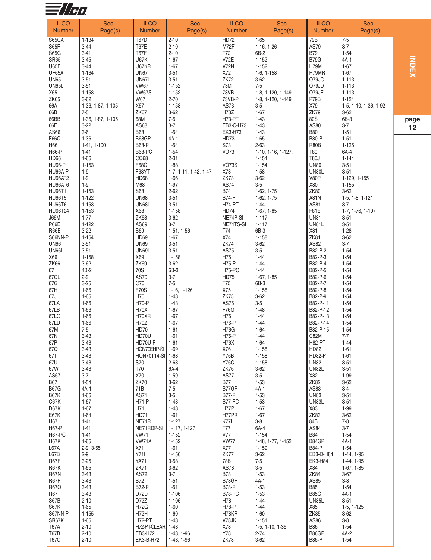

| <b>ILCO</b><br><b>Number</b>   | Sec -<br>Page(s)              | <b>ILCO</b><br><b>Number</b> | Sec -<br>Page(s)         | <b>ILCO</b><br><b>Number</b> | Sec-<br>Page(s)             | <b>ILCO</b><br><b>Number</b> | Sec -<br>Page(s)             |   |
|--------------------------------|-------------------------------|------------------------------|--------------------------|------------------------------|-----------------------------|------------------------------|------------------------------|---|
|                                |                               |                              |                          |                              |                             |                              |                              |   |
| <b>S65CA</b><br>S65F           | $1 - 134$<br>$3-44$           | <b>T67D</b><br><b>T67E</b>   | $2 - 10$<br>$2 - 10$     | <b>HD72</b><br>M72F          | $1 - 65$<br>$1-16, 1-26$    | 79B<br>AS79                  | $7 - 5$<br>$3 - 7$           |   |
| S65G                           | $3 - 41$                      | <b>T67F</b>                  | $2 - 10$                 | T72                          | 6B-2                        | <b>B79</b>                   | $1 - 54$                     |   |
| <b>SR65</b>                    | $3 - 45$                      | <b>U67K</b>                  | $1 - 67$                 | <b>V72E</b>                  | $1 - 152$                   | <b>B79G</b>                  | $4A-1$                       |   |
| U65F                           | $3 - 44$                      | U67KR                        | $1 - 67$                 | <b>V72N</b>                  | $1 - 152$                   | H79M                         | $1 - 67$                     |   |
| UF65A                          | $1 - 134$                     | <b>UN67</b>                  | $3 - 51$                 | X72                          | $1-6, 1-158$                | H79MR                        | $1 - 67$                     |   |
| <b>UN65</b>                    | $3 - 51$                      | UN67L                        | $3 - 51$                 | ZK72                         | $3 - 62$<br>$7 - 5$         | O79JC                        | $1 - 113$                    |   |
| UN65L<br>X65                   | $3 - 51$<br>$1 - 158$         | <b>VW67</b><br><b>VW67S</b>  | $1 - 152$<br>$1 - 152$   | 73M<br>73VB                  | 1-8, 1-120, 1-149           | O79JD<br>O79JE               | $1 - 113$<br>$1 - 113$       |   |
| ZK65                           | $3 - 62$                      | W67                          | $2 - 70$                 | 73VB-P                       | 1-8, 1-120, 1-149           | P79B                         | $1 - 121$                    |   |
| 66A                            | 1-36, 1-87, 1-105             | X67                          | $1 - 158$                | AS73                         | $3-5$                       | X79                          | 1-5, 1-10, 1-36, 1-92        |   |
| 66B                            | $7 - 5$                       | ZK67                         | $3 - 62$                 | H73Z                         | $1 - 67$                    | ZK79                         | $3 - 62$                     |   |
| 66BB<br>66E                    | 1-36, 1-87, 1-105<br>$3 - 22$ | 68M<br>AS68                  | $7-5$<br>$3 - 7$         | H73-PT<br>EB3-C-H73          | $1 - 43$<br>$1 - 43$        | 80S<br>AS80                  | 6B-3<br>$3 - 7$              | p |
| AS66                           | $3-6$                         | <b>B68</b>                   | $1 - 54$                 | EK3-H73                      | $1 - 43$                    | <b>B80</b>                   | $1 - 51$                     |   |
| F66C                           | $1 - 36$                      | B68GP                        | $4A-1$                   | HD73                         | $1 - 65$                    | <b>B80-P</b>                 | $1 - 51$                     |   |
| H66                            | 1-41, 1-100                   | <b>B68-P</b>                 | $1 - 54$                 | S73                          | $2 - 63$                    | <b>R80B</b>                  | $1 - 125$                    |   |
| H66-P                          | $1 - 41$                      | <b>B68-PC</b>                | $1 - 54$                 | <b>VO73</b>                  | 1-10, 1-16, 1-127,          | T80                          | 6A-4                         |   |
| HD66<br><b>HU66-P</b>          | $1 - 66$<br>$1 - 153$         | CO68<br>F68C                 | $2 - 31$<br>$1 - 88$     | <b>VO73S</b>                 | $1 - 154$<br>$1 - 154$      | <b>T80J</b><br><b>UN80</b>   | $1 - 144$<br>$3 - 51$        |   |
| HU66A-P                        | $1 - 9$                       | F68YT                        | 1-7, 1-11, 1-42, 1-47    | X73                          | $1 - 58$                    | UN80L                        | $3 - 51$                     |   |
| <b>HU66AT2</b>                 | $1 - 9$                       | HD68                         | $1 - 66$                 | ZK73                         | $3 - 62$                    | V80P                         | 1-129, 1-155                 |   |
| HU66AT6                        | $1 - 9$                       | M68                          | $1 - 97$                 | AS74                         | $3-5$                       | X80                          | $1 - 155$                    |   |
| <b>HU66T1</b>                  | $1 - 153$                     | S68                          | $2 - 62$                 | <b>B74</b><br><b>B74-P</b>   | $1-62, 1-75$                | <b>ZK80</b>                  | $3 - 62$                     |   |
| <b>HU66T5</b><br><b>HU66T6</b> | $1 - 122$<br>$1 - 153$        | <b>UN68</b><br><b>UN68L</b>  | $3 - 51$<br>$3 - 51$     | <b>H74-PT</b>                | 1-62, 1-75<br>$1 - 44$      | A81N<br>AS81                 | $1-5, 1-8, 1-121$<br>$3 - 7$ |   |
| HU66T24                        | $1 - 153$                     | X68                          | $1 - 158$                | <b>HD74</b>                  | $1-67, 1-85$                | F81E                         | 1-7, 1-76, 1-107             |   |
| <b>J66M</b>                    | $1 - 77$                      | ZK68                         | $3 - 62$                 | NE74P-SI                     | $1 - 117$                   | <b>UN81</b>                  | $3 - 51$                     |   |
| P66E                           | $1 - 122$                     | AS69                         | $3 - 7$                  | NE74TS-SI                    | $1 - 117$                   | UN81L                        | $3 - 51$                     |   |
| R66E                           | $3 - 22$                      | <b>B69</b><br>HD69           | $1-51, 1-56$<br>$1 - 67$ | T74<br>X74                   | 6B-3<br>$1 - 158$           | X81<br>ZK81                  | $1 - 28$                     |   |
| S66NN-P<br><b>UN66</b>         | $1 - 154$<br>$3 - 51$         | <b>UN69</b>                  | $3 - 51$                 | ZK74                         | $3 - 62$                    | AS82                         | $3 - 62$<br>$3 - 7$          |   |
| UN66L                          | $3 - 51$                      | <b>UN69L</b>                 | $3 - 51$                 | AS75                         | $3-5$                       | B82-P-2                      | $1 - 54$                     |   |
| X66                            | $1 - 158$                     | X69                          | $1 - 158$                | H75                          | $1 - 44$                    | B82-P-3                      | $1 - 54$                     |   |
| ZK66                           | $3 - 62$                      | <b>ZK69</b>                  | $3 - 62$                 | <b>H75-P</b>                 | $1 - 44$                    | B82-P-4                      | $1 - 54$                     |   |
| 67<br>67CL                     | 4B-2<br>$2 - 9$               | 70S<br>AS70                  | 6B-3<br>$3 - 7$          | <b>H75-PC</b><br><b>HD75</b> | $1 - 44$<br>$1-67, 1-85$    | B82-P-5<br>B82-P-6           | $1 - 54$<br>$1 - 54$         |   |
| 67G                            | $3 - 25$                      | C70                          | $7 - 5$                  | T75                          | 6B-3                        | B82-P-7                      | $1 - 54$                     |   |
| 67H                            | $1 - 66$                      | <b>F70S</b>                  | 1-16, 1-126              | X75                          | $1 - 158$                   | B82-P-8                      | $1 - 54$                     |   |
| 67J                            | $1 - 65$                      | H70                          | $1 - 43$                 | ZK75                         | $3 - 62$                    | B82-P-9                      | $1 - 54$                     |   |
| 67LA                           | $1 - 66$                      | <b>H70-P</b>                 | $1 - 43$                 | AS76                         | $3-5$                       | B82-P-11                     | $1 - 54$                     |   |
| 67LB<br>67LC                   | $1 - 66$<br>$1 - 66$          | <b>H70X</b><br>H70XR         | $1 - 67$<br>$1 - 67$     | <b>F76M</b><br>H76           | $1 - 48$<br>$1 - 44$        | B82-P-12<br>B82-P-13         | $1 - 54$<br>$1 - 54$         |   |
| 67LD                           | $1 - 66$                      | H70Z                         | $1 - 67$                 | H76-P                        | $1 - 44$                    | B82-P-14                     | $1 - 54$                     |   |
| 67M                            | $7 - 5$                       | HD70                         | $1 - 61$                 | <b>H76G</b>                  | $1 - 64$                    | B82-P-15                     | $1 - 54$                     |   |
| 67N                            | $3-43$                        | HD70U                        | $1 - 61$                 | <b>H76-P</b>                 | $1 - 44$                    | C82M                         | $7 - 7$                      |   |
| 67P<br>67Q                     | 3-43<br>$3 - 43$              | HD70U-P<br>HON70EHP-SI       | 1-61<br>$1 - 69$         | H76X<br>X76                  | 1-64<br>$1 - 158$           | H82-PT<br>HD82               | 1-44<br>$1 - 61$             |   |
| 67T                            | $3 - 43$                      | HON70T14-SI                  | $ 1 - 68$                | <b>Y76B</b>                  | $1 - 158$                   | <b>HD82-P</b>                | $1 - 61$                     |   |
| 67U                            | $3 - 43$                      | S70                          | $2 - 63$                 | <b>Y76C</b>                  | $1 - 158$                   | <b>UN82</b>                  | $3 - 51$                     |   |
| 67W                            | $3 - 43$                      | <b>T70</b>                   | 6A-4                     | ZK76                         | $3 - 62$                    | <b>UN82L</b>                 | $3 - 51$                     |   |
| AS67                           | $3 - 7$                       | X70                          | $1 - 59$                 | <b>AS77</b>                  | $3-5$                       | X82                          | $1 - 99$                     |   |
| <b>B67</b><br><b>B67G</b>      | $1 - 54$<br>$4A-1$            | ZK70<br>71B                  | $3 - 62$<br>$7-5$        | <b>B77</b><br>B77GP          | $1 - 53$<br>$4A-1$          | ZK82<br>AS83                 | $3 - 62$<br>$3-4$            |   |
| <b>B67K</b>                    | $1 - 66$                      | AS71                         | $3-5$                    | <b>B77-P</b>                 | $1 - 53$                    | <b>UN83</b>                  | $3 - 51$                     |   |
| C67K                           | $1 - 67$                      | <b>H71-P</b>                 | $1 - 43$                 | B77-PC                       | $1 - 53$                    | <b>UN83L</b>                 | $3 - 51$                     |   |
| D67K                           | $1 - 67$                      | H71                          | $1 - 43$                 | H77P                         | $1 - 67$                    | X83                          | 1-99                         |   |
| E67K<br>H67                    | $1 - 64$<br>$1 - 41$          | <b>HD71</b><br>NE71R         | $1 - 61$<br>$1 - 127$    | H77PR<br>K77L                | $1 - 67$<br>$3-8$           | ZK83<br>84B                  | $3 - 62$<br>$7 - 8$          |   |
| H67-P                          | $1 - 41$                      | NE71RDP-SI                   | 1-117, 1-127             | T77                          | 6A-4                        | AS84                         | $3 - 7$                      |   |
| <b>H67-PC</b>                  | $1 - 41$                      | <b>VW71</b>                  | $1 - 152$                | <b>V77</b>                   | $1 - 154$                   | <b>B84</b>                   | $1 - 54$                     |   |
| H67K                           | $1 - 65$                      | VW71A                        | $1 - 152$                | <b>VW77</b>                  | 1-48, 1-77, 1-152           | B84GP                        | 4A-1                         |   |
| L67A                           | $2-9, 3-55$                   | X71<br>Y71H                  | $1 - 61$                 | X77<br>ZK77                  | 1-159                       | <b>B84-P</b>                 | $1 - 54$                     |   |
| L67B<br>R67F                   | $2 - 9$<br>$3 - 25$           | <b>YA71</b>                  | $1 - 156$<br>$3 - 58$    | 78B                          | $3 - 62$<br>$7-5$           | EB3-D-H84<br>EK3-H84         | 1-44, 1-95<br>1-44, 1-95     |   |
| <b>R67K</b>                    | $1 - 65$                      | <b>ZK71</b>                  | $3 - 62$                 | AS78                         | $3-5$                       | X84                          | $1-67, 1-85$                 |   |
| <b>R67N</b>                    | $3 - 43$                      | AS72                         | $3 - 7$                  | <b>B78</b>                   | $1 - 53$                    | ZK84                         | $3 - 67$                     |   |
| R67P                           | $3 - 43$                      | <b>B72</b>                   | $1 - 51$                 | B78GP                        | $4A-1$                      | AS85                         | $3-8$                        |   |
| <b>R67Q</b><br><b>R67T</b>     | $3 - 43$<br>$3 - 43$          | <b>B72-P</b><br>D72D         | $1 - 51$<br>$1 - 106$    | <b>B78-P</b><br>B78-PC       | $1 - 53$<br>$1 - 53$        | <b>B85</b><br><b>B85G</b>    | $1 - 54$<br>4A-1             |   |
| S67B                           | $2 - 10$                      | D72Z                         | $1 - 106$                | H78                          | $1 - 44$                    | <b>UN85L</b>                 | $3 - 51$                     |   |
| S67K                           | $1 - 65$                      | <b>H72G</b>                  | $1 - 60$                 | H78-P                        | $1 - 44$                    | X85                          | $1-5, 1-125$                 |   |
| S67NN-P                        | $1 - 155$                     | H72H                         | $1 - 60$                 | H78KR                        | $1 - 60$                    | ZK85                         | $3 - 62$                     |   |
| SR67K                          | $1 - 65$                      | <b>H72-PT</b>                | $1 - 43$                 | V78JK                        | $1 - 151$                   | AS86                         | $3 - 8$                      |   |
| T67A<br>T67B                   | $2 - 10$<br>$2 - 10$          | H72-PT-CLEAR 1-43<br>EB3-H72 | 1-43, 1-96               | X78<br>Y78                   | 1-5, 1-10, 1-36<br>$2 - 74$ | <b>B86</b><br>B86GP          | $1 - 54$<br>4A-2             |   |
| <b>T67C</b>                    | $2 - 10$                      | EK3-B-H72                    | 1-43, 1-96               | ZK78                         | $3 - 62$                    | <b>B86-P</b>                 | $1-54$                       |   |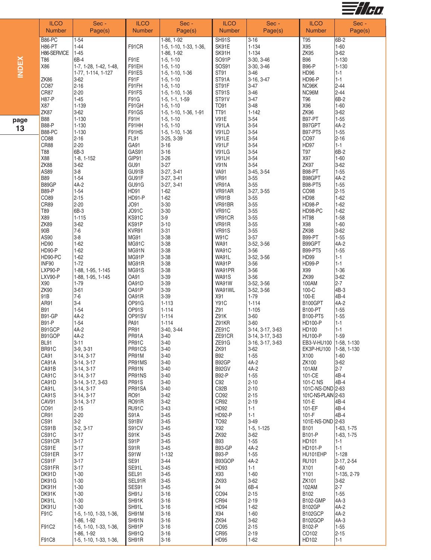

|              | <b>ILCO</b><br><b>Number</b> | Sec -<br>Page(s)                             | <b>ILCO</b><br><b>Number</b> | Sec -<br>Page(s)                     | <b>ILCO</b><br><b>Number</b> | Sec -<br>Page(s)       | <b>ILCO</b><br><b>Number</b>  | Sec -<br>Page(s)        |
|--------------|------------------------------|----------------------------------------------|------------------------------|--------------------------------------|------------------------------|------------------------|-------------------------------|-------------------------|
|              | <b>B86-PC</b>                | $1-54$                                       |                              | 1-86, 1-92                           | SH91S                        | $3 - 16$               | T95                           | 6B-2                    |
|              | H86-PT                       | $1 - 44$                                     | F91CR                        | 1-5, 1-10, 1-33, 1-36,               | SK91E                        | $1 - 134$              | X95                           | $1 - 60$                |
|              | H86-SERVICE                  | $1 - 45$                                     |                              | 1-86, 1-92                           | SK91H                        | $1 - 134$              | <b>ZK95</b>                   | 3-62                    |
| <b>INDEX</b> | T <sub>86</sub>              | 6B-4                                         | F91E                         | $1-5, 1-10$                          | SO91P                        | 3-30, 3-46             | <b>B96</b>                    | $1 - 130$               |
|              | X86                          | 1-7, 1-28, 1-42, 1-48,<br>1-77, 1-114, 1-127 | F91EH<br>F91ES               | $1-5, 1-10$<br>1-5, 1-10, 1-36       | SOS91<br>ST91                | 3-30, 3-46<br>$3 - 46$ | <b>B96-P</b><br><b>HD96</b>   | $1 - 130$<br>$1 - 1$    |
|              | ZK86                         | $3-62$                                       | F91F                         | $1-5, 1-10$                          | ST91A                        | 3-16, 3-47             | <b>HD96-P</b>                 | $1 - 1$                 |
|              | CO87                         | $2 - 16$                                     | F91FH                        | $1-5, 1-10$                          | ST91F                        | $3 - 47$               | NC96K                         | $2 - 44$                |
|              | CR87                         | $2 - 20$                                     | F91FS                        | 1-5, 1-10, 1-36                      | ST91S                        | $3 - 46$               | NC96M                         | $2 - 44$                |
|              | <b>H87-P</b>                 | $1 - 45$                                     | F91G                         | $1-5, 1-1, 1-59$                     | ST91V                        | $3 - 47$               | T96                           | 6B-2                    |
|              | X87<br>ZK87                  | $1 - 139$<br>$3 - 62$                        | F91GH                        | $1-5, 1-10$                          | T091<br><b>TT91</b>          | $3 - 48$<br>$1 - 142$  | X96<br><b>ZK96</b>            | $1 - 60$<br>$3-62$      |
|              | <b>B88</b>                   | $1 - 130$                                    | F91GS<br>F91H                | 1-5, 1-10, 1-36, 1-91<br>$1-5, 1-10$ | <b>V91E</b>                  | $3 - 54$               | <b>B97-PT</b>                 | $1 - 55$                |
| page         | <b>B88-P</b>                 | $1 - 130$                                    | F91HH                        | $1-5, 1-10$                          | V91LA                        | $3 - 54$               | B97GPT                        | 4A-2                    |
| 13           | <b>B88-PC</b>                | $1 - 130$                                    | F91HS                        | 1-5, 1-10, 1-36                      | V91LD                        | $3 - 54$               | <b>B97-PT5</b>                | $1 - 55$                |
|              | CO88                         | $2 - 16$                                     | FL91                         | 3-25, 3-39                           | V91LE                        | $3 - 54$               | CO97                          | $2 - 16$                |
|              | CR88                         | $2-20$                                       | GA91                         | $3 - 16$                             | V91LF                        | $3 - 54$               | HD97                          | $1 - 1$                 |
|              | <b>T88</b>                   | 6B-3                                         | GAS91                        | $3 - 16$                             | V91LG<br>V91LH               | $3 - 54$               | T97<br>X97                    | 6B-2<br>$1 - 60$        |
|              | X88<br>ZK88                  | $1-8, 1-152$<br>$3 - 62$                     | GIP91<br>GU91                | $3 - 26$<br>$3 - 27$                 | <b>V91N</b>                  | $3 - 54$<br>$3 - 54$   | ZK97                          | $3-62$                  |
|              | AS89                         | $3-8$                                        | GU91B                        | 3-27, 3-41                           | <b>VA91</b>                  | 3-45, 3-54             | <b>B98-PT</b>                 | $1 - 55$                |
|              | <b>B89</b>                   | $1 - 54$                                     | GU91F                        | 3-27, 3-41                           | <b>VR91</b>                  | $3 - 55$               | B98GPT                        | $4A-2$                  |
|              | B89GP                        | $4A-2$                                       | GU91G                        | 3-27, 3-41                           | VR91A                        | $3 - 55$               | <b>B98-PT5</b>                | $1 - 55$                |
|              | <b>B89-P</b>                 | $1 - 54$                                     | HD91                         | $1 - 62$                             | VR91AR                       | 3-27, 3-55             | CO98                          | $2 - 15$                |
|              | CO89                         | $2 - 15$                                     | <b>HD91-P</b>                | $1 - 62$                             | VR91B                        | $3 - 55$               | <b>HD98</b>                   | $1 - 62$                |
|              | CR89<br>T89                  | $2-20$<br>6B-3                               | JO91<br>JO91C                | $3 - 30$<br>$3 - 30$                 | VR91BR<br><b>VR91C</b>       | $3 - 55$<br>$3 - 55$   | HD98-P<br>HD98-PC             | $1 - 62$<br>$1 - 62$    |
|              | X89                          | $1 - 115$                                    | KS91C                        | $3-9$                                | VR91CR                       | $3 - 55$               | <b>HT98</b>                   | $1 - 58$                |
|              | ZK89                         | $3 - 62$                                     | KS91P                        | $3 - 10$                             | VR91R                        | $3 - 55$               | X98                           | $1 - 60$                |
|              | $90B$                        | $7-6$                                        | KVR91                        | $3 - 31$                             | <b>VR91S</b>                 | $3 - 55$               | ZK98                          | 3-62                    |
|              | AS90                         | $3-8$                                        | <b>MG91</b>                  | $3 - 38$                             | <b>W91C</b>                  | $3 - 57$               | B99-PT                        | $1 - 55$                |
|              | HD90                         | $1 - 62$                                     | MG91C                        | $3 - 38$                             | <b>WA91</b>                  | 3-52, 3-56             | B99GPT                        | $4A-2$                  |
|              | HD90-P                       | $1 - 62$                                     | MG91N                        | $3 - 38$                             | <b>WA91C</b>                 | $3 - 56$               | <b>B99-PT5</b>                | $1 - 55$                |
|              | HD90-PC<br>INF90             | $1 - 62$<br>$1 - 72$                         | MG91P<br>MG91R               | $3 - 38$<br>$3 - 38$                 | WA91L<br>WA91P               | 3-52, 3-56<br>$3 - 56$ | <b>HD99</b><br><b>HD99-P</b>  | $1 - 1$<br>$1 - 1$      |
|              | LXP90-P                      | 1-88, 1-95, 1-145                            | MG91S                        | $3 - 38$                             | WA91PR                       | $3 - 56$               | X99                           | $1 - 36$                |
|              | LXV90-P                      | 1-88, 1-95, 1-145                            | OA91                         | $3 - 39$                             | <b>WA91S</b>                 | $3 - 56$               | ZK99                          | 3-62                    |
|              | X90                          | 1-79                                         | OA91D                        | $3 - 39$                             | <b>WA91W</b>                 | 3-52, 3-56             | 100AM                         | $2 - 7$                 |
|              | <b>ZK90</b>                  | $3 - 61$                                     | OA91P                        | $3 - 39$                             | WA91WL                       | 3-52, 3-56             | 100-C                         | 4B-3                    |
|              | 91B                          | $7-6$                                        | OA91R                        | $3 - 39$                             | X91                          | $1 - 79$               | 100-E                         | 4B-4                    |
|              | AR91                         | $3-4$<br>$1 - 54$                            | OP91G                        | $1 - 113$<br>$1 - 114$               | <b>Y91C</b><br>Z91           | $1 - 114$<br>$1 - 105$ | B100GPT                       | 4A-2<br>$1 - 55$        |
|              | <b>B91</b><br><b>B91-GP</b>  | $4A-2$                                       | OP91S<br>OP91SV              | $1 - 114$                            | Z91K                         | $3 - 60$               | <b>B100-PT</b><br>B100-PT5    | $1 - 55$                |
|              | <b>B91-P</b>                 | $1 - 54$                                     | PA91                         | $1 - 114$                            | Z91KR                        | $3 - 60$               | <b>HD100-P</b>                | $1 - 1$                 |
|              | B91GCP                       | 4A-2                                         | PR91                         | 3-40, 3-44                           | ZE91C                        | 3-14, 3-17, 3-63       | HD100                         | $1 - 1$                 |
|              | B91GOP                       | $4A-2$                                       | <b>PR91A</b>                 | $3 - 40$                             | ZE91CR                       | 3-14, 3-17, 3-63       | <b>HU100-P</b>                | $1 - 59$                |
|              | <b>BL91</b>                  | $3 - 11$                                     | PR91C                        | $3 - 40$                             | ZE91G                        | 3-16, 3-17, 3-63       | EB3-V-HU100 1-58, 1-130       |                         |
|              | BR91C<br>CA91                | $3-9, 3-31$<br>$3-14, 3-17$                  | PR91CS<br>PR91M              | $3 - 40$<br>$3 - 40$                 | ZK91<br><b>B92</b>           | $3 - 62$<br>$1 - 55$   | <b>EK3P-HU100</b><br>X100     | 1-58, 1-130<br>$1 - 60$ |
|              | CA91A                        | $3-14, 3-17$                                 | PR91MS                       | $3 - 40$                             | B92GP                        | $4A-2$                 | ZK100                         | 3-62                    |
|              | CA91B                        | $3-14, 3-17$                                 | PR91N                        | $3 - 40$                             | B92GV                        | $4A-2$                 | 101AM                         | $2 - 7$                 |
|              | CA91C                        | $3-14, 3-17$                                 | PR91NS                       | $3 - 40$                             | <b>B92-P</b>                 | $1 - 55$               | 101-CE                        | 4B-4                    |
|              | CA91D                        | 3-14, 3-17, 3-63                             | <b>PR91S</b>                 | $3 - 40$                             | C92                          | $2 - 10$               | 101-C NS                      | 4B-4                    |
|              | CA91L                        | $3-14, 3-17$                                 | PR91SA                       | $3 - 40$                             | C92B                         | $2 - 10$               | 101C-NS-DND 2-63              |                         |
|              | CA91S<br>CAV91               | $3-14, 3-17$<br>$3-14, 3-17$                 | RO91<br><b>RO91R</b>         | $3-42$<br>$3-42$                     | CO92<br>CR92                 | $2 - 15$<br>$2 - 19$   | 101C-NS-PLAIN 2-63<br>$101-E$ | 4B-4                    |
|              | CO91                         | 2-15                                         | RU91C                        | $3 - 43$                             | HD92                         | $1 - 1$                | 101-EF                        | 4B-4                    |
|              | CR91                         | 2-20                                         | S91A                         | $3 - 45$                             | <b>HD92-P</b>                | $1 - 1$                | $101-F$                       | 4B-4                    |
|              | CS91                         | $3-2$                                        | S91BV                        | $3 - 45$                             | TO92                         | $3-49$                 | 101E-NS-DND 2-63              |                         |
|              | CS91B                        | $3-2, 3-17$                                  | S91CV                        | $3 - 45$                             | X92                          | $1-5, 1-125$           | B <sub>101</sub>              | 1-63, 1-75              |
|              | CS91C<br>CS91CR              | $3 - 17$<br>$3 - 17$                         | <b>S91K</b><br>S91P          | $3 - 45$<br>$3 - 45$                 | ZK92<br><b>B93</b>           | $3 - 62$<br>$1 - 55$   | B101-P<br>HD101               | 1-63, 1-75<br>$1 - 1$   |
|              | CS91E                        | $3 - 17$                                     | S91R                         | $3 - 45$                             | <b>B93-GP</b>                | $4A-2$                 | HD101-P                       | $1 - 1$                 |
|              | CS91ER                       | $3 - 17$                                     | S91W                         | $1 - 132$                            | <b>B93-P</b>                 | $1 - 55$               | HU101EHP                      | $1 - 128$               |
|              | CS91F                        | $3 - 17$                                     | <b>SE91</b>                  | $3 - 44$                             | B93GOP                       | $4A-2$                 | <b>RU101</b>                  | 2-17, 2-54              |
|              | CS91FR                       | $3 - 17$                                     | SE91L                        | $3 - 45$                             | HD93                         | $1 - 1$                | X101                          | $1 - 60$                |
|              | DK91D                        | $1 - 30$                                     | SEL91                        | $3 - 45$                             | X93                          | $1 - 60$               | Y101                          | 1-135, 2-79             |
|              | DK91G<br>DK91H               | $1 - 30$<br>$1 - 30$                         | SEL91R<br>SES91              | $3 - 45$<br>$3 - 45$                 | ZK93<br>94                   | $3-62$<br>6B-4         | ZK101<br>102AM                | $3-62$<br>$2 - 7$       |
|              | DK91K                        | $1 - 30$                                     | SH91J                        | $3 - 16$                             | CO94                         | $2 - 15$               | B102                          | $1 - 55$                |
|              | DK91L                        | $1 - 30$                                     | SH91K                        | $3 - 16$                             | CR94                         | $2 - 19$               | <b>B102-GMP</b>               | $4A-3$                  |
|              | DK91U                        | $1 - 30$                                     | SH91L                        | $3 - 16$                             | HD94                         | $1-62$                 | <b>B102GP</b>                 | 4A-2                    |
|              | F91C                         | 1-5, 1-10, 1-33, 1-36,                       | SH91M                        | $3 - 16$                             | X94                          | $1 - 60$               | B102GCP                       | 4A-2                    |
|              |                              | 1-86, 1-92                                   | SH91N                        | $3 - 16$                             | ZK94                         | $3 - 62$               | <b>B102GOP</b>                | 4A-3                    |
|              | F91C2                        | 1-5, 1-10, 1-33, 1-36,                       | SH91P                        | $3 - 16$                             | CO95                         | $2 - 15$               | B102-P                        | $1 - 55$                |
|              | F91C8                        | 1-86, 1-92<br>1-5, 1-10, 1-33, 1-36,         | SH91Q<br>SH91R               | $3 - 16$<br>$3 - 16$                 | CR95<br>HD95                 | $2 - 19$<br>$1 - 62$   | CO102<br>HD102                | $2 - 15$<br>$1 - 1$     |
|              |                              |                                              |                              |                                      |                              |                        |                               |                         |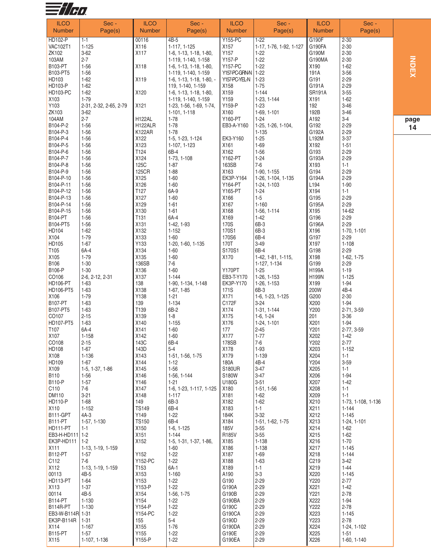

| <b>ILCO</b><br><b>Number</b>  | Sec -<br>Page(s)            | <b>ILCO</b><br><b>Number</b> | Sec-<br>Page(s)                               | <b>ILCO</b><br><b>Number</b> | Sec-<br>Page(s)             | <b>ILCO</b><br><b>Number</b> | Sec -<br>Page(s)         |              |
|-------------------------------|-----------------------------|------------------------------|-----------------------------------------------|------------------------------|-----------------------------|------------------------------|--------------------------|--------------|
| HD102-P                       | $1 - 1$                     | 00116                        | $4B-5$                                        | <b>Y155-PC</b>               | $1-22$                      | G190F                        | $2 - 30$                 |              |
| <b>VAC102T1</b>               | $1 - 125$                   | X116                         | 1-117, 1-125                                  | X157                         | 1-17, 1-76, 1-92, 1-127     | G190FA                       | $2 - 30$                 |              |
| ZK102                         | $3 - 62$                    | X117                         | 1-6, 1-13, 1-18, 1-80,                        | Y157                         | $1-22$                      | G190M                        | $2 - 30$                 |              |
| 103AM                         | $2 - 7$                     |                              | 1-119, 1-140, 1-158                           | Y157-P                       | $1 - 22$                    | G190MA                       | $2 - 30$                 |              |
| B103-PT<br>B103-PT5           | $1 - 56$<br>$1 - 56$        | X118                         | 1-6, 1-13, 1-18, 1-80,<br>1-119, 1-140, 1-159 | Y157-PC<br>Y157-PC-GRN-N     | $1 - 22$<br>$1 - 22$        | X190<br>191A                 | $1 - 62$<br>$3 - 56$     | <b>INDEX</b> |
| HD103                         | $1 - 62$                    | X119                         | $1-6$ , $1-13$ , $1-18$ , $1-80$ , $-$        | Y157-PC-YEL-N                | $1 - 23$                    | G191                         | $2 - 29$                 |              |
| <b>HD103-P</b>                | $1 - 62$                    |                              | 119, 1-140, 1-159                             | X158                         | $1 - 75$                    | G191A                        | $2 - 29$                 |              |
| <b>HD103-PC</b>               | $1 - 62$                    | X120                         | 1-6, 1-13, 1-18, 1-80,                        | X159                         | $1 - 144$                   | <b>SR191A</b>                | $3 - 55$                 |              |
| X103                          | $1 - 79$                    |                              | 1-119, 1-140, 1-159                           | Y159                         | 1-23, 1-144                 | X191                         | $1 - 62$                 |              |
| Y103                          | 2-31, 2-32, 2-65, 2-79      | X121                         | 1-23, 1-56, 1-69, 1-74,                       | Y159-P                       | $1 - 23$                    | 192                          | $3 - 46$                 |              |
| ZK103                         | $3 - 62$                    |                              | 1-101, 1-118                                  | X160                         | 1-69, 1-101                 | 192B                         | $3 - 46$                 |              |
| 104AM                         | $2 - 7$                     | <b>H122AL</b>                | 1-78                                          | Y160-PT                      | $1-24$                      | A192                         | $3-4$                    | page         |
| B104-P-2<br>B104-P-3          | $1 - 56$<br>$1 - 56$        | H122ALR<br>K122AR            | $1 - 78$<br>$1-78$                            | EB3-A-Y160                   | 1-25, 1-26, 1-104,<br>1-135 | G192<br>G192A                | $2 - 29$<br>$2 - 29$     | 14           |
| B104-P-4                      | $1 - 56$                    | X122                         | 1-5, 1-23, 1-124                              | EK3-Y160                     | $1 - 25$                    | L192M                        | $3 - 37$                 |              |
| B104-P-5                      | $1 - 56$                    | X123                         | 1-107, 1-123                                  | X161                         | 1-69                        | X192                         | $1 - 51$                 |              |
| B104-P-6                      | $1 - 56$                    | T124                         | 6B-4                                          | X162                         | $1 - 56$                    | G193                         | $2 - 29$                 |              |
| B104-P-7                      | $1 - 56$                    | X124                         | 1-73, 1-108                                   | Y162-PT                      | $1 - 24$                    | G193A                        | $2 - 29$                 |              |
| B104-P-8                      | $1 - 56$                    | <b>125C</b>                  | $1 - 87$                                      | 163SB                        | $7-6$                       | X193                         | $1 - 1$                  |              |
| B104-P-9                      | $1 - 56$                    | 125CR                        | $1 - 88$                                      | X163                         | 1-90, 1-155                 | G194                         | $2 - 29$                 |              |
| B104-P-10                     | $1 - 56$                    | X125                         | $1 - 60$                                      | EK3P-Y164                    | 1-26, 1-104, 1-135          | G194A<br>L194                | $2 - 29$                 |              |
| B104-P-11<br>B104-P-12        | $1 - 56$<br>$1 - 56$        | X126<br>T127                 | $1 - 60$<br>6A-9                              | Y164-PT<br>Y165-PT           | 1-24, 1-103<br>$1 - 24$     | X194                         | $1 - 90$<br>$1 - 1$      |              |
| B104-P-13                     | $1 - 56$                    | X127                         | $1 - 60$                                      | X166                         | $1 - 5$                     | G195                         | $2 - 29$                 |              |
| B104-P-14                     | $1 - 56$                    | X129                         | $1 - 61$                                      | X167                         | $1 - 160$                   | G195A                        | $2 - 29$                 |              |
| B104-P-15                     | $1 - 56$                    | X130                         | $1 - 61$                                      | X168                         | 1-56, 1-114                 | X195                         | 14-62                    |              |
| <b>B104-PT</b>                | $1 - 56$                    | T131                         | 6A-4                                          | X169                         | $1 - 42$                    | G196                         | $2 - 29$                 |              |
| B104-PT5                      | $1 - 56$                    | X131                         | 1-42, 1-93                                    | 170S                         | 6B-3                        | G196A                        | $2 - 29$                 |              |
| HD104                         | $1 - 62$                    | X132                         | $1 - 152$                                     | 170S1                        | 6B-3                        | X196                         | 1-70, 1-101              |              |
| X104                          | $1 - 79$                    | X133                         | $1 - 60$                                      | 170S6                        | 6B-4                        | G197                         | $2 - 29$                 |              |
| HD105                         | $1 - 67$                    | Y133                         | 1-20, 1-60, 1-135                             | 170T                         | $3-49$<br>6B-4              | X197                         | $1 - 108$                |              |
| T105<br>X105                  | 6A-4<br>$1 - 79$            | X134<br>X135                 | $1 - 60$<br>$1 - 60$                          | S170S1<br>X170               | 1-42, 1-81, 1-115,          | G198<br>X198                 | $2 - 29$<br>1-62, 1-75   |              |
| B106                          | $1 - 30$                    | 136SB                        | $7 - 6$                                       |                              | 1-127, 1-134                | G199                         | $2 - 29$                 |              |
| B106-P                        | $1 - 30$                    | X136                         | $1 - 60$                                      | <b>Y170PT</b>                | $1 - 25$                    | <b>H199A</b>                 | $1 - 19$                 |              |
| CO106                         | 2-6, 2-12, 2-31             | X137                         | $1 - 144$                                     | EB3-T-Y170                   | 1-26, 1-153                 | <b>H199N</b>                 | $1 - 125$                |              |
| <b>HD106-PT</b>               | $1-63$                      | 138                          | 1-90, 1-134, 1-148                            | EK3P-Y170                    | 1-26, 1-153                 | X199                         | 1-94                     |              |
| HD106-PT5                     | $1 - 63$                    | X138                         | $1-67, 1-85$                                  | 171S                         | 6B-3                        | 200W                         | 4B-4                     |              |
| X106                          | $1 - 79$                    | Y138                         | $1-21$                                        | X171                         | 1-6, 1-23, 1-125            | G200                         | $2 - 30$                 |              |
| <b>B107-PT</b>                | $1 - 63$                    | 139                          | 1-134                                         | C172F                        | $3 - 24$                    | X200                         | 1-94                     |              |
| B107-PT5<br>CO <sub>107</sub> | $1 - 63$<br>$2 - 15$        | T139<br>X139                 | 6B-2<br>$1 - 8$                               | X174<br>X175                 | 1-31, 1-144<br>$1-6, 1-24$  | Y200<br>201                  | 2-71, 3-59<br>$3 - 36$   |              |
| HD107-PT5                     | $1 - 63$                    | X140                         | $1 - 155$                                     | X176                         | 1-24, 1-101                 | X201                         | $1 - 94$                 |              |
| T107                          | 6A-4                        | X141                         | $1 - 60$                                      | 177                          | 2-45                        | Y201                         | $2-77, 3-59$             |              |
| X107                          | $1 - 158$                   | X142                         | $1 - 60$                                      | X177                         | $1 - 77$                    | X202                         | $1 - 42$                 |              |
| CO108                         | $2 - 15$                    | 143C                         | 6B-4                                          | 178SB                        | 7-6                         | Y202                         | $2 - 77$                 |              |
| HD108                         | $1 - 67$                    | 143D                         | $5-4$                                         | X178                         | $1 - 93$                    | X203                         | $1 - 152$                |              |
| X108                          | $1 - 136$                   | X143                         | 1-51, 1-56, 1-75                              | X179                         | 1-139                       | X204                         | $1 - 1$                  |              |
| HD109<br>X109                 | $1 - 67$<br>1-5, 1-37, 1-86 | X144<br>X145                 | $1 - 12$<br>$1 - 56$                          | 180A<br><b>S180UR</b>        | 4B-4<br>$3-47$              | Y204<br>X205                 | $3 - 59$<br>$1 - 1$      |              |
| B110                          | $1 - 56$                    | X146                         | 1-56, 1-144                                   | S180W                        | $3-47$                      | X206                         | $1 - 94$                 |              |
| B110-P                        | $1 - 57$                    | Y146                         | 1-21                                          | U180G                        | $3 - 51$                    | X207                         | $1-42$                   |              |
| C110                          | $7-6$                       | X147                         | 1-6, 1-23, 1-117, 1-125                       | X180                         | $1-51, 1-56$                | X208                         | $1 - 1$                  |              |
| <b>DM110</b>                  | $3 - 21$                    | X148                         | $1 - 117$                                     | X181                         | $1 - 62$                    | X209                         | $1 - 1$                  |              |
| <b>HD110-P</b>                | $1 - 68$                    | 149                          | 6B-3                                          | X182                         | $1 - 62$                    | X210                         | 1-73, 1-108, 1-136       |              |
| X110                          | $1 - 152$                   | <b>TS149</b>                 | 6B-4                                          | X183                         | $1 - 1$                     | X211                         | $1 - 144$                |              |
| B111-GPT<br><b>B111-PT</b>    | $4A-3$                      | Y149<br><b>TS150</b>         | $1 - 22$<br>6B-4                              | 184K<br>X184                 | $3 - 32$                    | X212<br>X213                 | $1 - 145$<br>1-24, 1-101 |              |
| HD111-PT                      | 1-57, 1-130<br>$1 - 1$      | X150                         | 1-6, 1-125                                    | 185V                         | 1-51, 1-62, 1-75<br>3-55    | X214                         | 1-62                     |              |
| EB3-H-HD111   1-2             |                             | X151                         | $1 - 144$                                     | R185V                        | $3 - 55$                    | X215                         | $1-62$                   |              |
| EK3P-HD111                    | $1 - 2$                     | X152                         | 1-5, 1-31, 1-37, 1-86,                        | X185                         | $1 - 138$                   | X216                         | $1 - 70$                 |              |
| X111                          | 1-13, 1-19, 1-159           |                              | $1 - 60$                                      | X186                         | $1 - 138$                   | X217                         | $1 - 145$                |              |
| <b>B112-PT</b>                | $1-57$                      | Y152                         | $1-22$                                        | X187                         | $1 - 69$                    | X218                         | $1 - 144$                |              |
| C112                          | $7-6$                       | Y152-PC                      | $1 - 22$                                      | X188                         | $1 - 63$                    | C219                         | $3-42$                   |              |
| X112                          | 1-13, 1-19, 1-159           | T153                         | 6A-1                                          | X189                         | $1 - 1$                     | X219                         | $1 - 44$                 |              |
| 00113                         | 4B-5                        | X153                         | $1 - 160$                                     | A190                         | $3-3$                       | X220<br>Y220                 | $1 - 145$                |              |
| HD113-PT<br>X113              | $1 - 64$<br>$1 - 37$        | Y153<br>Y153-P               | $1 - 22$<br>$1 - 22$                          | G190<br>G190A                | $2 - 29$<br>$2 - 29$        | X221                         | $2 - 77$<br>$1 - 42$     |              |
| 00114                         | 4B-5                        | X154                         | 1-56, 1-75                                    | G190B                        | $2 - 29$                    | Y221                         | $2 - 78$                 |              |
| <b>B114-PT</b>                | $1 - 130$                   | Y154                         | $1 - 22$                                      | G190BA                       | $2 - 29$                    | X222                         | $1 - 94$                 |              |
| B114R-PT                      | $1 - 130$                   | Y154-P                       | $1 - 22$                                      | G190C                        | $2 - 29$                    | Y222                         | $2 - 78$                 |              |
| EB3-W-B114R 1-31              |                             | Y154-PC                      | $1 - 22$                                      | G190CA                       | $2 - 29$                    | X223                         | $1 - 145$                |              |
| EK3P-B114R                    | 1-31                        | 155                          | $5-4$                                         | G190D                        | $2 - 29$                    | Y223                         | $2 - 78$                 |              |
| X <sub>114</sub>              | 1-167                       | X155                         | $1 - 76$                                      | G190DA                       | $2 - 29$                    | X224                         | 1-24, 1-102              |              |
| <b>B115-PT</b><br>X115        | $1 - 57$<br>1-107, 1-136    | Y155<br>Y155-P               | $1 - 22$<br>$1 - 22$                          | G190E<br>G190EA              | $2 - 29$<br>$2 - 29$        | X225<br>X226                 | $1 - 51$<br>1-60, 1-140  |              |
|                               |                             |                              |                                               |                              |                             |                              |                          |              |

**14**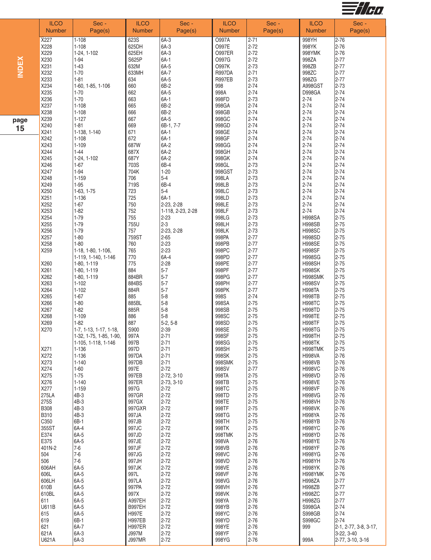

|              | <b>ILCO</b><br><b>Number</b> | Sec -<br>Page(s)           | <b>ILCO</b><br><b>Number</b> | Sec -<br>Page(s)     | <b>ILCO</b><br><b>Number</b> | Sec -<br>Page(s)     | <b>ILCO</b><br><b>Number</b>   | Sec -<br>Page(s)               |
|--------------|------------------------------|----------------------------|------------------------------|----------------------|------------------------------|----------------------|--------------------------------|--------------------------------|
|              | X227                         | $1 - 108$                  | 623S                         | 6A-3                 | O997A                        | $2 - 71$             | 998YH                          | $2 - 76$                       |
|              | X228                         | $1 - 108$                  | 625DH                        | 6A-3                 | 0997E                        | $2 - 72$             | 998YK                          | $2 - 76$                       |
|              | X229                         | 1-24, 1-102                | 625EH                        | 6A-3                 | <b>O997ER</b>                | $2 - 72$             | 998YMK                         | $2 - 76$                       |
|              | X230                         | 1-94                       | S625P                        | $6A-1$               | O997G                        | $2 - 72$             | 998ZA                          | $2 - 77$                       |
|              | X231                         | $1 - 43$                   | 632M                         | 6A-5                 | <b>O997K</b>                 | $2 - 73$             | 998ZB                          | $2 - 77$                       |
| <b>INDEX</b> | X232                         | $1 - 70$                   | 633MH                        | 6A-7                 | <b>R997DA</b>                | $2 - 71$             | 998ZC                          | $2 - 77$                       |
|              | X233                         | $1 - 81$                   | 634                          | 6A-5                 | <b>R997EB</b>                | $2 - 73$             | 998ZG                          | $2 - 77$                       |
|              | X234                         | 1-60, 1-85, 1-106          | 660                          | 6B-2                 | 998                          | $2 - 74$             | A998GST                        | $2 - 73$                       |
|              | X235                         | $1 - 70$                   | 662                          | 6A-5                 | 998A                         | $2 - 74$             | <b>D998GA</b>                  | $2 - 74$                       |
|              | X236                         | $1 - 70$                   | 663                          | 6A-1                 | 998FD                        | $2 - 73$             | $2 - 74$                       | $2 - 74$                       |
|              | X237                         | $1 - 108$                  | 665                          | 6B-2                 | 998GA                        | $2 - 74$             | $2 - 74$                       | $2 - 74$                       |
|              | X238                         | $1 - 108$                  | 666                          | 6B-2                 | 998GB                        | $2 - 74$             | $2 - 74$                       | $2 - 74$                       |
| page         | X239                         | $1 - 127$                  | 667                          | 6A-5                 | 998GC                        | $2 - 74$             | $2 - 74$                       | $2 - 74$                       |
| 15           | X240                         | $1 - 81$                   | 669                          | 6B-1, 7-7            | 998GD                        | $2 - 74$             | $2 - 74$                       | $2 - 74$                       |
|              | X241                         | 1-138, 1-140               | 671                          | $6A-1$               | 998GE                        | $2 - 74$             | $2 - 74$                       | $2 - 74$                       |
|              | X242                         | $1 - 108$                  | 672                          | $6A-1$               | 998GF                        | $2 - 74$             | $2 - 74$                       | $2 - 74$                       |
|              | X243                         | $1 - 109$                  | 687W                         | 6A-2                 | 998GG                        | $2 - 74$             | $2 - 74$                       | $2 - 74$                       |
|              | X244<br>X245                 | $1 - 44$<br>1-24, 1-102    | 687X<br>687Y                 | 6A-2<br>6A-2         | 998GH<br>998GK               | $2 - 74$<br>$2 - 74$ | $2 - 74$<br>$2 - 74$           | $2 - 74$<br>$2 - 74$           |
|              | X246                         | $1 - 67$                   | 703S                         | 6B-4                 | 998GL                        | $2 - 73$             | $2 - 74$                       | $2 - 74$                       |
|              | X247                         | 1-94                       | 704K                         | $1 - 20$             | 998GST                       | $2 - 73$             | $2 - 74$                       | $2 - 74$                       |
|              | X248                         | $1 - 159$                  | 706                          | $5-4$                | 998LA                        | $2 - 73$             | $2 - 74$                       | $2 - 74$                       |
|              | X249                         | $1 - 95$                   | 719S                         | 6B-4                 | 998LB                        | $2 - 73$             | $2 - 74$                       | $2 - 74$                       |
|              | X250                         | $1-63, 1-75$               | 723                          | $5-4$                | 998LC                        | $2 - 73$             | $2 - 74$                       | $2 - 74$                       |
|              | X251                         | $1 - 136$                  | 725                          | $6A-1$               | 998LD                        | $2 - 73$             | $2 - 74$                       | $2 - 74$                       |
|              | X252                         | $1-67$                     | 750                          | 2-23, 2-28           | 998LE                        | $2 - 73$             | $2 - 74$                       | $2 - 74$                       |
|              | X253                         | $1 - 82$                   | 752                          | 1-118, 2-23, 2-28    | 998LF                        | $2 - 73$             | $2 - 74$                       | $2 - 74$                       |
|              | X254                         | $1 - 79$                   | 755                          | $2 - 23$             | 998LG                        | $2 - 73$             | <b>H998SA</b>                  | $2 - 75$                       |
|              | X255                         | $1 - 79$                   | 755U                         | $2 - 3$              | 998LH                        | $2 - 73$             | <b>H998SB</b>                  | $2 - 75$                       |
|              | X256                         | $1 - 79$                   | 757                          | 2-23, 2-28           | 998LK                        | $2 - 73$             | <b>H998SC</b>                  | $2 - 75$                       |
|              | X257                         | $1 - 80$                   | 759ST                        | $2 - 65$             | 998PA                        | $2 - 77$             | <b>H998SD</b>                  | $2 - 75$                       |
|              | X258                         | $1 - 80$                   | 760                          | $2 - 23$             | 998PB                        | $2 - 77$             | <b>H998SE</b>                  | $2 - 75$                       |
|              | X259                         | 1-18, 1-80, 1-106,         | 765                          | $2 - 23$             | 998PC                        | $2 - 77$             | <b>H998SF</b>                  | $2 - 75$                       |
|              |                              | 1-119, 1-140, 1-146        | 770<br>775                   | 6A-4<br>$2 - 28$     | 998PD<br>998PE               | $2 - 77$<br>$2 - 77$ | <b>H998SG</b><br><b>H998SH</b> | $2 - 75$<br>$2 - 75$           |
|              | X260<br>X261                 | 1-80, 1-119<br>1-80, 1-119 | 884                          | $5 - 7$              | 998PF                        | $2 - 77$             | <b>H998SK</b>                  | $2 - 75$                       |
|              | X262                         | 1-80, 1-119                | 884BR                        | $5 - 7$              | 998PG                        | $2 - 77$             | H998SMK                        | $2 - 75$                       |
|              | X263                         | $1 - 102$                  | 884BS                        | $5 - 7$              | 998PH                        | $2 - 77$             | <b>H998SV</b>                  | $2 - 75$                       |
|              | X264                         | $1 - 102$                  | 884R                         | $5 - 7$              | 998PK                        | $2 - 77$             | <b>H998TA</b>                  | $2 - 75$                       |
|              | X265                         | $1 - 67$                   | 885                          | $5 - 8$              | 998S                         | $2 - 74$             | <b>H998TB</b>                  | $2 - 75$                       |
|              | X266                         | $1 - 80$                   | 885BL                        | $5 - 8$              | 998SA                        | $2 - 75$             | <b>H998TC</b>                  | $2 - 75$                       |
|              | X267                         | $1 - 82$                   | 885R                         | $5 - 8$              | 998SB                        | $2 - 75$             | <b>H998TD</b>                  | $2 - 75$                       |
|              | X268                         | $1 - 109$                  | 886                          | $5 - 8$              | 998SC                        | $2 - 75$             | <b>H998TE</b>                  | $2 - 75$                       |
|              | X269                         | $1 - 82$                   | 887                          | $5-2, 5-8$           | 998SD                        | $2 - 75$             | <b>H998TF</b>                  | $2 - 75$                       |
|              | X270                         | 1-7, 1-13, 1-17, 1-18,     | S900                         | 2-39                 | 998SE                        | $2 - 75$             | <b>H998TG</b>                  | $2 - 75$                       |
|              |                              | 1-32, 1-75, 1-85, 1-90,    | 997A                         | $2 - 71$             | 998SF                        | $2 - 75$             | <b>H998TH</b>                  | $2 - 75$                       |
|              |                              | 1-105, 1-118, 1-146        | 997B                         | $2 - 71$             | 998SG                        | $2 - 75$             | <b>H998TK</b>                  | $2 - 75$                       |
|              | X271                         | $1 - 136$                  | 997D                         | $2 - 71$             | 998SH                        | $2 - 75$             | H998TMK                        | $2 - 75$                       |
|              | X272<br>X273                 | $1 - 136$<br>$1 - 140$     | 997DA<br>997DB               | $2 - 71$<br>$2 - 71$ | 998SK<br>998SMK              | $2 - 75$<br>$2 - 75$ | <b>H998VA</b><br><b>H998VB</b> | $2 - 76$<br>$2 - 76$           |
|              | X274                         | $1 - 60$                   | 997E                         | $2 - 72$             | 998SV                        | $2 - 77$             | <b>H998VC</b>                  | $2 - 76$                       |
|              | X275                         | $1 - 75$                   | 997EB                        | 2-72, 3-10           | 998TA                        | $2 - 75$             | <b>H998VD</b>                  | $2 - 76$                       |
|              | X276                         | $1 - 140$                  | 997ER                        | 2-73, 3-10           | 998TB                        | $2 - 75$             | <b>H998VE</b>                  | $2 - 76$                       |
|              | X277                         | $1 - 159$                  | 997G                         | $2 - 72$             | 998TC                        | $2 - 75$             | <b>H998VF</b>                  | $2 - 76$                       |
|              | 275LA                        | 4B-3                       | 997GR                        | $2 - 72$             | 998TD                        | $2 - 75$             | <b>H998VG</b>                  | $2 - 76$                       |
|              | 275S                         | 4B-3                       | 997GX                        | $2 - 72$             | 998TE                        | $2 - 75$             | <b>H998VH</b>                  | $2 - 76$                       |
|              | <b>B308</b>                  | 4B-3                       | 997GXR                       | $2 - 72$             | 998TF                        | $2 - 75$             | <b>H998VK</b>                  | $2 - 76$                       |
|              | <b>B310</b>                  | 4B-3                       | 997JA                        | $2 - 72$             | 998TG                        | $2 - 75$             | <b>H998YA</b>                  | $2 - 76$                       |
|              | C350                         | 6B-1                       | 997JB                        | $2 - 72$             | 998TH                        | $2 - 75$             | <b>H998YB</b>                  | $2 - 76$                       |
|              | 355ST                        | 6A-4                       | 997JC                        | $2 - 72$             | 998TK                        | $2 - 75$             | <b>H998YC</b>                  | $2 - 76$                       |
|              | E374                         | 6A-5                       | 997JD                        | $2 - 72$<br>$2 - 72$ | 998TMK                       | $2 - 75$             | <b>H998YD</b>                  | $2 - 76$<br>$2 - 76$           |
|              | E375<br>401N-2               | 6A-5<br>$7-6$              | 997JE<br>997JF               | $2 - 72$             | 998VA<br>998VB               | $2 - 76$<br>$2 - 76$ | <b>H998YE</b><br><b>H998YF</b> | $2 - 76$                       |
|              | 504                          | $7-6$                      | 997JG                        | $2 - 72$             | 998VC                        | $2 - 76$             | <b>H998YG</b>                  | $2 - 76$                       |
|              | 506                          | $7-6$                      | 997JH                        | $2 - 72$             | 998VD                        | $2 - 76$             | <b>H998YH</b>                  | $2 - 76$                       |
|              | 606AH                        | 6A-5                       | 997JK                        | $2 - 72$             | 998VE                        | $2 - 76$             | <b>H998YK</b>                  | $2 - 76$                       |
|              | 606L                         | 6A-5                       | 997L                         | $2 - 72$             | 998VF                        | $2 - 76$             | H998YMK                        | $2 - 76$                       |
|              | 606LH                        | 6A-5                       | 997LA                        | $2 - 72$             | 998VG                        | $2 - 76$             | <b>H998ZA</b>                  | $2 - 77$                       |
|              | 610B                         | 6A-5                       | 997PA                        | $2 - 72$             | 998VH                        | $2 - 76$             | <b>H998ZB</b>                  | $2 - 77$                       |
|              | 610BL                        | 6A-5                       | 997X                         | $2 - 72$             | 998VK                        | $2 - 76$             | <b>H998ZC</b>                  | $2 - 77$                       |
|              | 611                          | 6A-5                       | A997EH                       | $2 - 72$             | 998YA                        | $2 - 76$             | <b>H998ZG</b>                  | $2 - 77$                       |
|              | <b>U611B</b>                 | 6A-5                       | <b>B997EH</b>                | $2 - 72$             | 998YB                        | $2 - 76$             | S998GA                         | $2 - 74$                       |
|              | 615                          | 6A-5                       | H997E                        | $2 - 72$             | 998YC                        | $2 - 76$             | S998GB                         | $2 - 74$                       |
|              | 619                          | 6B-1                       | <b>H997EB</b>                | $2 - 72$             | 998YD                        | $2 - 76$             | S998GC                         | $2 - 74$                       |
|              | 621<br>621A                  | 6A-7                       | <b>H997ER</b><br>J997M       | $2 - 72$<br>$2 - 72$ | 998YE                        | $2 - 76$             | 999                            | 2-1, 2-77, 3-8, 3-17,          |
|              | U621A                        | 6A-3<br>6A-3               | <b>J997MR</b>                | $2 - 72$             | 998YF<br>998YG               | $2 - 76$<br>$2 - 76$ | 999A                           | 3-22, 3-40<br>2-77, 3-10, 3-16 |
|              |                              |                            |                              |                      |                              |                      |                                |                                |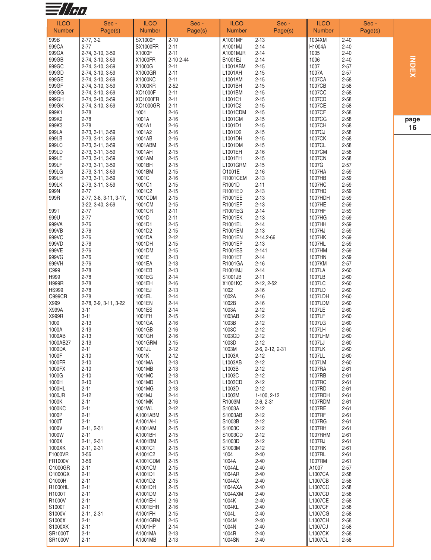

| <b>ILCO</b><br><b>Number</b>  | Sec -<br>Page(s)                     | <b>ILCO</b><br><b>Number</b> | Sec -<br>Page(s)     | <b>ILCO</b><br><b>Number</b> | Sec -<br>Page(s)      | <b>ILCO</b><br><b>Number</b> | Sec -<br>Page(s)     |     |
|-------------------------------|--------------------------------------|------------------------------|----------------------|------------------------------|-----------------------|------------------------------|----------------------|-----|
| 999B                          | $2-77, 3-2$                          | <b>SX1000F</b>               | $2 - 10$             | A1001MF                      | $2 - 13$              | 1004XM                       | $2 - 40$             |     |
| 999CA                         | $2 - 77$                             | <b>SX1000FR</b>              | $2 - 11$             | A1001MJ                      | $2 - 14$              | H1004A                       | $2 - 40$             |     |
| 999GA                         | 2-74, 3-10, 3-59                     | X1000F                       | $2 - 11$             | A1001MJR                     | $2 - 14$              | 1005                         | $2 - 40$             |     |
| 999GB                         | 2-74, 3-10, 3-59                     | X1000FR                      | 2-10 2-44            | <b>B1001EJ</b>               | $2 - 14$              | 1006                         | $2 - 40$             | 롱   |
| 999GC                         | 2-74, 3-10, 3-59                     | X1000G                       | $2 - 11$             | L1001ABM                     | $2 - 15$              | 1007                         | $2 - 57$             |     |
| 999GD                         | 2-74, 3-10, 3-59                     | X1000GR                      | $2 - 11$             | L1001AH                      | $2 - 15$              | 1007A                        | $2 - 57$             | 页   |
| 999GE<br>999GF                | 2-74, 3-10, 3-59<br>2-74, 3-10, 3-59 | X1000KC<br>X1000KR           | $2 - 11$<br>$2 - 52$ | L1001AM<br>L1001BH           | $2 - 15$<br>$2 - 15$  | 1007CA<br>1007CB             | $2 - 58$<br>$2 - 58$ |     |
| 999GG                         | 2-74, 3-10, 3-59                     | XO1000F                      | $2 - 11$             | L1001BM                      | $2 - 15$              | 1007CC                       | $2 - 58$             |     |
| 999GH                         | 2-74, 3-10, 3-59                     | XO1000FR                     | $2 - 11$             | L1001C1                      | $2 - 15$              | 1007CD                       | $2 - 58$             |     |
| 999GK                         | 2-74, 3-10, 3-59                     | XO1000GR                     | $2 - 11$             | L1001C2                      | $2 - 15$              | 1007CE                       | $2 - 58$             |     |
| 999K1                         | $2 - 78$                             | 1001                         | $2 - 16$             | L1001CDM                     | $2 - 15$              | 1007CF                       | $2 - 58$             |     |
| 999K2                         | $2 - 78$<br>$2 - 78$                 | 1001A                        | $2 - 16$             | L1001CM                      | $2 - 15$              | 1007CG<br>1007CH             | $2 - 58$             | pag |
| 999K3<br>999LA                | 2-73, 3-11, 3-59                     | 1001A1<br>1001A2             | $2 - 16$<br>$2 - 16$ | L1001D1<br>L1001D2           | $2 - 15$<br>$2 - 15$  | 1007CJ                       | $2 - 58$<br>$2 - 58$ | 16  |
| 999LB                         | 2-73, 3-11, 3-59                     | 1001AB                       | $2 - 16$             | L1001DH                      | $2 - 15$              | 1007CK                       | $2 - 58$             |     |
| 999LC                         | 2-73, 3-11, 3-59                     | 1001ABM                      | $2 - 15$             | L1001DM                      | $2 - 15$              | 1007CL                       | $2 - 58$             |     |
| 999LD                         | 2-73, 3-11, 3-59                     | 1001AH                       | $2 - 15$             | L1001EH                      | $2 - 16$              | 1007CM                       | $2 - 58$             |     |
| 999LE                         | 2-73, 3-11, 3-59                     | 1001AM                       | $2 - 15$             | L1001FH                      | $2 - 15$              | 1007CN                       | $2 - 58$             |     |
| 999LF<br>999LG                | 2-73, 3-11, 3-59<br>2-73, 3-11, 3-59 | 1001BH<br>1001BM             | $2 - 15$<br>$2 - 15$ | L1001GRM<br>01001E           | $2 - 15$<br>$2 - 16$  | 1007G<br>1007HA              | $2 - 57$<br>$2 - 59$ |     |
| 999LH                         | 2-73, 3-11, 3-59                     | 1001C                        | $2 - 16$             | R1001CEM                     | $2 - 13$              | 1007HB                       | $2 - 59$             |     |
| 999LK                         | 2-73, 3-11, 3-59                     | 1001C1                       | $2 - 15$             | R1001D                       | $2 - 11$              | 1007HC                       | $2 - 59$             |     |
| 999N                          | $2 - 77$                             | 1001C2                       | $2 - 15$             | R1001ED                      | $2 - 13$              | 1007HD                       | $2 - 59$             |     |
| 999R                          | 2-77, 3-8, 3-11, 3-17,               | 1001CDM                      | $2 - 15$             | R1001EE                      | $2 - 13$              | 1007HDH                      | $2 - 59$             |     |
|                               | 3-22, 3-40, 3-59<br>$2 - 77$         | 1001CM<br>1001CR             | $2 - 15$             | R1001EF                      | $2 - 13$              | 1007HE                       | $2 - 59$             |     |
| 999T<br>999U                  | $2 - 77$                             | 1001D                        | $2 - 11$<br>$2 - 11$ | R1001EG<br>R1001EK           | $2 - 14$<br>$2 - 13$  | 1007HF<br>1007HG             | $2 - 59$<br>$2 - 59$ |     |
| 999VA                         | $2 - 76$                             | 1001D1                       | $2 - 15$             | R1001EL                      | $2 - 14$              | 1007HH                       | $2 - 59$             |     |
| 999VB                         | $2 - 76$                             | 1001D2                       | $2 - 15$             | R1001EM                      | $2 - 13$              | 1007HJ                       | $2 - 59$             |     |
| 999VC                         | $2 - 76$                             | 1001DA                       | $2 - 12$             | R1001EN                      | 2-14.2-66             | 1007HK                       | $2 - 59$             |     |
| 999VD                         | $2 - 76$                             | 1001DH                       | $2 - 15$             | R1001EP                      | $2 - 13$              | 1007HL                       | $2 - 59$             |     |
| 999VE<br>999VG                | $2 - 76$<br>$2 - 76$                 | 1001DM<br>1001E              | $2 - 15$<br>$2 - 13$ | R1001ES<br>R1001ET           | $2 - 141$<br>$2 - 14$ | 1007HM<br>1007HN             | $2 - 59$<br>$2 - 59$ |     |
| 999VH                         | $2 - 76$                             | 1001EA                       | $2 - 13$             | R1001GA                      | $2 - 16$              | 1007KM                       | $2 - 57$             |     |
| C999                          | $2 - 78$                             | 1001EB                       | $2 - 13$             | R1001MJ                      | $2 - 14$              | 1007LA                       | $2 - 60$             |     |
| H999                          | $2 - 78$                             | 1001EG                       | $2 - 14$             | S1001JB                      | $2 - 11$              | 1007LB                       | $2 - 60$             |     |
| <b>H999R</b>                  | $2 - 78$                             | 1001EH                       | $2 - 16$             | X1001KC                      | $2-12, 2-52$          | 1007LC                       | $2 - 60$             |     |
| <b>HS999</b><br><b>O999CR</b> | $2 - 78$<br>$2 - 78$                 | 1001EJ<br>1001EL             | $2 - 13$<br>$2 - 14$ | 1002<br>1002A                | $2 - 16$<br>$2 - 16$  | 1007LD<br>1007LDH            | $2 - 60$<br>$2 - 60$ |     |
| X999                          | 2-78, 3-9, 3-11, 3-22                | 1001EN                       | $2 - 14$             | 1002B                        | $2 - 16$              | 1007LDM                      | $2 - 60$             |     |
| X999A                         | $3 - 11$                             | 1001ES                       | $2 - 14$             | 1003A                        | $2 - 12$              | 1007LE                       | $2 - 60$             |     |
| X999R                         | $3 - 11$                             | 1001FH                       | $2 - 15$             | 1003AB                       | $2 - 12$              | 1007LF                       | $2 - 60$             |     |
| 1000                          | $2 - 13$                             | 1001GA                       | $2 - 16$             | 1003B                        | $2 - 12$              | 1007LG                       | $2 - 60$             |     |
| 1000A                         | $2 - 13$                             | 1001GB                       | $2 - 16$             | 1003C                        | $2 - 12$              | 1007LH                       | $2 - 60$             |     |
| 1000AB<br>1000AB27            | $2 - 13$<br>$2 - 13$                 | 1001GH<br>1001GRM            | $2 - 16$<br>2-15     | 1003CD<br>1003D              | $2 - 12$<br>2-12      | 1007LHM<br>1007LJ            | $2 - 60$<br>2-60     |     |
| 1000DA                        | $2 - 11$                             | 1001JL                       | $2 - 12$             | 1003M                        | 2-6, 2-12, 2-31       | 1007LK                       | $2 - 60$             |     |
| 1000F                         | $2 - 10$                             | 1001K                        | $2 - 12$             | L1003A                       | $2 - 12$              | 1007LL                       | $2 - 60$             |     |
| 1000FR                        | $2 - 10$                             | 1001MA                       | $2 - 13$             | L1003AB                      | $2 - 12$              | 1007LM                       | $2 - 60$             |     |
| 1000FX                        | $2 - 10$                             | 1001MB                       | $2 - 13$             | L1003B                       | $2 - 12$              | 1007RA                       | $2 - 61$             |     |
| 1000G<br>1000H                | $2 - 10$<br>$2 - 10$                 | 1001MC<br>1001MD             | $2 - 13$<br>$2 - 13$ | L1003C<br>L1003CD            | $2 - 12$<br>$2 - 12$  | 1007RB<br>1007RC             | $2 - 61$<br>$2 - 61$ |     |
| 1000HL                        | $2 - 11$                             | 1001MG                       | $2 - 13$             | L1003D                       | $2 - 12$              | 1007RD                       | $2 - 61$             |     |
| 1000JR                        | $2 - 12$                             | 1001MJ                       | $2 - 14$             | L1003M                       | 1-100, 2-12           | 1007RDH                      | $2 - 61$             |     |
| 1000K                         | $2 - 11$                             | 1001MK                       | $2 - 16$             | R1003M                       | $2-6, 2-31$           | 1007RDM                      | $2 - 61$             |     |
| 1000KC                        | $2 - 11$                             | 1001WL                       | $2 - 12$             | S1003A                       | $2 - 12$              | 1007RE                       | $2 - 61$             |     |
| 1000P<br>1000T                | $2 - 11$<br>$2 - 11$                 | A1001ABM<br>A1001AH          | $2 - 15$<br>$2 - 15$ | S1003AB<br>S1003B            | $2 - 12$<br>$2 - 12$  | 1007RF<br>1007RG             | $2 - 61$<br>$2 - 61$ |     |
| 1000V                         | $2 - 11, 2 - 31$                     | A1001AM                      | $2 - 15$             | S1003C                       | $2 - 12$              | 1007RH                       | $2 - 61$             |     |
| 1000W                         | $2 - 11$                             | A1001BH                      | $2 - 15$             | S1003CD                      | $2 - 12$              | 1007RHM                      | $2 - 61$             |     |
| 1000X                         | 2-11, 2-31                           | A1001BM                      | $2 - 15$             | S1003D                       | $2 - 12$              | 1007RJ                       | $2 - 61$             |     |
| 1000XK                        | $2-11, 2-31$                         | A1001C1                      | $2 - 15$             | S1003M                       | $2 - 12$              | 1007RK                       | $2 - 61$             |     |
| F1000VR<br>FR1000V            | $3 - 56$<br>$3 - 56$                 | A1001C2<br>A1001CDM          | $2 - 15$<br>$2 - 15$ | 1004<br>1004A                | $2 - 40$<br>$2 - 40$  | 1007RL<br>1007RM             | $2 - 61$<br>$2 - 61$ |     |
| 01000GR                       | $2 - 11$                             | A1001CM                      | $2 - 15$             | 1004AL                       | $2 - 40$              | A1007                        | $2 - 57$             |     |
| O1000GX                       | $2 - 11$                             | A1001D1                      | $2 - 15$             | 1004AR                       | $2 - 40$              | L1007CA                      | $2 - 58$             |     |
| O1000H                        | $2 - 11$                             | A1001D2                      | $2 - 15$             | 1004AX                       | $2 - 40$              | L1007CB                      | $2 - 58$             |     |
| R1000HL                       | $2 - 11$                             | A1001DH                      | $2 - 15$             | 1004AXA                      | $2 - 40$              | L1007CC                      | $2 - 58$             |     |
| R1000T                        | $2 - 11$                             | A1001DM                      | $2 - 15$             | 1004AXM                      | $2 - 40$              | L1007CD                      | $2 - 58$             |     |
| R1000V<br>S1000T              | $2 - 11$<br>$2 - 11$                 | A1001EH<br>A1001EHR          | $2 - 16$<br>$2 - 16$ | 1004K<br>1004KL              | $2 - 40$<br>$2 - 40$  | L1007CE<br>L1007CF           | $2 - 58$<br>$2 - 58$ |     |
| S1000V                        | $2 - 11, 2 - 31$                     | A1001FH                      | $2 - 15$             | 1004L                        | $2 - 40$              | L1007CG                      | $2 - 58$             |     |
| S1000X                        | $2 - 11$                             | A1001GRM                     | $2 - 15$             | 1004M                        | $2 - 40$              | L1007CH                      | $2 - 58$             |     |
| S1000XK                       | $2 - 11$                             | A1001HP                      | $2 - 14$             | 1004N                        | $2 - 40$              | <b>L1007CJ</b>               | $2 - 58$             |     |
| SR1000T                       | $2 - 11$                             | A1001MA                      | $2 - 13$             | 1004R                        | $2 - 40$              | L1007CK                      | $2 - 58$             |     |
| SR1000V                       | $2 - 11$                             | A1001MB                      | $2 - 13$             | 1004SN                       | $2 - 40$              | L1007CL                      | $2 - 58$             |     |

**g e**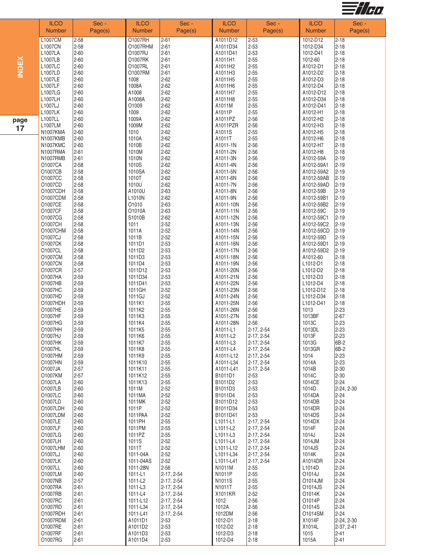

|              | <b>ILCO</b><br><b>Number</b> | Sec -<br>Page(s)       | <b>ILCO</b><br><b>Number</b> | Sec -<br>Page(s)         | <b>ILCO</b><br><b>Number</b> | Sec -<br>Page(s)         | <b>ILCO</b><br><b>Number</b> | Sec -<br>Page(s)       |
|--------------|------------------------------|------------------------|------------------------------|--------------------------|------------------------------|--------------------------|------------------------------|------------------------|
|              | L1007CM                      | $2 - 58$               | 01007RH                      | $2 - 61$                 | A1011D12                     | $2 - 53$                 | 1012-D12                     | $2 - 18$               |
|              | L1007CN                      | $2 - 58$               | O1007RHM                     | $2 - 61$                 | A1011D34                     | $2 - 53$                 | 1012-D34                     | $2 - 18$               |
|              | L1007LA<br>L1007LB           | $2 - 60$<br>$2 - 60$   | 01007RJ<br>01007RK           | $2 - 61$<br>$2 - 61$     | A1011D41<br>A1011H1          | $2 - 53$<br>$2 - 55$     | 1012-D41<br>1012-60          | $2 - 18$<br>$2 - 18$   |
|              | L1007LC                      | $2 - 60$               | 01007RL                      | $2 - 61$                 | A1011H2                      | $2 - 55$                 | A1012-D1                     | $2 - 18$               |
| <b>INDEX</b> | L1007LD                      | $2 - 60$               | 01007RM                      | $2 - 61$                 | A1011H3                      | $2 - 55$                 | A1012-D2                     | $2 - 18$               |
|              | L1007LE                      | $2 - 60$               | 1008                         | $2 - 62$                 | A1011H5                      | $2 - 55$                 | A1012-D3                     | $2 - 18$               |
|              | L1007LF<br>L1007LG           | $2 - 60$<br>$2 - 60$   | 1008A<br>A1008               | $2 - 62$<br>$2 - 62$     | A1011H6<br>A1011H7           | $2 - 55$<br>$2 - 55$     | A1012-D4<br>A1012-D12        | $2 - 18$<br>$2 - 18$   |
|              | L1007LH                      | $2 - 60$               | A1008A                       | $2 - 62$                 | A1011H8                      | $2 - 55$                 | A1012-D34                    | $2 - 18$               |
|              | L1007LJ                      | $2 - 60$               | O1009                        | $2 - 62$                 | A1011M                       | $2 - 55$                 | A1012-D41                    | $2 - 18$               |
|              | L1007LK<br>L1007LL           | $2 - 60$               | 1009                         | $2 - 62$                 | A1011P                       | $2 - 55$                 | A1012-H1                     | $2 - 18$               |
| page         | L1007LM                      | $2 - 60$<br>$2 - 60$   | 1009A<br>1009M               | $2 - 62$<br>$2 - 62$     | A1011PZ<br>A1011PZR          | $2 - 56$<br>$2 - 56$     | A1012-H2<br>A1012-H3         | $2 - 18$<br>$2 - 18$   |
| 17           | N1007KMA                     | $2 - 60$               | 1010                         | $2 - 62$                 | A1011S                       | $2 - 55$                 | A1012-H5                     | $2 - 18$               |
|              | N1007KMB                     | $2 - 60$               | 1010A                        | $2 - 62$                 | A1011T                       | $2 - 55$                 | A1012-H6                     | $2 - 18$               |
|              | <b>N1007KMC</b><br>N1007RMA  | $2 - 60$<br>$2 - 61$   | 1010B<br>1010M               | $2 - 62$<br>$2 - 62$     | A1011-1N<br>A1011-2N         | $2 - 56$<br>$2 - 56$     | A1012-H7<br>A1012-H8         | $2 - 18$<br>$2 - 18$   |
|              | <b>N1007RMB</b>              | $2 - 61$               | 1010N                        | $2 - 62$                 | A1011-3N                     | $2 - 56$                 | A1012-59A                    | $ 2 - 19$              |
|              | O1007CA                      | $2 - 58$               | 1010S                        | $2 - 62$                 | A1011-4N                     | $2 - 56$                 | A1012-59A1                   | $2 - 19$               |
|              | O1007CB                      | $2 - 58$               | 1010SA                       | $2 - 62$                 | A1011-5N                     | $2 - 56$                 | A1012-59A2                   | $2 - 19$               |
|              | O1007CC<br>O1007CD           | $2 - 58$<br>$2 - 58$   | 1010T<br>1010U               | $2 - 62$<br>$2 - 62$     | A1011-6N<br>A1011-7N         | $2 - 56$<br>$2 - 56$     | A1012-59AB<br>A1012-59AD     | $2 - 19$<br>$ 2 - 19$  |
|              | 01007CDH                     | $2 - 58$               | A1010U                       | $2 - 63$                 | A1011-8N                     | $2 - 56$                 | A1012-59B                    | $2 - 19$               |
|              | 01007CDM                     | $2 - 58$               | L1010N                       | $2 - 62$                 | A1011-9N                     | $2 - 56$                 | A1012-59B1                   | $2 - 19$               |
|              | 01007CE<br>01007CF           | $2 - 58$<br>$2 - 58$   | 01010<br>O1010A              | $2 - 63$<br>$2 - 63$     | A1011-10N<br>A1011-11N       | $2 - 56$<br>$2 - 56$     | A1012-59B2<br>A1012-59C      | $2 - 19$<br>$2 - 19$   |
|              | 01007CG                      | $2 - 58$               | S1010B                       | $2 - 62$                 | A1011-12N                    | $2 - 56$                 | A1012-59C1                   | $2 - 19$               |
|              | 01007CH                      | $2 - 58$               | 1011                         | $2 - 52$                 | A1011-13N                    | $2 - 56$                 | A1012-59C2                   | $2 - 19$               |
|              | 01007CHM                     | $2 - 58$               | 1011A                        | $2 - 52$                 | A1011-14N                    | $2 - 56$                 | A1012-59CD                   | $2 - 19$               |
|              | O1007CJ<br>01007CK           | $2 - 58$<br>$2 - 58$   | 1011B<br>1011D1              | $2 - 52$<br>2-53         | A1011-15N<br>A1011-16N       | $2 - 56$<br>$2 - 56$     | A1012-59D<br>A1012-59D1      | $2 - 19$<br>$ 2 - 19$  |
|              | O1007CL                      | $2 - 58$               | 1011D2                       | $2 - 53$                 | A1011-17N                    | $2 - 56$                 | A1012-59D2                   | $2 - 19$               |
|              | 01007CM                      | $2 - 58$               | 1011D3                       | $2 - 53$                 | A1011-18N                    | $2 - 56$                 | A1012-60                     | $2 - 18$               |
|              | 01007CN                      | $2 - 58$<br>$2 - 57$   | 1011D4                       | $2 - 53$                 | A1011-19N                    | $2 - 56$                 | L1012-D1                     | $2 - 18$               |
|              | 01007CR<br>O1007HA           | 2-59                   | 1011D12<br>1011D34           | $2 - 53$<br>$2 - 53$     | A1011-20N<br>A1011-21N       | $2 - 56$<br>$2 - 56$     | L1012-D2<br>L1012-D3         | $2 - 18$<br>$2 - 18$   |
|              | O1007HB                      | $2 - 59$               | 1011D41                      | $2 - 53$                 | A1011-22N                    | $2 - 56$                 | L1012-D4                     | $2 - 18$               |
|              | O1007HC                      | $2 - 59$               | 1011GH                       | $2 - 52$                 | A1011-23N                    | $2 - 56$                 | L1012-D12                    | $2 - 18$               |
|              | O1007HD<br>O1007HDH          | $2 - 59$<br>$2 - 59$   | 1011GJ<br>1011K1             | $2 - 52$<br>$2 - 55$     | A1011-24N                    | $2 - 56$<br>$2 - 56$     | L1012-D34                    | $2 - 18$<br>$2 - 18$   |
|              | O1007HE                      | $2 - 59$               | 1011K2                       | $2 - 55$                 | A1011-25N<br>A1011-26N       | $2 - 56$                 | L1012-D41<br>1013            | $2 - 23$               |
|              | O1007HF                      | $2 - 59$               | 1011K3                       | $2 - 55$                 | A1011-27N                    | $2 - 56$                 | 1013BF                       | $2 - 67$               |
|              | O1007HG                      | 2-59                   | 1011K4                       | $2 - 55$                 | A1011-28N                    | $2 - 56$                 | 1013C                        | $2 - 23$               |
|              | O1007HH<br>O1007HJ           | $2 - 59$<br>$2-59$     | 1011K5<br>1011K6             | $2 - 55$<br>$2 - 55$     | A1011-L1<br>A1011-L2         | 2-17, 2-54<br>2-17, 2-54 | 1013DL<br>1013F              | $2 - 23$<br>$2 - 23$   |
|              | 01007HK                      | $2 - 59$               | 1011K7                       | $2 - 55$                 | A1011-L3                     | 2-17, 2-54               | 1013G                        | 6B-2                   |
|              | O1007HL                      | $2-59$                 | 1011K8                       | $2 - 55$                 | A1011-L4                     | 2-17, 2-54               | 1013GR                       | 6B-2                   |
|              | O1007HM<br>O1007HN           | $2-59$<br>$2-59$       | 1011K9<br>1011K10            | $2 - 55$<br>$2 - 55$     | A1011-L12<br>A1011-L34       | 2-17, 2-54<br>2-17, 2-54 | 1014<br>1014A                | $2 - 23$<br>$2 - 23$   |
|              | O1007JA                      | $2 - 57$               | 1011K11                      | $2 - 55$                 | A1011-L41                    | 2-17, 2-54               | 1014B                        | $2 - 30$               |
|              | O1007KM                      | $2 - 57$               | 1011K12                      | $2 - 55$                 | B1011D1                      | $2 - 53$                 | 1014C                        | $2 - 30$               |
|              | O1007LA                      | $2 - 60$               | 1011K13                      | $2 - 55$                 | B1011D2                      | $2 - 53$                 | 1014CE                       | $2 - 24$               |
|              | O1007LB<br>O1007LC           | $2 - 60$<br>$ 2 - 60 $ | 1011M<br>1011MA              | $2 - 52$<br>$2 - 52$     | B1011D3<br>B1011D4           | $2 - 53$<br>$2 - 53$     | 1014D<br>1014DA              | 2-24, 2-30<br>$2 - 24$ |
|              | O1007LD                      | $2 - 60$               | 1011MK                       | $2 - 52$                 | B1011D12                     | $2 - 53$                 | 1014DB                       | $2 - 24$               |
|              | O1007LDH                     | $2 - 60$               | 1011P                        | $2 - 52$                 | B1011D34                     | $2 - 53$                 | 1014DR                       | $2 - 24$               |
|              | O1007LDM<br>O1007LE          | $2 - 60$<br>$2 - 60$   | 1011PAA<br>1011PH            | $2 - 52$<br>$2 - 55$     | B1011D41<br>L1011-L1         | $2 - 53$<br>2-17, 2-54   | 1014DS<br>1014DX             | $2 - 24$<br>$2 - 24$   |
|              | O1007LF                      | $2 - 60$               | 1011PM                       | $2 - 55$                 | L1011-L2                     | 2-17, 2-54               | 1014F                        | $2 - 24$               |
|              | O1007LG                      | $2 - 60$               | 1011PZ                       | $2 - 55$                 | L1011-L3                     | 2-17, 2-54               | 1014J                        | $2 - 24$               |
|              | O1007LH                      | $2 - 60$               | 1011S                        | $2 - 52$                 | L1011-L4                     | 2-17, 2-54               | 1014JM                       | $2 - 24$               |
|              | O1007LHM<br>O1007LJ          | $2 - 60$<br>$ 2 - 60 $ | 1011T<br>1011-04A            | $2 - 52$<br>$2 - 52$     | L1011-L12<br>L1011-L34       | 2-17, 2-54<br>2-17, 2-54 | 1014JS<br>1014K              | $2 - 24$<br>$2 - 24$   |
|              | O1007LK                      | $2 - 60$               | 1011-04AS                    | $2 - 52$                 | L1011-L41                    | 2-17, 2-54               | A1014DR                      | $2 - 24$               |
|              | O1007LL                      | $2 - 60$               | 1011-28N                     | 2-56                     | N1011M                       | $2 - 55$                 | L1014D                       | $2 - 24$               |
|              | O1007LM                      | $2 - 60$               | 1011-L1                      | 2-17, 2-54               | N1011P                       | $2 - 55$                 | O1014J                       | $2 - 24$               |
|              | 01007NB<br>01007RA           | $2 - 57$<br>$2 - 61$   | 1011-L2<br>1011-L3           | 2-17, 2-54<br>2-17, 2-54 | N1011S<br>N1011T             | $2 - 55$<br>$2 - 55$     | O1014JM<br>O1014JS           | $2 - 24$<br>$2 - 24$   |
|              | 01007RB                      | 2-61                   | 1011-L4                      | 2-17, 2-54               | X1011KR                      | $2 - 52$                 | O1014K                       | $2 - 24$               |
|              | O1007RC                      | 2-61                   | 1011-L12                     | 2-17, 2-54               | 1012                         | $2 - 56$                 | O1014P                       | $2 - 24$               |
|              | O1007RD                      | $2 - 61$               | 1011-L34                     | 2-17, 2-54               | 1012A                        | $2 - 56$                 | O1014S                       | $2 - 24$<br>$2 - 24$   |
|              | O1007RDH<br>O1007RDM         | 2-61<br>$2 - 61$       | 1011-L41<br>A1011D1          | 2-17, 2-54<br>$2 - 53$   | 1012DM<br>1012-D1            | $2 - 56$<br>$2 - 18$     | O1014SM<br>X1014F            | 2-24, 2-30             |
|              | 01007RE                      | $2 - 61$               | A1011D2                      | $2 - 53$                 | 1012-D2                      | $2 - 18$                 | X1014L                       | 2-37, 2-41             |
|              | 01007RF                      | $2 - 61$               | A1011D3                      | 2-53                     | 1012-D3                      | $2 - 18$                 | 1015                         | $2 - 41$               |
|              | 01007RG                      | $2 - 61$               | A1011D4                      | 2-53                     | 1012-D4                      | $2 - 18$                 | 1015A                        | $2 - 41$               |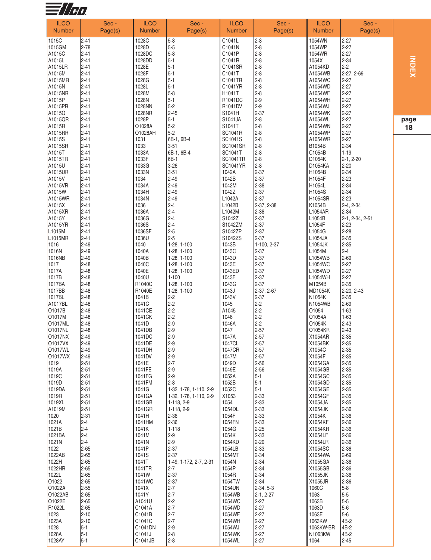

| <b>ILCO</b><br><b>Number</b> | Sec -<br>Page(s)     | <b>ILCO</b><br><b>Number</b> | Sec -<br>Page(s)                   | <b>ILCO</b><br><b>Number</b> | Sec -<br>Page(s)     | <b>ILCO</b><br><b>Number</b> | Sec -<br>Page(s)     |     |
|------------------------------|----------------------|------------------------------|------------------------------------|------------------------------|----------------------|------------------------------|----------------------|-----|
|                              |                      |                              |                                    |                              |                      |                              |                      |     |
| 1015C                        | $2 - 41$             | 1028C                        | $5 - 8$                            | C1041L                       | $2 - 8$              | 1054WN                       | $2 - 27$             |     |
| 1015GM                       | $2 - 78$             | 1028D                        | $5-5$                              | C1041N                       | $2 - 8$              | 1054WP                       | $2 - 27$             |     |
| A1015C                       | $2 - 41$             | 1028DC                       | $5 - 8$                            | C1041P                       | $2 - 8$              | 1054WR                       | $2 - 27$             |     |
| A1015L                       | $2 - 41$             | 1028DD                       | $5 - 1$                            | C1041R                       | $2 - 8$              | 1054X                        | $2 - 34$             |     |
| A1015LR<br>A1015M            | $2 - 41$             | 1028E<br>1028F               | $5 - 1$<br>$5 - 1$                 | C1041SR<br>C1041T            | $2 - 8$              | A1054KD                      | $2-2$                |     |
|                              | $2 - 41$<br>$2 - 41$ |                              |                                    |                              | $2 - 8$              | A1054WB                      | 2-27, 2-69           |     |
| A1015MR<br>A1015N            | $2 - 41$             | 1028G<br>1028L               | $5 - 1$<br>$5 - 1$                 | C1041TR<br>C1041YR           | $2 - 8$<br>$2 - 8$   | A1054WC<br>A1054WD           | $2 - 27$<br>$2 - 27$ |     |
| A1015NR                      | $2 - 41$             | 1028M                        | $5 - 8$                            | H1041T                       | $2 - 8$              | A1054WF                      | $2 - 27$             |     |
| A1015P                       | $2 - 41$             | 1028N                        | $5 - 1$                            | R1041DC                      | $2 - 9$              | A1054WH                      | $2 - 27$             |     |
| A1015PR                      | $2 - 41$             | 1028NN                       | $5-2$                              | R1041DV                      | $2 - 9$              | A1054WJ                      | $2 - 27$             |     |
| A1015Q                       | $2 - 41$             | 1028NR                       | $2 - 45$                           | S1041H                       | $2 - 37$             | A1054WK                      | $2 - 27$             |     |
| A1015QR                      | $2 - 41$             | 1028P                        | $5 - 1$                            | S1041JA                      | $2 - 8$              | A1054WL                      | $2 - 27$             | pag |
| A1015R                       | $2 - 41$             | O1028A                       | $5 - 2$                            | S1041T                       | $2 - 8$              | A1054WN                      | $2 - 27$             | 18  |
| A1015RR                      | $2 - 41$             | O1028AH                      | $5 - 2$                            | SC1041R                      | $2 - 8$              | A1054WP                      | $2 - 27$             |     |
| A1015S                       | $2 - 41$             | 1031                         | 6B-1, 6B-4                         | SC1041S                      | $2 - 8$              | A1054WR                      | $2 - 27$             |     |
| A1015SR                      | $2 - 41$             | 1033                         | $3 - 51$                           | <b>SC1041SR</b>              | $2 - 8$              | B1054B                       | $2 - 34$             |     |
| A1015T                       | $2 - 41$             | 1033A                        | 6B-1, 6B-4                         | SC1041T                      | $2 - 8$              | C1054B                       | $1 - 19$             |     |
| A1015TR                      | $2 - 41$             | 1033F                        | $6B-1$                             | <b>SC1041TR</b>              | $2 - 8$              | D1054K                       | $2-1, 2-20$          |     |
| A1015U                       | $2 - 41$             | 1033G                        | $3 - 26$                           | <b>SC1041YR</b>              | $2 - 8$              | D1054KA                      | $2 - 20$             |     |
| A1015UR<br>A1015V            | $2 - 41$<br>$2 - 41$ | 1033N                        | $3 - 51$<br>$2 - 49$               | 1042A                        | $2 - 37$             | H1054B                       | $2 - 34$             |     |
| A1015VR                      | $2 - 41$             | 1034<br>1034A                | $2 - 49$                           | 1042B<br>1042M               | $2 - 37$<br>$2 - 38$ | H1054F<br>H1054L             | $2 - 23$<br>$2 - 34$ |     |
| A1015W                       | $2 - 41$             | 1034H                        | $2 - 49$                           | 1042Z                        | $2 - 37$             | H1054S                       | $2 - 34$             |     |
| A1015WR                      | $2 - 41$             | 1034N                        | $2 - 49$                           | L1042A                       | $2 - 37$             | H1054SR                      | $2 - 23$             |     |
| A1015X                       | $2 - 41$             | 1036                         | $2 - 4$                            | L1042B                       | 2-37, 2-38           | K1054B                       | $2-4, 2-34$          |     |
| A1015XR                      | $2 - 41$             | 1036A                        | $2 - 4$                            | L1042M                       | $2 - 38$             | L1054AR                      | $2 - 34$             |     |
| A1015Y                       | $2 - 41$             | 1036G                        | $2 - 4$                            | S1042Z                       | $2 - 37$             | L1054B                       | 2-1, 2-34, 2-51      |     |
| A1015YR                      | $2 - 41$             | 1036S                        | $2 - 4$                            | S1042ZM                      | $2 - 37$             | L1054F                       | $2-23$               |     |
| L <sub>1015</sub> M          | $2 - 41$             | 1036SF                       | $2 - 5$                            | S1042ZP                      | $2 - 37$             | L1054G                       | $2 - 28$             |     |
| L <sub>1015</sub> MR         | $2 - 41$             | 1036U                        | $2 - 5$                            | S1042ZS                      | $2 - 37$             | L1054JA                      | $2 - 35$             |     |
| 1016                         | $2 - 49$             | 1040                         | 1-28, 1-100                        | 1043B                        | 1-100, 2-37          | L1054JK                      | $2 - 35$             |     |
| 1016N                        | $2 - 49$             | 1040A                        | 1-28, 1-100                        | 1043C                        | $2 - 37$             | L1054M                       | $2 - 4$              |     |
| 1016NB                       | $2 - 49$             | 1040B                        | 1-28, 1-100                        | 1043D                        | $2 - 37$             | L1054WB                      | $2 - 69$             |     |
| 1017                         | $2 - 48$             | 1040C                        | 1-28, 1-100                        | 1043E                        | $2 - 37$             | L1054WC                      | $2 - 27$             |     |
| 1017A                        | $2 - 48$             | 1040E                        | 1-28, 1-100                        | 1043ED                       | $2 - 37$             | L1054WD                      | $2 - 27$             |     |
| 1017B<br>1017BA              | $2 - 48$<br>$2 - 48$ | 1040U<br>R1040C              | $1 - 100$<br>1-28, 1-100           | 1043F<br>1043G               | $2 - 37$<br>$2 - 37$ | L1054WH<br>M1054B            | $2 - 27$<br>$2 - 35$ |     |
| 1017BB                       | $2 - 48$             | R1040E                       | 1-28, 1-100                        | 1043J                        | 2-37, 2-67           | MD1054K                      | 2-20, 2-43           |     |
| 1017BL                       | $2 - 48$             | 1041B                        | $2 - 2$                            | 1043V                        | $2 - 37$             | N1054K                       | $2 - 35$             |     |
| A1017BL                      | $2 - 48$             | 1041C                        | $2 - 2$                            | 1045                         | $2 - 2$              | N1054WB                      | $2 - 69$             |     |
| O <sub>1017</sub> B          | $2 - 48$             | 1041CE                       | $2 - 2$                            | A1045                        | $2 - 2$              | O1054                        | $1 - 63$             |     |
| O1017M                       | $2 - 48$             | 1041CK                       | $2 - 2$                            | 1046                         | $2 - 2$              | O1054A                       | $1 - 63$             |     |
| O1017ML                      | $2 - 48$             | 1041D                        | $2 - 9$                            | 1046A                        | $2 - 2$              | O1054K                       | $2 - 43$             |     |
| <b>O1017NL</b>               | $ 2 - 48$            | 1041DB                       | $2 - 9$                            | 1047                         | $2 - 57$             | O1054KR                      | $2 - 43$             |     |
| <b>O1017NX</b>               | $2 - 49$             | 1041DC                       | $2 - 9$                            | 1047A                        | $2 - 57$             | X1054AR                      | $2 - 35$             |     |
| 01017VX                      | $2 - 49$             | 1041DE                       | $2 - 9$                            | 1047CL                       | $2 - 57$             | X1054BK                      | $2 - 35$             |     |
| 01017WL                      | $2 - 49$             | 1041DH                       | $2 - 9$                            | 1047CR                       | $2 - 57$             | X1054C                       | $2 - 35$             |     |
| 01017WX                      | $2-49$<br>$2 - 51$   | 1041DV                       | $2 - 9$<br>$2 - 7$                 | 1047M                        | $2 - 57$             | X1054F                       | $2 - 35$             |     |
| 1019<br>1019A                | $2 - 51$             | 1041E<br>1041FE              | $2 - 9$                            | 1049D<br>1049E               | $2 - 56$<br>$2 - 56$ | X1054GA<br>X1054GB           | $2 - 35$<br>$2 - 35$ |     |
| 1019C                        | $2 - 51$             | 1041FG                       | $2 - 9$                            | 1052A                        | $5 - 1$              | X1054GC                      | $2 - 35$             |     |
| 1019D                        | $2 - 51$             | 1041FM                       | $2 - 8$                            | 1052B                        | $5 - 1$              | X1054GD                      | $2 - 35$             |     |
| 1019DA                       | $2 - 51$             | 1041G                        | 1-32, 1-78, 1-110, 2-9             | 1052C                        | $5 - 1$              | X1054GE                      | $2 - 35$             |     |
| 1019R                        | $2 - 51$             | 1041GA                       | 1-32, 1-78, 1-110, 2-9             | X1053                        | $2 - 33$             | X1054GF                      | $2 - 35$             |     |
| 1019XL                       | $2 - 51$             | 1041GB                       | 1-118, 2-9                         | 1054                         | $2 - 33$             | X1054JA                      | $2 - 35$             |     |
| A1019M                       | $2 - 51$             | 1041GR                       | 1-118, 2-9                         | 1054DL                       | $2 - 33$             | X1054JK                      | $2 - 36$             |     |
| 1020                         | $2 - 31$             | 1041H                        | $2 - 36$                           | 1054F                        | $2 - 33$             | X1054K                       | $2 - 36$             |     |
| 1021A                        | $ 2 - 4 $            | 1041HM                       | $2 - 36$                           | 1054FN                       | $2 - 33$             | X1054KF                      | $2 - 36$             |     |
| 1021B                        | $2 - 4$              | 1041K                        | $1 - 118$                          | 1054G                        | $2 - 25$             | X1054KR                      | $2 - 36$             |     |
| 1021BA                       | $2 - 4$              | 1041M                        | $2 - 9$                            | 1054K                        | $2 - 33$             | X1054LF                      | $2 - 36$             |     |
| 1021N                        | $2 - 4$              | 1041N                        | $2 - 9$                            | 1054KD                       | $2 - 20$             | X1054LR                      | $2 - 36$             |     |
| 1022<br>1022AB               | $2 - 65$             | 1041P                        | $2 - 37$                           | 1054LB                       | $2 - 33$             | X1054SC<br>X1054WA           | $2 - 36$<br>$2-69$   |     |
| 1022H                        | $2 - 65$<br>$2 - 65$ | 1041S<br>1041T               | $2 - 37$<br>1-49, 1-172, 2-7, 2-31 | 1054MT<br>1054N              | $2 - 34$<br>$2 - 34$ | X1055GA                      | $2 - 36$             |     |
| 1022HR                       | $2 - 65$             | 1041TR                       | $2 - 7$                            | 1054P                        | $2 - 34$             | X1055GB                      | $2 - 36$             |     |
| 1022L                        | $2 - 65$             | 1041W                        | $2 - 37$                           | 1054R                        | $2 - 34$             | X1055JK                      | $2 - 36$             |     |
| O <sub>1022</sub>            | $2 - 65$             | 1041WC                       | $2 - 37$                           | 1054TW                       | $2 - 34$             | X1055JR                      | $2 - 36$             |     |
| O1022A                       | $2 - 55$             | 1041X                        | $2 - 7$                            | 1054UN                       | $2-34, 5-3$          | 1060C                        | $5-8$                |     |
| O1022AB                      | $2 - 65$             | 1041Y                        | $2 - 7$                            | 1054WB                       | $2-1, 2-27$          | 1063                         | $5-5$                |     |
| O1022E                       | $2 - 65$             | A1041U                       | $2 - 2$                            | 1054WC                       | $2 - 27$             | 1063B                        | $5-5$                |     |
| R1022L                       | $2 - 65$             | C1041A                       | $2 - 7$                            | 1054WD                       | $2 - 27$             | 1063D                        | $5-6$                |     |
| 1023                         | $2 - 10$             | C1041B                       | $2 - 7$                            | 1054WF                       | $2 - 27$             | 1063E                        | $5-6$                |     |
| 1023A                        | $2 - 10$             | C1041C                       | $2 - 7$                            | 1054WH                       | $2 - 27$             | 1063KW                       | 4B-2                 |     |
| 1028                         | $5-1$                | C1041DN                      | $2 - 9$                            | 1054WJ                       | $2 - 27$             | 1063KW-BR                    | 4B-2                 |     |
| 1028A                        | $5-1$<br>$5-1$       | C1041J<br>C1041JB            | $2 - 8$<br>$2 - 8$                 | 1054WK                       | $2 - 27$             | N1063KW                      | 4B-2                 |     |
| 1028AY                       |                      |                              |                                    | 1054WL                       | $2 - 27$             | 1064                         | $2 - 45$             |     |

IND<br>INDEX<br>X

**g e**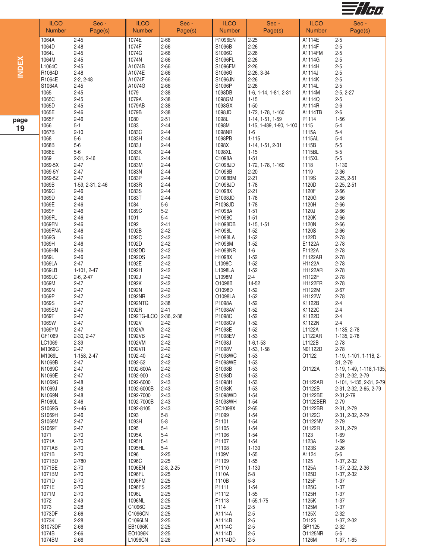

|     | <b>ILCO</b><br><b>Number</b> | Sec -<br>Page(s)     | <b>ILCO</b><br><b>Number</b> | Sec -<br>Page(s)     | <b>ILCO</b><br><b>Number</b> | Sec -<br>Page(s)                | <b>ILCO</b><br><b>Number</b> | Sec -<br>Page(s)                              |
|-----|------------------------------|----------------------|------------------------------|----------------------|------------------------------|---------------------------------|------------------------------|-----------------------------------------------|
|     | 1064A                        | $2 - 45$             | 1074E                        | $2 - 66$             | R1096EN                      | $2 - 25$                        | A1114E                       | $2-5$                                         |
|     | 1064D                        | $2 - 48$             | 1074F                        | 2-66                 | S1096B                       | $2 - 26$                        | A1114F                       | $2 - 5$                                       |
|     | 1064L                        | $2 - 45$             | 1074G                        | 2-66                 | S1096C                       | $2 - 26$                        | A1114FM                      | $2 - 5$                                       |
| ă   | 1064M                        | $2 - 45$             | 1074N                        | 2-66                 | S1096FL                      | $2 - 26$                        | A1114G                       | $2 - 5$                                       |
|     | L1064C                       | $2 - 45$             | A1074B                       | $2 - 66$             | S1096FM                      | $2 - 26$                        | A1114H                       | $2 - 5$                                       |
|     | R1064D                       | $2 - 48$             | A1074E                       | 2-66                 | S1096G                       | 2-26, 3-34                      | A1114J                       | $2 - 5$                                       |
|     | R1064E                       | 2-2, 2-48            | A1074F                       | 2-66                 | S1096JN                      | $2 - 26$                        | A1114K                       | $2 - 5$                                       |
|     | S1064A                       | $2 - 45$             | A1074G                       | $2 - 66$             | S1096P                       | $2 - 26$                        | A1114L                       | $2-5$                                         |
|     | 1065                         | $2 - 45$             | 1079                         | $2 - 38$             | 1098DB                       | 1-6, 1-14, 1-81, 2-31           | A1114M                       | $2-5, 2-27$                                   |
|     | 1065C                        | $2 - 45$             | 1079A                        | $2 - 38$             | 1098GM                       | $1 - 15$                        | A1114Q                       | $2 - 5$                                       |
|     | 1065D                        | $2 - 45$             | 1079AB                       | $2 - 38$             | 1098GX                       | $1 - 50$                        | A1114R                       | $2 - 6$                                       |
|     | 1065E                        | $2 - 46$             | 1079B                        | $2 - 38$             | 1098JD                       | 1-72, 1-78, 1-160               | A1114TB                      | $2 - 6$                                       |
| age | 1065F<br>1066                | $2 - 46$<br>$5-1$    | 1080                         | $2 - 51$<br>$2 - 44$ | 1098L                        | 1-14, 1-51, 1-59                | P1114                        | $1 - 56$<br>$5-4$                             |
| 19  | 1067B                        | $2 - 10$             | 1083<br>1083C                | $2 - 44$             | 1098M<br>1098NR              | 1-15, 1-489, 1-90, 1-100<br>1-6 | 1115<br>1115A                | $5-4$                                         |
|     | 1068                         | $5-6$                | 1083H                        | $2 - 44$             | 1098PB                       | $1 - 115$                       | 1115AL                       | $5-4$                                         |
|     | 1068B                        | $5-6$                | 1083J                        | $2 - 44$             | 1098X                        | 1-14, 1-51, 2-31                | 1115B                        | $5-5$                                         |
|     | 1068E                        | $5-6$                | 1083K                        | $2 - 44$             | 1098XL                       | $1 - 15$                        | 1115BL                       | $5-5$                                         |
|     | 1069                         | 2-31, 2-46           | 1083L                        | $2 - 44$             | C1098A                       | $1 - 51$                        | 1115XL                       | $5-5$                                         |
|     | 1069-5X                      | $2 - 47$             | 1083M                        | $2 - 44$             | C1098JD                      | 1-72, 1-78, 1-160               | 1118                         | $1 - 130$                                     |
|     | 1069-5Y                      | $2 - 47$             | 1083N                        | $2 - 44$             | D1098B                       | $2 - 20$                        | 1119                         | $2 - 36$                                      |
|     | 1069-5Z                      | $2 - 47$             | 1083P                        | $2 - 44$             | D1098BM                      | $2 - 21$                        | 1119S                        | 2-25, 2-51                                    |
|     | 1069B                        | 1-59, 2-31, 2-46     | 1083R                        | $2 - 44$             | D1098JD                      | $1 - 78$                        | 1120D                        | 2-25, 2-51                                    |
|     | 1069C                        | $2 - 46$             | 1083S                        | $2 - 44$             | D1098X                       | $2 - 21$                        | 1120F                        | $2 - 66$                                      |
|     | 1069D                        | $2 - 46$             | 1083T                        | $2 - 44$             | E1098JD                      | $1 - 78$                        | 1120G                        | $2 - 66$                                      |
|     | 1069E                        | $2 - 46$             | 1084                         | $5-6$                | F1098JD                      | $1 - 78$                        | 1120H                        | $2 - 66$                                      |
|     | 1069F<br>1069FL              | $2 - 46$<br>$2 - 46$ | 1089C<br>1091                | $5-2$<br>$5 - 4$     | H1098A<br>H1098C             | $1 - 51$<br>$1 - 51$            | 1120J<br>1120K               | $2 - 66$<br>$2 - 66$                          |
|     | 1069FN                       | $2 - 46$             | 1092                         | $2 - 41$             | H1098DB                      | $1-15, 1-51$                    | 1120N                        | $2 - 66$                                      |
|     | 1069FNA                      | $2 - 46$             | 1092B                        | $2 - 42$             | H1098L                       | $1 - 52$                        | 1120S                        | $2 - 66$                                      |
|     | 1069G                        | $2 - 46$             | 1092C                        | $2 - 42$             | H1098LA                      | $1 - 52$                        | 1122D                        | $2 - 78$                                      |
|     | 1069H                        | $2 - 46$             | 1092D                        | $2 - 42$             | H1098M                       | $1 - 52$                        | E1122A                       | $2 - 78$                                      |
|     | 1069HN                       | $2 - 46$             | 1092DD                       | $2 - 42$             | <b>H1098NR</b>               | $1-6$                           | F1122A                       | $2 - 78$                                      |
|     | 1069L                        | $2 - 46$             | 1092DS                       | $2 - 42$             | H1098X                       | $1 - 52$                        | F1122AR                      | $2 - 78$                                      |
|     | 1069LA                       | $2 - 47$             | 1092E                        | $2 - 42$             | L1098C                       | $1 - 52$                        | H1122A                       | $2 - 78$                                      |
|     | 1069LB                       | 1-101, 2-47          | 1092H                        | $2 - 42$             | L1098LA                      | $1 - 52$                        | <b>H1122AR</b>               | $2 - 78$                                      |
|     | 1069LC                       | 2-6, 2-47            | 1092J                        | $2 - 42$             | L1098M                       | $2 - 4$                         | H1122F                       | $2 - 78$                                      |
|     | 1069M                        | $2 - 47$             | 1092K                        | $2 - 42$             | O1098B                       | 14-52                           | H1122FR                      | $2 - 78$                                      |
|     | 1069N                        | $2 - 47$             | 1092N                        | $2 - 42$             | O1098D                       | $1 - 52$                        | H1122M                       | $2 - 67$                                      |
|     | 1069P                        | $2 - 47$<br>$2 - 47$ | 1092NR                       | $2 - 42$<br>$2 - 38$ | O1098LA<br>P1098A            | $1 - 52$<br>$1 - 52$            | H1122W<br>K1122B             | $2 - 78$<br>$2 - 4$                           |
|     | 1069S<br>1069SM              | $2 - 47$             | 1092NTG<br>1092R             | $2 - 41$             | P1098AV                      | $1-52$                          | K1122C                       | $2 - 4$                                       |
|     | 1069T                        | $2 - 47$             | 1092TG-ILCO                  | $2-36, 2-38$         | P1098C                       | $1 - 52$                        | K1122D                       | $2 - 4$                                       |
|     | 1069W                        | $2 - 47$             | 1092V                        | $2 - 42$             | P1098CV                      | $1 - 52$                        | K1122N                       | $2 - 4$                                       |
|     | 1069YM                       | $2 - 47$             | 1092VA                       | $2 - 42$             | P1098E                       | $1 - 52$                        | L1122A                       | 1-135, 2-78                                   |
|     | GF1069                       | 2-30, 2-47           | 1092VB                       | $2 - 42$             | P1098EV                      | $1 - 53$                        | L1122AR                      | 1-135, 2-78                                   |
|     | LC1069                       | $2 - 39$             | 1092VM                       | $2 - 42$             | P1098J                       | $1-6, 1-53$                     | L1122B                       | $2 - 78$                                      |
|     | M1069C                       | $2 - 47$             | 1092VR                       | $2 - 42$             | P1098V                       | 1-53, 1-58                      | N01122D                      | $2 - 78$                                      |
|     | M1069L                       | 1-158, 2-47          | 1092-40                      | $2 - 42$             | P1098WC                      | $1 - 53$                        | 01122                        | 1-19, 1-101, 1-118, 2-                        |
|     | N1069B                       | $2 - 47$             | 1092-52                      | $2 - 42$             | P1098WE                      | $1 - 53$                        |                              | 31, 2-79                                      |
|     | N1069C<br>N1069E             | $2 - 47$<br>$2 - 47$ | 1092-600A<br>1092-900        | $2 - 42$<br>$2 - 43$ | S1098B<br>S1098D             | $1 - 53$<br>$1 - 53$            | O1122A                       | 1-19, 1-49, 1-118, 1-135,<br>2-31, 2-32, 2-79 |
|     | N1069G                       | $2 - 48$             | 1092-6000                    | $2 - 43$             | S1098H                       | $1 - 53$                        | 01122AR                      | 1-101, 1-135, 2-31, 2-79                      |
|     | N1069J                       | $2 - 48$             | 1092-6000B                   | $2 - 43$             | S1098K                       | $1 - 53$                        | O1122B                       | 2-31, 2-32, 2-65, 2-79                        |
|     | N1069N                       | $2 - 48$             | 1092-7000                    | $2 - 43$             | S1098WD                      | $1 - 54$                        | 01122BE                      | 2-31, 2-79                                    |
|     | R1069L                       | $2 - 46$             | 1092-7000B                   | $2 - 43$             | S1098WH                      | $1 - 54$                        | 01122BER                     | $2 - 79$                                      |
|     | S1069G                       | $2 - +46$            | 1092-8105                    | $2 - 43$             | SC1098X                      | $2 - 65$                        | 01122BR                      | 2-31, 2-79                                    |
|     | S1069H                       | $2 - 46$             | 1093                         | $5 - 8$              | P1099                        | $1 - 54$                        | O1122C                       | 2-31, 2-32, 2-79                              |
|     | S1069M                       | $2 - 47$             | 1093H                        | $5 - 8$              | P1101                        | $1 - 54$                        | 01122NV                      | $2 - 79$                                      |
|     | S1069T                       | $2 - 47$             | 1095                         | $5 - 4$              | S1105                        | $1 - 54$                        | 01122R                       | 2-31, 2-79                                    |
|     | 1071                         | $2-70$               | 1095A                        | $5 - 4$              | P1106                        | $1 - 54$                        | 1123                         | 1-69                                          |
|     | 1071A<br>1071AB              | $2 - 70$<br>$2-70$   | 1095H                        | $5 - 4$<br>$5-4$     | P1107                        | $1 - 54$<br>$1 - 130$           | 1123A                        | $1 - 69$                                      |
|     | 1071B                        | $2-70$               | 1095HL<br>1096               | $2 - 25$             | P1108<br>1109V               | $1 - 55$                        | 1123S<br>A1124               | $2 - 26$<br>$5-6$                             |
|     | 1071BD                       | 2-780                | 1096C                        | $2 - 25$             | P1109                        | $1 - 55$                        | 1125                         | 1-37, 2-32                                    |
|     | 1071BE                       | $2 - 70$             | 1096EN                       | $2-8, 2-25$          | P1110                        | $1 - 130$                       | 1125A                        | 1-37, 2-32, 2-36                              |
|     | 1071BM                       | $2-70$               | 1096FL                       | $2 - 25$             | 1110A                        | $5-8$                           | 1125D                        | 1-37, 2-32                                    |
|     | 1071D                        | $2 - 70$             | 1096FM                       | $2 - 25$             | 1110B                        | $5-8$                           | 1125F                        | $1 - 37$                                      |
|     | 1071E                        | $2 - 70$             | 1096FS                       | $2 - 25$             | P1111                        | $1 - 54$                        | 1125G                        | $1 - 37$                                      |
|     | 1071M                        | $2-70$               | 1096L                        | $2 - 25$             | P1112                        | $1 - 55$                        | 1125H                        | $1 - 37$                                      |
|     | 1072                         | $2 - 49$             | 1096NL                       | $2 - 25$             | P1113                        | 1-55,1-75                       | 1125K                        | $1 - 37$                                      |
|     | 1073                         | $2 - 28$             | C1096C                       | $2 - 25$             | 1114                         | $2 - 5$                         | 1125M                        | $1 - 37$                                      |
|     | 1073DF                       | $2 - 66$             | C1096CN                      | $2 - 25$             | A1114A                       | $2 - 5$                         | 1125X                        | $2 - 32$                                      |
|     | 1073K                        | $2 - 28$             | C1096LN                      | $2 - 25$             | A1114B                       | $2 - 5$                         | D1125                        | 1-37, 2-32                                    |
|     | S1073DF<br>1074B             | $2 - 66$             | EB1096K<br>EO1096K           | $2 - 25$<br>$2 - 25$ | A1114C<br>A1114D             | $2 - 5$                         | GP1125<br>01125NR            | $2 - 32$<br>$5-6$                             |
|     | 1074BM                       | $2 - 66$<br>$2 - 66$ | L1096CN                      | $2 - 26$             | A1114DD                      | $2 - 5$<br>$2 - 5$              | 1126M                        | $1-37, 1-65$                                  |
|     |                              |                      |                              |                      |                              |                                 |                              |                                               |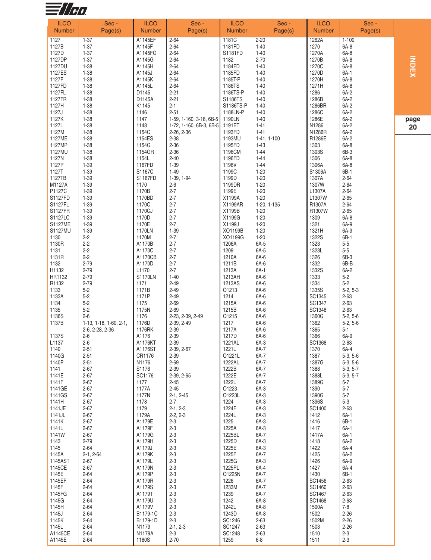

| 1127<br>A1145EF<br>1181C<br>$2 - 20$<br>1262A<br>$1 - 100$<br>$1 - 37$<br>$2 - 64$<br>$1 - 37$<br>$2 - 64$<br>$1 - 40$<br>1270<br>6A-8<br>1127B<br>A1145F<br>1181FD<br>$1 - 37$<br>A1145FG<br>1270A<br>6A-8<br>1127D<br>$2 - 64$<br>S1181FD<br>$1 - 40$<br>ミスロン<br>$1 - 37$<br>$2 - 70$<br>6A-8<br>1127DP<br>$2 - 64$<br>1182<br>1270B<br>A1145G<br>$1 - 38$<br>$2 - 64$<br>6A-8<br>1127DU<br>A1145H<br>1184FD<br>$1 - 40$<br>1270C<br>$6A-1$<br>$1 - 38$<br>$2 - 64$<br>$1 - 40$<br>1270D<br>1127ES<br>A1145J<br>1185FD<br>$1 - 38$<br>6A-8<br>1127F<br>A1145K<br>$2 - 64$<br>1185T-P<br>$1 - 40$<br>1270H<br>6A-8<br>1127FD<br>$1 - 38$<br>A1145L<br>$2 - 64$<br>1186TS<br>$1 - 40$<br>1271H<br>1127FL<br>$1 - 38$<br>D1145<br>$2 - 21$<br>$1 - 40$<br>1286<br>6A-2<br>1186TS-P<br>$1 - 38$<br>$2 - 21$<br>6A-2<br>1127FR<br>D1145A<br>S1186TS<br>$1 - 40$<br>1286B<br>1127H<br>$1 - 38$<br>K1145<br>$2 - 1$<br>$1 - 40$<br>1286BR<br>6A-2<br>S1186TS-P<br>1127J<br>1146<br>6A-2<br>$1 - 38$<br>$2 - 51$<br>1188LN-P<br>$1 - 40$<br>1286C<br>1127K<br>$1 - 38$<br>1147<br>$1 - 40$<br>1286E<br>6A-2<br>1190LN<br>1-59, 1-160, 3-18, 6B-5<br>pa<br>$1 - 38$<br>1148<br>N1286<br>6A-2<br>1127L<br>1191ET<br>$1 - 41$<br>1-72, 1-160, 6B-3, 6B-5<br>$\overline{2}$<br>6A-2<br>$1 - 38$<br>1127M<br>1154C<br>2-26, 2-36<br>$1 - 41$<br>N1286R<br>1193FD<br>1127ME<br>$1 - 38$<br>R1286E<br>6A-2<br>1154ES<br>$2 - 38$<br>1193MU<br>1-41, 1-100<br>$1 - 38$<br>1154G<br>$2 - 36$<br>6A-8<br>1127MP<br>1195FD<br>$1 - 43$<br>1303<br>6B-3<br>$1 - 38$<br>$2 - 36$<br>1127MU<br>1154GR<br>1196CM<br>$1 - 44$<br>1303S<br>$1 - 38$<br>$2 - 40$<br>6A-8<br>1127N<br>1154L<br>1196FD<br>$1 - 44$<br>1306<br>$1 - 39$<br>6A-8<br>1127P<br>1167FD<br>$1 - 39$<br>1196V<br>$1 - 44$<br>1306A<br>6B-1<br>$1 - 39$<br>S1167C<br>$1 - 49$<br>1199C<br>$1 - 20$<br>S1306A<br>1127T<br>$1 - 39$<br>$2 - 64$<br>1127TB<br>S1167FD<br>1-39, 1-94<br>1199D<br>$1 - 20$<br>1307A<br>$2 - 64$<br>M1127A<br>$1 - 39$<br>1170<br>$2 - 6$<br>1199DR<br>$1 - 20$<br>1307W<br>$1 - 39$<br>1170B<br>$2 - 7$<br>1199E<br>$1 - 20$<br>$2 - 64$<br>P1127C<br>L1307A<br>$2 - 65$<br>S1127FD<br>$1 - 39$<br>1170BD<br>$2 - 7$<br>X1199A<br>$1 - 20$<br>L1307W<br>S1127FL<br>$1 - 39$<br>1170C<br>$2 - 7$<br>X1199AR<br>$2 - 64$<br>1-20, 1-135<br>R1307A<br><b>S1127FR</b><br>$1 - 20$<br>$2 - 65$<br>$1 - 39$<br>1170CJ<br>$2 - 7$<br>X1199B<br>R1307W<br>1170D<br>$2 - 7$<br>6A-8<br>S1127LC<br>$1 - 39$<br>X1199G<br>$1 - 20$<br>1309<br>$1 - 39$<br>6A-9<br><b>S1127ME</b><br>1170E<br>$2 - 7$<br>X1199J<br>$1 - 20$<br>1321<br>S1127MU<br>$1 - 39$<br>$1 - 20$<br>6A-9<br>1170LN<br>$1 - 39$<br>XO1199B<br>1321H<br>$2 - 2$<br>1170M<br>$2 - 7$<br>XO1199G<br>$1 - 20$<br>1322S<br>6B-1<br>1130<br>$2 - 2$<br>$2 - 7$<br>6A-5<br>$5-5$<br>1130R<br>A1170B<br>1206A<br>1323<br>$5-5$<br>$2 - 2$<br>A1170C<br>$2 - 7$<br>1209<br>6A-5<br>1323L<br>1131<br>6B-3<br>$2 - 2$<br>A1170CB<br>$2 - 7$<br>1210A<br>6A-6<br>1326<br>1131R<br>$2 - 79$<br>6B-B<br>1132<br>A1170D<br>$2 - 7$<br>1211B<br>6A-6<br>1332<br>$2 - 79$<br>$2 - 7$<br>6A-1<br>6A-2<br>H1132<br>L <sub>1170</sub><br>1213A<br>1332S<br>$2 - 79$<br>$5-2$<br>HR1132<br><b>S1170LN</b><br>$1 - 40$<br>1213AH<br>6A-6<br>1333<br>$5-2$<br>R1132<br>$2 - 79$<br>1171<br>$2 - 49$<br>1213AS<br>6A-6<br>1334<br>1133<br>$5-2$<br>1171B<br>$2 - 49$<br>01213<br>6A-6<br>1335S<br>$5-2, 5-3$<br>$5-2$<br>1133A<br>1171P<br>$2 - 49$<br>1214<br>6A-6<br>SC1345<br>$2 - 63$<br>$5 - 2$<br>1175<br>$2 - 69$<br>1215A<br>6A-6<br>SC1347<br>$2 - 63$<br>1134<br>$5-2$<br>1135<br>1175N<br>$2 - 69$<br>1215B<br>6A-6<br>SC1348<br>$2 - 63$<br>$2 - 6$<br>1136S<br>1176<br>01215<br>6A-6<br>1360G<br>$5-2, 5-6$<br>2-23, 2-39, 2-49<br>1137B<br>1176D<br>2-39, 2-49<br>1217<br>6A-6<br>1362<br>$5-2, 5-6$<br>1-13, 1-18, 1-60, 2-1,<br>1176RK<br>$2 - 39$<br>1217A<br>6A-6<br>1365<br>$5-1$<br>2-6, 2-28, 2-36<br>6A-9<br>1137S<br>$2 - 6$<br>A1176<br>$2 - 39$<br>1217D<br>6A-6<br>1366<br>SC1368<br>$2 - 6$<br>$2 - 63$<br>6A-3<br>L <sub>113</sub><br>A1176K I<br>2-39<br>1221AL<br>$2 - 51$<br>1221L<br>1370<br>6A-4<br>1140<br>A1176ST<br>2-39, 2-67<br>6A-7<br>1140G<br>$2 - 51$<br>O1221L<br>$5-3, 5-6$<br>CR1176<br>$2 - 39$<br>6A-7<br>1387<br>1140P<br>$2 - 51$<br>1222AL<br>$5-3.5-6$<br>N1176<br>$2 - 69$<br>6A-7<br>1387G<br>1141<br>$2 - 67$<br>S1176<br>$2 - 39$<br>1222B<br>6A-7<br>1388<br>$5-3, 5-7$<br>$2 - 67$<br>SC1176<br>1222E<br>1141E<br>2-39, 2-65<br>6A-7<br>1388L<br>$5-3, 5-7$<br>1222L<br>1141F<br>$2 - 67$<br>1177<br>$2 - 45$<br>6A-7<br>1389G<br>5-7<br>1141GE<br>$2 - 67$<br>1177A<br>$2 - 45$<br>01223<br>6A-3<br>1390<br>$5 - 7$<br>O1223L<br>$5 - 7$<br>1141GS<br>$2 - 67$<br>1177N<br>$2-1, 2-45$<br>6A-3<br>1390G<br>$5 - 3$<br>1141H<br>$2 - 67$<br>1178<br>$2 - 7$<br>1224<br>6A-3<br>1396S<br>1141JE<br>1179<br>1224F<br>SC1400<br>$2 - 63$<br>$2 - 67$<br>$2-1, 2-3$<br>6A-3<br>1141JL<br>$2 - 67$<br>1179A<br>1224L<br>6A-3<br>6A-1<br>$2-2, 2-3$<br>1412<br>1141K<br>A1179E<br>1225<br>6B-1<br>$2 - 67$<br>$2 - 3$<br>6A-3<br>1416<br>$2 - 67$<br>A1179F<br>1225A<br>6A-1<br>1141L<br>$2 - 3$<br>6A-3<br>1417<br>1141W<br>$2 - 67$<br>A1179G<br>1225BL<br>6A-7<br>6A-1<br>$2 - 3$<br>1417A<br>$2 - 79$<br>A1179H<br>1225D<br>6A-3<br>6A-2<br>1143<br>$2 - 3$<br>1418<br>$2 - 64$<br>A1179J<br>$2 - 3$<br>1225E<br>6A-4<br>1145<br>6A-3<br>1422<br>1225F<br>6A-2<br>1145A<br>$2-1, 2-64$<br>A1179K<br>$2 - 3$<br>6A-7<br>1425<br>6A-9<br>1145AST<br>$2 - 67$<br>A1179L<br>$2 - 3$<br>1225G<br>6A-3<br>1426<br>1145CE<br>$2 - 67$<br>A1179N<br>$2 - 3$<br>1225PL<br>6A-4<br>6A-4<br>1427<br>1145E<br>A1179P<br>6B-1<br>$2 - 64$<br>$2 - 3$<br>O1225N<br>6A-7<br>1430<br>1145EF<br>$2 - 64$<br>A1179R<br>$2 - 3$<br>1226<br>6A-7<br>SC1456<br>$2 - 63$<br>1145F<br>$2 - 64$<br>A1179S<br>1233M<br>SC1460<br>$2 - 63$<br>$2 - 3$<br>6A-7<br>A1179T<br>1145FG<br>$2 - 64$<br>$2 - 3$<br>1239<br>6A-7<br>SC1467<br>$2 - 63$<br>1145G<br>$2 - 64$<br>A1179U<br>1242<br>6A-8<br>SC1468<br>$2 - 63$<br>$2 - 3$<br>1145H<br>A1179V<br>$7 - 8$<br>$2 - 64$<br>$2 - 3$<br>1242L<br>6A-8<br>1500A<br>1145J<br>$2 - 64$<br>1243D<br>B1179-1C<br>$2 - 3$<br>6A-8<br>1502<br>$2 - 26$<br>B1179-1D<br>$2 - 26$<br>1145K<br>$2 - 64$<br>$2 - 3$<br>SC1246<br>$2 - 63$<br>1502M<br>SC1247<br>1145L<br>$2 - 64$<br>N1179<br>$2-1, 2-3$<br>$2 - 63$<br>1503<br>$2 - 26$<br>N1179A<br>SC1248<br>$2 - 3$<br>A1145CE<br>$2 - 64$<br>$2 - 3$<br>$2 - 63$<br>1510<br>$2 - 70$<br>1259<br>$6 - 8$<br>$2 - 3$<br>A1145E<br>$2 - 64$<br>1180S<br>1511 | <b>ILCO</b><br><b>Number</b> | Sec -<br>Page(s) | <b>ILCO</b><br><b>Number</b> | Sec -<br>Page(s) | <b>ILCO</b><br><b>Number</b> | Sec -<br>Page(s) | <b>ILCO</b><br><b>Number</b> | Sec -<br>Page(s) |  |
|------------------------------------------------------------------------------------------------------------------------------------------------------------------------------------------------------------------------------------------------------------------------------------------------------------------------------------------------------------------------------------------------------------------------------------------------------------------------------------------------------------------------------------------------------------------------------------------------------------------------------------------------------------------------------------------------------------------------------------------------------------------------------------------------------------------------------------------------------------------------------------------------------------------------------------------------------------------------------------------------------------------------------------------------------------------------------------------------------------------------------------------------------------------------------------------------------------------------------------------------------------------------------------------------------------------------------------------------------------------------------------------------------------------------------------------------------------------------------------------------------------------------------------------------------------------------------------------------------------------------------------------------------------------------------------------------------------------------------------------------------------------------------------------------------------------------------------------------------------------------------------------------------------------------------------------------------------------------------------------------------------------------------------------------------------------------------------------------------------------------------------------------------------------------------------------------------------------------------------------------------------------------------------------------------------------------------------------------------------------------------------------------------------------------------------------------------------------------------------------------------------------------------------------------------------------------------------------------------------------------------------------------------------------------------------------------------------------------------------------------------------------------------------------------------------------------------------------------------------------------------------------------------------------------------------------------------------------------------------------------------------------------------------------------------------------------------------------------------------------------------------------------------------------------------------------------------------------------------------------------------------------------------------------------------------------------------------------------------------------------------------------------------------------------------------------------------------------------------------------------------------------------------------------------------------------------------------------------------------------------------------------------------------------------------------------------------------------------------------------------------------------------------------------------------------------------------------------------------------------------------------------------------------------------------------------------------------------------------------------------------------------------------------------------------------------------------------------------------------------------------------------------------------------------------------------------------------------------------------------------------------------------------------------------------------------------------------------------------------------------------------------------------------------------------------------------------------------------------------------------------------------------------------------------------------------------------------------------------------------------------------------------------------------------------------------------------------------------------------------------------------------------------------------------------------------------------------------------------------------------------------------------------------------------------------------------------------------------------------------------------------------------------------------------------------------------------------------------------------------------------------------------------------------------------------------------------------------------------------------------------------------------------------------------------------------------------------------------------------------------------------------------------------------------------------------------------------------------------------------------------------------------------------------------------------------------------------------------------------------------------------------------------------------------------------------------------------------------------------------------------------------------------------------------------------------------------------------------------------------------------------------------------------------------------------------------------------------------------------------------------------------------------------------------------------------------------------------------------------------------------------------------------------------------------------------------------------------------------------------------------------------------------------------------------------------------------------------------------------------------------------------------------------------------------------------------------------------------------------------------------------------------------------------------------------------------------------------|------------------------------|------------------|------------------------------|------------------|------------------------------|------------------|------------------------------|------------------|--|
|                                                                                                                                                                                                                                                                                                                                                                                                                                                                                                                                                                                                                                                                                                                                                                                                                                                                                                                                                                                                                                                                                                                                                                                                                                                                                                                                                                                                                                                                                                                                                                                                                                                                                                                                                                                                                                                                                                                                                                                                                                                                                                                                                                                                                                                                                                                                                                                                                                                                                                                                                                                                                                                                                                                                                                                                                                                                                                                                                                                                                                                                                                                                                                                                                                                                                                                                                                                                                                                                                                                                                                                                                                                                                                                                                                                                                                                                                                                                                                                                                                                                                                                                                                                                                                                                                                                                                                                                                                                                                                                                                                                                                                                                                                                                                                                                                                                                                                                                                                                                                                                                                                                                                                                                                                                                                                                                                                                                                                                                                                                                                                                                                                                                                                                                                                                                                                                                                                                                                                                                                                                                                                                                                                                                                                                                                                                                                                                                                                                                                                                                                                                          |                              |                  |                              |                  |                              |                  |                              |                  |  |
|                                                                                                                                                                                                                                                                                                                                                                                                                                                                                                                                                                                                                                                                                                                                                                                                                                                                                                                                                                                                                                                                                                                                                                                                                                                                                                                                                                                                                                                                                                                                                                                                                                                                                                                                                                                                                                                                                                                                                                                                                                                                                                                                                                                                                                                                                                                                                                                                                                                                                                                                                                                                                                                                                                                                                                                                                                                                                                                                                                                                                                                                                                                                                                                                                                                                                                                                                                                                                                                                                                                                                                                                                                                                                                                                                                                                                                                                                                                                                                                                                                                                                                                                                                                                                                                                                                                                                                                                                                                                                                                                                                                                                                                                                                                                                                                                                                                                                                                                                                                                                                                                                                                                                                                                                                                                                                                                                                                                                                                                                                                                                                                                                                                                                                                                                                                                                                                                                                                                                                                                                                                                                                                                                                                                                                                                                                                                                                                                                                                                                                                                                                                          |                              |                  |                              |                  |                              |                  |                              |                  |  |
|                                                                                                                                                                                                                                                                                                                                                                                                                                                                                                                                                                                                                                                                                                                                                                                                                                                                                                                                                                                                                                                                                                                                                                                                                                                                                                                                                                                                                                                                                                                                                                                                                                                                                                                                                                                                                                                                                                                                                                                                                                                                                                                                                                                                                                                                                                                                                                                                                                                                                                                                                                                                                                                                                                                                                                                                                                                                                                                                                                                                                                                                                                                                                                                                                                                                                                                                                                                                                                                                                                                                                                                                                                                                                                                                                                                                                                                                                                                                                                                                                                                                                                                                                                                                                                                                                                                                                                                                                                                                                                                                                                                                                                                                                                                                                                                                                                                                                                                                                                                                                                                                                                                                                                                                                                                                                                                                                                                                                                                                                                                                                                                                                                                                                                                                                                                                                                                                                                                                                                                                                                                                                                                                                                                                                                                                                                                                                                                                                                                                                                                                                                                          |                              |                  |                              |                  |                              |                  |                              |                  |  |
|                                                                                                                                                                                                                                                                                                                                                                                                                                                                                                                                                                                                                                                                                                                                                                                                                                                                                                                                                                                                                                                                                                                                                                                                                                                                                                                                                                                                                                                                                                                                                                                                                                                                                                                                                                                                                                                                                                                                                                                                                                                                                                                                                                                                                                                                                                                                                                                                                                                                                                                                                                                                                                                                                                                                                                                                                                                                                                                                                                                                                                                                                                                                                                                                                                                                                                                                                                                                                                                                                                                                                                                                                                                                                                                                                                                                                                                                                                                                                                                                                                                                                                                                                                                                                                                                                                                                                                                                                                                                                                                                                                                                                                                                                                                                                                                                                                                                                                                                                                                                                                                                                                                                                                                                                                                                                                                                                                                                                                                                                                                                                                                                                                                                                                                                                                                                                                                                                                                                                                                                                                                                                                                                                                                                                                                                                                                                                                                                                                                                                                                                                                                          |                              |                  |                              |                  |                              |                  |                              |                  |  |
|                                                                                                                                                                                                                                                                                                                                                                                                                                                                                                                                                                                                                                                                                                                                                                                                                                                                                                                                                                                                                                                                                                                                                                                                                                                                                                                                                                                                                                                                                                                                                                                                                                                                                                                                                                                                                                                                                                                                                                                                                                                                                                                                                                                                                                                                                                                                                                                                                                                                                                                                                                                                                                                                                                                                                                                                                                                                                                                                                                                                                                                                                                                                                                                                                                                                                                                                                                                                                                                                                                                                                                                                                                                                                                                                                                                                                                                                                                                                                                                                                                                                                                                                                                                                                                                                                                                                                                                                                                                                                                                                                                                                                                                                                                                                                                                                                                                                                                                                                                                                                                                                                                                                                                                                                                                                                                                                                                                                                                                                                                                                                                                                                                                                                                                                                                                                                                                                                                                                                                                                                                                                                                                                                                                                                                                                                                                                                                                                                                                                                                                                                                                          |                              |                  |                              |                  |                              |                  |                              |                  |  |
|                                                                                                                                                                                                                                                                                                                                                                                                                                                                                                                                                                                                                                                                                                                                                                                                                                                                                                                                                                                                                                                                                                                                                                                                                                                                                                                                                                                                                                                                                                                                                                                                                                                                                                                                                                                                                                                                                                                                                                                                                                                                                                                                                                                                                                                                                                                                                                                                                                                                                                                                                                                                                                                                                                                                                                                                                                                                                                                                                                                                                                                                                                                                                                                                                                                                                                                                                                                                                                                                                                                                                                                                                                                                                                                                                                                                                                                                                                                                                                                                                                                                                                                                                                                                                                                                                                                                                                                                                                                                                                                                                                                                                                                                                                                                                                                                                                                                                                                                                                                                                                                                                                                                                                                                                                                                                                                                                                                                                                                                                                                                                                                                                                                                                                                                                                                                                                                                                                                                                                                                                                                                                                                                                                                                                                                                                                                                                                                                                                                                                                                                                                                          |                              |                  |                              |                  |                              |                  |                              |                  |  |
|                                                                                                                                                                                                                                                                                                                                                                                                                                                                                                                                                                                                                                                                                                                                                                                                                                                                                                                                                                                                                                                                                                                                                                                                                                                                                                                                                                                                                                                                                                                                                                                                                                                                                                                                                                                                                                                                                                                                                                                                                                                                                                                                                                                                                                                                                                                                                                                                                                                                                                                                                                                                                                                                                                                                                                                                                                                                                                                                                                                                                                                                                                                                                                                                                                                                                                                                                                                                                                                                                                                                                                                                                                                                                                                                                                                                                                                                                                                                                                                                                                                                                                                                                                                                                                                                                                                                                                                                                                                                                                                                                                                                                                                                                                                                                                                                                                                                                                                                                                                                                                                                                                                                                                                                                                                                                                                                                                                                                                                                                                                                                                                                                                                                                                                                                                                                                                                                                                                                                                                                                                                                                                                                                                                                                                                                                                                                                                                                                                                                                                                                                                                          |                              |                  |                              |                  |                              |                  |                              |                  |  |
|                                                                                                                                                                                                                                                                                                                                                                                                                                                                                                                                                                                                                                                                                                                                                                                                                                                                                                                                                                                                                                                                                                                                                                                                                                                                                                                                                                                                                                                                                                                                                                                                                                                                                                                                                                                                                                                                                                                                                                                                                                                                                                                                                                                                                                                                                                                                                                                                                                                                                                                                                                                                                                                                                                                                                                                                                                                                                                                                                                                                                                                                                                                                                                                                                                                                                                                                                                                                                                                                                                                                                                                                                                                                                                                                                                                                                                                                                                                                                                                                                                                                                                                                                                                                                                                                                                                                                                                                                                                                                                                                                                                                                                                                                                                                                                                                                                                                                                                                                                                                                                                                                                                                                                                                                                                                                                                                                                                                                                                                                                                                                                                                                                                                                                                                                                                                                                                                                                                                                                                                                                                                                                                                                                                                                                                                                                                                                                                                                                                                                                                                                                                          |                              |                  |                              |                  |                              |                  |                              |                  |  |
|                                                                                                                                                                                                                                                                                                                                                                                                                                                                                                                                                                                                                                                                                                                                                                                                                                                                                                                                                                                                                                                                                                                                                                                                                                                                                                                                                                                                                                                                                                                                                                                                                                                                                                                                                                                                                                                                                                                                                                                                                                                                                                                                                                                                                                                                                                                                                                                                                                                                                                                                                                                                                                                                                                                                                                                                                                                                                                                                                                                                                                                                                                                                                                                                                                                                                                                                                                                                                                                                                                                                                                                                                                                                                                                                                                                                                                                                                                                                                                                                                                                                                                                                                                                                                                                                                                                                                                                                                                                                                                                                                                                                                                                                                                                                                                                                                                                                                                                                                                                                                                                                                                                                                                                                                                                                                                                                                                                                                                                                                                                                                                                                                                                                                                                                                                                                                                                                                                                                                                                                                                                                                                                                                                                                                                                                                                                                                                                                                                                                                                                                                                                          |                              |                  |                              |                  |                              |                  |                              |                  |  |
|                                                                                                                                                                                                                                                                                                                                                                                                                                                                                                                                                                                                                                                                                                                                                                                                                                                                                                                                                                                                                                                                                                                                                                                                                                                                                                                                                                                                                                                                                                                                                                                                                                                                                                                                                                                                                                                                                                                                                                                                                                                                                                                                                                                                                                                                                                                                                                                                                                                                                                                                                                                                                                                                                                                                                                                                                                                                                                                                                                                                                                                                                                                                                                                                                                                                                                                                                                                                                                                                                                                                                                                                                                                                                                                                                                                                                                                                                                                                                                                                                                                                                                                                                                                                                                                                                                                                                                                                                                                                                                                                                                                                                                                                                                                                                                                                                                                                                                                                                                                                                                                                                                                                                                                                                                                                                                                                                                                                                                                                                                                                                                                                                                                                                                                                                                                                                                                                                                                                                                                                                                                                                                                                                                                                                                                                                                                                                                                                                                                                                                                                                                                          |                              |                  |                              |                  |                              |                  |                              |                  |  |
|                                                                                                                                                                                                                                                                                                                                                                                                                                                                                                                                                                                                                                                                                                                                                                                                                                                                                                                                                                                                                                                                                                                                                                                                                                                                                                                                                                                                                                                                                                                                                                                                                                                                                                                                                                                                                                                                                                                                                                                                                                                                                                                                                                                                                                                                                                                                                                                                                                                                                                                                                                                                                                                                                                                                                                                                                                                                                                                                                                                                                                                                                                                                                                                                                                                                                                                                                                                                                                                                                                                                                                                                                                                                                                                                                                                                                                                                                                                                                                                                                                                                                                                                                                                                                                                                                                                                                                                                                                                                                                                                                                                                                                                                                                                                                                                                                                                                                                                                                                                                                                                                                                                                                                                                                                                                                                                                                                                                                                                                                                                                                                                                                                                                                                                                                                                                                                                                                                                                                                                                                                                                                                                                                                                                                                                                                                                                                                                                                                                                                                                                                                                          |                              |                  |                              |                  |                              |                  |                              |                  |  |
|                                                                                                                                                                                                                                                                                                                                                                                                                                                                                                                                                                                                                                                                                                                                                                                                                                                                                                                                                                                                                                                                                                                                                                                                                                                                                                                                                                                                                                                                                                                                                                                                                                                                                                                                                                                                                                                                                                                                                                                                                                                                                                                                                                                                                                                                                                                                                                                                                                                                                                                                                                                                                                                                                                                                                                                                                                                                                                                                                                                                                                                                                                                                                                                                                                                                                                                                                                                                                                                                                                                                                                                                                                                                                                                                                                                                                                                                                                                                                                                                                                                                                                                                                                                                                                                                                                                                                                                                                                                                                                                                                                                                                                                                                                                                                                                                                                                                                                                                                                                                                                                                                                                                                                                                                                                                                                                                                                                                                                                                                                                                                                                                                                                                                                                                                                                                                                                                                                                                                                                                                                                                                                                                                                                                                                                                                                                                                                                                                                                                                                                                                                                          |                              |                  |                              |                  |                              |                  |                              |                  |  |
|                                                                                                                                                                                                                                                                                                                                                                                                                                                                                                                                                                                                                                                                                                                                                                                                                                                                                                                                                                                                                                                                                                                                                                                                                                                                                                                                                                                                                                                                                                                                                                                                                                                                                                                                                                                                                                                                                                                                                                                                                                                                                                                                                                                                                                                                                                                                                                                                                                                                                                                                                                                                                                                                                                                                                                                                                                                                                                                                                                                                                                                                                                                                                                                                                                                                                                                                                                                                                                                                                                                                                                                                                                                                                                                                                                                                                                                                                                                                                                                                                                                                                                                                                                                                                                                                                                                                                                                                                                                                                                                                                                                                                                                                                                                                                                                                                                                                                                                                                                                                                                                                                                                                                                                                                                                                                                                                                                                                                                                                                                                                                                                                                                                                                                                                                                                                                                                                                                                                                                                                                                                                                                                                                                                                                                                                                                                                                                                                                                                                                                                                                                                          |                              |                  |                              |                  |                              |                  |                              |                  |  |
|                                                                                                                                                                                                                                                                                                                                                                                                                                                                                                                                                                                                                                                                                                                                                                                                                                                                                                                                                                                                                                                                                                                                                                                                                                                                                                                                                                                                                                                                                                                                                                                                                                                                                                                                                                                                                                                                                                                                                                                                                                                                                                                                                                                                                                                                                                                                                                                                                                                                                                                                                                                                                                                                                                                                                                                                                                                                                                                                                                                                                                                                                                                                                                                                                                                                                                                                                                                                                                                                                                                                                                                                                                                                                                                                                                                                                                                                                                                                                                                                                                                                                                                                                                                                                                                                                                                                                                                                                                                                                                                                                                                                                                                                                                                                                                                                                                                                                                                                                                                                                                                                                                                                                                                                                                                                                                                                                                                                                                                                                                                                                                                                                                                                                                                                                                                                                                                                                                                                                                                                                                                                                                                                                                                                                                                                                                                                                                                                                                                                                                                                                                                          |                              |                  |                              |                  |                              |                  |                              |                  |  |
|                                                                                                                                                                                                                                                                                                                                                                                                                                                                                                                                                                                                                                                                                                                                                                                                                                                                                                                                                                                                                                                                                                                                                                                                                                                                                                                                                                                                                                                                                                                                                                                                                                                                                                                                                                                                                                                                                                                                                                                                                                                                                                                                                                                                                                                                                                                                                                                                                                                                                                                                                                                                                                                                                                                                                                                                                                                                                                                                                                                                                                                                                                                                                                                                                                                                                                                                                                                                                                                                                                                                                                                                                                                                                                                                                                                                                                                                                                                                                                                                                                                                                                                                                                                                                                                                                                                                                                                                                                                                                                                                                                                                                                                                                                                                                                                                                                                                                                                                                                                                                                                                                                                                                                                                                                                                                                                                                                                                                                                                                                                                                                                                                                                                                                                                                                                                                                                                                                                                                                                                                                                                                                                                                                                                                                                                                                                                                                                                                                                                                                                                                                                          |                              |                  |                              |                  |                              |                  |                              |                  |  |
|                                                                                                                                                                                                                                                                                                                                                                                                                                                                                                                                                                                                                                                                                                                                                                                                                                                                                                                                                                                                                                                                                                                                                                                                                                                                                                                                                                                                                                                                                                                                                                                                                                                                                                                                                                                                                                                                                                                                                                                                                                                                                                                                                                                                                                                                                                                                                                                                                                                                                                                                                                                                                                                                                                                                                                                                                                                                                                                                                                                                                                                                                                                                                                                                                                                                                                                                                                                                                                                                                                                                                                                                                                                                                                                                                                                                                                                                                                                                                                                                                                                                                                                                                                                                                                                                                                                                                                                                                                                                                                                                                                                                                                                                                                                                                                                                                                                                                                                                                                                                                                                                                                                                                                                                                                                                                                                                                                                                                                                                                                                                                                                                                                                                                                                                                                                                                                                                                                                                                                                                                                                                                                                                                                                                                                                                                                                                                                                                                                                                                                                                                                                          |                              |                  |                              |                  |                              |                  |                              |                  |  |
|                                                                                                                                                                                                                                                                                                                                                                                                                                                                                                                                                                                                                                                                                                                                                                                                                                                                                                                                                                                                                                                                                                                                                                                                                                                                                                                                                                                                                                                                                                                                                                                                                                                                                                                                                                                                                                                                                                                                                                                                                                                                                                                                                                                                                                                                                                                                                                                                                                                                                                                                                                                                                                                                                                                                                                                                                                                                                                                                                                                                                                                                                                                                                                                                                                                                                                                                                                                                                                                                                                                                                                                                                                                                                                                                                                                                                                                                                                                                                                                                                                                                                                                                                                                                                                                                                                                                                                                                                                                                                                                                                                                                                                                                                                                                                                                                                                                                                                                                                                                                                                                                                                                                                                                                                                                                                                                                                                                                                                                                                                                                                                                                                                                                                                                                                                                                                                                                                                                                                                                                                                                                                                                                                                                                                                                                                                                                                                                                                                                                                                                                                                                          |                              |                  |                              |                  |                              |                  |                              |                  |  |
|                                                                                                                                                                                                                                                                                                                                                                                                                                                                                                                                                                                                                                                                                                                                                                                                                                                                                                                                                                                                                                                                                                                                                                                                                                                                                                                                                                                                                                                                                                                                                                                                                                                                                                                                                                                                                                                                                                                                                                                                                                                                                                                                                                                                                                                                                                                                                                                                                                                                                                                                                                                                                                                                                                                                                                                                                                                                                                                                                                                                                                                                                                                                                                                                                                                                                                                                                                                                                                                                                                                                                                                                                                                                                                                                                                                                                                                                                                                                                                                                                                                                                                                                                                                                                                                                                                                                                                                                                                                                                                                                                                                                                                                                                                                                                                                                                                                                                                                                                                                                                                                                                                                                                                                                                                                                                                                                                                                                                                                                                                                                                                                                                                                                                                                                                                                                                                                                                                                                                                                                                                                                                                                                                                                                                                                                                                                                                                                                                                                                                                                                                                                          |                              |                  |                              |                  |                              |                  |                              |                  |  |
|                                                                                                                                                                                                                                                                                                                                                                                                                                                                                                                                                                                                                                                                                                                                                                                                                                                                                                                                                                                                                                                                                                                                                                                                                                                                                                                                                                                                                                                                                                                                                                                                                                                                                                                                                                                                                                                                                                                                                                                                                                                                                                                                                                                                                                                                                                                                                                                                                                                                                                                                                                                                                                                                                                                                                                                                                                                                                                                                                                                                                                                                                                                                                                                                                                                                                                                                                                                                                                                                                                                                                                                                                                                                                                                                                                                                                                                                                                                                                                                                                                                                                                                                                                                                                                                                                                                                                                                                                                                                                                                                                                                                                                                                                                                                                                                                                                                                                                                                                                                                                                                                                                                                                                                                                                                                                                                                                                                                                                                                                                                                                                                                                                                                                                                                                                                                                                                                                                                                                                                                                                                                                                                                                                                                                                                                                                                                                                                                                                                                                                                                                                                          |                              |                  |                              |                  |                              |                  |                              |                  |  |
|                                                                                                                                                                                                                                                                                                                                                                                                                                                                                                                                                                                                                                                                                                                                                                                                                                                                                                                                                                                                                                                                                                                                                                                                                                                                                                                                                                                                                                                                                                                                                                                                                                                                                                                                                                                                                                                                                                                                                                                                                                                                                                                                                                                                                                                                                                                                                                                                                                                                                                                                                                                                                                                                                                                                                                                                                                                                                                                                                                                                                                                                                                                                                                                                                                                                                                                                                                                                                                                                                                                                                                                                                                                                                                                                                                                                                                                                                                                                                                                                                                                                                                                                                                                                                                                                                                                                                                                                                                                                                                                                                                                                                                                                                                                                                                                                                                                                                                                                                                                                                                                                                                                                                                                                                                                                                                                                                                                                                                                                                                                                                                                                                                                                                                                                                                                                                                                                                                                                                                                                                                                                                                                                                                                                                                                                                                                                                                                                                                                                                                                                                                                          |                              |                  |                              |                  |                              |                  |                              |                  |  |
|                                                                                                                                                                                                                                                                                                                                                                                                                                                                                                                                                                                                                                                                                                                                                                                                                                                                                                                                                                                                                                                                                                                                                                                                                                                                                                                                                                                                                                                                                                                                                                                                                                                                                                                                                                                                                                                                                                                                                                                                                                                                                                                                                                                                                                                                                                                                                                                                                                                                                                                                                                                                                                                                                                                                                                                                                                                                                                                                                                                                                                                                                                                                                                                                                                                                                                                                                                                                                                                                                                                                                                                                                                                                                                                                                                                                                                                                                                                                                                                                                                                                                                                                                                                                                                                                                                                                                                                                                                                                                                                                                                                                                                                                                                                                                                                                                                                                                                                                                                                                                                                                                                                                                                                                                                                                                                                                                                                                                                                                                                                                                                                                                                                                                                                                                                                                                                                                                                                                                                                                                                                                                                                                                                                                                                                                                                                                                                                                                                                                                                                                                                                          |                              |                  |                              |                  |                              |                  |                              |                  |  |
|                                                                                                                                                                                                                                                                                                                                                                                                                                                                                                                                                                                                                                                                                                                                                                                                                                                                                                                                                                                                                                                                                                                                                                                                                                                                                                                                                                                                                                                                                                                                                                                                                                                                                                                                                                                                                                                                                                                                                                                                                                                                                                                                                                                                                                                                                                                                                                                                                                                                                                                                                                                                                                                                                                                                                                                                                                                                                                                                                                                                                                                                                                                                                                                                                                                                                                                                                                                                                                                                                                                                                                                                                                                                                                                                                                                                                                                                                                                                                                                                                                                                                                                                                                                                                                                                                                                                                                                                                                                                                                                                                                                                                                                                                                                                                                                                                                                                                                                                                                                                                                                                                                                                                                                                                                                                                                                                                                                                                                                                                                                                                                                                                                                                                                                                                                                                                                                                                                                                                                                                                                                                                                                                                                                                                                                                                                                                                                                                                                                                                                                                                                                          |                              |                  |                              |                  |                              |                  |                              |                  |  |
|                                                                                                                                                                                                                                                                                                                                                                                                                                                                                                                                                                                                                                                                                                                                                                                                                                                                                                                                                                                                                                                                                                                                                                                                                                                                                                                                                                                                                                                                                                                                                                                                                                                                                                                                                                                                                                                                                                                                                                                                                                                                                                                                                                                                                                                                                                                                                                                                                                                                                                                                                                                                                                                                                                                                                                                                                                                                                                                                                                                                                                                                                                                                                                                                                                                                                                                                                                                                                                                                                                                                                                                                                                                                                                                                                                                                                                                                                                                                                                                                                                                                                                                                                                                                                                                                                                                                                                                                                                                                                                                                                                                                                                                                                                                                                                                                                                                                                                                                                                                                                                                                                                                                                                                                                                                                                                                                                                                                                                                                                                                                                                                                                                                                                                                                                                                                                                                                                                                                                                                                                                                                                                                                                                                                                                                                                                                                                                                                                                                                                                                                                                                          |                              |                  |                              |                  |                              |                  |                              |                  |  |
|                                                                                                                                                                                                                                                                                                                                                                                                                                                                                                                                                                                                                                                                                                                                                                                                                                                                                                                                                                                                                                                                                                                                                                                                                                                                                                                                                                                                                                                                                                                                                                                                                                                                                                                                                                                                                                                                                                                                                                                                                                                                                                                                                                                                                                                                                                                                                                                                                                                                                                                                                                                                                                                                                                                                                                                                                                                                                                                                                                                                                                                                                                                                                                                                                                                                                                                                                                                                                                                                                                                                                                                                                                                                                                                                                                                                                                                                                                                                                                                                                                                                                                                                                                                                                                                                                                                                                                                                                                                                                                                                                                                                                                                                                                                                                                                                                                                                                                                                                                                                                                                                                                                                                                                                                                                                                                                                                                                                                                                                                                                                                                                                                                                                                                                                                                                                                                                                                                                                                                                                                                                                                                                                                                                                                                                                                                                                                                                                                                                                                                                                                                                          |                              |                  |                              |                  |                              |                  |                              |                  |  |
|                                                                                                                                                                                                                                                                                                                                                                                                                                                                                                                                                                                                                                                                                                                                                                                                                                                                                                                                                                                                                                                                                                                                                                                                                                                                                                                                                                                                                                                                                                                                                                                                                                                                                                                                                                                                                                                                                                                                                                                                                                                                                                                                                                                                                                                                                                                                                                                                                                                                                                                                                                                                                                                                                                                                                                                                                                                                                                                                                                                                                                                                                                                                                                                                                                                                                                                                                                                                                                                                                                                                                                                                                                                                                                                                                                                                                                                                                                                                                                                                                                                                                                                                                                                                                                                                                                                                                                                                                                                                                                                                                                                                                                                                                                                                                                                                                                                                                                                                                                                                                                                                                                                                                                                                                                                                                                                                                                                                                                                                                                                                                                                                                                                                                                                                                                                                                                                                                                                                                                                                                                                                                                                                                                                                                                                                                                                                                                                                                                                                                                                                                                                          |                              |                  |                              |                  |                              |                  |                              |                  |  |
|                                                                                                                                                                                                                                                                                                                                                                                                                                                                                                                                                                                                                                                                                                                                                                                                                                                                                                                                                                                                                                                                                                                                                                                                                                                                                                                                                                                                                                                                                                                                                                                                                                                                                                                                                                                                                                                                                                                                                                                                                                                                                                                                                                                                                                                                                                                                                                                                                                                                                                                                                                                                                                                                                                                                                                                                                                                                                                                                                                                                                                                                                                                                                                                                                                                                                                                                                                                                                                                                                                                                                                                                                                                                                                                                                                                                                                                                                                                                                                                                                                                                                                                                                                                                                                                                                                                                                                                                                                                                                                                                                                                                                                                                                                                                                                                                                                                                                                                                                                                                                                                                                                                                                                                                                                                                                                                                                                                                                                                                                                                                                                                                                                                                                                                                                                                                                                                                                                                                                                                                                                                                                                                                                                                                                                                                                                                                                                                                                                                                                                                                                                                          |                              |                  |                              |                  |                              |                  |                              |                  |  |
|                                                                                                                                                                                                                                                                                                                                                                                                                                                                                                                                                                                                                                                                                                                                                                                                                                                                                                                                                                                                                                                                                                                                                                                                                                                                                                                                                                                                                                                                                                                                                                                                                                                                                                                                                                                                                                                                                                                                                                                                                                                                                                                                                                                                                                                                                                                                                                                                                                                                                                                                                                                                                                                                                                                                                                                                                                                                                                                                                                                                                                                                                                                                                                                                                                                                                                                                                                                                                                                                                                                                                                                                                                                                                                                                                                                                                                                                                                                                                                                                                                                                                                                                                                                                                                                                                                                                                                                                                                                                                                                                                                                                                                                                                                                                                                                                                                                                                                                                                                                                                                                                                                                                                                                                                                                                                                                                                                                                                                                                                                                                                                                                                                                                                                                                                                                                                                                                                                                                                                                                                                                                                                                                                                                                                                                                                                                                                                                                                                                                                                                                                                                          |                              |                  |                              |                  |                              |                  |                              |                  |  |
|                                                                                                                                                                                                                                                                                                                                                                                                                                                                                                                                                                                                                                                                                                                                                                                                                                                                                                                                                                                                                                                                                                                                                                                                                                                                                                                                                                                                                                                                                                                                                                                                                                                                                                                                                                                                                                                                                                                                                                                                                                                                                                                                                                                                                                                                                                                                                                                                                                                                                                                                                                                                                                                                                                                                                                                                                                                                                                                                                                                                                                                                                                                                                                                                                                                                                                                                                                                                                                                                                                                                                                                                                                                                                                                                                                                                                                                                                                                                                                                                                                                                                                                                                                                                                                                                                                                                                                                                                                                                                                                                                                                                                                                                                                                                                                                                                                                                                                                                                                                                                                                                                                                                                                                                                                                                                                                                                                                                                                                                                                                                                                                                                                                                                                                                                                                                                                                                                                                                                                                                                                                                                                                                                                                                                                                                                                                                                                                                                                                                                                                                                                                          |                              |                  |                              |                  |                              |                  |                              |                  |  |
|                                                                                                                                                                                                                                                                                                                                                                                                                                                                                                                                                                                                                                                                                                                                                                                                                                                                                                                                                                                                                                                                                                                                                                                                                                                                                                                                                                                                                                                                                                                                                                                                                                                                                                                                                                                                                                                                                                                                                                                                                                                                                                                                                                                                                                                                                                                                                                                                                                                                                                                                                                                                                                                                                                                                                                                                                                                                                                                                                                                                                                                                                                                                                                                                                                                                                                                                                                                                                                                                                                                                                                                                                                                                                                                                                                                                                                                                                                                                                                                                                                                                                                                                                                                                                                                                                                                                                                                                                                                                                                                                                                                                                                                                                                                                                                                                                                                                                                                                                                                                                                                                                                                                                                                                                                                                                                                                                                                                                                                                                                                                                                                                                                                                                                                                                                                                                                                                                                                                                                                                                                                                                                                                                                                                                                                                                                                                                                                                                                                                                                                                                                                          |                              |                  |                              |                  |                              |                  |                              |                  |  |
|                                                                                                                                                                                                                                                                                                                                                                                                                                                                                                                                                                                                                                                                                                                                                                                                                                                                                                                                                                                                                                                                                                                                                                                                                                                                                                                                                                                                                                                                                                                                                                                                                                                                                                                                                                                                                                                                                                                                                                                                                                                                                                                                                                                                                                                                                                                                                                                                                                                                                                                                                                                                                                                                                                                                                                                                                                                                                                                                                                                                                                                                                                                                                                                                                                                                                                                                                                                                                                                                                                                                                                                                                                                                                                                                                                                                                                                                                                                                                                                                                                                                                                                                                                                                                                                                                                                                                                                                                                                                                                                                                                                                                                                                                                                                                                                                                                                                                                                                                                                                                                                                                                                                                                                                                                                                                                                                                                                                                                                                                                                                                                                                                                                                                                                                                                                                                                                                                                                                                                                                                                                                                                                                                                                                                                                                                                                                                                                                                                                                                                                                                                                          |                              |                  |                              |                  |                              |                  |                              |                  |  |
|                                                                                                                                                                                                                                                                                                                                                                                                                                                                                                                                                                                                                                                                                                                                                                                                                                                                                                                                                                                                                                                                                                                                                                                                                                                                                                                                                                                                                                                                                                                                                                                                                                                                                                                                                                                                                                                                                                                                                                                                                                                                                                                                                                                                                                                                                                                                                                                                                                                                                                                                                                                                                                                                                                                                                                                                                                                                                                                                                                                                                                                                                                                                                                                                                                                                                                                                                                                                                                                                                                                                                                                                                                                                                                                                                                                                                                                                                                                                                                                                                                                                                                                                                                                                                                                                                                                                                                                                                                                                                                                                                                                                                                                                                                                                                                                                                                                                                                                                                                                                                                                                                                                                                                                                                                                                                                                                                                                                                                                                                                                                                                                                                                                                                                                                                                                                                                                                                                                                                                                                                                                                                                                                                                                                                                                                                                                                                                                                                                                                                                                                                                                          |                              |                  |                              |                  |                              |                  |                              |                  |  |
|                                                                                                                                                                                                                                                                                                                                                                                                                                                                                                                                                                                                                                                                                                                                                                                                                                                                                                                                                                                                                                                                                                                                                                                                                                                                                                                                                                                                                                                                                                                                                                                                                                                                                                                                                                                                                                                                                                                                                                                                                                                                                                                                                                                                                                                                                                                                                                                                                                                                                                                                                                                                                                                                                                                                                                                                                                                                                                                                                                                                                                                                                                                                                                                                                                                                                                                                                                                                                                                                                                                                                                                                                                                                                                                                                                                                                                                                                                                                                                                                                                                                                                                                                                                                                                                                                                                                                                                                                                                                                                                                                                                                                                                                                                                                                                                                                                                                                                                                                                                                                                                                                                                                                                                                                                                                                                                                                                                                                                                                                                                                                                                                                                                                                                                                                                                                                                                                                                                                                                                                                                                                                                                                                                                                                                                                                                                                                                                                                                                                                                                                                                                          |                              |                  |                              |                  |                              |                  |                              |                  |  |
|                                                                                                                                                                                                                                                                                                                                                                                                                                                                                                                                                                                                                                                                                                                                                                                                                                                                                                                                                                                                                                                                                                                                                                                                                                                                                                                                                                                                                                                                                                                                                                                                                                                                                                                                                                                                                                                                                                                                                                                                                                                                                                                                                                                                                                                                                                                                                                                                                                                                                                                                                                                                                                                                                                                                                                                                                                                                                                                                                                                                                                                                                                                                                                                                                                                                                                                                                                                                                                                                                                                                                                                                                                                                                                                                                                                                                                                                                                                                                                                                                                                                                                                                                                                                                                                                                                                                                                                                                                                                                                                                                                                                                                                                                                                                                                                                                                                                                                                                                                                                                                                                                                                                                                                                                                                                                                                                                                                                                                                                                                                                                                                                                                                                                                                                                                                                                                                                                                                                                                                                                                                                                                                                                                                                                                                                                                                                                                                                                                                                                                                                                                                          |                              |                  |                              |                  |                              |                  |                              |                  |  |
|                                                                                                                                                                                                                                                                                                                                                                                                                                                                                                                                                                                                                                                                                                                                                                                                                                                                                                                                                                                                                                                                                                                                                                                                                                                                                                                                                                                                                                                                                                                                                                                                                                                                                                                                                                                                                                                                                                                                                                                                                                                                                                                                                                                                                                                                                                                                                                                                                                                                                                                                                                                                                                                                                                                                                                                                                                                                                                                                                                                                                                                                                                                                                                                                                                                                                                                                                                                                                                                                                                                                                                                                                                                                                                                                                                                                                                                                                                                                                                                                                                                                                                                                                                                                                                                                                                                                                                                                                                                                                                                                                                                                                                                                                                                                                                                                                                                                                                                                                                                                                                                                                                                                                                                                                                                                                                                                                                                                                                                                                                                                                                                                                                                                                                                                                                                                                                                                                                                                                                                                                                                                                                                                                                                                                                                                                                                                                                                                                                                                                                                                                                                          |                              |                  |                              |                  |                              |                  |                              |                  |  |
|                                                                                                                                                                                                                                                                                                                                                                                                                                                                                                                                                                                                                                                                                                                                                                                                                                                                                                                                                                                                                                                                                                                                                                                                                                                                                                                                                                                                                                                                                                                                                                                                                                                                                                                                                                                                                                                                                                                                                                                                                                                                                                                                                                                                                                                                                                                                                                                                                                                                                                                                                                                                                                                                                                                                                                                                                                                                                                                                                                                                                                                                                                                                                                                                                                                                                                                                                                                                                                                                                                                                                                                                                                                                                                                                                                                                                                                                                                                                                                                                                                                                                                                                                                                                                                                                                                                                                                                                                                                                                                                                                                                                                                                                                                                                                                                                                                                                                                                                                                                                                                                                                                                                                                                                                                                                                                                                                                                                                                                                                                                                                                                                                                                                                                                                                                                                                                                                                                                                                                                                                                                                                                                                                                                                                                                                                                                                                                                                                                                                                                                                                                                          |                              |                  |                              |                  |                              |                  |                              |                  |  |
|                                                                                                                                                                                                                                                                                                                                                                                                                                                                                                                                                                                                                                                                                                                                                                                                                                                                                                                                                                                                                                                                                                                                                                                                                                                                                                                                                                                                                                                                                                                                                                                                                                                                                                                                                                                                                                                                                                                                                                                                                                                                                                                                                                                                                                                                                                                                                                                                                                                                                                                                                                                                                                                                                                                                                                                                                                                                                                                                                                                                                                                                                                                                                                                                                                                                                                                                                                                                                                                                                                                                                                                                                                                                                                                                                                                                                                                                                                                                                                                                                                                                                                                                                                                                                                                                                                                                                                                                                                                                                                                                                                                                                                                                                                                                                                                                                                                                                                                                                                                                                                                                                                                                                                                                                                                                                                                                                                                                                                                                                                                                                                                                                                                                                                                                                                                                                                                                                                                                                                                                                                                                                                                                                                                                                                                                                                                                                                                                                                                                                                                                                                                          |                              |                  |                              |                  |                              |                  |                              |                  |  |
|                                                                                                                                                                                                                                                                                                                                                                                                                                                                                                                                                                                                                                                                                                                                                                                                                                                                                                                                                                                                                                                                                                                                                                                                                                                                                                                                                                                                                                                                                                                                                                                                                                                                                                                                                                                                                                                                                                                                                                                                                                                                                                                                                                                                                                                                                                                                                                                                                                                                                                                                                                                                                                                                                                                                                                                                                                                                                                                                                                                                                                                                                                                                                                                                                                                                                                                                                                                                                                                                                                                                                                                                                                                                                                                                                                                                                                                                                                                                                                                                                                                                                                                                                                                                                                                                                                                                                                                                                                                                                                                                                                                                                                                                                                                                                                                                                                                                                                                                                                                                                                                                                                                                                                                                                                                                                                                                                                                                                                                                                                                                                                                                                                                                                                                                                                                                                                                                                                                                                                                                                                                                                                                                                                                                                                                                                                                                                                                                                                                                                                                                                                                          |                              |                  |                              |                  |                              |                  |                              |                  |  |
|                                                                                                                                                                                                                                                                                                                                                                                                                                                                                                                                                                                                                                                                                                                                                                                                                                                                                                                                                                                                                                                                                                                                                                                                                                                                                                                                                                                                                                                                                                                                                                                                                                                                                                                                                                                                                                                                                                                                                                                                                                                                                                                                                                                                                                                                                                                                                                                                                                                                                                                                                                                                                                                                                                                                                                                                                                                                                                                                                                                                                                                                                                                                                                                                                                                                                                                                                                                                                                                                                                                                                                                                                                                                                                                                                                                                                                                                                                                                                                                                                                                                                                                                                                                                                                                                                                                                                                                                                                                                                                                                                                                                                                                                                                                                                                                                                                                                                                                                                                                                                                                                                                                                                                                                                                                                                                                                                                                                                                                                                                                                                                                                                                                                                                                                                                                                                                                                                                                                                                                                                                                                                                                                                                                                                                                                                                                                                                                                                                                                                                                                                                                          |                              |                  |                              |                  |                              |                  |                              |                  |  |
|                                                                                                                                                                                                                                                                                                                                                                                                                                                                                                                                                                                                                                                                                                                                                                                                                                                                                                                                                                                                                                                                                                                                                                                                                                                                                                                                                                                                                                                                                                                                                                                                                                                                                                                                                                                                                                                                                                                                                                                                                                                                                                                                                                                                                                                                                                                                                                                                                                                                                                                                                                                                                                                                                                                                                                                                                                                                                                                                                                                                                                                                                                                                                                                                                                                                                                                                                                                                                                                                                                                                                                                                                                                                                                                                                                                                                                                                                                                                                                                                                                                                                                                                                                                                                                                                                                                                                                                                                                                                                                                                                                                                                                                                                                                                                                                                                                                                                                                                                                                                                                                                                                                                                                                                                                                                                                                                                                                                                                                                                                                                                                                                                                                                                                                                                                                                                                                                                                                                                                                                                                                                                                                                                                                                                                                                                                                                                                                                                                                                                                                                                                                          |                              |                  |                              |                  |                              |                  |                              |                  |  |
|                                                                                                                                                                                                                                                                                                                                                                                                                                                                                                                                                                                                                                                                                                                                                                                                                                                                                                                                                                                                                                                                                                                                                                                                                                                                                                                                                                                                                                                                                                                                                                                                                                                                                                                                                                                                                                                                                                                                                                                                                                                                                                                                                                                                                                                                                                                                                                                                                                                                                                                                                                                                                                                                                                                                                                                                                                                                                                                                                                                                                                                                                                                                                                                                                                                                                                                                                                                                                                                                                                                                                                                                                                                                                                                                                                                                                                                                                                                                                                                                                                                                                                                                                                                                                                                                                                                                                                                                                                                                                                                                                                                                                                                                                                                                                                                                                                                                                                                                                                                                                                                                                                                                                                                                                                                                                                                                                                                                                                                                                                                                                                                                                                                                                                                                                                                                                                                                                                                                                                                                                                                                                                                                                                                                                                                                                                                                                                                                                                                                                                                                                                                          |                              |                  |                              |                  |                              |                  |                              |                  |  |
|                                                                                                                                                                                                                                                                                                                                                                                                                                                                                                                                                                                                                                                                                                                                                                                                                                                                                                                                                                                                                                                                                                                                                                                                                                                                                                                                                                                                                                                                                                                                                                                                                                                                                                                                                                                                                                                                                                                                                                                                                                                                                                                                                                                                                                                                                                                                                                                                                                                                                                                                                                                                                                                                                                                                                                                                                                                                                                                                                                                                                                                                                                                                                                                                                                                                                                                                                                                                                                                                                                                                                                                                                                                                                                                                                                                                                                                                                                                                                                                                                                                                                                                                                                                                                                                                                                                                                                                                                                                                                                                                                                                                                                                                                                                                                                                                                                                                                                                                                                                                                                                                                                                                                                                                                                                                                                                                                                                                                                                                                                                                                                                                                                                                                                                                                                                                                                                                                                                                                                                                                                                                                                                                                                                                                                                                                                                                                                                                                                                                                                                                                                                          |                              |                  |                              |                  |                              |                  |                              |                  |  |
|                                                                                                                                                                                                                                                                                                                                                                                                                                                                                                                                                                                                                                                                                                                                                                                                                                                                                                                                                                                                                                                                                                                                                                                                                                                                                                                                                                                                                                                                                                                                                                                                                                                                                                                                                                                                                                                                                                                                                                                                                                                                                                                                                                                                                                                                                                                                                                                                                                                                                                                                                                                                                                                                                                                                                                                                                                                                                                                                                                                                                                                                                                                                                                                                                                                                                                                                                                                                                                                                                                                                                                                                                                                                                                                                                                                                                                                                                                                                                                                                                                                                                                                                                                                                                                                                                                                                                                                                                                                                                                                                                                                                                                                                                                                                                                                                                                                                                                                                                                                                                                                                                                                                                                                                                                                                                                                                                                                                                                                                                                                                                                                                                                                                                                                                                                                                                                                                                                                                                                                                                                                                                                                                                                                                                                                                                                                                                                                                                                                                                                                                                                                          |                              |                  |                              |                  |                              |                  |                              |                  |  |
|                                                                                                                                                                                                                                                                                                                                                                                                                                                                                                                                                                                                                                                                                                                                                                                                                                                                                                                                                                                                                                                                                                                                                                                                                                                                                                                                                                                                                                                                                                                                                                                                                                                                                                                                                                                                                                                                                                                                                                                                                                                                                                                                                                                                                                                                                                                                                                                                                                                                                                                                                                                                                                                                                                                                                                                                                                                                                                                                                                                                                                                                                                                                                                                                                                                                                                                                                                                                                                                                                                                                                                                                                                                                                                                                                                                                                                                                                                                                                                                                                                                                                                                                                                                                                                                                                                                                                                                                                                                                                                                                                                                                                                                                                                                                                                                                                                                                                                                                                                                                                                                                                                                                                                                                                                                                                                                                                                                                                                                                                                                                                                                                                                                                                                                                                                                                                                                                                                                                                                                                                                                                                                                                                                                                                                                                                                                                                                                                                                                                                                                                                                                          |                              |                  |                              |                  |                              |                  |                              |                  |  |
|                                                                                                                                                                                                                                                                                                                                                                                                                                                                                                                                                                                                                                                                                                                                                                                                                                                                                                                                                                                                                                                                                                                                                                                                                                                                                                                                                                                                                                                                                                                                                                                                                                                                                                                                                                                                                                                                                                                                                                                                                                                                                                                                                                                                                                                                                                                                                                                                                                                                                                                                                                                                                                                                                                                                                                                                                                                                                                                                                                                                                                                                                                                                                                                                                                                                                                                                                                                                                                                                                                                                                                                                                                                                                                                                                                                                                                                                                                                                                                                                                                                                                                                                                                                                                                                                                                                                                                                                                                                                                                                                                                                                                                                                                                                                                                                                                                                                                                                                                                                                                                                                                                                                                                                                                                                                                                                                                                                                                                                                                                                                                                                                                                                                                                                                                                                                                                                                                                                                                                                                                                                                                                                                                                                                                                                                                                                                                                                                                                                                                                                                                                                          |                              |                  |                              |                  |                              |                  |                              |                  |  |
|                                                                                                                                                                                                                                                                                                                                                                                                                                                                                                                                                                                                                                                                                                                                                                                                                                                                                                                                                                                                                                                                                                                                                                                                                                                                                                                                                                                                                                                                                                                                                                                                                                                                                                                                                                                                                                                                                                                                                                                                                                                                                                                                                                                                                                                                                                                                                                                                                                                                                                                                                                                                                                                                                                                                                                                                                                                                                                                                                                                                                                                                                                                                                                                                                                                                                                                                                                                                                                                                                                                                                                                                                                                                                                                                                                                                                                                                                                                                                                                                                                                                                                                                                                                                                                                                                                                                                                                                                                                                                                                                                                                                                                                                                                                                                                                                                                                                                                                                                                                                                                                                                                                                                                                                                                                                                                                                                                                                                                                                                                                                                                                                                                                                                                                                                                                                                                                                                                                                                                                                                                                                                                                                                                                                                                                                                                                                                                                                                                                                                                                                                                                          |                              |                  |                              |                  |                              |                  |                              |                  |  |
|                                                                                                                                                                                                                                                                                                                                                                                                                                                                                                                                                                                                                                                                                                                                                                                                                                                                                                                                                                                                                                                                                                                                                                                                                                                                                                                                                                                                                                                                                                                                                                                                                                                                                                                                                                                                                                                                                                                                                                                                                                                                                                                                                                                                                                                                                                                                                                                                                                                                                                                                                                                                                                                                                                                                                                                                                                                                                                                                                                                                                                                                                                                                                                                                                                                                                                                                                                                                                                                                                                                                                                                                                                                                                                                                                                                                                                                                                                                                                                                                                                                                                                                                                                                                                                                                                                                                                                                                                                                                                                                                                                                                                                                                                                                                                                                                                                                                                                                                                                                                                                                                                                                                                                                                                                                                                                                                                                                                                                                                                                                                                                                                                                                                                                                                                                                                                                                                                                                                                                                                                                                                                                                                                                                                                                                                                                                                                                                                                                                                                                                                                                                          |                              |                  |                              |                  |                              |                  |                              |                  |  |
|                                                                                                                                                                                                                                                                                                                                                                                                                                                                                                                                                                                                                                                                                                                                                                                                                                                                                                                                                                                                                                                                                                                                                                                                                                                                                                                                                                                                                                                                                                                                                                                                                                                                                                                                                                                                                                                                                                                                                                                                                                                                                                                                                                                                                                                                                                                                                                                                                                                                                                                                                                                                                                                                                                                                                                                                                                                                                                                                                                                                                                                                                                                                                                                                                                                                                                                                                                                                                                                                                                                                                                                                                                                                                                                                                                                                                                                                                                                                                                                                                                                                                                                                                                                                                                                                                                                                                                                                                                                                                                                                                                                                                                                                                                                                                                                                                                                                                                                                                                                                                                                                                                                                                                                                                                                                                                                                                                                                                                                                                                                                                                                                                                                                                                                                                                                                                                                                                                                                                                                                                                                                                                                                                                                                                                                                                                                                                                                                                                                                                                                                                                                          |                              |                  |                              |                  |                              |                  |                              |                  |  |
|                                                                                                                                                                                                                                                                                                                                                                                                                                                                                                                                                                                                                                                                                                                                                                                                                                                                                                                                                                                                                                                                                                                                                                                                                                                                                                                                                                                                                                                                                                                                                                                                                                                                                                                                                                                                                                                                                                                                                                                                                                                                                                                                                                                                                                                                                                                                                                                                                                                                                                                                                                                                                                                                                                                                                                                                                                                                                                                                                                                                                                                                                                                                                                                                                                                                                                                                                                                                                                                                                                                                                                                                                                                                                                                                                                                                                                                                                                                                                                                                                                                                                                                                                                                                                                                                                                                                                                                                                                                                                                                                                                                                                                                                                                                                                                                                                                                                                                                                                                                                                                                                                                                                                                                                                                                                                                                                                                                                                                                                                                                                                                                                                                                                                                                                                                                                                                                                                                                                                                                                                                                                                                                                                                                                                                                                                                                                                                                                                                                                                                                                                                                          |                              |                  |                              |                  |                              |                  |                              |                  |  |
|                                                                                                                                                                                                                                                                                                                                                                                                                                                                                                                                                                                                                                                                                                                                                                                                                                                                                                                                                                                                                                                                                                                                                                                                                                                                                                                                                                                                                                                                                                                                                                                                                                                                                                                                                                                                                                                                                                                                                                                                                                                                                                                                                                                                                                                                                                                                                                                                                                                                                                                                                                                                                                                                                                                                                                                                                                                                                                                                                                                                                                                                                                                                                                                                                                                                                                                                                                                                                                                                                                                                                                                                                                                                                                                                                                                                                                                                                                                                                                                                                                                                                                                                                                                                                                                                                                                                                                                                                                                                                                                                                                                                                                                                                                                                                                                                                                                                                                                                                                                                                                                                                                                                                                                                                                                                                                                                                                                                                                                                                                                                                                                                                                                                                                                                                                                                                                                                                                                                                                                                                                                                                                                                                                                                                                                                                                                                                                                                                                                                                                                                                                                          |                              |                  |                              |                  |                              |                  |                              |                  |  |
|                                                                                                                                                                                                                                                                                                                                                                                                                                                                                                                                                                                                                                                                                                                                                                                                                                                                                                                                                                                                                                                                                                                                                                                                                                                                                                                                                                                                                                                                                                                                                                                                                                                                                                                                                                                                                                                                                                                                                                                                                                                                                                                                                                                                                                                                                                                                                                                                                                                                                                                                                                                                                                                                                                                                                                                                                                                                                                                                                                                                                                                                                                                                                                                                                                                                                                                                                                                                                                                                                                                                                                                                                                                                                                                                                                                                                                                                                                                                                                                                                                                                                                                                                                                                                                                                                                                                                                                                                                                                                                                                                                                                                                                                                                                                                                                                                                                                                                                                                                                                                                                                                                                                                                                                                                                                                                                                                                                                                                                                                                                                                                                                                                                                                                                                                                                                                                                                                                                                                                                                                                                                                                                                                                                                                                                                                                                                                                                                                                                                                                                                                                                          |                              |                  |                              |                  |                              |                  |                              |                  |  |
|                                                                                                                                                                                                                                                                                                                                                                                                                                                                                                                                                                                                                                                                                                                                                                                                                                                                                                                                                                                                                                                                                                                                                                                                                                                                                                                                                                                                                                                                                                                                                                                                                                                                                                                                                                                                                                                                                                                                                                                                                                                                                                                                                                                                                                                                                                                                                                                                                                                                                                                                                                                                                                                                                                                                                                                                                                                                                                                                                                                                                                                                                                                                                                                                                                                                                                                                                                                                                                                                                                                                                                                                                                                                                                                                                                                                                                                                                                                                                                                                                                                                                                                                                                                                                                                                                                                                                                                                                                                                                                                                                                                                                                                                                                                                                                                                                                                                                                                                                                                                                                                                                                                                                                                                                                                                                                                                                                                                                                                                                                                                                                                                                                                                                                                                                                                                                                                                                                                                                                                                                                                                                                                                                                                                                                                                                                                                                                                                                                                                                                                                                                                          |                              |                  |                              |                  |                              |                  |                              |                  |  |
|                                                                                                                                                                                                                                                                                                                                                                                                                                                                                                                                                                                                                                                                                                                                                                                                                                                                                                                                                                                                                                                                                                                                                                                                                                                                                                                                                                                                                                                                                                                                                                                                                                                                                                                                                                                                                                                                                                                                                                                                                                                                                                                                                                                                                                                                                                                                                                                                                                                                                                                                                                                                                                                                                                                                                                                                                                                                                                                                                                                                                                                                                                                                                                                                                                                                                                                                                                                                                                                                                                                                                                                                                                                                                                                                                                                                                                                                                                                                                                                                                                                                                                                                                                                                                                                                                                                                                                                                                                                                                                                                                                                                                                                                                                                                                                                                                                                                                                                                                                                                                                                                                                                                                                                                                                                                                                                                                                                                                                                                                                                                                                                                                                                                                                                                                                                                                                                                                                                                                                                                                                                                                                                                                                                                                                                                                                                                                                                                                                                                                                                                                                                          |                              |                  |                              |                  |                              |                  |                              |                  |  |
|                                                                                                                                                                                                                                                                                                                                                                                                                                                                                                                                                                                                                                                                                                                                                                                                                                                                                                                                                                                                                                                                                                                                                                                                                                                                                                                                                                                                                                                                                                                                                                                                                                                                                                                                                                                                                                                                                                                                                                                                                                                                                                                                                                                                                                                                                                                                                                                                                                                                                                                                                                                                                                                                                                                                                                                                                                                                                                                                                                                                                                                                                                                                                                                                                                                                                                                                                                                                                                                                                                                                                                                                                                                                                                                                                                                                                                                                                                                                                                                                                                                                                                                                                                                                                                                                                                                                                                                                                                                                                                                                                                                                                                                                                                                                                                                                                                                                                                                                                                                                                                                                                                                                                                                                                                                                                                                                                                                                                                                                                                                                                                                                                                                                                                                                                                                                                                                                                                                                                                                                                                                                                                                                                                                                                                                                                                                                                                                                                                                                                                                                                                                          |                              |                  |                              |                  |                              |                  |                              |                  |  |
|                                                                                                                                                                                                                                                                                                                                                                                                                                                                                                                                                                                                                                                                                                                                                                                                                                                                                                                                                                                                                                                                                                                                                                                                                                                                                                                                                                                                                                                                                                                                                                                                                                                                                                                                                                                                                                                                                                                                                                                                                                                                                                                                                                                                                                                                                                                                                                                                                                                                                                                                                                                                                                                                                                                                                                                                                                                                                                                                                                                                                                                                                                                                                                                                                                                                                                                                                                                                                                                                                                                                                                                                                                                                                                                                                                                                                                                                                                                                                                                                                                                                                                                                                                                                                                                                                                                                                                                                                                                                                                                                                                                                                                                                                                                                                                                                                                                                                                                                                                                                                                                                                                                                                                                                                                                                                                                                                                                                                                                                                                                                                                                                                                                                                                                                                                                                                                                                                                                                                                                                                                                                                                                                                                                                                                                                                                                                                                                                                                                                                                                                                                                          |                              |                  |                              |                  |                              |                  |                              |                  |  |
|                                                                                                                                                                                                                                                                                                                                                                                                                                                                                                                                                                                                                                                                                                                                                                                                                                                                                                                                                                                                                                                                                                                                                                                                                                                                                                                                                                                                                                                                                                                                                                                                                                                                                                                                                                                                                                                                                                                                                                                                                                                                                                                                                                                                                                                                                                                                                                                                                                                                                                                                                                                                                                                                                                                                                                                                                                                                                                                                                                                                                                                                                                                                                                                                                                                                                                                                                                                                                                                                                                                                                                                                                                                                                                                                                                                                                                                                                                                                                                                                                                                                                                                                                                                                                                                                                                                                                                                                                                                                                                                                                                                                                                                                                                                                                                                                                                                                                                                                                                                                                                                                                                                                                                                                                                                                                                                                                                                                                                                                                                                                                                                                                                                                                                                                                                                                                                                                                                                                                                                                                                                                                                                                                                                                                                                                                                                                                                                                                                                                                                                                                                                          |                              |                  |                              |                  |                              |                  |                              |                  |  |
|                                                                                                                                                                                                                                                                                                                                                                                                                                                                                                                                                                                                                                                                                                                                                                                                                                                                                                                                                                                                                                                                                                                                                                                                                                                                                                                                                                                                                                                                                                                                                                                                                                                                                                                                                                                                                                                                                                                                                                                                                                                                                                                                                                                                                                                                                                                                                                                                                                                                                                                                                                                                                                                                                                                                                                                                                                                                                                                                                                                                                                                                                                                                                                                                                                                                                                                                                                                                                                                                                                                                                                                                                                                                                                                                                                                                                                                                                                                                                                                                                                                                                                                                                                                                                                                                                                                                                                                                                                                                                                                                                                                                                                                                                                                                                                                                                                                                                                                                                                                                                                                                                                                                                                                                                                                                                                                                                                                                                                                                                                                                                                                                                                                                                                                                                                                                                                                                                                                                                                                                                                                                                                                                                                                                                                                                                                                                                                                                                                                                                                                                                                                          |                              |                  |                              |                  |                              |                  |                              |                  |  |
|                                                                                                                                                                                                                                                                                                                                                                                                                                                                                                                                                                                                                                                                                                                                                                                                                                                                                                                                                                                                                                                                                                                                                                                                                                                                                                                                                                                                                                                                                                                                                                                                                                                                                                                                                                                                                                                                                                                                                                                                                                                                                                                                                                                                                                                                                                                                                                                                                                                                                                                                                                                                                                                                                                                                                                                                                                                                                                                                                                                                                                                                                                                                                                                                                                                                                                                                                                                                                                                                                                                                                                                                                                                                                                                                                                                                                                                                                                                                                                                                                                                                                                                                                                                                                                                                                                                                                                                                                                                                                                                                                                                                                                                                                                                                                                                                                                                                                                                                                                                                                                                                                                                                                                                                                                                                                                                                                                                                                                                                                                                                                                                                                                                                                                                                                                                                                                                                                                                                                                                                                                                                                                                                                                                                                                                                                                                                                                                                                                                                                                                                                                                          |                              |                  |                              |                  |                              |                  |                              |                  |  |
|                                                                                                                                                                                                                                                                                                                                                                                                                                                                                                                                                                                                                                                                                                                                                                                                                                                                                                                                                                                                                                                                                                                                                                                                                                                                                                                                                                                                                                                                                                                                                                                                                                                                                                                                                                                                                                                                                                                                                                                                                                                                                                                                                                                                                                                                                                                                                                                                                                                                                                                                                                                                                                                                                                                                                                                                                                                                                                                                                                                                                                                                                                                                                                                                                                                                                                                                                                                                                                                                                                                                                                                                                                                                                                                                                                                                                                                                                                                                                                                                                                                                                                                                                                                                                                                                                                                                                                                                                                                                                                                                                                                                                                                                                                                                                                                                                                                                                                                                                                                                                                                                                                                                                                                                                                                                                                                                                                                                                                                                                                                                                                                                                                                                                                                                                                                                                                                                                                                                                                                                                                                                                                                                                                                                                                                                                                                                                                                                                                                                                                                                                                                          |                              |                  |                              |                  |                              |                  |                              |                  |  |
|                                                                                                                                                                                                                                                                                                                                                                                                                                                                                                                                                                                                                                                                                                                                                                                                                                                                                                                                                                                                                                                                                                                                                                                                                                                                                                                                                                                                                                                                                                                                                                                                                                                                                                                                                                                                                                                                                                                                                                                                                                                                                                                                                                                                                                                                                                                                                                                                                                                                                                                                                                                                                                                                                                                                                                                                                                                                                                                                                                                                                                                                                                                                                                                                                                                                                                                                                                                                                                                                                                                                                                                                                                                                                                                                                                                                                                                                                                                                                                                                                                                                                                                                                                                                                                                                                                                                                                                                                                                                                                                                                                                                                                                                                                                                                                                                                                                                                                                                                                                                                                                                                                                                                                                                                                                                                                                                                                                                                                                                                                                                                                                                                                                                                                                                                                                                                                                                                                                                                                                                                                                                                                                                                                                                                                                                                                                                                                                                                                                                                                                                                                                          |                              |                  |                              |                  |                              |                  |                              |                  |  |
|                                                                                                                                                                                                                                                                                                                                                                                                                                                                                                                                                                                                                                                                                                                                                                                                                                                                                                                                                                                                                                                                                                                                                                                                                                                                                                                                                                                                                                                                                                                                                                                                                                                                                                                                                                                                                                                                                                                                                                                                                                                                                                                                                                                                                                                                                                                                                                                                                                                                                                                                                                                                                                                                                                                                                                                                                                                                                                                                                                                                                                                                                                                                                                                                                                                                                                                                                                                                                                                                                                                                                                                                                                                                                                                                                                                                                                                                                                                                                                                                                                                                                                                                                                                                                                                                                                                                                                                                                                                                                                                                                                                                                                                                                                                                                                                                                                                                                                                                                                                                                                                                                                                                                                                                                                                                                                                                                                                                                                                                                                                                                                                                                                                                                                                                                                                                                                                                                                                                                                                                                                                                                                                                                                                                                                                                                                                                                                                                                                                                                                                                                                                          |                              |                  |                              |                  |                              |                  |                              |                  |  |
|                                                                                                                                                                                                                                                                                                                                                                                                                                                                                                                                                                                                                                                                                                                                                                                                                                                                                                                                                                                                                                                                                                                                                                                                                                                                                                                                                                                                                                                                                                                                                                                                                                                                                                                                                                                                                                                                                                                                                                                                                                                                                                                                                                                                                                                                                                                                                                                                                                                                                                                                                                                                                                                                                                                                                                                                                                                                                                                                                                                                                                                                                                                                                                                                                                                                                                                                                                                                                                                                                                                                                                                                                                                                                                                                                                                                                                                                                                                                                                                                                                                                                                                                                                                                                                                                                                                                                                                                                                                                                                                                                                                                                                                                                                                                                                                                                                                                                                                                                                                                                                                                                                                                                                                                                                                                                                                                                                                                                                                                                                                                                                                                                                                                                                                                                                                                                                                                                                                                                                                                                                                                                                                                                                                                                                                                                                                                                                                                                                                                                                                                                                                          |                              |                  |                              |                  |                              |                  |                              |                  |  |
|                                                                                                                                                                                                                                                                                                                                                                                                                                                                                                                                                                                                                                                                                                                                                                                                                                                                                                                                                                                                                                                                                                                                                                                                                                                                                                                                                                                                                                                                                                                                                                                                                                                                                                                                                                                                                                                                                                                                                                                                                                                                                                                                                                                                                                                                                                                                                                                                                                                                                                                                                                                                                                                                                                                                                                                                                                                                                                                                                                                                                                                                                                                                                                                                                                                                                                                                                                                                                                                                                                                                                                                                                                                                                                                                                                                                                                                                                                                                                                                                                                                                                                                                                                                                                                                                                                                                                                                                                                                                                                                                                                                                                                                                                                                                                                                                                                                                                                                                                                                                                                                                                                                                                                                                                                                                                                                                                                                                                                                                                                                                                                                                                                                                                                                                                                                                                                                                                                                                                                                                                                                                                                                                                                                                                                                                                                                                                                                                                                                                                                                                                                                          |                              |                  |                              |                  |                              |                  |                              |                  |  |
|                                                                                                                                                                                                                                                                                                                                                                                                                                                                                                                                                                                                                                                                                                                                                                                                                                                                                                                                                                                                                                                                                                                                                                                                                                                                                                                                                                                                                                                                                                                                                                                                                                                                                                                                                                                                                                                                                                                                                                                                                                                                                                                                                                                                                                                                                                                                                                                                                                                                                                                                                                                                                                                                                                                                                                                                                                                                                                                                                                                                                                                                                                                                                                                                                                                                                                                                                                                                                                                                                                                                                                                                                                                                                                                                                                                                                                                                                                                                                                                                                                                                                                                                                                                                                                                                                                                                                                                                                                                                                                                                                                                                                                                                                                                                                                                                                                                                                                                                                                                                                                                                                                                                                                                                                                                                                                                                                                                                                                                                                                                                                                                                                                                                                                                                                                                                                                                                                                                                                                                                                                                                                                                                                                                                                                                                                                                                                                                                                                                                                                                                                                                          |                              |                  |                              |                  |                              |                  |                              |                  |  |
|                                                                                                                                                                                                                                                                                                                                                                                                                                                                                                                                                                                                                                                                                                                                                                                                                                                                                                                                                                                                                                                                                                                                                                                                                                                                                                                                                                                                                                                                                                                                                                                                                                                                                                                                                                                                                                                                                                                                                                                                                                                                                                                                                                                                                                                                                                                                                                                                                                                                                                                                                                                                                                                                                                                                                                                                                                                                                                                                                                                                                                                                                                                                                                                                                                                                                                                                                                                                                                                                                                                                                                                                                                                                                                                                                                                                                                                                                                                                                                                                                                                                                                                                                                                                                                                                                                                                                                                                                                                                                                                                                                                                                                                                                                                                                                                                                                                                                                                                                                                                                                                                                                                                                                                                                                                                                                                                                                                                                                                                                                                                                                                                                                                                                                                                                                                                                                                                                                                                                                                                                                                                                                                                                                                                                                                                                                                                                                                                                                                                                                                                                                                          |                              |                  |                              |                  |                              |                  |                              |                  |  |
|                                                                                                                                                                                                                                                                                                                                                                                                                                                                                                                                                                                                                                                                                                                                                                                                                                                                                                                                                                                                                                                                                                                                                                                                                                                                                                                                                                                                                                                                                                                                                                                                                                                                                                                                                                                                                                                                                                                                                                                                                                                                                                                                                                                                                                                                                                                                                                                                                                                                                                                                                                                                                                                                                                                                                                                                                                                                                                                                                                                                                                                                                                                                                                                                                                                                                                                                                                                                                                                                                                                                                                                                                                                                                                                                                                                                                                                                                                                                                                                                                                                                                                                                                                                                                                                                                                                                                                                                                                                                                                                                                                                                                                                                                                                                                                                                                                                                                                                                                                                                                                                                                                                                                                                                                                                                                                                                                                                                                                                                                                                                                                                                                                                                                                                                                                                                                                                                                                                                                                                                                                                                                                                                                                                                                                                                                                                                                                                                                                                                                                                                                                                          |                              |                  |                              |                  |                              |                  |                              |                  |  |
|                                                                                                                                                                                                                                                                                                                                                                                                                                                                                                                                                                                                                                                                                                                                                                                                                                                                                                                                                                                                                                                                                                                                                                                                                                                                                                                                                                                                                                                                                                                                                                                                                                                                                                                                                                                                                                                                                                                                                                                                                                                                                                                                                                                                                                                                                                                                                                                                                                                                                                                                                                                                                                                                                                                                                                                                                                                                                                                                                                                                                                                                                                                                                                                                                                                                                                                                                                                                                                                                                                                                                                                                                                                                                                                                                                                                                                                                                                                                                                                                                                                                                                                                                                                                                                                                                                                                                                                                                                                                                                                                                                                                                                                                                                                                                                                                                                                                                                                                                                                                                                                                                                                                                                                                                                                                                                                                                                                                                                                                                                                                                                                                                                                                                                                                                                                                                                                                                                                                                                                                                                                                                                                                                                                                                                                                                                                                                                                                                                                                                                                                                                                          |                              |                  |                              |                  |                              |                  |                              |                  |  |
|                                                                                                                                                                                                                                                                                                                                                                                                                                                                                                                                                                                                                                                                                                                                                                                                                                                                                                                                                                                                                                                                                                                                                                                                                                                                                                                                                                                                                                                                                                                                                                                                                                                                                                                                                                                                                                                                                                                                                                                                                                                                                                                                                                                                                                                                                                                                                                                                                                                                                                                                                                                                                                                                                                                                                                                                                                                                                                                                                                                                                                                                                                                                                                                                                                                                                                                                                                                                                                                                                                                                                                                                                                                                                                                                                                                                                                                                                                                                                                                                                                                                                                                                                                                                                                                                                                                                                                                                                                                                                                                                                                                                                                                                                                                                                                                                                                                                                                                                                                                                                                                                                                                                                                                                                                                                                                                                                                                                                                                                                                                                                                                                                                                                                                                                                                                                                                                                                                                                                                                                                                                                                                                                                                                                                                                                                                                                                                                                                                                                                                                                                                                          |                              |                  |                              |                  |                              |                  |                              |                  |  |
|                                                                                                                                                                                                                                                                                                                                                                                                                                                                                                                                                                                                                                                                                                                                                                                                                                                                                                                                                                                                                                                                                                                                                                                                                                                                                                                                                                                                                                                                                                                                                                                                                                                                                                                                                                                                                                                                                                                                                                                                                                                                                                                                                                                                                                                                                                                                                                                                                                                                                                                                                                                                                                                                                                                                                                                                                                                                                                                                                                                                                                                                                                                                                                                                                                                                                                                                                                                                                                                                                                                                                                                                                                                                                                                                                                                                                                                                                                                                                                                                                                                                                                                                                                                                                                                                                                                                                                                                                                                                                                                                                                                                                                                                                                                                                                                                                                                                                                                                                                                                                                                                                                                                                                                                                                                                                                                                                                                                                                                                                                                                                                                                                                                                                                                                                                                                                                                                                                                                                                                                                                                                                                                                                                                                                                                                                                                                                                                                                                                                                                                                                                                          |                              |                  |                              |                  |                              |                  |                              |                  |  |
|                                                                                                                                                                                                                                                                                                                                                                                                                                                                                                                                                                                                                                                                                                                                                                                                                                                                                                                                                                                                                                                                                                                                                                                                                                                                                                                                                                                                                                                                                                                                                                                                                                                                                                                                                                                                                                                                                                                                                                                                                                                                                                                                                                                                                                                                                                                                                                                                                                                                                                                                                                                                                                                                                                                                                                                                                                                                                                                                                                                                                                                                                                                                                                                                                                                                                                                                                                                                                                                                                                                                                                                                                                                                                                                                                                                                                                                                                                                                                                                                                                                                                                                                                                                                                                                                                                                                                                                                                                                                                                                                                                                                                                                                                                                                                                                                                                                                                                                                                                                                                                                                                                                                                                                                                                                                                                                                                                                                                                                                                                                                                                                                                                                                                                                                                                                                                                                                                                                                                                                                                                                                                                                                                                                                                                                                                                                                                                                                                                                                                                                                                                                          |                              |                  |                              |                  |                              |                  |                              |                  |  |
|                                                                                                                                                                                                                                                                                                                                                                                                                                                                                                                                                                                                                                                                                                                                                                                                                                                                                                                                                                                                                                                                                                                                                                                                                                                                                                                                                                                                                                                                                                                                                                                                                                                                                                                                                                                                                                                                                                                                                                                                                                                                                                                                                                                                                                                                                                                                                                                                                                                                                                                                                                                                                                                                                                                                                                                                                                                                                                                                                                                                                                                                                                                                                                                                                                                                                                                                                                                                                                                                                                                                                                                                                                                                                                                                                                                                                                                                                                                                                                                                                                                                                                                                                                                                                                                                                                                                                                                                                                                                                                                                                                                                                                                                                                                                                                                                                                                                                                                                                                                                                                                                                                                                                                                                                                                                                                                                                                                                                                                                                                                                                                                                                                                                                                                                                                                                                                                                                                                                                                                                                                                                                                                                                                                                                                                                                                                                                                                                                                                                                                                                                                                          |                              |                  |                              |                  |                              |                  |                              |                  |  |

IND<br>INDEX<br>X

**a g e 0**